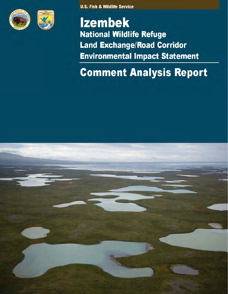



**U.S. Fish & Wildlife Service** 

# **Izembek National Wildlife Refuge Land Exchange/Road Corridor Environmental Impact Statement**

# **Comment Analysis Report**

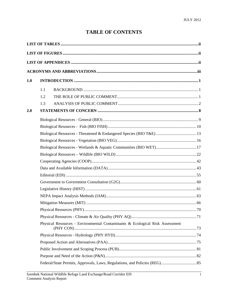## **TABLE OF CONTENTS**

| 1.0 |                                                                              |  |  |  |  |
|-----|------------------------------------------------------------------------------|--|--|--|--|
|     | 1.1                                                                          |  |  |  |  |
|     | 1.2                                                                          |  |  |  |  |
|     | 1.3                                                                          |  |  |  |  |
| 2.0 |                                                                              |  |  |  |  |
|     |                                                                              |  |  |  |  |
|     |                                                                              |  |  |  |  |
|     | Biological Resources - Threatened & Endangered Species (BIO T&E)  13         |  |  |  |  |
|     |                                                                              |  |  |  |  |
|     |                                                                              |  |  |  |  |
|     |                                                                              |  |  |  |  |
|     |                                                                              |  |  |  |  |
|     |                                                                              |  |  |  |  |
|     |                                                                              |  |  |  |  |
|     |                                                                              |  |  |  |  |
|     |                                                                              |  |  |  |  |
|     |                                                                              |  |  |  |  |
|     |                                                                              |  |  |  |  |
|     |                                                                              |  |  |  |  |
|     |                                                                              |  |  |  |  |
|     | Physical Resources - Environmental Contaminants & Ecological Risk Assessment |  |  |  |  |
|     |                                                                              |  |  |  |  |
|     |                                                                              |  |  |  |  |
|     |                                                                              |  |  |  |  |
|     |                                                                              |  |  |  |  |
|     |                                                                              |  |  |  |  |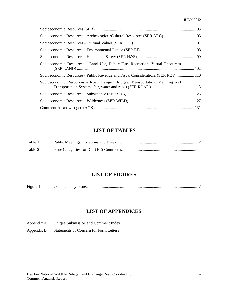| Socioeconomic Resources - Archeological/Cultural Resources (SER ARC) 95          |  |
|----------------------------------------------------------------------------------|--|
|                                                                                  |  |
|                                                                                  |  |
|                                                                                  |  |
| Socioeconomic Resources - Land Use, Public Use, Recreation, Visual Resources     |  |
| Socioeconomic Resources - Public Revenue and Fiscal Considerations (SER REV) 110 |  |
| Socioeconomic Resources - Road Design, Bridges, Transportation, Planning and     |  |
|                                                                                  |  |
|                                                                                  |  |
|                                                                                  |  |

### **LIST OF TABLES**

| Table 1 |  |
|---------|--|
| Table 2 |  |

#### **LIST OF FIGURES**

| Figure | comments by |  |
|--------|-------------|--|
|--------|-------------|--|

### **LIST OF APPENDICES**

- Appendix A Unique Submission and Comment Index
- Appendix B Statements of Concern for Form Letters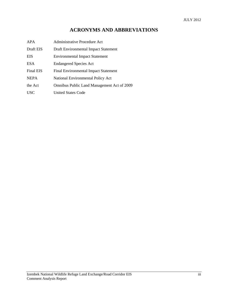### **ACRONYMS AND ABBREVIATIONS**

| APA         | <b>Administrative Procedure Act</b>        |
|-------------|--------------------------------------------|
| Draft EIS   | Draft Environmental Impact Statement       |
| <b>EIS</b>  | <b>Environmental Impact Statement</b>      |
| <b>ESA</b>  | <b>Endangered Species Act</b>              |
| Final EIS   | Final Environmental Impact Statement       |
| <b>NEPA</b> | National Environmental Policy Act          |
| the Act     | Omnibus Public Land Management Act of 2009 |
| <b>USC</b>  | United States Code                         |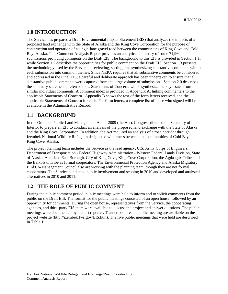#### **1.0 INTRODUCTION**

The Service has prepared a Draft Environmental Impact Statement (EIS) that analyzes the impacts of a proposed land exchange with the State of Alaska and the King Cove Corporation for the purpose of construction and operation of a single-lane gravel road between the communities of King Cove and Cold Bay, Alaska. This Comment Analysis Report provides an analytical summary of some 71,960 submissions providing comments on the Draft EIS. The background to this EIS is provided in Section 1.1, while Section 1.2 describes the opportunities for public comment on the Draft EIS. Section 1.3 presents the methodology used by the Service in reviewing, sorting, and synthesizing substantive comments within each submission into common themes. Since NEPA requires that all substantive comments be considered and addressed in the Final EIS, a careful and deliberate approach has been undertaken to ensure that all substantive public comments were captured from the large volume of submissions. Section 2.0 describes the summary statements, referred to as Statements of Concern, which synthesize the key issues from similar individual comments. A comment index is provided in Appendix A, linking commenters to the applicable Statements of Concern. Appendix B shows the text of the form letters received, and the applicable Statements of Concern for each. For form letters, a complete list of those who signed will be available in the Administrative Record.

### **1.1 BACKGROUND**

In the Omnibus Public Land Management Act of 2009 (the Act), Congress directed the Secretary of the Interior to prepare an EIS to conduct an analysis of the proposed land exchange with the State of Alaska and the King Cove Corporation. In addition, the Act required an analysis of a road corridor through Izembek National Wildlife Refuge in designated wilderness between the communities of Cold Bay and King Cove, Alaska.

The project planning team includes the Service as the lead agency, U.S. Army Corps of Engineers, Department of Transportation - Federal Highway Administration - Western Federal Lands Division, State of Alaska, Aleutians East Borough, City of King Cove, King Cove Corporation, the Agdaagux Tribe, and the Belkofski Tribe as formal cooperators. The Environmental Protection Agency and Alaska Migratory Bird Co-Management Council also are working with the planning team, though they are not formal cooperators. The Service conducted public involvement and scoping in 2010 and developed and analyzed alternatives in 2010 and 2011.

### **1.2 THE ROLE OF PUBLIC COMMENT**

During the public comment period, public meetings were held to inform and to solicit comments from the public on the Draft EIS. The format for the public meetings consisted of an open house, followed by an opportunity for comments. During the open house, representatives from the Service, the cooperating agencies, and third-party EIS team were available to discuss the project and answer questions. The public meetings were documented by a court reporter. Transcripts of each public meeting are available on the project website (http://izembek.fws.gov/EIS.htm). The five public meetings that were held are described in Table 1.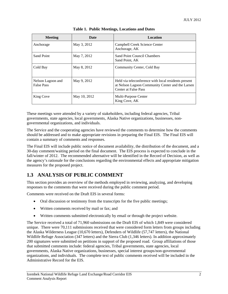| <b>Meeting</b>                         | Date         | <b>Location</b>                                                                                                                  |
|----------------------------------------|--------------|----------------------------------------------------------------------------------------------------------------------------------|
| Anchorage                              | May 3, 2012  | Campbell Creek Science Center<br>Anchorage, AK                                                                                   |
| Sand Point                             | May 7, 2012  | Sand Point Council Chambers<br>Sand Point, AK                                                                                    |
| Cold Bay                               | May 8, 2012  | Community Center, Cold Bay                                                                                                       |
| Nelson Lagoon and<br><b>False Pass</b> | May 9, 2012  | Held via teleconference with local residents present<br>at Nelson Lagoon Community Center and the Larsen<br>Center at False Pass |
| King Cove                              | May 10, 2012 | Multi-Purpose Center<br>King Cove, AK                                                                                            |

|  |  | <b>Table 1. Public Meetings, Locations and Dates</b> |
|--|--|------------------------------------------------------|
|  |  |                                                      |

These meetings were attended by a variety of stakeholders, including federal agencies, Tribal governments, state agencies, local governments, Alaska Native organizations, businesses, nongovernmental organizations, and individuals.

The Service and the cooperating agencies have reviewed the comments to determine how the comments should be addressed and to make appropriate revisions in preparing the Final EIS. The Final EIS will contain a summary of comments and responses.

The Final EIS will include public notice of document availability, the distribution of the document, and a 30-day comment/waiting period on the final document. The EIS process is expected to conclude in the fall/winter of 2012. The recommended alternative will be identified in the Record of Decision, as well as the agency's rationale for the conclusions regarding the environmental effects and appropriate mitigation measures for the proposed project.

### **1.3 ANALYSIS OF PUBLIC COMMENT**

This section provides an overview of the methods employed in reviewing, analyzing, and developing responses to the comments that were received during the public comment period.

Comments were received on the Draft EIS in several forms:

- Oral discussion or testimony from the transcripts for the five public meetings;
- Written comments received by mail or fax; and
- Written comments submitted electronically by email or through the project website.

The Service received a total of 71,960 submissions on the Draft EIS of which 1,849 were considered unique. There were 70,111 submissions received that were considered form letters from groups including the Alaska Wilderness League (10,670 letters), Defenders of Wildlife (57,747 letters), the National Wildlife Refuge Association (347 letters) and the Sierra Club (1,346 letters). In addition approximately 200 signatures were submitted on petitions in support of the proposed road. Group affiliations of those that submitted comments include: federal agencies, Tribal governments, state agencies, local governments, Alaska Native organizations, businesses, special interest groups/non-governmental organizations, and individuals. The complete text of public comments received will be included in the Administrative Record for the EIS.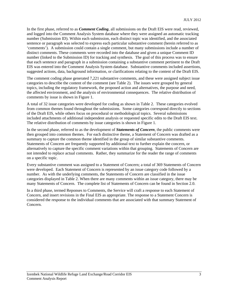In the first phase, referred to as *Comment Coding*, all submissions on the Draft EIS were read, reviewed, and logged into the Comment Analysis System database where they were assigned an automatic tracking number (Submission ID). Within each submission, each distinct topic was identified, and the associated sentence or paragraph was selected to express each particular substantive comment (herein referred to as 'comments'). A submission could contain a single comment, but many submissions include a number of distinct comments. These comments were recorded into the database and given a unique Comment ID number (linked to the Submission ID) for tracking and synthesis. The goal of this process was to ensure that each sentence and paragraph in a submission containing a substantive comment pertinent to the Draft EIS was entered into the Comment Analysis System database. Substantive comments included assertions, suggested actions, data, background information, or clarifications relating to the content of the Draft EIS.

The comment coding phase generated 7,221 substantive comments, and these were assigned subject issue categories to describe the content of the comment (see Table 2). The issues were grouped by general topics, including the regulatory framework, the proposed action and alternatives, the purpose and need, the affected environment, and the analysis of environmental consequences. The relative distribution of comments by issue is shown in Figure 1.

A total of 32 issue categories were developed for coding as shown in Table 2. These categories evolved from common themes found throughout the submissions. Some categories correspond directly to sections of the Draft EIS, while others focus on procedural or methodological topics. Several submissions included attachments of additional independent analysis or requested specific edits to the Draft EIS text. The relative distribution of comments by issue categories is shown in Figure 1.

In the second phase, referred to as the development of *Statements of Concern*, the public comments were then grouped into common themes. For each distinctive theme, a Statement of Concern was drafted as a summary to capture the common theme identified in the group of similar substantive comments. Statements of Concern are frequently supported by additional text to further explain the concern, or alternatively to capture the specific comment variations within that grouping. Statements of Concern are not intended to replace actual comments. Rather, they summarize for the reader the range of comments on a specific topic.

Every substantive comment was assigned to a Statement of Concern; a total of 369 Statements of Concern were developed. Each Statement of Concern is represented by an issue category code followed by a number. As with the underlying comments, the Statements of Concern are classified in the issue categories displayed in Table 2. When there are many comments within an issue category, there may be many Statements of Concern. The complete list of Statements of Concern can be found in Section 2.0.

In a third phase, termed Reponses to Comments, the Service will craft a response to each Statement of Concern, and insert revisions in the Final EIS as appropriate. The response to a Statement Concern is considered the response to the individual comments that are associated with that summary Statement of Concern.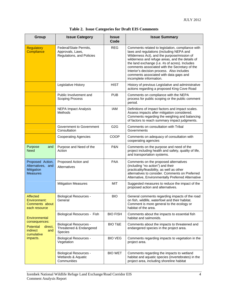|  |  |  |  |  |  | Table 2. Issue Categories for Draft EIS Comments |
|--|--|--|--|--|--|--------------------------------------------------|
|--|--|--|--|--|--|--------------------------------------------------|

| Group                                                                         | <b>Issue Category</b>                                                   | <b>Issue</b><br>Code | <b>Issue Summary</b>                                                                                                                                                                                                                                                                                                                                                                                                 |
|-------------------------------------------------------------------------------|-------------------------------------------------------------------------|----------------------|----------------------------------------------------------------------------------------------------------------------------------------------------------------------------------------------------------------------------------------------------------------------------------------------------------------------------------------------------------------------------------------------------------------------|
| <b>Regulatory</b><br>Compliance                                               | Federal/State Permits,<br>Approvals, Laws,<br>Regulations, and Policies | <b>REG</b>           | Comments related to legislation, compliance with<br>laws and regulations (including NEPA and<br>Wilderness Act), and the purpose/mission of<br>wilderness and refuge areas, and the details of<br>the land exchange (i.e. #s of acres). Includes<br>comments associated with the Secretary of the<br>Interior's decision process. Also includes<br>comments associated with data gaps and<br>incomplete information. |
|                                                                               | Legislative History                                                     | <b>HIST</b>          | History of previous Legislative and administrative<br>actions regarding a proposed King Cove Road                                                                                                                                                                                                                                                                                                                    |
|                                                                               | Public Involvement and<br><b>Scoping Process</b>                        | <b>PUB</b>           | Comments on compliance with the NEPA<br>process for public scoping or the public comment<br>period.                                                                                                                                                                                                                                                                                                                  |
|                                                                               | <b>NEPA Impact Analysis</b><br><b>Methods</b>                           | <b>IAM</b>           | Definitions of impact factors and impact scales.<br>Assess impacts after mitigation considered.<br>Comments regarding the weighing and balancing<br>of factors to reach summary impact judgments.                                                                                                                                                                                                                    |
|                                                                               | Government to Government<br>Consultation                                | G <sub>2</sub> G     | Comments on consultation with Tribal<br>Governments                                                                                                                                                                                                                                                                                                                                                                  |
|                                                                               | <b>Cooperating Agencies</b>                                             | COOP                 | Comments on adequacy of consultation with<br>cooperating agencies                                                                                                                                                                                                                                                                                                                                                    |
| Purpose<br>and<br><b>Need</b>                                                 | Purpose and Need of the<br>Action                                       | P&N                  | Comments on the purpose and need of the<br>project including health and safety, quality of life,<br>and transportation systems.                                                                                                                                                                                                                                                                                      |
| Proposed Action,<br>Alternatives, and<br>Mitigation<br><b>Measures</b>        | Proposed Action and<br>Alternatives                                     | <b>PAA</b>           | Comments on the proposed alternatives<br>(including "no action") and their<br>practicality/feasibility, as well as other<br>alternatives to consider. Comments on Preferred<br>Alternative, Environmentally Preferred Alternative                                                                                                                                                                                    |
|                                                                               | <b>Mitigation Measures</b>                                              | <b>MIT</b>           | Suggested measures to reduce the impact of the<br>proposed action and alternatives.                                                                                                                                                                                                                                                                                                                                  |
| Affected<br><b>Environment:</b><br>Comments about<br>each resource            | <b>Biological Resources -</b><br>General                                | <b>BIO</b>           | General comments regarding impacts of the road<br>on fish, wildlife, waterfowl and their habitat.<br>Comment is more general to the ecology or<br>habitat of the area.                                                                                                                                                                                                                                               |
| Environmental                                                                 | Biological Resources - Fish                                             | <b>BIO FISH</b>      | Comments about the impacts to essential fish<br>habitat and salmonids.                                                                                                                                                                                                                                                                                                                                               |
| consequences:<br><b>Potential</b><br>direct,<br>indirect<br>and<br>cumulative | <b>Biological Resources -</b><br>Threatened & Endangered<br>Species     | <b>BIO T&amp;E</b>   | Comments about the impacts to threatened and<br>endangered species in the project area.                                                                                                                                                                                                                                                                                                                              |
| impacts.                                                                      | <b>Biological Resources -</b><br>Vegetation                             | <b>BIO VEG</b>       | Comments regarding impacts to vegetation in the<br>project area.                                                                                                                                                                                                                                                                                                                                                     |
|                                                                               | <b>Biological Resources -</b><br>Wetlands & Aquatic<br>Communities      | <b>BIO WET</b>       | Comments regarding the impacts to wetland<br>habitat and aquatic species (invertebrates) in the<br>project area, including shoreline habitat                                                                                                                                                                                                                                                                         |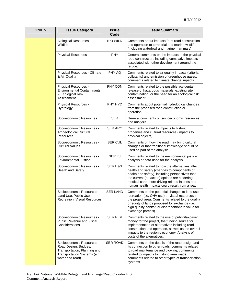| Group | <b>Issue Category</b>                                                                                                                 | <b>Issue</b><br>Code | <b>Issue Summary</b>                                                                                                                                                                                                                                                                                    |
|-------|---------------------------------------------------------------------------------------------------------------------------------------|----------------------|---------------------------------------------------------------------------------------------------------------------------------------------------------------------------------------------------------------------------------------------------------------------------------------------------------|
|       | <b>Biological Resources -</b><br>Wildlife                                                                                             | <b>BIO WILD</b>      | Comments about impacts from road construction<br>and operation to terrestrial and marine wildlife<br>(including waterfowl and marine mammals)                                                                                                                                                           |
|       | <b>Physical Resources</b>                                                                                                             | PHY                  | General comments on the impacts of the physical<br>road construction, including cumulative impacts<br>associated with other development around the<br>refuge.                                                                                                                                           |
|       | Physical Resources - Climate<br>& Air Quality                                                                                         | PHY AQ               | Comments related to air quality impacts (criteria<br>pollutants) and emission of greenhouse gases;<br>comments related to climate change impacts.                                                                                                                                                       |
|       | Physical Resources -<br><b>Environmental Contaminants</b><br>& Ecological Risk<br>Assessment                                          | PHY CON              | Comments related to the possible accidental<br>release of hazardous materials, existing site<br>contamination, or the need for an ecological risk<br>assessment.                                                                                                                                        |
|       | Physical Resources -<br>Hydrology                                                                                                     | PHY HYD              | Comments about potential hydrological changes<br>from the proposed road construction or<br>operation.                                                                                                                                                                                                   |
|       | Socioeconomic Resources                                                                                                               | <b>SER</b>           | General comments on socioeconomic resources<br>and analysis                                                                                                                                                                                                                                             |
|       | Socioeconomic Resources -<br>Archeological/Cultural<br><b>Resources</b>                                                               | <b>SER ARC</b>       | Comments related to impacts to historic<br>properties and cultural resources (impacts to<br>physical objects).                                                                                                                                                                                          |
|       | Socioeconomic Resources -<br><b>Cultural Values</b>                                                                                   | <b>SER CUL</b>       | Comments on how the road may bring cultural<br>changes or that traditional knowledge should be<br>used as part of the analysis.                                                                                                                                                                         |
|       | Socioeconomic Resources -<br><b>Environmental Justice</b>                                                                             | <b>SER EJ</b>        | Comments related to the environmental justice<br>analysis or data used for the analysis.                                                                                                                                                                                                                |
|       | Socioeconomic Resources -<br>Health and Safety                                                                                        | <b>SER H&amp;S</b>   | Comments related to how the alternatives affect<br>health and safety (changes to components of<br>health and safety), including perspectives that<br>the current (no action) options are hindering<br>medical care; more driving-related injuries and<br>human health impacts could result from a road. |
|       | Socioeconomic Resources -<br>Land Use, Public Use,<br>Recreation, Visual Resources                                                    | <b>SER LAND</b>      | Comments on the potential changes to land use,<br>recreation (i.e. OHV use) or visual resources in<br>the project area. Comments related to the quality<br>or equity of lands proposed for exchange (i.e.<br>high quality habitat, or disproportionate value for<br>exchange parcels).                  |
|       | Socioeconomic Resources -<br>Public Revenue and Fiscal<br>Considerations                                                              | <b>SER REV</b>       | Comments related to the use of public/taxpayer<br>money for the project, the funding source for<br>implementation of alternatives including road<br>construction and operation, as well as the overall<br>impacts to the region's economy. Analysis of<br>costs of the alternatives.                    |
|       | Socioeconomic Resources -<br>Road Design, Bridges,<br>Transportation, Planning and<br>Transportation Systems (air,<br>water and road) | <b>SER ROAD</b>      | Comments on the details of the road design and<br>its connection to other roads; comments related<br>to road maintenance and plowing; comments<br>related to impacts to historic area roads;<br>comments related to other types of transportation<br>systems.                                           |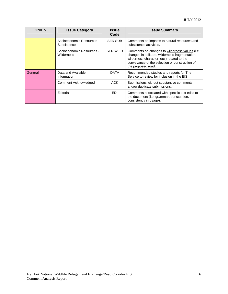| <b>Group</b> | <b>Issue Category</b>                          | <b>Issue</b><br>Code | <b>Issue Summary</b>                                                                                                                                                                                                   |
|--------------|------------------------------------------------|----------------------|------------------------------------------------------------------------------------------------------------------------------------------------------------------------------------------------------------------------|
|              | Socioeconomic Resources -<br>Subsistence       | <b>SER SUB</b>       | Comments on impacts to natural resources and<br>subsistence activities.                                                                                                                                                |
|              | Socioeconomic Resources -<br><b>Wilderness</b> | <b>SER WILD</b>      | Comments on changes to wilderness values (i.e.<br>changes in solitude, wilderness fragmentation,<br>wilderness character, etc.) related to the<br>conveyance of the selection or construction of<br>the proposed road. |
| General      | Data and Available<br>Information              | <b>DATA</b>          | Recommended studies and reports for The<br>Service to review for inclusion in the EIS.                                                                                                                                 |
|              | <b>Comment Acknowledged</b>                    | <b>ACK</b>           | Submissions without substantive comments<br>and/or duplicate submissions.                                                                                                                                              |
|              | Editorial                                      | <b>EDI</b>           | Comments associated with specific text edits to<br>the document (i.e. grammar, punctuation,<br>consistency in usage).                                                                                                  |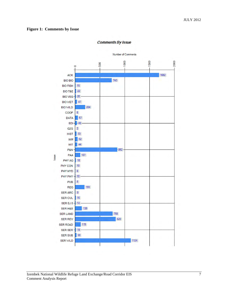#### **Figure 1: Comments by Issue**

#### **Comments By Issue**

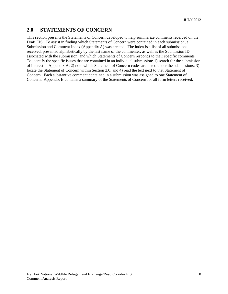#### **2.0 STATEMENTS OF CONCERN**

This section presents the Statements of Concern developed to help summarize comments received on the Draft EIS. To assist in finding which Statements of Concern were contained in each submission, a Submission and Comment Index (Appendix A) was created. The index is a list of all submissions received, presented alphabetically by the last name of the commenter, as well as the Submission ID associated with the submission, and which Statements of Concern responds to their specific comments. To identify the specific issues that are contained in an individual submission: 1) search for the submission of interest in Appendix A; 2) note which Statement of Concern codes are listed under the submissions; 3) locate the Statement of Concern within Section 2.0; and 4) read the text next to that Statement of Concern. Each substantive comment contained in a submission was assigned to one Statement of Concern. Appendix B contains a summary of the Statements of Concern for all form letters received.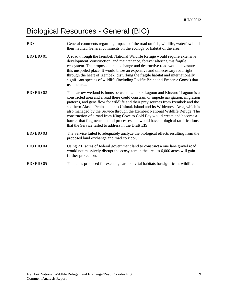# Biological Resources - General (BIO)

| <b>BIO</b>        | General comments regarding impacts of the road on fish, wildlife, waterfowl and<br>their habitat. General comments on the ecology or habitat of the area.                                                                                                                                                                                                                                                                                                                                                                                                                                                                                         |
|-------------------|---------------------------------------------------------------------------------------------------------------------------------------------------------------------------------------------------------------------------------------------------------------------------------------------------------------------------------------------------------------------------------------------------------------------------------------------------------------------------------------------------------------------------------------------------------------------------------------------------------------------------------------------------|
| <b>BIO BIO 01</b> | A road through the Izembek National Wildlife Refuge would require extensive<br>development, construction, and maintenance, forever altering this fragile<br>ecosystem. The proposed land exchange and destructive road would devastate<br>this unspoiled place. It would blaze an expensive and unnecessary road right<br>through the heart of Izembek, disturbing the fragile habitat and internationally<br>significant species of wildlife (including Pacific Brant and Emperor Goose) that<br>use the area.                                                                                                                                   |
| BIO BIO 02        | The narrow wetland isthmus between Izembek Lagoon and Kinzarof Lagoon is a<br>constricted area and a road there could constrain or impede navigation, migration<br>patterns, and gene flow for wildlife and their prey sources from Izembek and the<br>southern Alaska Peninsula onto Unimak Island and its Wilderness Area, which is<br>also managed by the Service through the Izembek National Wildlife Refuge. The<br>construction of a road from King Cove to Cold Bay would create and become a<br>barrier that fragments natural processes and would have biological ramifications<br>that the Service failed to address in the Draft EIS. |
| BIO BIO 03        | The Service failed to adequately analyze the biological effects resulting from the<br>proposed land exchange and road corridor.                                                                                                                                                                                                                                                                                                                                                                                                                                                                                                                   |
| <b>BIO BIO 04</b> | Using 201 acres of federal government land to construct a one lane gravel road<br>would not massively disrupt the ecosystem in the area as 6,000 acres will gain<br>further protection.                                                                                                                                                                                                                                                                                                                                                                                                                                                           |
| <b>BIO BIO 05</b> | The lands proposed for exchange are not vital habitats for significant wildlife.                                                                                                                                                                                                                                                                                                                                                                                                                                                                                                                                                                  |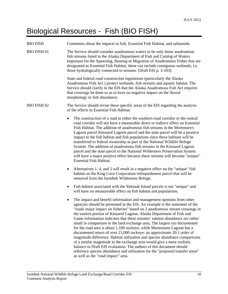# Biological Resources - Fish (BIO FISH)

| <b>BIO FISH</b>    | Comments about the impacts to fish, Essential Fish Habitat, and salmonids.                                                                                                                                                                                                                                                                                                                                                                                                                                                                                                                                                                                                                                                                                                                                                                                                                                                                                                            |
|--------------------|---------------------------------------------------------------------------------------------------------------------------------------------------------------------------------------------------------------------------------------------------------------------------------------------------------------------------------------------------------------------------------------------------------------------------------------------------------------------------------------------------------------------------------------------------------------------------------------------------------------------------------------------------------------------------------------------------------------------------------------------------------------------------------------------------------------------------------------------------------------------------------------------------------------------------------------------------------------------------------------|
| <b>BIO FISH 01</b> | The Service should consider anadromous waters to be only those anadromous<br>fish streams listed in the Alaska Department of Fish and Catalog of Waters<br>Important for the Spawning, Rearing or Migration of Anadromous Fishes that are<br>designated as Essential Fish Habitat; these can include contiguous wetlands, i.e.<br>those hydrologically connected to streams. [Draft EIS p. 3-103].                                                                                                                                                                                                                                                                                                                                                                                                                                                                                                                                                                                    |
|                    | State and federal road construction regulations (particularly the Alaska<br>Anadromous Fish Act) protect wetlands, fish streams and aquatic habitat. The<br>Service should clarify in the EIS that the Alaska Anadromous Fish Act requires<br>that crossings be done so as to have no negative impact on the fluvial<br>morphology or fish abundance.                                                                                                                                                                                                                                                                                                                                                                                                                                                                                                                                                                                                                                 |
| <b>BIO FISH 02</b> | The Service should revise these specific areas of the EIS regarding the analysis<br>of the effects to Essential Fish Habitat:                                                                                                                                                                                                                                                                                                                                                                                                                                                                                                                                                                                                                                                                                                                                                                                                                                                         |
|                    | The construction of a road in either the southern road corridor or the central<br>$\bullet$<br>road corridor will not have a measurable direct or indirect effect on Essential<br>Fish Habitat. The addition of anadromous fish streams in the Mortensen's<br>Lagoon parcel Kinzarof Lagoon parcel and the state parcel will be a positive<br>impact to the fish habitat and fish populations since these habitats will be<br>transferred to federal ownership as part of the National Wildlife Refuge<br>System. The addition of anadromous fish streams in the Kinzarof Lagoon<br>parcel and the state parcel to the National Wilderness Preservation System<br>will have a major positive effect because these streams will become "unique"<br><b>Essential Fish Habitat.</b>                                                                                                                                                                                                      |
|                    | Alternatives 1, 4, and 5 will result in a negative effect on the "unique" fish<br>٠<br>habitat on the King Cove Corporation relinquishment parcel that will be<br>removed from the Izembek Wilderness Refuge.                                                                                                                                                                                                                                                                                                                                                                                                                                                                                                                                                                                                                                                                                                                                                                         |
|                    | Fish habitat associated with the Sitkinak Island parcels is not "unique" and<br>$\bullet$<br>will have no measureable effect on fish habitat and populations.                                                                                                                                                                                                                                                                                                                                                                                                                                                                                                                                                                                                                                                                                                                                                                                                                         |
|                    | The impact and benefit information and management opinions from other<br>agencies should be presented in the EIS. An example is the statement of the<br>"roads major impact on fisheries" based on 3 anadromous stream crossings in<br>the eastern portion of Kinzarof Lagoon. Alaska Department of Fish and<br>Game information indicates that these streams' salmon abundance are rather<br>small in comparison to the land exchange area. The largest run documented<br>for the road area is about 1,100 sockeye, while Mortensens Lagoon has a<br>documented return of over 21,000 sockeye: an approximate 20:1 order of<br>magnitude difference. Habitat utilization and species abundance comparisons<br>of a similar magnitude in the exchange area would give a more realistic<br>balance to Draft EIS evaluation. The authors of this document should<br>reference species abundance and utilization for the "proposed transfer areas"<br>as well as the "road impact" area. |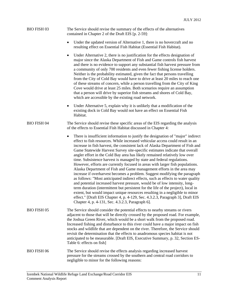#### BIO FISH 03 The Service should revise the summary of the effects of the alternatives contained in Chapter 2 of the Draft EIS [p. 2-59]:

- Under the updated version of Alternative 1, there is no hovercraft and no resulting effect on Essential Fish Habitat (Essential Fish Habitat).
- Under Alternative 2, there is no justification for the effects designation of major since the Alaska Department of Fish and Game controls fish harvest and there is no evidence to support any substantial fish harvest pressure from a community of only 700 residents and even fewer fishing license holders. Neither is the probability estimated, given the fact that persons travelling from the City of Cold Bay would have to drive at least 20 miles to reach one of these streams of concern, while a person travelling from the City of King Cove would drive at least 25 miles. Both scenarios require an assumption that a person will drive by superior fish streams and shores of Cold Bay, which are accessible by the existing road network.
- Under Alternative 5, explain why it is unlikely that a modification of the existing dock in Cold Bay would not have an effect on Essential Fish Habitat.

#### BIO FISH 04 The Service should revise these specific areas of the EIS regarding the analysis of the effects to Essential Fish Habitat discussed in Chapter 4:

- There is insufficient information to justify the designation of "major" indirect effect to fish resources. While increased vehicular access could result in an increase in fish harvest, the consistent lack of Alaska Department of Fish and Game Statewide Harvest Survey site-specific estimates indicate that overall angler effort in the Cold Bay area has likely remained relatively low over time. Subsistence harvest is managed by state and federal regulations. However, efforts are currently focused in areas with larger fish populations. Alaska Department of Fish and Game management efforts in the area may increase if overharvest becomes a problem. Suggest modifying the paragraph as follows: "Most anticipated indirect effects, such as effects to water quality and potential increased harvest pressure, would be of low intensity, longterm duration (intermittent but persistent for the life of the project), local in extent, but would impact unique resources resulting in a negligible to minor effect." [Draft EIS Chapter 4, p. 4-129, Sec. 4.3.2.3, Paragraph 3], Draft EIS Chapter 4, p. 4-131, Sec. 4.3.2.3, Paragraph 6].
- BIO FISH 05 The Service should consider the potential effects to nearby streams or rivers adjacent to those that will be directly crossed by the proposed road. For example, the Joshua Green River, which would be a short walk from the proposed road. Increased fishing and disturbance to this river could have a major impact on fish stocks and wildlife that are dependent on the river. Therefore, the Service should revisit the determination that the effects to anadromous species habitat is not anticipated to be measurable. [Draft EIS, Executive Summary, p. 32, Section ES-Table 6: effects on fish]
- BIO FISH 06 The Service should revise the effects analysis regarding increased harvest pressure for the streams crossed by the southern and central road corridors to negligible to minor for the following reasons: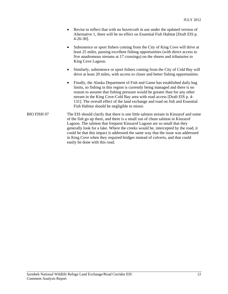- Revise to reflect that with no hovercraft in use under the updated version of Alternative 1, there will be no effect on Essential Fish Habitat [Draft EIS p. 4-26-30].
- Subsistence or sport fishers coming from the City of King Cove will drive at least 25 miles, passing excellent fishing opportunities (with direct access to five anadromous streams at 17 crossings) on the shores and tributaries to King Cove Lagoon.
- Similarly, subsistence or sport fishers coming from the City of Cold Bay will drive at least 20 miles, with access to closer and better fishing opportunities.
- Finally, the Alaska Department of Fish and Game has established daily bag limits, so fishing in this region is currently being managed and there is no reason to assume that fishing pressure would be greater than for any other stream in the King Cove-Cold Bay area with road access [Draft EIS p. 4- 131]. The overall effect of the land exchange and road on fish and Essential Fish Habitat should be negligible to minor.
- BIO FISH 07 The EIS should clarify that there is one little salmon stream in Kinzarof and some of the fish go up there, and there is a small run of chum salmon in Kinzarof Lagoon. The salmon that frequent Kinzarof Lagoon are so small that they generally look for a lake. Where the creeks would be, intercepted by the road, it could be that this impact is addressed the same way that the issue was addressed in King Cove when they required bridges instead of culverts, and that could easily be done with this road.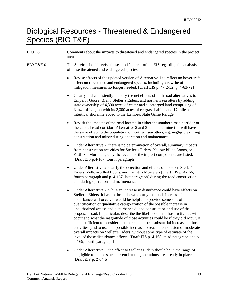# Biological Resources - Threatened & Endangered Species (BIO T&E)

| <b>BIO T&amp;E</b>    | Comments about the impacts to threatened and endangered species in the project<br>area.                                                                                                                                                                                                                                                                                                                                                                                                                                                                                                                                                                                                                                                                                                                                                                                                                                                    |
|-----------------------|--------------------------------------------------------------------------------------------------------------------------------------------------------------------------------------------------------------------------------------------------------------------------------------------------------------------------------------------------------------------------------------------------------------------------------------------------------------------------------------------------------------------------------------------------------------------------------------------------------------------------------------------------------------------------------------------------------------------------------------------------------------------------------------------------------------------------------------------------------------------------------------------------------------------------------------------|
| <b>BIO T&amp;E 01</b> | The Service should revise these specific areas of the EIS regarding the analysis<br>of these threatened and endangered species:                                                                                                                                                                                                                                                                                                                                                                                                                                                                                                                                                                                                                                                                                                                                                                                                            |
|                       | Revise effects of the updated version of Alternative 1 to reflect no hovercraft<br>effect on threatened and endangered species, including a rewrite of<br>mitigation measures no longer needed. [Draft EIS p. 4-42-52; p. 4-63-72]                                                                                                                                                                                                                                                                                                                                                                                                                                                                                                                                                                                                                                                                                                         |
|                       | Clearly and consistently identify the net effects of both road alternatives to<br>٠<br>Emperor Goose, Brant, Steller's Eiders, and northern sea otters by adding<br>state ownership of 4,300 acres of water and submerged land comprising of<br>Kinzarof Lagoon with its 2,300 acres of eelgrass habitat and 17 miles of<br>intertidal shoreline added to the Izembek State Game Refuge.                                                                                                                                                                                                                                                                                                                                                                                                                                                                                                                                                   |
|                       | Revisit the impacts of the road located in either the southern road corridor or<br>٠<br>the central road corridor [Alternative 2 and 3] and determine if it will have<br>the same effect to the population of northern sea otters, e.g. negligible during<br>construction and minor during operation and maintenance.                                                                                                                                                                                                                                                                                                                                                                                                                                                                                                                                                                                                                      |
|                       | Under Alternative 2, there is no determination of overall, summary impacts<br>$\bullet$<br>from construction activities for Steller's Eiders, Yellow-billed Loons, or<br>Kittlitz's Murrelets; only the levels for the impact components are listed.<br>[Draft EIS p.4-167, fourth paragraph]                                                                                                                                                                                                                                                                                                                                                                                                                                                                                                                                                                                                                                              |
|                       | Under Alternative 2, clarify the detection and effects of noise on Steller's<br>$\bullet$<br>Eiders, Yellow-billed Loons, and Kittlitz's Murrelets [Draft EIS p. 4-166,<br>fourth paragraph and p. 4-167, last paragraph] during the road construction<br>and during operation and maintenance.                                                                                                                                                                                                                                                                                                                                                                                                                                                                                                                                                                                                                                            |
|                       | Under Alternative 2, while an increase in disturbance could have effects on<br>$\bullet$<br>Steller's Eiders, it has not been shown clearly that such increases in<br>disturbance will occur. It would be helpful to provide some sort of<br>quantification or qualitative categorization of the possible increase in<br>unauthorized access and disturbance due to construction and use of the<br>proposed road. In particular, describe the likelihood that those activities will<br>occur and what the magnitude of those activities could be if they did occur. It<br>is not sufficient to consider that there could be a substantial increase in those<br>activities (and to use that possible increase to reach a conclusion of moderate<br>overall impacts on Steller's Eiders) without some type of estimate of the<br>level of those disturbance effects. [Draft EIS p. 4-168, third paragraph and p.<br>4-169, fourth paragraph] |
|                       |                                                                                                                                                                                                                                                                                                                                                                                                                                                                                                                                                                                                                                                                                                                                                                                                                                                                                                                                            |

 Under Alternative 2, the effect to Steller's Eiders should be in the range of negligible to minor since current hunting operations are already in place. [Draft EIS p. 2-64-5]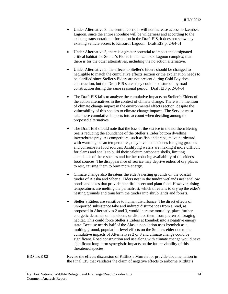- Under Alternative 3, the central corridor will not increase access to Izembek Lagoon, since the entire shoreline will be wilderness and according to the existing transportation information in the Draft EIS, it does not show any existing vehicle access to Kinzarof Lagoon. [Draft EIS p. 2-64-5]
- Under Alternative 3, there is a greater potential to impact the designated critical habitat for Steller's Eiders in the Izembek Lagoon complex, than there is for the other alternatives, including the no action alternative.
- Under Alternative 5, the effects to Steller's Eiders should be changed to negligible to match the cumulative effects section or the explanation needs to be clarified since Steller's Eiders are not present during Cold Bay dock construction, but the Draft EIS states they could be disturbed by road construction during the same seasonal period. [Draft EIS p. 2-64-5]
- The Draft EIS fails to analyze the cumulative impacts on Steller's Eiders of the action alternatives in the context of climate change. There is no mention of climate change impact in the environmental effects section, despite the vulnerability of this species to climate change impacts. The Service must take these cumulative impacts into account when deciding among the proposed alternatives.
- The Draft EIS should note that the loss of the sea ice in the northern Bering Sea is reducing the abundance of the Steller's Eider bottom dwelling invertebrate prey. As competitors, such as fish and crabs, move northward with warming ocean temperatures, they invade the eider's foraging grounds and consume its food sources. Acidifying waters are making it more difficult for clams and snails to build their calcium carbonate shells, limiting abundance of these species and further reducing availability of the eider's food sources. The disappearance of sea ice may deprive eiders of dry places to rest, causing them to burn more energy.
- Climate change also threatens the eider's nesting grounds on the coastal tundra of Alaska and Siberia. Eiders nest in the tundra wetlands near shallow ponds and lakes that provide plentiful insect and plant food. However, rising temperatures are melting the permafrost, which threatens to dry up the eider's nesting grounds and transform the tundra into shrub lands and forests.
- Steller's Eiders are sensitive to human disturbance. The direct effects of unreported subsistence take and indirect disturbances from a road, as proposed in Alternatives 2 and 3, would increase mortality, place further energetic demands on the eiders, or displace them from preferred foraging habitat. This could force Steller's Eiders at Izembek into a negative energy state. Because nearly half of the Alaska population uses Izembek as a molting ground, population-level effects on the Steller's eider due to the cumulative impacts of Alternatives 2 or 3 and climate change could be significant. Road construction and use along with climate change would have significant long-term synergistic impacts on the future viability of this threatened species.

BIO T&E 02 Revise the effects discussion of Kittlitz's Murrelet or provide documentation in the Final EIS that validates the claim of negative effects to airborne Kittlitz's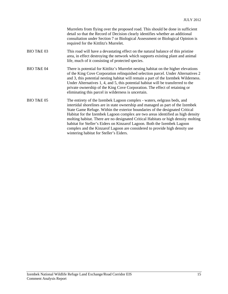|                       | Murrelets from flying over the proposed road. This should be done in sufficient<br>detail so that the Record of Decision clearly identifies whether an additional<br>consultation under Section 7 or Biological Assessment or Biological Opinion is<br>required for the Kittlitz's Murrelet.                                                                                                                                                                                                                                                                                                                             |
|-----------------------|--------------------------------------------------------------------------------------------------------------------------------------------------------------------------------------------------------------------------------------------------------------------------------------------------------------------------------------------------------------------------------------------------------------------------------------------------------------------------------------------------------------------------------------------------------------------------------------------------------------------------|
| <b>BIO T&amp;E 03</b> | This road will have a devastating effect on the natural balance of this pristine<br>area, in effect destroying the network which supports existing plant and animal<br>life, much of it consisting of protected species.                                                                                                                                                                                                                                                                                                                                                                                                 |
| <b>BIO T&amp;E 04</b> | There is potential for Kittlitz's Murrelet nesting habitat on the higher elevations<br>of the King Cove Corporation relinquished selection parcel. Under Alternatives 2<br>and 3, this potential nesting habitat will remain a part of the Izembek Wilderness.<br>Under Alternatives 1, 4, and 5, this potential habitat will be transferred to the<br>private ownership of the King Cove Corporation. The effect of retaining or<br>eliminating this parcel in wilderness is uncertain.                                                                                                                                 |
| <b>BIO T&amp;E 05</b> | The entirety of the Izembek Lagoon complex - waters, eelgrass beds, and<br>intertidal shorelines are in state ownership and managed as part of the Izembek<br>State Game Refuge. Within the exterior boundaries of the designated Critical<br>Habitat for the Izembek Lagoon complex are two areas identified as high density<br>molting habitat. There are no designated Critical Habitats or high density molting<br>habitat for Steller's Eiders on Kinzarof Lagoon. Both the Izembek Lagoon<br>complex and the Kinzarof Lagoon are considered to provide high density use<br>wintering habitat for Steller's Eiders. |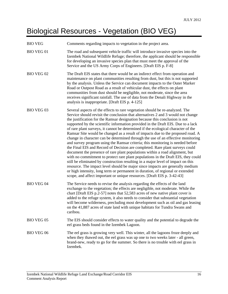# Biological Resources - Vegetation (BIO VEG)

| <b>BIO VEG</b>    | Comments regarding impacts to vegetation in the project area.                                                                                                                                                                                                                                                                                                                                                                                                                                                                                                                                                                                                                                                                                                                                                                                                                                                                                                                                                                                                                                                                                                                                                                                                            |
|-------------------|--------------------------------------------------------------------------------------------------------------------------------------------------------------------------------------------------------------------------------------------------------------------------------------------------------------------------------------------------------------------------------------------------------------------------------------------------------------------------------------------------------------------------------------------------------------------------------------------------------------------------------------------------------------------------------------------------------------------------------------------------------------------------------------------------------------------------------------------------------------------------------------------------------------------------------------------------------------------------------------------------------------------------------------------------------------------------------------------------------------------------------------------------------------------------------------------------------------------------------------------------------------------------|
| <b>BIO VEG 01</b> | The road and subsequent vehicle traffic will introduce invasive species into the<br>Izembek National Wildlife Refuge; therefore, the applicant should be responsible<br>for developing an invasive species plan that must meet the approval of the<br>Service and the US Army Corps of Engineers. [Draft EIS p. F-8]                                                                                                                                                                                                                                                                                                                                                                                                                                                                                                                                                                                                                                                                                                                                                                                                                                                                                                                                                     |
| <b>BIO VEG 02</b> | The Draft EIS states that there would be an indirect effect from operation and<br>maintenance on plant communities resulting from dust, but this is not supported<br>by the analysis. Unless the Service can document impacts to the Outer Marker<br>Road or Outpost Road as a result of vehicular dust, the effects on plant<br>communities from dust should be negligible, not moderate, since the area<br>receives significant rainfall. The use of data from the Denali Highway in the<br>analysis is inappropriate. [Draft EIS p. 4-125]                                                                                                                                                                                                                                                                                                                                                                                                                                                                                                                                                                                                                                                                                                                            |
| <b>BIO VEG 03</b> | Several aspects of the effects to rare vegetation should be re-analyzed. The<br>Service should revisit the conclusion that alternatives 2 and 3 would not change<br>the justification for the Ramsar designation because this conclusion is not<br>supported by the scientific information provided in the Draft EIS. Due to a lack<br>of rare plant surveys, it cannot be determined if the ecological character of the<br>Ramsar Site would be changed as a result of impacts due to the proposed road. A<br>change in character can be determined through the use of an effective monitoring<br>and survey program using the Ramsar criteria; this monitoring is needed before<br>the Final EIS and Record of Decision are completed. Rare plant surveys could<br>document the presence of rare plant populations within a road alignment, but<br>with no commitment to protect rare plant populations in the Draft EIS, they could<br>still be eliminated by construction resulting in a major level of impact on this<br>resource. The impact level should be major since impacts are generally medium<br>or high intensity, long term or permanent in duration, of regional or extended<br>scope, and affect important or unique resources. [Draft EIS p. 3-42-43] |
| <b>BIO VEG 04</b> | The Service needs to revise the analysis regarding the effects of the land<br>exchange to the vegetation; the effects are negligible, not moderate. While the<br>chart [Draft EIS p.2-57] notes that 52,583 acres of new native plant cover is<br>added to the refuge system, it also needs to consider that substantial vegetation<br>will become wilderness, precluding most development such as oil and gas leasing<br>on the 41,887 acres of state land with unique habitats for Tundra Swans and<br>caribou.                                                                                                                                                                                                                                                                                                                                                                                                                                                                                                                                                                                                                                                                                                                                                        |
| <b>BIO VEG 05</b> | The EIS should consider effects to water quality and the potential to degrade the<br>eel grass beds found in the Izembek Lagoon.                                                                                                                                                                                                                                                                                                                                                                                                                                                                                                                                                                                                                                                                                                                                                                                                                                                                                                                                                                                                                                                                                                                                         |
| <b>BIO VEG 06</b> | The eel grass is growing very well. This winter, all the lagoons froze deeply and<br>when they thawed out, the eel grass was up one to two weeks later - all green,<br>brand-new, ready to go for the summer. So there is no trouble with eel grass in<br>Izembek.                                                                                                                                                                                                                                                                                                                                                                                                                                                                                                                                                                                                                                                                                                                                                                                                                                                                                                                                                                                                       |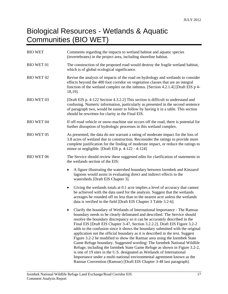# Biological Resources - Wetlands & Aquatic Communities (BIO WET)

| <b>BIO WET</b>    | Comments regarding the impacts to wetland habitat and aquatic species<br>(invertebrates) in the project area, including shoreline habitat.                                                                                                                                                                                                                                                                                                                                                                                                                                                                                                                                                                                                                                                                                                                                                                                                         |
|-------------------|----------------------------------------------------------------------------------------------------------------------------------------------------------------------------------------------------------------------------------------------------------------------------------------------------------------------------------------------------------------------------------------------------------------------------------------------------------------------------------------------------------------------------------------------------------------------------------------------------------------------------------------------------------------------------------------------------------------------------------------------------------------------------------------------------------------------------------------------------------------------------------------------------------------------------------------------------|
| <b>BIO WET 01</b> | The construction of the proposed road would destroy the fragile wetland habitat,<br>which is of global ecological significance.                                                                                                                                                                                                                                                                                                                                                                                                                                                                                                                                                                                                                                                                                                                                                                                                                    |
| <b>BIO WET 02</b> | Revise the analysis of impacts of the road on hydrology and wetlands to consider<br>effects beyond the 400 foot corridor on vegetation classes that are an integral<br>function of the wetland complex on the isthmus. [Section 4.2.1.4] [Draft EIS p 4-<br>18,19].                                                                                                                                                                                                                                                                                                                                                                                                                                                                                                                                                                                                                                                                                |
| <b>BIO WET 03</b> | [Draft EIS p. 4-122 Section 4.3.2.2] This section is difficult to understand and<br>confusing. Numeric information, particularly as presented in the second sentence<br>of paragraph two, would be easier to follow by having it in a table. This section<br>should be rewritten for clarity in the Final EIS.                                                                                                                                                                                                                                                                                                                                                                                                                                                                                                                                                                                                                                     |
| <b>BIO WET 04</b> | If off-road vehicle or snow-machine use occurs off the road, there is potential for<br>further disruption of hydrologic processes in this wetland complex.                                                                                                                                                                                                                                                                                                                                                                                                                                                                                                                                                                                                                                                                                                                                                                                         |
| <b>BIO WET 05</b> | As presented, the data do not warrant a rating of moderate impact for the loss of<br>3.8 acres of wetland due to construction. Reconsider the ratings to provide more<br>complete justification for the finding of moderate impact, or reduce the ratings to<br>minor or negligible. [Draft EIS p. 4-122 - 4-124]                                                                                                                                                                                                                                                                                                                                                                                                                                                                                                                                                                                                                                  |
| <b>BIO WET 06</b> | The Service should review these suggested edits for clarification of statements in<br>the wetlands section of the EIS:                                                                                                                                                                                                                                                                                                                                                                                                                                                                                                                                                                                                                                                                                                                                                                                                                             |
|                   | A figure illustrating the watershed boundary between Izembek and Kinzarof<br>lagoons would assist in evaluating direct and indirect effects to the<br>watersheds [Draft EIS Chapter 3].                                                                                                                                                                                                                                                                                                                                                                                                                                                                                                                                                                                                                                                                                                                                                            |
|                   | Giving the wetlands totals at 0.1 acre implies a level of accuracy that cannot<br>٠<br>be achieved with the data used for the analysis. Suggest that the wetlands<br>acreages be rounded off no less than to the nearest acre unless the wetlands<br>data is verified in the field [Draft EIS Chapter 3 Table 3.2-6].                                                                                                                                                                                                                                                                                                                                                                                                                                                                                                                                                                                                                              |
|                   | Clarify the boundary of Wetlands of International Importance - The Ramsar<br>boundary needs to be clearly delineated and described. The Service should<br>resolve the boundary discrepancy so it can be accurately described in the<br>Final EIS [Draft EIS Chapter 3-47, Section 3.2.2.2]. Draft EIS Figure 3.2-2<br>adds to the confusion since it shows the boundary submitted with the original<br>application not the official boundary as it is described in the text. Suggest<br>Figure 3.2-2 be modified to show the Ramsar area using the Izembek State<br>Game Refuge boundary. Suggested wording: The Izembek National Wildlife<br>Refuge, including the Izembek State Game Refuge as shown in Figure 3.2-2,<br>is one of 19 sites in the U.S. designated as Wetlands of International<br>Importance under a multi-national environmental agreement known as the<br>Ramsar Convention (Ramsar) [Draft EIS Chapter 3-48 last paragraph]. |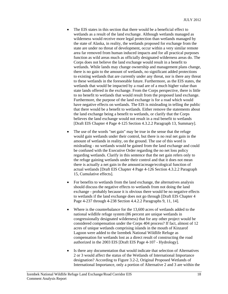- The EIS states in this section that there would be a beneficial effect to wetlands as a result of the land exchange. Although wetlands managed as wilderness would receive more legal protection than wetlands managed by the state of Alaska, in reality, the wetlands proposed for exchange from the state are under no threat of development, occur within a very similar remote area far removed from human induced impacts and for all practical purposes function as wild areas much as officially designated wilderness areas do. The Corps does not believe the land exchange would result in a benefit to wetlands. While lands may change ownership and management plans change, there is no gain to the amount of wetlands, no significant added protections to existing wetlands that are currently under any threat, nor is there any threat to these wetlands in the foreseeable future. Furthermore, as the EIS states, the wetlands that would be impacted by a road are of a much higher value than state lands offered in the exchange. From the Corps perspective, there is little to no benefit to wetlands that would result from the proposed land exchange. Furthermore, the purpose of the land exchange is for a road which would have negative effects on wetlands. The EIS is misleading in telling the public that there would be a benefit to wetlands. Either remove the statements about the land exchange being a benefit to wetlands, or clarify that the Corps believes the land exchange would not result in a real benefit to wetlands [Draft EIS Chapter 4 Page 4-125 Section 4.3.2.2 Paragraph 13, Summary].
- The use of the words "net gain" may be true in the sense that the refuge would gain wetlands under their control, but there is no real net gain in the amount of wetlands in reality, on the ground. The use of this word is misleading - no wetlands would be gained from the land exchange and could be confused with the Executive Order regarding the no net loss policy regarding wetlands. Clarify in this sentence that the net gain refers only to the refuge gaining wetlands under their control and that it does not mean there is actually a net gain in the amount/acreage/ecological function of actual wetlands [Draft EIS Chapter 4 Page 4-126 Section 4.3.2.2 Paragraph 15, Cumulative effects].
- For benefits to wetlands from the land exchange, the alternatives analysis should discuss the negative effects to wetlands from not doing the land exchange - probably because it is obvious there would be no negative effects to wetlands if the land exchange does not go through [Draft EIS Chapter 4 Page 4-237 through 4-238 Section 4.4.2.2 Paragraphs 9, 11, 14].
- Where is the counterbalance for the 13,600 acres of wetlands added to the national wildlife refuge system (86 percent are unique wetlands in congressionally designated wilderness) that for any other project would be considered compensation under the Corps 404 process? If fact, almost of 12 acres of unique wetlands comprising islands in the mouth of Kinzarof Lagoon were added to the Izembek National Wildlife Refuge as compensation for wetlands lost as a direct result of constructing the road authorized in the 2003 EIS [Draft EIS Page 4-107 - Hydrology].
- Is there any documentation that would indicate that selection of Alternatives 2 or 3 would affect the status of the Wetlands of International Importance designation? According to Figure 3.2-2, Original Proposed Wetlands of International Importance, only a portion of Alternative 2 and 3 are within the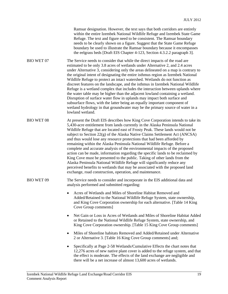| Ramsar designation. However, the text says that both corridors are entirely |  |
|-----------------------------------------------------------------------------|--|
| within the entire Izembek National Wildlife Refuge and Izembek State Game   |  |
| Refuge. The text and figure need to be consistent. The Ramsar boundary      |  |
| needs to be clearly shown on a figure. Suggest that the State Game Refuge   |  |
| boundary be used to illustrate the Ramsar boundary because it encompasses   |  |
| the eelgrass beds [Draft EIS Chapter 4-123, Section 4.3.2.2 paragraph 3].   |  |

BIO WET 07 The Service needs to consider that while the direct impacts of the road are estimated to be only 3.8 acres of wetlands under Alternative 2, and 2.4 acres under Alternative 3, considering only the areas delineated on a map is contrary to the original intent of designating the entire isthmus region as Izembek National Wildlife Refuge to protect an intact watershed. Wetlands do not function as discreet features on the landscape, and the isthmus in Izembek National Wildlife Refuge is a wetland complex that includes the interaction between uplands where the water table may be higher than the adjacent lowland containing a wetland. Disruption of surface water flow in uplands may impact both surface and subsurface flows, with the latter being an equally important component of wetland hydrology in that groundwater may be the primary source of water in a lowland wetland.

BIO WET 08 At present the Draft EIS describes how King Cove Corporation intends to take its 5,430-acre entitlement from lands currently in the Alaska Peninsula National Wildlife Refuge that are located east of Frosty Peak. These lands would not be subject to Section 22(g) of the Alaska Native Claims Settlement Act (ANCSA) and thus would lose any resource protections that had been afforded by remaining within the Alaska Peninsula National Wildlife Refuge. Before a complete and accurate analysis of the environmental impacts of the proposed action can be made, information regarding the specific lands to be reclaimed by King Cove must be presented to the public. Taking of other lands from the Alaska Peninsula National Wildlife Refuge will significantly reduce any perceived benefits to wetlands that may be associated with the proposed land exchange, road construction, operation, and maintenance.

BIO WET 09 The Service needs to consider and incorporate in the EIS additional data and analysis performed and submitted regarding:

- Acres of Wetlands and Miles of Shoreline Habitat Removed and Added/Retained to the National Wildlife Refuge System, state ownership, and King Cove Corporation ownership for each alternative. [Table 14 King Cove Group comments]
- Net Gain or Loss in Acres of Wetlands and Miles of Shoreline Habitat Added or Retained to the National Wildlife Refuge System, state ownership, and King Cove Corporation ownership. [Table 15 King Cove Group comments]
- Miles of Shoreline habitats Removed and Added/Retained under Alternative 2 or Alternative 3. [Table 16 King Cove Group comments] and;
- Specifically at Page 2-58 Wetlands/Cumulative Effects the chart notes that 12,276 acres of new native plant cover is added to the refuge system, and that the effect is moderate. The effects of the land exchange are negligible and there will be a net increase of almost 13,600 acres of wetlands.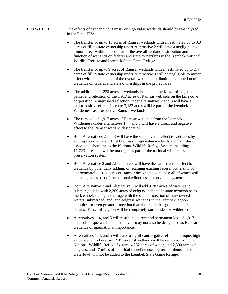#### BIO WET 10 The effects of exchanging Ramsar or high value wetlands should be re-analyzed in the Final EIS:

- The transfer of up to 13 acres of Ramsar wetlands with an estimated up to 3.8 acres of fill to state ownership under Alternative 2 will have a negligible to minor effect within the context of the overall wetland distribution and function of wetlands on federal and state ownerships in the Izembek National Wildlife Refuge and Izembek State Game Refuge.
- The transfer of up to 9 acres of Ramsar wetlands with an estimated up to 2.4 acres of fill to state ownership under Alternative 3 will be negligible to minor effect within the context of the overall wetland distribution and function of wetlands on federal and state ownerships in the project area.
- The addition of 1,235 acres of wetlands located on the Kinzarof Lagoon parcel and retention of the 1,917 acres of Ramsar wetlands on the king cove corporation relinquished selection under alternatives 2 and 3 will have a major positive effect since the 3,152 acres will be part of the Izembek Wilderness as prospective Ramsar wetlands.
- The removal of 1,917 acres of Ramsar wetlands from the Izembek Wilderness under alternatives 1, 4, and 5 will have a direct and negative effect to the Ramsar wetland designation.
- Both Alternatives 2 and 3 will have the same overall effect to wetlands by adding approximately 17,900 acres of high value wetlands and 32 miles of associated shoreline to the National Wildlife Refuge System including 11,723 acres that will be managed as part of the national wilderness preservation system.
- Both Alternative 2 and Alternative 3 will have the same overall effect to wetlands by potentially adding, or retaining existing federal ownership of approximately 3,152 acres of Ramsar designated wetlands; all of which will be managed as part of the national wilderness preservation system.
- Both Alternative 2 and Alternative 3 will add 4,282 acres of waters and submerged land with 2,300 acres of eelgrass habitats in state ownerships to the Izembek state game refuge with the same protection of state owned waters, submerged land, and eelgrass wetlands in the Izembek lagoon complex, or even greater protection than the Izembek lagoon complex because Kinzarof Lagoon will be completely surrounded by wilderness.
- Alternatives 1, 4, and 5 will result in a direct and permanent loss of 1,917 acres of unique wetlands that may or may not also be designated as Ramsar wetlands of international importance.
- Alternatives 1, 4, and 5 will have a significant negative effect to unique, high value wetlands because 1,917 acres of wetlands will be removed from the National Wildlife Refuge System; 4,282 acres of water, and 2,300 acres of eelgrass, and 17 miles of intertidal shoreline used by tens of thousands of waterfowl will not be added to the Izembek State Game Refuge.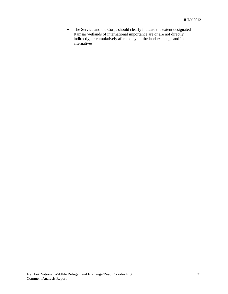• The Service and the Corps should clearly indicate the extent designated Ramsar wetlands of international importance are or are not directly, indirectly, or cumulatively affected by all the land exchange and its alternatives.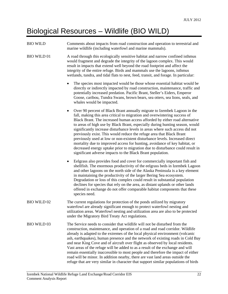## Biological Resources – Wildlife (BIO WILD)

BIO WILD Comments about impacts from road construction and operation to terrestrial and marine wildlife (including waterfowl and marine mammals).

BIO WILD 01 A road through this ecologically sensitive habitat and narrow confined isthmus would fragment and degrade the integrity of the lagoon complex. This would result in impacts that extend well beyond the road footprint and affect the integrity of the entire refuge. Birds and mammals use the lagoons, isthmus wetlands, tundra, and tidal flats to nest, feed, transit, and forage. In particular:

- The species most impacted would be those whose essential habitat would be directly or indirectly impacted by road construction, maintenance, traffic and potentially increased predation. Pacific Brant, Steller's Eiders, Emperor Goose, caribou, Tundra Swans, brown bears, sea otters, sea lions, seals, and whales would be impacted.
- Over 90 percent of Black Brant annually migrate to Izembek Lagoon in the fall, making this area critical to migration and overwintering success of Black Brant. The increased human access afforded by either road alternative to areas of high use by Black Brant, especially during hunting season, would significantly increase disturbance levels in areas where such access did not previously exist. This would reduce the refuge area that Black Brant previously used at low or non-existent disturbance levels. Increased direct mortality due to improved access for hunting, avoidance of key habitat, or decreased energy uptake prior to migration due to disturbance could result in significant adverse impacts to the Black Brant population.
- Eelgrass also provides food and cover for commercially important fish and shellfish. The enormous productivity of the eelgrass beds in Izembek Lagoon and other lagoons on the north side of the Alaska Peninsula is a key element in maintaining the productivity of the larger Bering Sea ecosystem. Degradation or loss of this complex could result in substantial population declines for species that rely on the area, as distant uplands or other lands offered in exchange do not offer comparable habitat components that these species need.
- BIO WILD 02 The current regulations for protection of the ponds utilized by migratory waterfowl are already significant enough to protect waterfowl nesting and utilization areas. Waterfowl nesting and utilization area are also to be protected under the Migratory Bird Treaty Act regulations.
- BIO WILD 03 The Service needs to consider that wildlife will not be disturbed from the construction, maintenance, and operation of a road and road corridor. Wildlife already is adapted to the extremes of the local physical environment (volcanic ash, earthquakes), human presence and the network of existing roads in Cold Bay and near King Cove and of aircraft over flight as observed by local residents. Vast areas of the refuge will be added to as a result of the exchange and will remain essentially inaccessible to most people and therefore the impact of either road will be minor. In addition nearby, there are vast land areas outside the refuge that are very similar in character that support similar populations of birds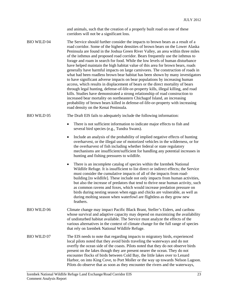and animals, such that the creation of a properly built road on one of these corridors will not be a significant loss.

BIO WILD 04 The Service should further consider the impacts to brown bears as a result of a road corridor. Some of the highest densities of brown bears on the Lower Alaska Peninsula are found in the Joshua Green River Valley, an area within three miles of the isthmus and proposed road corridor. Bears frequently use the isthmus to forage and roam in search for food. While the low levels of human disturbance have helped maintain the high habitat value of this area for brown bears, roads generally have harmful impacts on large carnivores. The construction of roads in what had been roadless brown bear habitat has been shown by many investigators to have significant adverse impacts on bear populations by increasing human access, which results in displacement of bears or the direct mortality of bears through legal hunting, defense-of-life-or-property kills, illegal killing, and road kills. Studies have demonstrated a strong relationship of road construction to increased bear mortality on northeastern Chichagof Island, an increasing probability of brown bears killed in defense-of-life-or-property with increasing road density on the Kenai Peninsula.

BIO WILD 05 The Draft EIS fails to adequately include the following information:

- There is not sufficient information to indicate major effects to fish and several bird species (e.g., Tundra Swans).
- Include an analysis of the probability of implied negative effects of hunting overharvest, or the illegal use of motorized vehicles in the wilderness, or for the overharvest of fish including whether federal or state regulatory mechanisms are insufficient/sufficient for handling any potential increases in hunting and fishing pressures to wildlife.
- There is an incomplete catalog of species within the Izembek National Wildlife Refuge. It is insufficient to list direct or indirect effects; the Service must consider the cumulative impacts of all of the impacts from roadbuilding *[to wildlife]*. These include not only impacts from human activities, but also the increase of predators that tend to thrive near human activity, such as common ravens and foxes, which would increase predation pressure on birds during nesting season when eggs and chicks are vulnerable, as well as during molting season when waterfowl are flightless as they grow new feathers.
- BIO WILD 06 Climate change may impact Pacific Black Brant, Steller's Eiders, and caribou whose survival and adaptive capacity may depend on maximizing the availability of undisturbed habitat available. The Service must analyze the effects of the various alternatives in the context of climate change for the full range of species that rely on Izembek National Wildlife Refuge.
- BIO WILD 07 The EIS needs to note that regarding impacts to migratory birds, experienced local pilots noted that they avoid birds traveling the waterways and do not overfly the ocean side of the coasts. Pilots noted that they do not observe birds present on the lakes though they are present nearer the ocean. They do not encounter flocks of birds between Cold Bay, the little lakes over to Lenard Harbor, on into King Cove, to Port Moller or the way up towards Nelson Lagoon. Pilots do observe that as soon as they encounter the rivers and the waterways,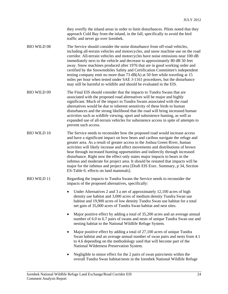they overfly the inland areas in order to limit disturbances. Pilots noted that they approach Cold Bay from the inland, in the fall, specifically to avoid the bird traffic and never go over Izembek.

BIO WILD 08 The Service should consider the noise disturbance from off-road vehicles, including all-terrain vehicles and motorcycles, and snow machine use on the road corridor. All-terrain vehicles and motorcycles have noise emissions near 100 dB immediately next to the vehicle and decrease to approximately 80 dB 50 feet away. Snow machines produced after 1976 that are in good working order and certified by the Snowmobiles Safety and Certification Committee's independent testing company emit no more than 73 dB(A) at 50 feet while traveling at 15 miles per hour when tested under SAE J-1161 procedures, but the disturbance may still be harmful to wildlife and should be evaluated in the EIS.

BIO WILD 09 The Final EIS should consider that the impacts to Tundra Swans that are associated with the proposed road alternatives will be major and highly significant. Much of the impact to Tundra Swans associated with the road alternatives would be due to inherent sensitivity of these birds to human disturbances and the strong likelihood that the road will bring increased human activities such as wildlife viewing, sport and subsistence hunting, as well as expanded use of all-terrain vehicles for subsistence access in spite of attempts to prevent such access.

BIO WILD 10 The Service needs to reconsider how the proposed road would increase access and have a significant impact on how bears and caribou navigate the refuge and greater area. As a result of greater access to the Joshua Green River, human activities will likely increase and affect movements and distributions of brown bear through increased hunting opportunities and indirectly through increased disturbance. Right now the effect only states major impacts to bears in the isthmus and moderate for project area. It should be restated that impacts will be major for the isthmus and project area [Draft EIS Exec. Summary, p 34, Section ES-Table 6: effects on land mammals].

BIO WILD 11 Regarding the impacts to Tundra Swans the Service needs to reconsider the impacts of the proposed alternatives, specifically:

> • Under Alternatives 2 and 3 a net of approximately 12,100 acres of high density use habitat and 3,000 acres of medium density Tundra Swan use habitat and 19,900 acres of low density Tundra Swan use habitat for a total net gain of 35,000 acres of Tundra Swan habitat and nest sites.

- Major positive effect by adding a total of 35,200 acres and an average annual number of 6.0 to 6.7 pairs of swans and nests of unique Tundra Swan use and nesting habitat to the National Wildlife Refuge System.
- Major positive effect by adding a total of 27,100 acres of unique Tundra Swan habitat and an average annual number of swan pairs and nests from 4.1 to 4.6 depending on the methodology used that will become part of the National Wilderness Preservation System.
- Negligible to minor effect for the 2 pairs of swan pairs/nests within the overall Tundra Swan habitat/nests in the Izembek National Wildlife Refuge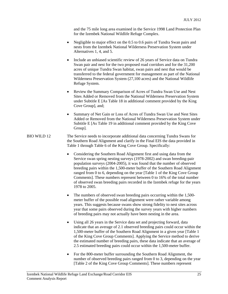and the 75 mile long area examined in the Service 1998 Land Protection Plan for the Izembek National Wildlife Refuge Complex.

- Negligible to major effect on the 0.5 to 0.6 pairs of Tundra Swan pairs and nests from the Izembek National Wilderness Preservation System under Alternatives 1, 4, and 5.
- Include an unbiased scientific review of 26 years of Service data on Tundra Swan pair and nest for the two proposed road corridors and for the 31,200 acres of unique Tundra Swan habitat, swan pairs and nest that would be transferred to the federal government for management as part of the National Wilderness Preservation System (27,100 acres) and the National Wildlife Refuge System.
- Review the Summary Comparison of Acres of Tundra Swan Use and Nest Sites Added or Removed from the National Wilderness Preservation System under Subtitle E [As Table 18 in additional comment provided by the King Cove Group], and;
- Summary of Net Gain or Loss of Acres of Tundra Swan Use and Nest Sites Added or Removed from the National Wilderness Preservation System under Subtitle E [As Table 19 in additional comment provided by the King Cove Group].
- BIO WILD 12 The Service needs to incorporate additional data concerning Tundra Swans for the Southern Road Alignment and clarify in the Final EIS the data provided in Table 1 through Table 6 of the King Cove Group. Specifically:
	- Considering the Southern Road Alignment first and using data from the Service swan spring nesting surveys (1978-2002) and swan breeding-pair population surveys (2004-2005), it was found that the number of observed breeding pairs within the 1,500-meter buffer of the Southern Road Alignment ranged from 0 to 6, depending on the year [Table 1 of the King Cove Group Comments]. These numbers represent between 0 to 16% of the total number of observed swan breeding pairs recorded in the Izembek refuge for the years 1978 to 2005.
	- The numbers of observed swan breeding pairs occurring within the 1,500meter buffer of the possible road alignment were rather variable among years. This suggests because swans show strong fidelity to nest sites across year that some pairs observed during the survey years with higher numbers of breeding pairs may not actually have been nesting in the area.
	- Using all 26 years in the Service data set and projecting forward, data indicate that an average of 2.1 observed breeding pairs could occur within the 1,500-meter buffer of the Southern Road Alignment in a given year [Table 1 of the King Cove Group Comments]. Applying the Service method to derive the estimated number of breeding pairs, these data indicate that an average of 2.5 estimated breeding pairs could occur within the 1,500-meter buffer.
	- For the 800-meter buffer surrounding the Southern Road Alignment, the number of observed breeding pairs ranged from 0 to 3, depending on the year [Table 2 of the King Cove Group Comments]. These numbers represent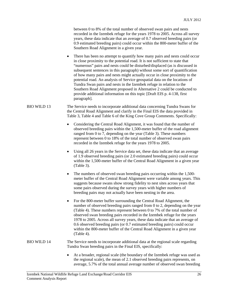between 0 to 8% of the total number of observed swan pairs and nests recorded in the Izembek refuge for the years 1978 to 2005. Across all survey years, these data indicate that an average of 0.7 observed breeding pairs (or 0.9 estimated breeding pairs) could occur within the 800-meter buffer of the Southern Road Alignment in a given year.

- There has been no attempt to quantify how many pairs and nests could occur in close proximity to the potential road. It is not sufficient to state that "numerous" pairs and nests could be disturbed/displaced (as is discussed in subsequent sentences in this paragraph) without some sort of quantification of how many pairs and nests might actually occur in close proximity to the potential road. An analysis of Service geospatial data on the locations of Tundra Swan pairs and nests in the Izembek refuge in relation to the Southern Road Alignment proposed in Alternative 2 could be conducted to provide additional information on this topic [Draft EIS p. 4-138, first paragraph].
- BIO WILD 13 The Service needs to incorporate additional data concerning Tundra Swans for the Central Road Alignment and clarify in the Final EIS the data provided in Table 3, Table 4 and Table 6 of the King Cove Group Comments. Specifically:
	- Considering the Central Road Alignment, it was found that the number of observed breeding pairs within the 1,500-meter buffer of the road alignment ranged from 0 to 7, depending on the year (Table 3). These numbers represent between 0 to 18% of the total number of observed swan pairs recorded in the Izembek refuge for the years 1978 to 2005.
	- Using all 26 years in the Service data set, these data indicate that an average of 1.9 observed breeding pairs (or 2.0 estimated breeding pairs) could occur within the 1,500-meter buffer of the Central Road Alignment in a given year (Table 3).
	- The numbers of observed swan breeding pairs occurring within the 1,500 meter buffer of the Central Road Alignment were variable among years. This suggests because swans show strong fidelity to nest sites across years that some pairs observed during the survey years with higher numbers of breeding pairs may not actually have been nesting in the area.
	- For the 800-meter buffer surrounding the Central Road Alignment, the number of observed breeding pairs ranged from 0 to 2, depending on the year (Table 4). These numbers represent between 0 to 7% of the total number of observed swan breeding pairs recorded in the Izembek refuge for the years 1978 to 2005. Across all survey years, these data indicate that an average of 0.6 observed breeding pairs (or 0.7 estimated breeding pairs) could occur within the 800-meter buffer of the Central Road Alignment in a given year (Table 4).

#### BIO WILD 14 The Service needs to incorporate additional data at the regional scale regarding Tundra Swan breeding pairs in the Final EIS, specifically:

 At a broader, regional scale (the boundary of the Izembek refuge was used as the regional scale), the mean of 2.1 observed breeding pairs represents, on average, 5.7% of the total annual average number of observed swan breeding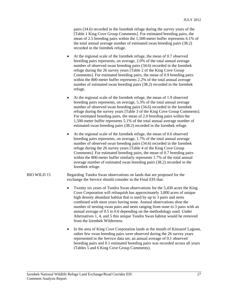pairs (34.6) recorded in the Izembek refuge during the survey years of the [Table 1 King Cove Group Comments]. For estimated breeding pairs, the mean of 2.5 breeding pairs within the 1,500-meter buffer represents 6.1% of the total annual average number of estimated swan breeding pairs (38.2) recorded in the Izembek refuge.

- At the regional scale of the Izembek refuge, the mean of 0.7 observed breeding pairs represents, on average, 2.0% of the total annual average number of observed swan breeding pairs (34.6) recorded in the Izembek refuge during the 26 survey years [Table 2 of the King Cove Group Comments]. For estimated breeding pairs, the mean of 0.9 breeding pairs within the 800-meter buffer represents 2.2% of the total annual average number of estimated swan breeding pairs (38.2) recorded in the Izembek refuge.
- At the regional scale of the Izembek refuge, the mean of 1.9 observed breeding pairs represents, on average, 5.3% of the total annual average number of observed swan breeding pairs (34.6) recorded in the Izembek refuge during the survey years [Table 3 of the King Cove Group Comments]. For estimated breeding pairs, the mean of 2.0 breeding pairs within the 1,500-meter buffer represents 5.1% of the total annual average number of estimated swan breeding pairs (38.2) recorded in the Izembek refuge.
- At the regional scale of the Izembek refuge, the mean of 0.6 observed breeding pairs represents, on average, 1.7% of the total annual average number of observed swan breeding pairs (34.6) recorded in the Izembek refuge during the 26 survey years [Table 4 of the King Cove Group Comments]. For estimated breeding pairs, the mean of 0.7 breeding pairs within the 800-meter buffer similarly represents 1.7% of the total annual average number of estimated swan breeding pairs (38.2) recorded in the Izembek refuge.
- BIO WILD 15 Regarding Tundra Swan observations on lands that are proposed for the exchange the Service should consider in the Final EIS that:
	- Twenty six years of Tundra Swan observations for the 5,430 acres the King Cove Corporation will relinquish has approximately 3,800 acres of unique high density abundant habitat that is used by up to 3 pairs and nests combined with most years having none. Annual observations shoe the number of nesting swan pairs and nests ranging from none to 3 pairs with an annual average of 0.5 to 0.6 depending on the methodology used. Under Alternatives 1, 4, and 5 this unique Tundra Swan habitat would be removed from the Izembek Wilderness.
	- In the area of King Cove Corporation lands at the mouth of Kinzarof Lagoon, rather few swan breeding pairs were observed during the 26 survey years represented in the Service data set; an annual average of 0.1 observed breeding pairs and 0.1 estimated breeding pairs was recorded across all years (Tables 5 and 6 King Cove Group Comments).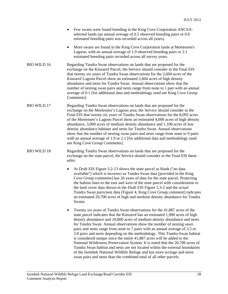- Few swans were found breeding in the King Cove Corporation ANCSAselected lands (an annual average of 0.5 observed breeding pairs or 0.6 estimated breeding pairs was recorded across all years).
- More swans are found in the King Cove Corporation lands at Mortensen's Lagoon, with an annual average of 1.9 observed breeding pairs or 2.1 estimated breeding pairs recorded across all survey years.
- BIO WILD 16 Regarding Tundra Swan observations on lands that are proposed for the exchange on the Kinzarof Parcel, the Service should consider in the Final EIS that twenty six years of Tundra Swan observations for the 2,604 acres of the Kinzarof Lagoon Parcel show an estimated 2,604 acres of high density abundance and nests for Tundra Swan. Annual observations show that the number of nesting swan pairs and nests range from none to 1 pair with an annual average of 0.1 [for additional data and methodology used see King Cove Group Comments].
- BIO WILD 17 Regarding Tundra Swan observations on lands that are proposed for the exchange on the Mortensen's Lagoon area, the Service should consider in the Final EIS that twenty six years of Tundra Swan observations for the 8,092 acres of the Mortensen's Lagoon Parcel show an estimated 4,000 acres of high density abundance, 3,000 acres of medium density abundance and 1,100 acres of low density abundance habitats and nests for Tundra Swan. Annual observations show that the number of nesting swan pairs and nests range from none to 9 pairs with an annual average of 1.9 or 2.1 [for additional data and methodology used see King Cove Group Comments].
- BIO WILD 18 Regarding Tundra Swan observations on lands that are proposed for the exchange on the state parcel, the Service should consider in the Final EIS these edits:
	- At Draft EIS Figure 3.2-13 shows the state parcel as blank ("no data available") which is incorrect as Tundra Swan data [provided in the King Cove Group comments] has 26 years of data for the state parcel. Projecting the habitat lines to the east and west of the state parcel with consideration to the land cover data shown in the Draft EIS Figure 2.3-2 and the actual Tundra Swan pairs/nest data [Figure 4, King Cove Group comment] indicates an estimated 20,700 acres of high and medium density abundance for Tundra Swans.
	- Twenty six years of Tundra Swan observations for the 41,887 acres of the state parcel indicates that the Kinzarof has an estimated 1,900 acres of high density abundance and 18,800 acres of medium density abundance and nests for Tundra Swan. Annual observations show the number of nesting sawn pairs and nests range from none to 7 pairs with an annual average of 3.5 or 3.8 pairs and nests depending on the methodology. This Tundra Swan habitat is considered unique since the entire 41,887 acres will be added to the National Wilderness Preservation System. It is noted that the 20,700 acres of Tundra Swan habitat and nests are not located within the external boundaries of the Izembek National Wildlife Refuge and has more acreage and more swan pairs and nests than the combined total of all other parcels.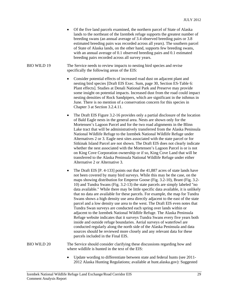Of the five land parcels examined, the northern parcel of State of Alaska lands to the northeast of the Izembek refuge supports the greatest number of breeding swans (an annual average of 3.4 observed breeding pairs or 3.8 estimated breeding pairs was recorded across all years). The southern parcel of State of Alaska lands, on the other hand, supports few breeding swans, with an annual average of 0.1 observed breeding pairs and 0.1 estimated breeding pairs recorded across all survey years.

BIO WILD 19 The Service needs to review impacts to nesting bird species and revise specifically the following areas of the EIS:

- Consider potential effects of increased road dust on adjacent plant and nesting bird species [Draft EIS Exec. Sum, page 30, Section ES-Table 6: Plant effects]. Studies at Denali National Park and Preserve may provide some insight on potential impacts. Increased dust from the road could impact nesting densities of Rock Sandpipers, which are significant in the isthmus in June. There is no mention of a conservation concern for this species in Chapter 3 at Section 3.2.4.11.
- The Draft EIS Figure 3.2-16 provides only a partial disclosure of the location of Bald Eagle nests in the general area. Nests are shown only for the Mortensen's Lagoon Parcel and for the two road alignments in the Blinn Lake tract that will be administratively transferred from the Alaska Peninsula National Wildlife Refuge to the Izembek National Wildlife Refuge under Alternatives 2 or 3. Eagle nest sites associated with the state parcel or for Sitkinak Island Parcel are not shown. The Draft EIS does not clearly indicate whether the nest associated with the Mortensen's Lagoon Parcel is or is not on King Cove Corporation ownership or if so, King Cove Land that will be transferred to the Alaska Peninsula National Wildlife Refuge under either Alternative 2 or Alternative 3.
- The Draft EIS [P. 4-133] points out that the 41,887 acres of state lands have not been covered by many bird surveys. While this may be the case, on the maps showing distribution for Emperor Goose (Fig. 3.2-10), Brant (Fig. 3.2- 10) and Tundra Swans (Fig. 3.2-13) the state parcels are simply labeled "no data available." While there may be little specific data available, it is unlikely that no data are available for these parcels. For example, the map for Tundra Swans shows a high density use area directly adjacent to the east of the state parcel and a low density use area to the west. The Draft EIS even notes that Tundra Swan surveys are conducted each spring over lands within or adjacent to the Izembek National Wildlife Refuge. The Alaska Peninsula Refuge website indicates that it surveys Tundra Swans every five years both inside and outside refuge boundaries. Aerial surveys of waterfowl are conducted regularly along the north side of the Alaska Peninsula and data sources should be reviewed more closely and any relevant data for these parcels included in the Final EIS.

BIO WILD 20 The Service should consider clarifying these discussions regarding how and where wildlife is hunted in the text of the EIS:

> Update wording to differentiate between state and federal hunts (see 2011- 2012 Alaska Hunting Regulations; available at hunt.alaska.gov): Suggested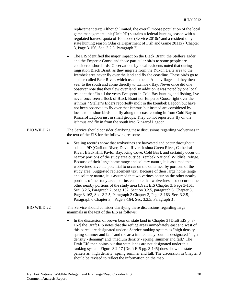replacement text: Although limited, the overall moose population of the local game management unit (Unit 9D) sustains a federal hunting season with a regulated harvest quota of 10 moose (Service 2010c) and a resident-only state hunting season (Alaska Department of Fish and Game 2011x) [Chapter 3, Page 3-156, Sec. 3.2.5, Paragraph 2].

- The EIS identified the major impact on the Black Brant, the Steller's Eider, and the Emperor Goose and those particular birds to some people are considered shorebirds. Observations by local residents noted that during migration Black Brant, as they migrate from the Yukon Delta area to the Izembek area never fly over the land and fly the coastline. These birds go to a place called Bear River, which used to be an Aleut village and they then veer to the south and come directly to Izembek Bay. Never once did one observer note that they flew over land. In addition it was noted by one local resident that "in all the years I've spent in Cold Bay hunting and fishing, I've never once seen a flock of Black Brant nor Emperor Goose right over the isthmus." Steller's Eiders reportedly molt in the Izembek Lagoon but have not been observed to fly over that isthmus but instead are considered by locals to be shorebirds that fly along the coast coming in from Cold Bay to Kinzarof Lagoon just in small groups. They do not reportedly fly on the isthmus and fly in from the south into Kinzarof Lagoon.
- BIO WILD 21 The Service should consider clarifying these discussions regarding wolverines in the text of the EIS for the following reasons:
	- Sealing records show that wolverines are harvested and occur throughout subunit 9D (Caribou River, David River, Joshua Green River, Cathedral River, Black Hill, Pavlof Bay, King Cove, Cold Bay), and certainly occur on nearby portions of the study area outside Izembek National Wildlife Refuge. Because of their large home range and solitary nature, it is assumed that wolverines have the potential to occur on the other nearby portions of the study area. Suggested replacement text: Because of their large home range and solitary nature, it is assumed that wolverines occur on the other nearby portions of the study area – or instead note that wolverines also occur on the other nearby portions of the study area [Draft EIS Chapter 3, Page 3-161, Sec. 3.2.5, Paragraph 2, page 162, Section 3.2.5, paragraph 6, Chapter 3, Page 3-163, Sec. 3.2.5, Paragraph 2 Chapter 3, Page 3-163, Sec. 3.2.5, Paragraph 6 Chapter 3, , Page 3-164, Sec. 3.2.5, Paragraph 3].
- BIO WILD 22 The Service should consider clarifying these discussions regarding large mammals in the text of the EIS as follows:
	- In the discussion of brown bear on state land in Chapter 3 [Draft EIS p. 3-162] the Draft EIS notes that the refuge areas immediately east and west of this parcel are designated under a Service ranking system as "high density spring summer and fall" and the area immediately south is designated "high density - denning" and "medium density - spring, summer and fall." The Draft EIS then points out that state lands are not designated under this ranking system. Figure 3.2-17 [Draft EIS pg. 3-145] does show the state parcels as "high density" spring summer and fall. The discussion in Chapter 3 should be revised to reflect the information on the map.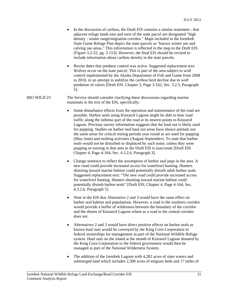- In the discussion of caribou, the Draft EIS contains a similar statement that adjacent refuge lands east and west of the state parcel are designated "high density - winter range/migration corridor." Maps included in the Izembek State Game Refuge Plan depict the state parcels as "known winter use and calving use areas." This information is reflected in the map in the Draft EIS [Figure 3.2-22; pg. 3-153]. However, the final EIS should be revised to include information about caribou density in the state parcels.
- Revise dates that predator control was active. Suggested replacement text: Wolves occur on the state parcel. This is part of the area subject to wolf control implemented by the Alaska Department of Fish and Game from 2008 to 2010, in an attempt to stabilize the caribou herd decline due to wolf predation of calves [Draft EIS. Chapter 3, Page 3-162, Sec. 3.2.5, Paragraph 5].

#### BIO WILD 23 The Service should consider clarifying these discussions regarding marine mammals in the text of the EIS, specifically:

- Some disturbance effects from the operation and maintenance of the road are possible. Harbor seals using Kinzarof Lagoon might be able to hear road traffic along the isthmus part of the road at its nearest points to Kinzarof Lagoon. Previous survey information suggests that the haul out is likely used for pupping. Studies on harbor seal haul out areas have shown animals use the same areas for critical resting periods year round as are used for pupping (May-June) and molting activities (August-September). To state that harbor seals would not be disturbed or displaced by such noise, unless they were pupping or nursing in that area in the Draft EIS is inaccurate [Draft EIS Chapter 4, Page 4-164, Sec. 4.3.2.6, Paragraph 3].
- Change sentence to reflect the assumption of harbor seal pups in the area. A new road could provide increased access for waterfowl hunting. Hunters shooting toward marine habitat could potentially disturb adult harbor seals. Suggested replacement text: "The new road could provide increased access for waterfowl hunting. Hunters shooting toward marine habitat could potentially disturb harbor seals" [Draft EIS, Chapter 4, Page 4-164, Sec. 4.3.2.6, Paragraph 5].
- Note in the EIS that Alternative 2 and 3 would have the same effect on harbor seal habitat and populations. However, a road in the southern corridor would provide a buffer of wilderness between the boundary of the corridor and the shores of Kinzarof Lagoon where as a road in the central corridor does not.
- Alternatives 2 and 3 would have direct positive effects on harbor seals as known haul outs would be conveyed by the King Cove Corporation to federal ownerships for management as part of the National Wildlife Refuge system. Haul outs on the island at the mouth of Kinzarof Lagoon donated by the King Cove Corporation to the federal government would then be managed as part of the National Wilderness System.
- The addition of the Izembek Lagoon with 4,282 acres of state waters and submerged land which includes 2,300 acres of eelgrass beds and 17 miles of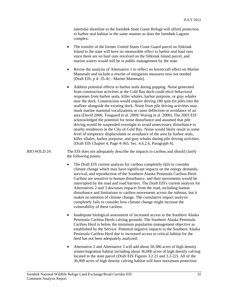intertidal shoreline to the Izembek State Game Refuge will afford protection to harbor seal habitat in the same manner as does the Izembek Lagoon complex.

- The transfer of the former United States Coast Guard parcel on Sitkinak Island to the state will have no measurable effect to harbor seal haul outs since there are no haul outs involved on the Sitkinak Island parcel, and marine waters would still be in public management by the state.
- Revise the analysis of Alternative 1 to reflect no hovercraft effect on Marine Mammals and include a rewrite of mitigation measures now not needed [Draft EIS, p 4- 35-41 - Marine Mammals].
- Address potential effects to harbor seals during pupping. Noise generated from construction activities at the Cold Bay dock could elicit behavioral responses from harbor seals, killer whales, harbor porpoise, or gray whales near the dock. Construction would require driving 180 spin-fin piles into the seafloor alongside the existing dock. Noise from pile driving activities may mask marine mammal vocalizations or cause deflection or avoidance of an area (David 2006; Tougaard et al. 2009; Warsig et al. 2000). The 2003 EIS acknowledged the potential for noise disturbance and assumed that pile driving would be suspended overnight to avoid unnecessary disturbance to nearby residences in the City of Cold Bay. Noise would likely result in some level of temporary displacement or avoidance of the area by harbor seals, killer whales, harbor porpoise, and gray whales during pile driving activities. [Draft EIS Chapter 4, Page 4-365, Sec. 4.6.2.6, Paragraph 4].

#### BIO WILD 24 The EIS does not adequately describe the impacts to caribou and should clarify the following points:

- The Draft EIS current analysis for caribou completely fails to consider climate change which may have significant impacts on the energy demands, survival, and reproduction of the Southern Alaska Peninsula Caribou Herd. Caribou are sensitive to human disturbance, and their movements would be interrupted by the road and road barriers. The Draft EIS's current analysis for Alternatives 2 and 3 discusses impacts from the road, including human disturbance and limitations to caribou movements across the isthmus, but it makes no mention of climate change. The cumulative impact analysis completely fails to consider how climate change might increase the vulnerability of these caribou.
- Inadequate biological assessment of increased access to the Southern Alaska Peninsula Caribou Herds calving grounds. The Southern Alaska Peninsula Caribou Herd is below the minimum population management objective as established by the Service. Potential negative impacts to the Southern Alaska Peninsula Caribou Herd due to increased access to critical habitat for the herd has not been adequately analyzed.
- Alternative 2 and Alternative 3 will add about 50,586 acres of high density winter/migration habitat including about 36,000 acres of high density calving located in the state parcel (Draft EIS Figures 3.2.21 and 3.2-22). All of the 36,000 acres of high density calving habitat will have maximum protection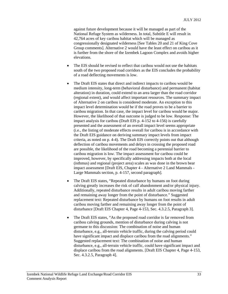against future development because it will be managed as part of the National Refuge System as wilderness. In total, Subtitle E will result in 42,764 acres of key caribou habitat which will be managed as congressionally designated wilderness [See Tables 20 and 21 of King Cove Group comments]. Alternative 2 would have the least effect on caribou as it is further from the shore of the Izembek Lagoon Complex and avoids higher elevations.

- The EIS should be revised to reflect that caribou would not use the habitats south of the two proposed road corridors as the EIS concludes the probability of a road deflecting movements is low.
- The Draft EIS states that direct and indirect impacts to caribou would be medium intensity, long-term (behavioral disturbance) and permanent (habitat alteration) in duration, could extend to an area larger than the road corridor (regional extent), and would affect important resources. The summary impact of Alternative 2 on caribou is considered moderate. An exception to this impact level determination would be if the road proves to be a barrier to caribou migration. In that case, the impact level for caribou would be major. However, the likelihood of that outcome is judged to be low. Response: The impact analysis for caribou (Draft EIS p. 4-152 to 4-156) is carefully presented and the assessment of an overall impact level seems appropriate (i.e., the listing of moderate effects overall for caribou is in accordance with the Draft EIS guidance on deriving summary impact levels from impact criteria, as noted on p. 4-4). The Draft EIS correctly points out that although deflection of caribou movements and delays in crossing the proposed road are possible, the likelihood of the road becoming a perennial barrier to caribou migration is low. The impact assessment for caribou could be improved, however, by specifically addressing impacts both at the local (isthmus) and regional (project area) scales as was done in the brown bear impact assessment [Draft EIS, Chapter 4 - Alternative 2 Land Mammals - Large Mammals section, p. 4-157, second paragraph].
- The Draft EIS states, "Repeated disturbance by humans on foot during calving greatly increases the risk of calf abandonment and/or physical injury. Additionally, repeated disturbance results in adult caribou moving farther and remaining away longer from the point of disturbance." Suggested replacement text: Repeated disturbance by humans on foot results in adult caribou moving farther and remaining away longer from the point of disturbance [Draft EIS Chapter 4, Page 4-153, Sec. 4.3.2.5, Paragraph 3].
- The Draft EIS states, "As the proposed road corridor is far removed from caribou calving grounds, mention of disturbance during calving is not germane to this discussion: The combination of noise and human disturbance, e.g., all-terrain vehicle traffic, during the calving period could have significant impact and displace caribou from the road alignments." Suggested replacement text: The combination of noise and human disturbance, e.g., all-terrain vehicle traffic, could have significant impact and displace caribou from the road alignments. [Draft EIS Chapter 4, Page 4-153, Sec. 4.3.2.5, Paragraph 4].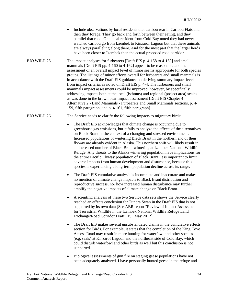- Include observations by local residents that caribou rear in Caribou Flats and then they forage. They go back and forth between their eating, and they parallel that road. One local resident from Cold Bay noted they had never watched caribou go from Izembek to Kinzarof Lagoon but that these animals are always paralleling along there. And for the most part that the larger herds have been closer to Izembek than the actual proposed road corridor.
- BIO WILD 25 The impact analyses for furbearers [Draft EIS p. 4-158 to 4-160] and small mammals [Draft EIS pp. 4-160 to 4-162] appear to be reasonable and the assessment of an overall impact level of minor seems appropriate for both species groups. The listings of minor effects overall for furbearers and small mammals is in accordance with the Draft EIS guidance on deriving summary impact levels from impact criteria, as noted on Draft EIS p. 4-4. The furbearers and small mammals impact assessments could be improved, however, by specifically addressing impacts both at the local (isthmus) and regional (project area) scales as was done in the brown bear impact assessment [Draft EIS Chapter 4 Alternative 2 - Land Mammals - Furbearers and Small Mammals sections, p. 4- 159, fifth paragraph, and p. 4-161, fifth paragraph].
- BIO WILD 26 The Service needs to clarify the following impacts to migratory birds:
	- The Draft EIS acknowledges that climate change is occurring due to greenhouse gas emissions, but it fails to analyze the effects of the alternatives on Black Brant in the context of a changing and stressed environment. Increased populations of wintering Black Brant in the northern end of their flyway are already evident in Alaska. This northern shift will likely result in an increased number of Black Brant wintering at Izembek National Wildlife Refuge. Any threats to the Alaska wintering population have implications for the entire Pacific Flyway population of Black Brant. It is important to limit adverse impacts from human development and disturbance, because this species is experiencing a long-term population decline across its range.
	- The Draft EIS cumulative analysis is incomplete and inaccurate and makes no mention of climate change impacts to Black Brant distribution and reproductive success, nor how increased human disturbance may further amplify the negative impacts of climate change on Black Brant.
	- A scientific analysis of these two Service data sets shows the Service clearly reached an effects conclusion for Tundra Swan in the Draft EIS that is not supported by its own data [See ABR report "Review of Impact Assessments for Terrestrial Wildlife in the Izembek National Wildlife Refuge Land Exchange/Road Corridor Draft EIS" May 2012].
	- The Draft EIS makes several unsubstantiated claims in the cumulative effects section for Birds. For example, it states that the completion of the King Cove Access Road may result in more hunting for waterfowl and other species (e.g. seals) at Kinzarof Lagoon and the northeast side of Cold Bay, which could disturb waterfowl and other birds as well but this conclusion is not supported.
	- Biological assessments of gun fire on staging geese populations have not been adequately analyzed. I have personally hunted geese in the refuge and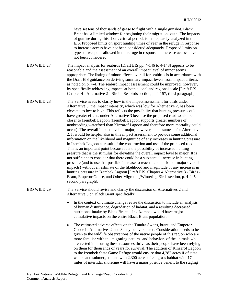|                    | have set tens of thousands of geese to flight with a single gunshot. Black<br>Brant has a limited window for beginning their migration south. The impacts<br>of gunfire during this short, critical period, is inadequately analyzed in the<br>EIS. Proposed limits on sport hunting times of year in the refuge in response<br>to increase access have not been considered adequately. Proposed limits on<br>types of weapons allowed in the refuge in response to increase access have<br>not been considered.                                                                                                                                                                                                                                                                                                                                                                                                                                                                                                                                                                                                                                                                                                                                                                                                                                                                                                                                                          |
|--------------------|---------------------------------------------------------------------------------------------------------------------------------------------------------------------------------------------------------------------------------------------------------------------------------------------------------------------------------------------------------------------------------------------------------------------------------------------------------------------------------------------------------------------------------------------------------------------------------------------------------------------------------------------------------------------------------------------------------------------------------------------------------------------------------------------------------------------------------------------------------------------------------------------------------------------------------------------------------------------------------------------------------------------------------------------------------------------------------------------------------------------------------------------------------------------------------------------------------------------------------------------------------------------------------------------------------------------------------------------------------------------------------------------------------------------------------------------------------------------------|
| <b>BIO WILD 27</b> | The impact analysis for seabirds [Draft EIS pp. 4-146 to 4-148] appears to be<br>reasonable and the assessment of an overall impact level of minor seems<br>appropriate. The listing of minor effects overall for seabirds is in accordance with<br>the Draft EIS guidance on deriving summary impact levels from impact criteria,<br>as noted on p. 4-4. The seabird impact assessment could be improved, however,<br>by specifically addressing impacts at both a local and regional scale [Draft EIS<br>Chapter 4 - Alternative 2 - Birds - Seabirds section, p. 4-157, third paragraph].                                                                                                                                                                                                                                                                                                                                                                                                                                                                                                                                                                                                                                                                                                                                                                                                                                                                              |
| <b>BIO WILD 28</b> | The Service needs to clarify how in the impact assessment for birds under<br>Alternative 3, the impact intensity, which was low for Alternative 2, has been<br>elevated to low to high. This reflects the possibility that hunting pressure could<br>have greater effects under Alternative 3 because the proposed road would be<br>closer to Izembek Lagoon (Izembek Lagoon supports greater numbers of<br>nonbreeding waterfowl than Kinzarof Lagoon and therefore more mortality could<br>occur). The overall impact level of major, however, is the same as for Alternative<br>2. It would be helpful also in this impact assessment to provide some additional<br>information on the likelihood and magnitude of any increases in hunting pressure<br>in Izembek Lagoon as result of the construction and use of the proposed road.<br>This is an important point because it is the possibility of increased hunting<br>pressure that is the stimulus for elevating the overall impact level to major. It is<br>not sufficient to consider that there could be a substantial increase in hunting<br>pressure (and to use that possible increase to reach a conclusion of major overall<br>impacts) without an estimate of the likelihood and magnitude of any increases in<br>hunting pressure in Izembek Lagoon [Draft EIS, Chapter 4 Alternative 3 - Birds -<br>Brant, Emperor Goose, and Other Migrating/Wintering Birds section, p. 4-245,<br>second paragraph]. |
| <b>BIO WILD 29</b> | The Service should revise and clarify the discussion of Alternatives 2 and<br>Alternative 3 on Black Brant specifically:                                                                                                                                                                                                                                                                                                                                                                                                                                                                                                                                                                                                                                                                                                                                                                                                                                                                                                                                                                                                                                                                                                                                                                                                                                                                                                                                                  |
|                    | In the context of climate change revise the discussion to include an analysis<br>٠                                                                                                                                                                                                                                                                                                                                                                                                                                                                                                                                                                                                                                                                                                                                                                                                                                                                                                                                                                                                                                                                                                                                                                                                                                                                                                                                                                                        |

- of human disturbance, degradation of habitat, and a resulting decreased nutritional intake by Black Brant using Izembek would have major cumulative impacts on the entire Black Brant population.
- The estimated adverse effects on the Tundra Swans, brant, and Emperor Goose in Alternatives 2 and 3 may be over stated. Consideration needs to be given to the wildlife observations of the native people of this region who are more familiar with the migrating patterns and behaviors of the animals who are vested in insuring these resources thrive as their people have been relying on them for thousands of years for survival. The addition of Kinzarof Lagoon to the Izembek State Game Refuge would ensure that 4,282 acres if of state waters and submerged land with 2,300 acres of eel grass habitat with 17 miles of intertidal shoreline will have a major positive benefit to the staging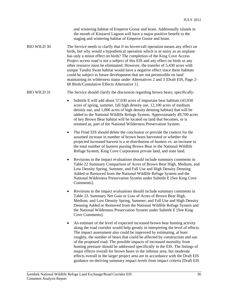and wintering habitat of Emperor Goose and brant. Additionally islands in the mouth of Kinzarof Lagoon will have a major positive benefit to the staging and wintering habitat of Emperor Goose and brant.

BIO WILD 30 The Service needs to clarify that if no hovercraft operation means any effect on birds, but why would a hypothetical operation which is as noisy as an airplane has only a minor effect on birds? The completion of the King Cove Access Project access road is not a subject of this EIS and any effect on birds or any other resource must be eliminated. However, the transfer of 5,430 acres with unique Tundra Swan habitat would have a negative effect since these habitats could be subject to future development that are not permissible on land maintaining its wilderness status under Alternatives 2 and 3 [Draft EIS, Page 2- 60 Birds/Cumulative Effects Alternative 1].

#### BIO WILD 31 The Service should clarify the discussion regarding brown bears, specifically:

- Subtitle E will add about 57,030 acres of important bear habitats (43,930) acres of spring, summer, fall high density use, 12,100 acres of medium density use, and 1,000 acres of high density denning habitat) that will be added to the National Wildlife Refuge System. Approximately 49,700 acres of key Brown Bear habitat will be located on land that becomes, or is retained as, part of the National Wilderness Preservation System.
- The Final EIS should delete the conclusion or provide the context for the assumed increase in number of brown bears harvested or whether the projected increased harvest is a re-distribution of hunters vs. an increase in the total number of hunters pursing Brown Bear in the National Wildlife Refuge System, King Cove Corporation private land, and state land.
- Revisions to the impact evaluations should include summary comments in Table 22 Summary Comparison of Acres of Brown Bear High, Medium, and Low Density Spring, Summer, and Fall Use and High Density Denning Added or Removed from the National Wildlife Refuge System and the National Wilderness Preservation System under Subtitle E [See King Cove Comments].
- Revisions to the impact evaluations should include summary comments in Table 23. Summary Net Gain or Loss of Acres of Brown Bear High, Medium, and Low Density Spring, Summer, and Fall Use and High Density Denning Added or Removed from the National Wildlife Refuge System and the National Wilderness Preservation System under Subtitle E [See King Cove Comments].
- An estimate of the level of expected increased brown bear hunting activity along the road corridor would help greatly in interpreting the level of effects. The impact assessment also could be improved by estimating, at least roughly, the number of bears that could be affected by construction and use of the proposed road. The possible impacts of increased mortality from hunting pressure should be addressed specifically in the EIS. The listings of major effects overall for brown bears in the isthmus area, but moderate effects overall in the larger project area are in accordance with the Draft EIS guidance on deriving summary impact levels from impact criteria [Draft EIS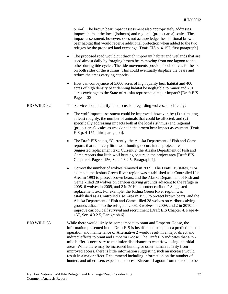p. 4-4]. The brown bear impact assessment also appropriately addresses impacts both at the local (isthmus) and regional (project area) scales. The impact assessment, however, does not acknowledge the additional brown bear habitat that would receive additional protection when added to the two refuges by the proposed land exchange [Draft EIS p. 4-157, first paragraph]

- The proposed road would cut through important habitat and wetlands that are used almost daily by foraging brown bears moving from one lagoon to the other during tide cycles. The tide movements provide food sources for bears on both sides of the isthmus. This could eventually displace the bears and reduce the areas carrying capacity.
- How can conveyance of 5,000 acres of high quality bear habitat and 400 acres of high density bear denning habitat be negligible to minor and 201 acres exchange to the State of Alaska represents a major impact? [Draft EIS Page 4- 33].

#### BIO WILD 32 The Service should clarify the discussion regarding wolves, specifically:

- The wolf impact assessment could be improved, however, by (1) estimating, at least roughly, the number of animals that could be affected; and (2) specifically addressing impacts both at the local (isthmus) and regional (project area) scales as was done in the brown bear impact assessment [Draft EIS p. 4-157, third paragraph].
- The Draft EIS states, "Currently, the Alaska Department of Fish and Game reports that relatively little wolf hunting occurs in the project area." Suggested replacement text: Currently, the Alaska Department of Fish and Game reports that little wolf hunting occurs in the project area [Draft EIS Chapter 4, Page 4-156, Sec. 4.3.2.5, Paragraph 4].
- Correct the number of wolves removed in 2009. The Draft EIS states, "For example, the Joshua Green River region was established as a Controlled Use Area in 1993 to protect brown bears, and the Alaska Department of Fish and Game killed 28 wolves on caribou calving grounds adjacent to the refuge in 2008, 6 wolves in 2009, and 2 in 2010 to protect caribou." Suggested replacement text: For example, the Joshua Green River region was established as a Controlled Use Area in 1993 to protect brown bears, and the Alaska Department of Fish and Game killed 28 wolves on caribou calving grounds adjacent to the refuge in 2008, 8 wolves in 2009, and 2 in 2010 to improve caribou calf survival and recruitment [Draft EIS Chapter 4, Page 4- 157, Sec. 4.3.2.5, Paragraph 6].
- BIO WILD 33 While there would likely be some impact to brant and Emperor Goose, the information presented in the Draft EIS is insufficient to support a prediction that operation and maintenance of Alternative 2 would result in a major direct and indirect effects to brant and Emperor Goose. The Draft EIS indicates that a ½ mile buffer is necessary to minimize disturbance to waterfowl using intertidal areas. While there may be increased hunting or other human activity from improved access, there is little information suggesting such an increase would result in a major effect. Recommend including information on the number of hunters and other users expected to access Kinzarof Lagoon from the road to be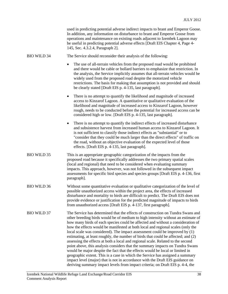| used in predicting potential adverse indirect impacts to brant and Emperor Goose. |
|-----------------------------------------------------------------------------------|
| In addition, any information on disturbance to brant and Emperor Goose from       |
| operations and maintenance on existing roads adjacent to Izembek Lagoon may       |
| be useful in predicting potential adverse effects [Draft EIS Chapter 4, Page 4-   |
| 145, Sec. 4.3.2.4, Paragraph 2.                                                   |

BIO WILD 34 The Service should reconsider their analysis of the following:

- The use of all-terrain vehicles from the proposed road would be prohibited and there would be cable or bollard barriers to emphasize that restriction. In the analysis, the Service implicitly assumes that all-terrain vehicles would be widely used from the proposed road despite the motorized vehicle restrictions. The basis for making that assumption is not provided and should be clearly stated [Draft EIS p. 4-135, last paragraph].
- There is no attempt to quantify the likelihood and magnitude of increased access to Kinzarof Lagoon. A quantitative or qualitative evaluation of the likelihood and magnitude of increased access to Kinzarof Lagoon, however rough, needs to be conducted before the potential for increased access can be considered high or low. [Draft EIS p. 4-135, last paragraph].
- There is no attempt to quantify the indirect effects of increased disturbance and subsistence harvest from increased human access to Kinzarof Lagoon. It is not sufficient to classify those indirect effects as "substantial" or to "consider that they could be much larger than the direct effects" of traffic on the road, without an objective evaluation of the expected level of those effects. [Draft EIS p. 4-135, last paragraph].
- BIO WILD 35 This is an appropriate geographic categorization of the impacts from the proposed road because it specifically addresses the two primary spatial scales (local and regional) that need to be considered when evaluating summary impacts. This approach, however, was not followed in the subsequent impact assessments for specific bird species and species groups [Draft EIS p. 4-136, first paragraph].
- BIO WILD 36 Without some quantitative evaluation or qualitative categorization of the level of possible unauthorized access within the project area, the effects of increased disturbance and mortality to birds are difficult to predict. The Draft EIS does not provide evidence or justification for the predicted magnitude of impacts to birds from unauthorized access [Draft EIS p. 4-137, first paragraph].
- BIO WILD 37 The Service has determined that the effects of construction on Tundra Swans and other breeding birds would be of medium to high intensity without an estimate of how many birds of each species could be affected and without a consideration of how the effects would be manifested at both local and regional scales (only the local scale was considered). The impact assessment could be improved by (1) estimating, at least roughly, the number of birds that could be affected; and (2) assessing the effects at both a local and regional scale. Related to the second point above, this analysis considers that the summary impacts on Tundra Swans would be major despite the fact that the effects would be local or limited in geographic extent. This is a case in which the Service has assigned a summary impact level (major) that is not in accordance with the Draft EIS guidance on deriving summary impact levels from impact criteria; on Draft EIS p. 4-4, the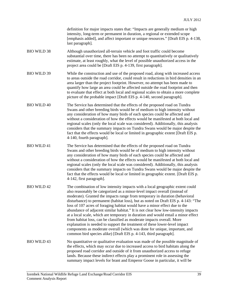definition for major impacts states that: "Impacts are generally medium or high intensity, long-term or permanent in duration, a regional or extended scope [emphasis added], and affect important or unique resources." [Draft EIS p. 4-138, last paragraph].

- BIO WILD 38 Although unauthorized all-terrain vehicle and foot traffic could become substantial over time, there has been no attempt to quantitatively or qualitatively estimate, at least roughly, what the level of possible unauthorized access in the project area could be [Draft EIS p. 4-139, first paragraph].
- BIO WILD 39 While the construction and use of the proposed road, along with increased access to areas outside the road corridor, could result in reductions in bird densities in an area larger than the project footprint. However, no attempt has been made to quantify how large an area could be affected outside the road footprint and then to evaluate that effect at both local and regional scales to obtain a more complete picture of the probable impact [Draft EIS p. 4-140, second paragraph].
- BIO WILD 40 The Service has determined that the effects of the proposed road on Tundra Swans and other breeding birds would be of medium to high intensity without any consideration of how many birds of each species could be affected and without a consideration of how the effects would be manifested at both local and regional scales (only the local scale was considered). Additionally, this analysis considers that the summary impacts on Tundra Swans would be major despite the fact that the effects would be local or limited in geographic extent [Draft EIS p. 4-140, fourth paragraph].
- BIO WILD 41 The Service has determined that the effects of the proposed road on Tundra Swans and other breeding birds would be of medium to high intensity without any consideration of how many birds of each species could be affected and without a consideration of how the effects would be manifested at both local and regional scales (only the local scale was considered). Additionally, this analysis considers that the summary impacts on Tundra Swans would be major despite the fact that the effects would be local or limited in geographic extent. [Draft EIS p. 4-142, first paragraph].
- BIO WILD 42 The combination of low intensity impacts with a local geographic extent could also reasonably be categorized as a minor-level impact overall (instead of moderate). Granted the impacts range from temporary in duration (behavioral disturbance) to permanent (habitat loss), but as noted on Draft EIS p. 4-143: "The loss of 107 acres of foraging habitat would have a minor effect due to the abundance of adjacent similar habitat." It is not clear how low-intensity impacts at a local scale, which are temporary in duration and would entail a minor effect from habitat loss, can be classified as moderate impacts overall. More explanation is needed to support the treatment of these lower-level impact components as moderate overall (which was done for unique, important, and common bird species alike) [Draft EIS p. 4-143, third paragraph].
- BIO WILD 43 No quantitative or qualitative evaluation was made of the possible magnitude of the effects, which may occur due to increased access to bird habitats along the proposed road corridor and outside of it from unauthorized access to refuge lands. Because these indirect effects play a prominent role in assessing the summary impact levels for brant and Emperor Goose in particular, it will be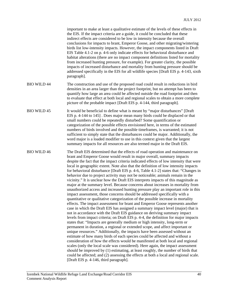|                    | important to make at least a qualitative estimate of the levels of these effects in<br>the EIS. If the impact criteria are a guide, it could be concluded that these<br>indirect effects are considered to be low in intensity because the overall<br>conclusions for impacts to brant, Emperor Goose, and other migrating/wintering<br>birds list low-intensity impacts. However, the impact components listed in Draft<br>EIS Table 4.1-2 on p. 4-6 only indicate effects for behavioral disturbance and<br>habitat alterations (there are no impact component definitions listed for mortality<br>from increased hunting pressure, for example). For greater clarity, the possible<br>impacts of increased disturbance and mortality from hunting pressure should be<br>addressed specifically in the EIS for all wildlife species [Draft EIS p. 4-143, sixth<br>paragraph].                                                                                                                                                                                                                                                                                                                                                                                                                                                                                                                                                                                                                                                                                                                                                                                                                                                                                                                                                                                                                                                                                                                            |
|--------------------|------------------------------------------------------------------------------------------------------------------------------------------------------------------------------------------------------------------------------------------------------------------------------------------------------------------------------------------------------------------------------------------------------------------------------------------------------------------------------------------------------------------------------------------------------------------------------------------------------------------------------------------------------------------------------------------------------------------------------------------------------------------------------------------------------------------------------------------------------------------------------------------------------------------------------------------------------------------------------------------------------------------------------------------------------------------------------------------------------------------------------------------------------------------------------------------------------------------------------------------------------------------------------------------------------------------------------------------------------------------------------------------------------------------------------------------------------------------------------------------------------------------------------------------------------------------------------------------------------------------------------------------------------------------------------------------------------------------------------------------------------------------------------------------------------------------------------------------------------------------------------------------------------------------------------------------------------------------------------------------------------------|
| <b>BIO WILD 44</b> | The construction and use of the proposed road could result in reductions in bird<br>densities in an area larger than the project footprint, but no attempt has been to<br>quantify how large an area could be affected outside the road footprint and then<br>to evaluate that effect at both local and regional scales to obtain a more complete<br>picture of the probable impact [Draft EIS p. 4-144, third paragraph].                                                                                                                                                                                                                                                                                                                                                                                                                                                                                                                                                                                                                                                                                                                                                                                                                                                                                                                                                                                                                                                                                                                                                                                                                                                                                                                                                                                                                                                                                                                                                                                 |
| <b>BIO WILD 45</b> | It would be beneficial to define what is meant by "major disturbances" [Draft]<br>EIS p. 4-144 to 145]. Does major mean many birds could be displaced or that<br>small numbers could be repeatedly disturbed? Some quantification or<br>categorization of the possible effects envisioned here, in terms of the estimated<br>numbers of birds involved and the possible timeframes, is warranted; it is not<br>sufficient to simply state that the disturbances could be major. Additionally, the<br>word major is a loaded modifier to use in this context given that the largest<br>summary impacts for all resources are also termed major in the Draft EIS.                                                                                                                                                                                                                                                                                                                                                                                                                                                                                                                                                                                                                                                                                                                                                                                                                                                                                                                                                                                                                                                                                                                                                                                                                                                                                                                                            |
| <b>BIO WILD 46</b> | The Draft EIS determined that the effects of road operation and maintenance on<br>brant and Emperor Goose would result in major overall, summary impacts<br>despite the fact that the impact criteria indicated effects of low intensity that were<br>local in geographic extent. Note also that the definition of low intensity impacts<br>for behavioral disturbance [Draft EIS p. 4-6, Table 4.1-2] states that: "Changes in<br>behavior due to project activity may not be noticeable; animals remain in the<br>vicinity." It is unclear how the Draft EIS interprets impacts of this magnitude as<br>major at the summary level. Because concerns about increases in mortality from<br>unauthorized access and increased hunting pressure play an important role in this<br>impact assessment, those concerns should be addressed specifically with a<br>quantitative or qualitative categorization of the possible increase in mortality<br>effects. The impact assessment for brant and Emperor Goose represents another<br>case in which the Draft EIS has assigned a summary impact level (major) that is<br>not in accordance with the Draft EIS guidance on deriving summary impact<br>levels from impact criteria; on Draft EIS p. 4-4, the definition for major impacts<br>states that: "Impacts are generally medium or high intensity, long-term or<br>permanent in duration, a regional or extended scope, and affect important or<br>unique resources." Additionally, the impacts have been assessed without an<br>estimate of how many birds of each species could be affected and without a<br>consideration of how the effects would be manifested at both local and regional<br>scales (only the local scale was considered). Here again, the impact assessment<br>should be improved by (1) estimating, at least roughly, the number of birds that<br>could be affected; and (2) assessing the effects at both a local and regional scale.<br>[Draft EIS p. 4-146, third paragraph]. |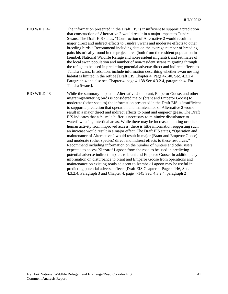- BIO WILD 47 The information presented in the Draft EIS is insufficient to support a prediction that construction of Alternative 2 would result in a major impact to Tundra Swans. The Draft EIS states, "Construction of Alternative 2 would result in major direct and indirect effects to Tundra Swans and moderate effects to other breeding birds." Recommend including data on the average number of breeding pairs historically found in the project area (both from the resident population in Izembek National Wildlife Refuge and non-resident migrants), and estimates of the local swan population and number of non-resident swans migrating through the refuge to be used in predicting potential adverse direct and indirect effects to Tundra swans. In addition, include information describing whether swan nesting habitat is limited in the refuge [Draft EIS Chapter 4, Page 4-140, Sec. 4.3.2.4, Paragraph 4 and also see Chapter 4, page 4-138 Sec 4.3.2.4, paragraph 4. For Tundra Swans].
- BIO WILD 48 While the summary impact of Alternative 2 on brant, Emperor Goose, and other migrating/wintering birds is considered major (brant and Emperor Goose) to moderate (other species) the information presented in the Draft EIS is insufficient to support a prediction that operation and maintenance of Alternative 2 would result in a major direct and indirect effects to brant and emperor geese. The Draft EIS indicates that a ½ -mile buffer is necessary to minimize disturbance to waterfowl using intertidal areas. While there may be increased hunting or other human activity from improved access, there is little information suggesting such an increase would result in a major effect. The Draft EIS states, "Operation and maintenance of Alternative 2 would result in major (Brant and Emperor Goose) and moderate (other species) direct and indirect effects to these resources." Recommend including information on the number of hunters and other users expected to access Kinzarof Lagoon from the road to be used in predicting potential adverse indirect impacts to brant and Emperor Goose. In addition, any information on disturbance to brant and Emperor Goose from operations and maintenance on existing roads adjacent to Izembek Lagoon may be useful in predicting potential adverse effects [Draft EIS Chapter 4, Page 4-146, Sec. 4.3.2.4, Paragraph 3 and Chapter 4, page 4-145 Sec. 4.3.2.4, paragraph 2].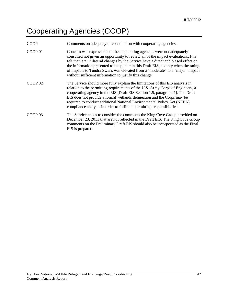# Cooperating Agencies (COOP)

| <b>COOP</b>        | Comments on adequacy of consultation with cooperating agencies.                                                                                                                                                                                                                                                                                                                                                                                                                      |
|--------------------|--------------------------------------------------------------------------------------------------------------------------------------------------------------------------------------------------------------------------------------------------------------------------------------------------------------------------------------------------------------------------------------------------------------------------------------------------------------------------------------|
| COOP <sub>01</sub> | Concern was expressed that the cooperating agencies were not adequately<br>consulted not given an opportunity to review all of the impact evaluations. It is<br>felt that late unilateral changes by the Service have a direct and biased effect on<br>the information presented to the public in this Draft EIS, notably when the rating<br>of impacts to Tundra Swans was elevated from a "moderate" to a "major" impact<br>without sufficient information to justify this change. |
| COP 02             | The Service should more fully explain the limitations of this EIS analysis in<br>relation to the permitting requirements of the U.S. Army Corps of Engineers, a<br>cooperating agency in the EIS [Draft EIS Section 1.5, paragraph 7]. The Draft<br>EIS does not provide a formal wetlands delineation and the Corps may be<br>required to conduct additional National Environmental Policy Act (NEPA)<br>compliance analysis in order to fulfill its permitting responsibilities.   |
| COOP <sub>03</sub> | The Service needs to consider the comments the King Cove Group provided on<br>December 23, 2011 that are not reflected in the Draft EIS. The King Cove Group<br>comments on the Preliminary Draft EIS should also be incorporated as the Final<br>EIS is prepared.                                                                                                                                                                                                                   |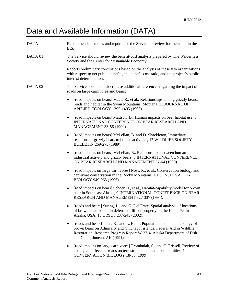### Data and Available Information (DATA)

| <b>DATA</b> | Recommended studies and reports for the Service to review for inclusion in the<br>EIS.                                                                                                                                                                                  |
|-------------|-------------------------------------------------------------------------------------------------------------------------------------------------------------------------------------------------------------------------------------------------------------------------|
| DATA 01     | The Service should review the benefit-cost analysis prepared by The Wilderness<br>Society and the Center for Sustainable Economy:                                                                                                                                       |
|             | Reports preliminary conclusions based on the analysis of these two organizations<br>with respect to net public benefits, the benefit-cost ratio, and the project's public<br>interest determination.                                                                    |
| DATA 02     | The Service should consider these additional references regarding the impact of<br>roads on large carnivores and bears:                                                                                                                                                 |
|             | [road impacts on bears] Mace, R., et al., Relationships among grizzly bears,<br>$\bullet$<br>roads and habitat in the Swan Mountains, Montana, 33 JOURNAL OF<br>APPLIED ECOLOGY 1395-1405 (1996).                                                                       |
|             | [road impacts on bears] Mattson, D., Human impacts on bear habitat use, 8<br>$\bullet$<br>INTERNATIONAL CONFERENCE ON BEAR RESEARCH AND<br>MANAGEMENT 33-56 (1990).                                                                                                     |
|             | [road impacts on bears] McLellan, B. and D. Shackleton, Immediate<br>٠<br>reactions of grizzly bears to human activities, 17 WILDLIFE SOCIETY<br>BULLETIN 269-275 (1989).                                                                                               |
|             | [road impacts on bears] McLellan, B., Relationships between human<br>٠<br>industrial activity and grizzly bears, 8 INTERNATIONAL CONFERENCE<br>ON BEAR RESEARCH AND MANAGEMENT 57-64 (1990).                                                                            |
|             | [road impacts on large carnivores] Noss, R., et al., Conservation biology and<br>٠<br>carnivore conservation in the Rocky Mountains, 10 CONSERVATION<br>BIOLOGY 949-963 (1996).                                                                                         |
|             | [road impacts on bears] Schoen, J., et al., Habitat-capability model for brown<br>$\bullet$<br>bear in Southeast Alaska, 9 INTERNATIONAL CONFERENCE ON BEAR<br>RESEARCH AND MANAGEMENT 327-337 (1994).                                                                  |
|             | [roads and bears] Suring, L., and G. Del Frate, Spatial analysis of locations<br>of brown bears killed in defense of life or property on the Kenai Peninsula,<br>Alaska, USA, 13 URSUS 237-245 (2002).                                                                  |
|             | [roads and bears] Titus, K., and L. Beier, Population and habitat ecology of<br>٠<br>brown bears on Admiralty and Chichagof islands, Federal Aid in Wildlife<br>Restoration, Research Progress Report W-23-4, Alaska Department of Fish<br>and Game, Juneau, AK (1991). |
|             | [road impacts on large carnivores] Trombulak, S., and C. Frissell, Review of<br>ecological effects of roads on terrestrial and aquatic communities, 14<br>CONSERVATION BIOLOGY 18-30 (1999).                                                                            |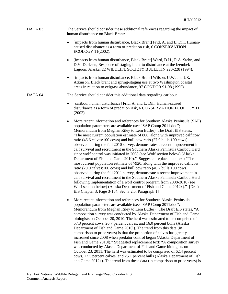#### DATA 03 The Service should consider these additional references regarding the impact of human disturbance on Black Brant:

- [impacts from human disturbance, Black Brant] Frid, A. and L. Dill, Humancaused disturbance as a form of predation risk, 6 CONSERVATION ECOLOGY 11(2002).
- [impacts from human disturbance, Black Brant] Ward, D.H., R.A. Stehn, and D.V. Derksen, Response of staging brant to disturbance at the Izembek Lagoon, Alaska, 22 WILDLIFE SOCIETY BULLETIN 220-228 (1994).
- [impacts from human disturbance, Black Brant] Wilson, U.W. and J.R. Atkinson, Black brant and spring-staging use at two Washington coastal areas in relation to eelgrass abundance, 97 CONDOR 91-98 (1995).

DATA 04 The Service should consider this additional data regarding caribou:

- [caribou, human disturbance] Frid, A. and L. Dill, Human-caused disturbance as a form of predation risk, 6 CONSERVATION ECOLOGY 11 (2002).
- More recent information and references for Southern Alaska Peninsula (SAP) population parameters are available (see "SAP Comp 2011.doc"; Memorandum from Meghan Riley to Lem Butler). The Draft EIS states, "The most current population estimate of 800, along with improved calf:cow ratio (46.6 calves:100 cows) and bull:cow ratio (27.9 bulls:100 cows) observed during the fall 2010 survey, demonstrates a recent improvement in calf survival and recruitment in the Southern Alaska Peninsula Caribou Herd since wolf control was initiated in 2008 (see Wolf section below) (Alaska Department of Fish and Game 2010)." Suggested replacement text: "The most current population estimate of  $\geq$ 920, along with the improved calf:cow ratio (20.0 calves:100 cows) and bull:cow ratio (40.2 bulls:100 cows) observed during the fall 2011 survey, demonstrate a recent improvement in calf survival and recruitment in the Southern Alaska Peninsula Caribou Herd following implementation of a wolf control program from 2008-2010 (see Wolf section below) (Alaska Department of Fish and Game 2012x)." [Draft EIS Chapter 3, Page 3-154, Sec. 3.2.5, Paragraph 1]
- More recent information and references for Southern Alaska Peninsula population parameters are available (see "SAP Comp 2011.doc"; Memorandum from Meghan Riley to Lem Butler). The Draft EIS states, "A composition survey was conducted by Alaska Department of Fish and Game biologists on October 20, 2010. The herd was estimated to be comprised of 57.3 percent cows, 26.7 percent calves, and 16.0 percent bulls (Alaska Department of Fish and Game 2010l). The trend from this data (in comparison to prior years) is that the proportion of calves has greatly increased since 2008 when predator control began (Alaska Department of Fish and Game 2010l)." Suggested replacement text: "A composition survey was conducted by Alaska Department of Fish and Game biologists on October 23, 2011. The herd was estimated to be comprised of 62.4 percent cows, 12.5 percent calves, and 25.1 percent bulls (Alaska Department of Fish and Game 2012x). The trend from these data (in comparison to prior years) is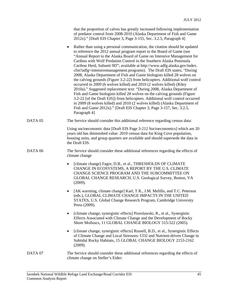| that the proportion of calves has greatly increased following implementation |
|------------------------------------------------------------------------------|
| of predator control from 2008-2010 (Alaska Department of Fish and Game       |
| 2012x)." [Draft EIS Chapter 3, Page 3-155, Sec. 3.2.5, Paragraph 4]          |

• Rather than using a personal communication, the citation should be updated to reference the 2012 annual program report to the Board of Game (see "Annual Report to the Alaska Board of Game on Intensive Management for Caribou with Wolf Predation Control in the Southern Alaska Peninsula Caribou Herd, Subunit 9D"; available at http://www.adfg.alaska.gov/index. cfm?adfg=intensivemanagement.programs). The Draft EIS states, "During 2008, Alaska Department of Fish and Game biologists killed 28 wolves on the calving grounds (Figure 3.2-22) from helicopters. Additional wolf control occurred in 2009 (6 wolves killed) and 2010 (2 wolves killed) (Riley 2010a)." Suggested replacement text: "During 2008, Alaska Department of Fish and Game biologists killed 28 wolves on the calving grounds (Figure 3.2-22 [of the Draft EIS]) from helicopters. Additional wolf control occurred in 2009 (8 wolves killed) and 2010 (2 wolves killed) (Alaska Department of Fish and Game 2012x)." [Draft EIS Chapter 3, Page 3-157, Sec. 3.2.5, Paragraph 4]

#### DATA 05 The Service should consider this additional reference regarding census data:

 Using socioeconomic data [Draft EIS Page 3-212 Socioeconomics] which are 20 years old has diminished value. 2010 census data for King Cove population, housing units, and group quarters are available and should supersede the data in the Draft EIS.

#### DATA 06 The Service should consider these additional references regarding the effects of climate change

- [climate change] Fagre, D.B., et al., THRESHOLDS OF CLIMATE CHANGE IN ECOSYSTEMS, A REPORT BY THE U.S. CLIMATE CHANGE SCIENCE PROGRAM AND THE SUBCOMMITTEE ON GLOBAL CHANGE RESEARCH, U.S. Geological Survey, Reston, VA (2009).
- [AK warming, climate change] Karl, T.R., J.M. Melillo, and T.C. Peterson (eds.), GLOBAL CLIMATE CHANGE IMPACTS IN THE UNITED STATES, U.S. Global Change Research Program, Cambridge University Press (2009).
- [climate change, synergistic effects] Przeslawski, R., et al., Synergistic Effects Associated with Climate Change and the Development of Rocky Shore Molluscs, 11 GLOBAL CHANGE BIOLOGY 515-522 (2005).
- [climate change, synergistic effects] Russell, B.D., et al., Synergistic Effects of Climate Change and Local Stressors: CO2 and Nutrient-driven Change in Subtidal Rocky Habitats, 15 GLOBAL CHANGE BIOLOGY 2153-2162 (2009).
- DATA 07 The Service should consider these additional references regarding the effects of climate change on Steller's Eider: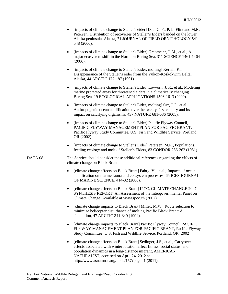- [impacts of climate change to Steller's eider] Dau, C. P., P. L. Flint and M.R. Petersen, Distribution of recoveries of Steller's Eiders banded on the lower Alaska peninsula, Alaska, 71 JOURNAL OF FIELD ORNITHOLOGY 541- 548 (2000).
- [impacts of climate change to Steller's Eider] Grebmeier, J. M., et al., A major ecosystem shift in the Northern Bering Sea, 311 SCIENCE 1461-1464 (2006).
- [impacts of climate change to Steller's Eider, molting] Kertell, K., Disappearance of the Steller's eider from the Yukon-Koskokwim Delta, Alaska, 44 ARCTIC 177-187 (1991).
- [impacts of climate change to Steller's Eider] Lovvorn, J. R., et al., Modeling marine protected areas for threatened eiders in a climatically changing Bering Sea, 19 ECOLOGICAL APPLICATIONS 1596-1613 (2009).
- [impacts of climate change to Steller's Eider, molting] Orr, J.C., et al., Anthropogenic ocean acidification over the twenty-first century and its impact on calcifying organisms, 437 NATURE 681-686 (2005).
- [impacts of climate change to Steller's Eider] Pacific Flyway Council, PACIFIC FLYWAY MANAGEMENT PLAN FOR PACIFIC BRANT, Pacific Flyway Study Committee, U.S. Fish and Wildlife Service, Portland, OR (2002).
- [impacts of climate change to Steller's Eider] Petersen, M.R., Populations, feeding ecology and molt of Steller's Eiders, 83 CONDOR 256-262 (1981).

DATA 08 The Service should consider these additional references regarding the effects of climate change on Black Brant:

- [climate change effects on Black Brant] Fabry, V., et al., Impacts of ocean acidification on marine fauna and ecosystem processes, 65 ICES JOURNAL OF MARINE SCIENCE, 414-32 (2008).
- [climate change effects on Black Brant] IPCC, CLIMATE CHANGE 2007: SYNTHESIS REPORT, An Assessment of the Intergovernmental Panel on Climate Change, Available at www.ipcc.ch (2007).
- [climate change impacts to Black Brant] Miller, M.W., Route selection to minimize helicopter disturbance of molting Pacific Black Brant: A simulation, 47 ARCTIC 341-349 (1994).
- [climate change impacts to Black Brant] Pacific Flyway Council, PACIFIC FLYWAY MANAGEMENT PLAN FOR PACIFIC BRANT, Pacific Flyway Study Committee, U.S. Fish and Wildlife Service, Portland, OR (2002).
- [climate change effects on Black Brant] Sedinger, J.S., et al., Carryover effects associated with winter location affect fitness, social status, and population dynamics in a long-distance migrant, AMERICAN NATURALIST, accessed on April 24, 2012 at http://www.asnamnat.org/node/157?page=1 (2011).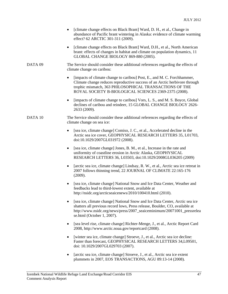|                    | [climate change effects on Black Brant] Ward, D. H., et al., Change in<br>abundance of Pacific brant wintering in Alaska: evidence of climate warming<br>effect? 62 ARCTIC 301-311 (2009).                                                                                             |
|--------------------|----------------------------------------------------------------------------------------------------------------------------------------------------------------------------------------------------------------------------------------------------------------------------------------|
|                    | [climate change effects on Black Brant] Ward, D.H., et al., North American<br>$\bullet$<br>brant: effects of changes in habitat and climate on population dynamics, 11<br>GLOBAL CHANGE BIOLOGY 869-880 (2005).                                                                        |
| DATA <sub>09</sub> | The Service should consider these additional references regarding the effects of<br>climate change on caribou:                                                                                                                                                                         |
|                    | [impacts of climate change to caribou] Post, E., and M. C. Forchhammer,<br>$\bullet$<br>Climate change reduces reproductive success of an Arctic herbivore through<br>trophic mismatch, 363 PHILOSOPHICAL TRANSACTIONS OF THE<br>ROYAL SOCIETY B-BIOLOGICAL SCIENCES 2369-2375 (2008). |
|                    | [impacts of climate change to caribou] Vors, L. S., and M. S. Boyce, Global<br>$\bullet$<br>declines of caribou and reindeer, 15 GLOBAL CHANGE BIOLOGY 2626-<br>2633 (2009).                                                                                                           |
| DATA 10            | The Service should consider these additional references regarding the effects of<br>climate change on sea ice:                                                                                                                                                                         |
|                    | [sea ice, climate change] Comiso, J. C., et al., Accelerated decline in the<br>Arctic sea ice cover, GEOPHYSICAL RESEARCH LETTERS 35, L01703,<br>doi:10.1029/2007GL031972 (2008).                                                                                                      |
|                    | [sea ice, climate change] Jones, B. M., et al., Increase in the rate and<br>$\bullet$<br>uniformity of coastline erosion in Arctic Alaska, GEOPHYSICAL<br>RESEARCH LETTERS 36, L03503, doi:10.1029/2008GL036205 (2009)                                                                 |
|                    | [arctic sea ice, climate change] Lindsay, R. W., et al., Arctic sea ice retreat in<br>٠<br>2007 follows thinning trend, 22 JOURNAL OF CLIMATE 22:165-176<br>(2009).                                                                                                                    |
|                    | [sea ice, climate change] National Snow and Ice Data Center, Weather and<br>٠<br>feedbacks lead to third-lowest extent, available at<br>http://nsidc.org/arcticseaicenews/2010/100410.html (2010).                                                                                     |
|                    | [sea ice, climate change] National Snow and Ice Data Center, Arctic sea ice<br>shatters all previous record lows, Press release, Boulder, CO, available at<br>http://www.nsidc.org/news/press/2007_seaiceminimum/20071001_pressrelea<br>se.html (October 1, 2007).                     |
|                    | [sea level rise, climate change] Richter-Menge, J., et al., Arctic Report Card<br>٠<br>2008, http://www.arctic.noaa.gov/reportcard (2008).                                                                                                                                             |
|                    | [winter sea ice, climate change] Stroeve, J., et al., Arctic sea ice decline:<br>٠<br>Faster than forecast, GEOPHYSICAL RESEARCH LETTERS 34, L09501,<br>doi: 10.1029/2007GL029703 (2007).                                                                                              |
|                    | [arctic sea ice, climate change] Stroeve, J., et al., Arctic sea ice extent<br>plummets in 2007, EOS TRANSACTIONS, AGU 89:13-14 (2008).                                                                                                                                                |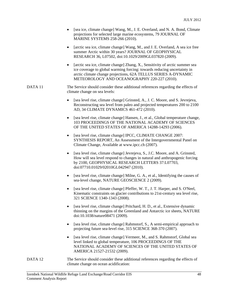- [sea ice, climate change] Wang, M., J. E. Overland, and N. A. Bond, Climate projections for selected large marine ecosystems, 79 JOURNAL OF MARINE SYSTEMS 258-266 (2010).
- [arctic sea ice, climate change] Wang, M., and J. E. Overland, A sea ice free summer Arctic within 30 years? JOURNAL OF GEOPHYSICAL RESEARCH 36, L07502, doi:10.1029/2009GL037820 (2009).
- [arctic sea ice, climate change] Zhang, X., Sensitivity of arctic summer sea ice coverage to global warming forcing: towards reducing uncertainty in arctic climate change projections, 62A TELLUS SERIES A-DYNAMIC METEOROLOGY AND OCEANOGRAPHY 220-227 (2010).

#### DATA 11 The Service should consider these additional references regarding the effects of climate change on sea levels:

- [sea level rise, climate change] Grinsted, A., J. C. Moore, and S. Jevrejeva, Reconstructing sea level from paleo and projected temperatures 200 to 2100 AD, 34 CLIMATE DYNAMICS 461-472 (2010).
- [sea level rise, climate change] Hansen, J., et al., Global temperature change, 103 PROCEEDINGS OF THE NATIONAL ACADEMY OF SCIENCES OF THE UNITED STATES OF AMERICA 14288-14293 (2006).
- [sea level rise, climate change] IPCC, CLIMATE CHANGE 2007: SYNTHESIS REPORT, An Assessment of the Intergovernmental Panel on Climate Change, Available at www.ipcc.ch (2007).
- [sea level rise, climate change] Jevrejeva, S., J.C. Moore, and A. Grinsted, How will sea level respond to changes in natural and anthropogenic forcing by 2100, GEOPHYSICAL RESEARCH LETTERS 37:L07703, doi:07710.01029/02010GL042947 (2010).
- [sea level rise, climate change] Milne, G. A., et al., Identifying the causes of sea-level change, NATURE GEOSCIENCE 2 (2009).
- [sea level rise, climate change] Pfeffer, W. T., J. T. Harper, and S. O'Neel, Kinematic constraints on glacier contributions to 21st-century sea level rise, 321 SCIENCE 1340-1343 (2008).
- [sea level rise, climate change] Pritchard, H. D., et al., Extensive dynamic thinning on the margins of the Greenland and Antarctic ice sheets, NATURE doi:10.1038/nature08471 (2009).
- [sea level rise, climate change] Rahmstorf, S., A semi-empirical approach to projecting future sea-level rise, 315 SCIENCE 368-370 (2007).
- [sea level rise, climate change] Vermeer, M., and S. Rahmstorf, Global sea level linked to global temperature, 106 PROCEEDINGS OF THE NATIONAL ACADEMY OF SCIENCES OF THE UNITED STATES OF AMERICA 21527-21532 (2009).
- DATA 12 The Service should consider these additional references regarding the effects of climate change on ocean acidification: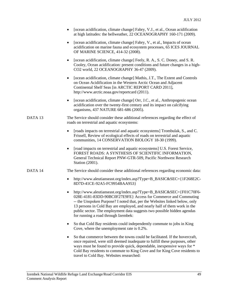| [ocean acidification, climate change] Fabry, V.J., et al., Ocean acidification |
|--------------------------------------------------------------------------------|
| at high latitudes: the bellweather, 22 OCEANOGRAPHY 160-171 (2009).            |

- [ocean acidification, climate change] Fabry, V., et al., Impacts of ocean acidification on marine fauna and ecosystem processes, 65 ICES JOURNAL OF MARINE SCIENCE, 414-32 (2008).
- [ocean acidification, climate change] Feely, R. A., S. C. Doney, and S. R. Cooley, Ocean acidification: present conditions and future changes in a high-CO2 world, 22 OCEANOGRAPHY 36-47 (2009).
- [ocean acidification, climate change] Mathis, J.T., The Extent and Controls on Ocean Acidification in the Western Arctic Ocean and Adjacent Continental Shelf Seas [in ARCTIC REPORT CARD 2011], http://www.arctic.noaa.gov/reportcard (2011).
- [ocean acidification, climate change] Orr, J.C., et al., Anthropogenic ocean acidification over the twenty-first century and its impact on calcifying organisms, 437 NATURE 681-686 (2005).

#### DATA 13 The Service should consider these additional references regarding the effect of roads on terrestrial and aquatic ecosystems:

- [roads impacts on terrestrial and aquatic ecosystems] Trombulak, S., and C. Frissell, Review of ecological effects of roads on terrestrial and aquatic communities, 14 CONSERVATION BIOLOGY 18-30 (1999).
- [road impacts on terrestrial and aquatic ecosystems] U.S. Forest Service, FOREST ROADS: A SYNTHESIS OF SCIENTIFIC INFORMATION, General Technical Report PNW-GTR-509, Pacific Northwest Research Station (2001).

#### DATA 14 The Service should consider these additional references regarding economic data:

- http://www.aleutianseast.org/index.asp?Type=B\_BASIC&SEC={1F268E2C-8D7D-41CE-92A5-FC9954BAA953}
- http://www.aleutianseast.org/index.asp?Type=B\_BASIC&SEC={F01C70F6- 028E-4181-83DD-90BC0F27E9FE} Access for Commerce and Commuting -- the Unspoken Purpose? I noted that, per the Websites linked below, only 13 persons in Cold Bay are employed, and nearly half of them work in the public sector. The employment data suggests two possible hidden agendas for running a road through Izembek:
- So that Cold Bay residents could independently commute to jobs in King Cove, where the unemployment rate is 0.2%.
- So that commerce between the towns could be facilitated. If the hovercraft, once repaired, were still deemed inadequate to fulfill these purposes, other ways must be found to provide quick, dependable, inexpensive ways for \* Cold Bay residents to commute to King Cove and for King Cove residents to travel to Cold Bay. Websites researched: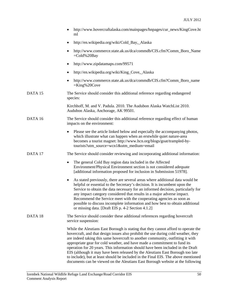|         | http://www.hovercraftalaska.com/mainpages/hnpages/cur_news/KingCove.ht<br>ml                                                                                                                                                                                                                                                                                                                                                                                                                                                                                                                                                                                                          |
|---------|---------------------------------------------------------------------------------------------------------------------------------------------------------------------------------------------------------------------------------------------------------------------------------------------------------------------------------------------------------------------------------------------------------------------------------------------------------------------------------------------------------------------------------------------------------------------------------------------------------------------------------------------------------------------------------------|
|         | http://en.wikipedia.org/wiki/Cold_Bay,_Alaska                                                                                                                                                                                                                                                                                                                                                                                                                                                                                                                                                                                                                                         |
|         | http://www.commerce.state.ak.us/dca/commdb/CIS.cfm?Comm_Boro_Name<br>$=$ Cold%20Bay                                                                                                                                                                                                                                                                                                                                                                                                                                                                                                                                                                                                   |
|         | http://www.zipdatamaps.com/99571                                                                                                                                                                                                                                                                                                                                                                                                                                                                                                                                                                                                                                                      |
|         | http://en.wikipedia.org/wiki/King_Cove,_Alaska                                                                                                                                                                                                                                                                                                                                                                                                                                                                                                                                                                                                                                        |
|         | http://www.commerce.state.ak.us/dca/commdb/CIS.cfm?Comm_Boro_name<br>$=$ King%20Cove                                                                                                                                                                                                                                                                                                                                                                                                                                                                                                                                                                                                  |
| DATA 15 | The Service should consider this additional reference regarding endangered<br>species:                                                                                                                                                                                                                                                                                                                                                                                                                                                                                                                                                                                                |
|         | Kirchhoff, M. and V. Padula. 2010. The Audubon Alaska WatchList 2010.<br>Audubon Alaska, Anchorage, AK 99501.                                                                                                                                                                                                                                                                                                                                                                                                                                                                                                                                                                         |
| DATA 16 | The Service should consider this additional reference regarding effect of human<br>impacts on the environment:                                                                                                                                                                                                                                                                                                                                                                                                                                                                                                                                                                        |
|         | Please see the article linked below and especially the accompanying photos,<br>٠<br>which illustrate what can happen when an erstwhile quiet nature-area<br>becomes a tourist magnet: http://www.hcn.org/blogs/goat/trampled-by-<br>tourists?utm_source=wcn1&utm_medium=email                                                                                                                                                                                                                                                                                                                                                                                                         |
| DATA 17 | The Service should consider reviewing and incorporating additional information:                                                                                                                                                                                                                                                                                                                                                                                                                                                                                                                                                                                                       |
|         | The general Cold Bay region data included in the Affected<br>٠<br>Environment/Physical Environment section is not considered adequate<br>[additional information proposed for inclusion in Submission 51978].                                                                                                                                                                                                                                                                                                                                                                                                                                                                         |
|         | As stated previously, there are several areas where additional data would be<br>٠<br>helpful or essential to the Secretary's decision. It is incumbent upon the<br>Service to obtain the data necessary for an informed decision, particularly for<br>any impact category considered that results in a major adverse impact.<br>Recommend the Service meet with the cooperating agencies as soon as<br>possible to discuss incomplete information and how best to obtain additional<br>or missing data. [Draft EIS p. 4-2 Section 4.1.2]                                                                                                                                              |
| DATA 18 | The Service should consider these additional references regarding hovercraft<br>service suspension:                                                                                                                                                                                                                                                                                                                                                                                                                                                                                                                                                                                   |
|         | While the Aleutians East Borough is stating that they cannot afford to operate the<br>hovercraft, and that design issues also prohibit the use during cold weather, they<br>are indeed taking this same hovercraft to another community, outfitting it with<br>appropriate gear for cold weather, and have made a commitment to fund its<br>operation for 20 years. This information should have been included in the Draft<br>EIS (although it may have been released by the Aleutians East Borough too late<br>to include), but at least should be included in the Final EIS. The above mentioned<br>documents can be viewed on the Aleutians East Borough website at the following |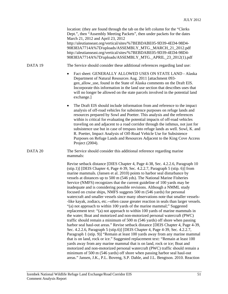location: (they are found through the tab on the left column for the "Clerks Dept.", then "Assembly Meeting Packets", then under packets for the dates March 21, 2012 and April 23, 2012 http://aleutianseast.org/vertical/sites/%7BEBDABE05-9D39-4ED4-98D4- 908383A7714A%7D/uploads/ASSEMBLY\_MTG.\_MARCH\_21\_2012.pdf http://aleutianseast.org/vertical/sites/%7BEBDABE05-9D39-4ED4-98D4- 908383A7714A%7D/uploads/ASSEMBLY\_MTG.\_APRIL\_23\_2012(1).pdf

### DATA 19 The Service should consider these additional references regarding land use:

 Fact sheet: GENERALLY ALLOWED USES ON STATE LAND - Alaska Department of Natural Resources Aug. 2011 [attachment 093 gen allow use, found in the State of Alaska comments on the Draft EIS. Incorporate this information in the land use section that describes uses that will no longer be allowed on the state parcels involved in the potential land exchange.]

 The Draft EIS should include information from and reference to the impact analysis of off-road vehicles for subsistence purposes on refuge lands and resources prepared by Sowl and Poetter. This analysis and the references within is critical for evaluating the potential impacts of off-road vehicles traveling on and adjacent to a road corridor through the isthmus, not just for subsistence use but in case of trespass into refuge lands as well. Sowl, K. and R. Poetter, Impact Analysis of Off-Road Vehicle Use for Subsistence Purposes on Refuge Lands and Resources Adjacent to the King Cove Access Project (2004).

DATA 20 The Service should consider this additional reference regarding marine mammals:

> Revise setback distance [DIES Chapter 4, Page 4-38, Sec. 4.2.2.6, Paragraph 10  $(\text{strip.1})$ ] [DEIS Chapter 4, Page 4-39, Sec. 4.2.2.7, Paragraph 5  $(\text{strip. 6})$ ] from marine mammals. (Jansen et al. 2010) points to harbor seal disturbance by vessels at distances up to 500 m (546 yds). The National Marine Fisheries Service (NMFS) recognizes that the current guideline of 100 yards may be inadequate and is considering possible revisions. Although a NMML study focused on cruise ships, NMFS suggests 500 m (546 yards) for personal watercraft and smaller vessels since many observations note that smaller vessels- -like kayak, zodiacs, etc.--often cause greater reaction in seals than larger vessels. "(a) not approach to within 100 yards of the marine mammal;" Suggested replacement text: "(a) not approach to within 100 yards of marine mammals in the water; Boat and motorized and non-motorized personal watercraft (PWC) traffic should remain a minimum of 500 m (546 yards) off shore when passing harbor seal haul-out areas." Revise setback distance [DEIS Chapter 4, Page 4-39, Sec. 4.2.2.6, Paragraph 5 (stip.6)] [DEIS Chapter 4, Page 4-39, Sec. 4.2.2.7, Paragraph 1 (stip. 9)] "Remain at least 100 yards away from any marine mammal that is on land, rock or ice." Suggested replacement text: "Remain at least 100 yards away from any marine mammal that is on land, rock or ice; Boat and motorized and non-motorized personal watercraft (PWC) traffic should remain a minimum of 500 m (546 yards) off shore when passing harbor seal haul-out areas." Jansen, J.K., P.L. Boveng, S.P. Dahle, and J.L. Bengtson. 2010. Reaction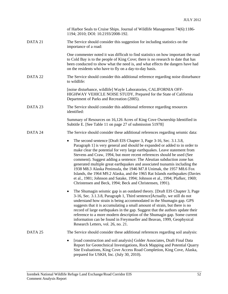|         | of Harbor Seals to Cruise Ships. Journal of Wildlife Management 74(6):1186-<br>1194; 2010; DOI: 10.2193/2008-192.                                                                                                                                                                                                                                                                                                                                                                                                                                                                                                                                                                                                                                                      |
|---------|------------------------------------------------------------------------------------------------------------------------------------------------------------------------------------------------------------------------------------------------------------------------------------------------------------------------------------------------------------------------------------------------------------------------------------------------------------------------------------------------------------------------------------------------------------------------------------------------------------------------------------------------------------------------------------------------------------------------------------------------------------------------|
| DATA 21 | The Service should consider this suggestion for including statistics on the<br>importance of a road:                                                                                                                                                                                                                                                                                                                                                                                                                                                                                                                                                                                                                                                                   |
|         | One commenter noted it was difficult to find statistics on how important the road<br>to Cold Bay is to the people of King Cove; there is no research to date that has<br>been conducted to show what the need is, and what effects the dangers have had<br>on the residents who have to fly on a day-to-day basis.                                                                                                                                                                                                                                                                                                                                                                                                                                                     |
| DATA 22 | The Service should consider this additional reference regarding noise disturbance<br>to wildlife:                                                                                                                                                                                                                                                                                                                                                                                                                                                                                                                                                                                                                                                                      |
|         | [noise disturbance, wildlife] Wayle Laboratories, CALIFORNIA OFF-<br>HIGHWAY VEHICLE NOISE STUDY, Prepared for the State of California<br>Department of Parks and Recreation (2005).                                                                                                                                                                                                                                                                                                                                                                                                                                                                                                                                                                                   |
| DATA 23 | The Service should consider this additional reference regarding resources<br>identified:                                                                                                                                                                                                                                                                                                                                                                                                                                                                                                                                                                                                                                                                               |
|         | Summary of Resources on 16,126 Acres of King Cove Ownership Identified in<br>Subtitle E. [See Table 11 on page 27 of submission 51978]                                                                                                                                                                                                                                                                                                                                                                                                                                                                                                                                                                                                                                 |
| DATA 24 | The Service should consider these additional references regarding seismic data:                                                                                                                                                                                                                                                                                                                                                                                                                                                                                                                                                                                                                                                                                        |
|         | The second sentence [Draft EIS Chapter 3, Page 3-16, Sec. 3.1.3.8,<br>٠<br>Paragraph 1] is very general and should be expanded or added to in order to<br>make clear the potential for very large earthquakes. Leave statement from<br>Stevens and Craw, 1994, but more recent references should be used (See<br>comment). Suggest adding a sentence: The Aleutian subduction zone has<br>generated multiple great earthquakes and associated tsunamis including the<br>1938 M8.3 Alaska Peninsula, the 1946 M7.8 Unimak, the 1957 M8.6 Fox<br>Islands, the 1964 M9.2 Alaska, and the 1965 Rat Islands earthquakes (Davies<br>et al., 1981; Johnson and Satake, 1994; Johnson et al., 1994; Plafker, 1969;<br>Christensen and Beck, 1994; Beck and Christensen, 1991). |
|         | The Shumagin seismic gap is an outdated theory. [Draft EIS Chapter 3, Page<br>3-16, Sec. 3.1.3.8, Paragraph 1, Third sentence]Actually, we still do not<br>understand how strain is being accommodated in the Shumagin gap. GPS<br>suggests that it is accumulating a small amount of strain, but there is no<br>record of large earthquakes in the gap. Suggest that the authors update their<br>reference to a more modern description of the Shumagin gap. Some current<br>information can be found in Freymueller and Beavan, 1999, Geophysical<br>Research Letters, vol. 26, no. 21.                                                                                                                                                                              |
| DATA 25 | The Service should consider these additional references regarding soil analysis:                                                                                                                                                                                                                                                                                                                                                                                                                                                                                                                                                                                                                                                                                       |
|         | [road construction and soil analysis] Golder Associates, Draft Final Data<br>Report for Geotechnical Investigations, Rock Mapping and Potential Quarry<br>Site Evaluations, King Cove Access Road Completion, King Cove, Alaska,<br>prepared for USKH, Inc. (July 30, 2010).                                                                                                                                                                                                                                                                                                                                                                                                                                                                                           |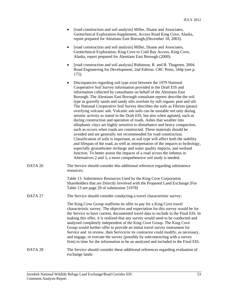| [road construction and soil analysis] Miller, Duane and Associates, |  |
|---------------------------------------------------------------------|--|
| Geotechnical Exploration-Supplement, Access Road King Cove, Alaska, |  |
| report prepared for Aleutians East Borough, (December 18, 2003).    |  |

- [road construction and soil analysis] Miller, Duane and Associates, Geotechnical Exploration, King Cove to Cold Bay Access, King Cove, Alaska, report prepared for Aleutians East Borough (2000).
- [road construction and soil analysis] Robinson, R. and B. Thagesen. 2004. Road Engineering for Development, 2nd Edition. CRC Press, 544p (see p. 175).
- Discrepancies regarding soil type exist between the 1979 National Cooperative Soil Survey information provided in the Draft EIS and information collected by consultants on behalf of the Aleutians East Borough. The Aleutians East Borough consultant reports describe the soil type as gravelly sands and sandy silts overlain by soft organic peat and silt. The National Cooperative Soil Survey describes the soils as Fibrists (peats) overlying volcanic ash. Volcanic ash soils can be unstable not only during seismic activity as stated in the Draft EIS, but also when agitated, such as during construction and operation of roads. Ashes that weather into allophanic clays are highly sensitive to disturbance and heavy compaction, such as occurs when roads are constructed. These materials should be avoided and are generally not recommended for road construction. Classification of soils is important, as soil type will affect both the stability and lifespan of the road, as well as interpretation of the impacts to hydrology, especially groundwater recharge and water quality impacts, and wetland function. To better assess the impacts of a road across the isthmus in Alternatives 2 and 3, a more comprehensive soil study is needed.
- DATA 26 The Service should consider this additional reference regarding subsistence resources:

 Table 13. Subsistence Resources Used by the King Cove Corporation Shareholders that are Directly Involved with the Proposed Land Exchange [For Table 13 see page 29 of submission 51978]

DATA 27 The Service should consider conducting a travel characteristic survey:

 The King Cove Group reaffirms its offer to pay for a King Cove travel characteristic survey. The objective and expectation for this survey would be for the Service to have current, documented travel data to include in the Final EIS. In making this offer, it is realized that any survey would need to be conducted and analyzed completely independent of the King Cove Group. The King Cove Group would further offer to provide an initial travel survey instrument for Service and to review, then Service/or its contractor could modify, as necessary, and engage, or execute the survey (possibly by subcontracting with a survey firm) in time for the information to be an analyzed and included in the Final EIS.

DATA 28 The Service should consider these additional references regarding evaluation of exchange lands: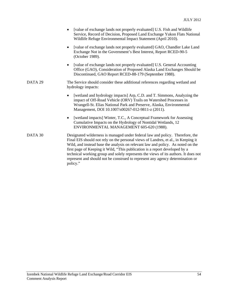|         | [value of exchange lands not properly evaluated] U.S. Fish and Wildlife<br>$\bullet$<br>Service, Record of Decision, Proposed Land Exchange Yukon Flats National<br>Wildlife Refuge Environmental Impact Statement (April 2010).                                                                                                                                                                                                                                                                                          |
|---------|---------------------------------------------------------------------------------------------------------------------------------------------------------------------------------------------------------------------------------------------------------------------------------------------------------------------------------------------------------------------------------------------------------------------------------------------------------------------------------------------------------------------------|
|         | [value of exchange lands not properly evaluated] GAO, Chandler Lake Land<br>$\bullet$<br>Exchange Not in the Government's Best Interest, Report RCED-90-5<br>(October 1989).                                                                                                                                                                                                                                                                                                                                              |
|         | [value of exchange lands not properly evaluated] U.S. General Accounting<br>$\bullet$<br>Office (GAO), Consideration of Proposed Alaska Land Exchanges Should be<br>Discontinued, GAO Report RCED-88-179 (September 1988).                                                                                                                                                                                                                                                                                                |
| DATA 29 | The Service should consider these additional references regarding wetland and<br>hydrology impacts:                                                                                                                                                                                                                                                                                                                                                                                                                       |
|         | [wetland and hydrology impacts] Arp, C.D. and T. Simmons, Analyzing the<br>impact of Off-Road Vehicle (ORV) Trails on Watershed Processes in<br>Wrangell-St. Elias National Park and Preserve, Alaska, Environmental<br>Management, DOI 10.1007/s00267-012-9811-z (2011).                                                                                                                                                                                                                                                 |
|         | [wetland impacts] Winter, T.C., A Conceptual Framework for Assessing<br>$\bullet$<br>Cumulative Impacts on the Hydrology of Nontidal Wetlands, 12<br>ENVIRONMENTAL MANAGEMENT 605-620 (1988).                                                                                                                                                                                                                                                                                                                             |
| DATA 30 | Designated wilderness is managed under federal law and policy. Therefore, the<br>Final EIS should not rely on the personal views of Landres, et al., in Keeping it<br>Wild, and instead base the analysis on relevant law and policy. As noted on the<br>first page of Keeping it Wild, "This publication is a report developed by a<br>technical working group and solely represents the views of its authors. It does not<br>represent and should not be construed to represent any agency determination or<br>policy." |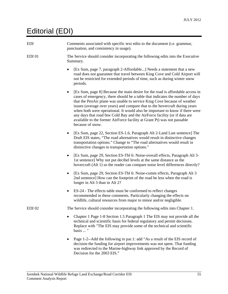# Editorial (EDI)

| <b>EDI</b>        | Comments associated with specific text edits to the document (i.e. grammar,<br>punctuation, and consistency in usage).                                                                                                                                                                                                                                                                                                                                                                                                                                                                     |
|-------------------|--------------------------------------------------------------------------------------------------------------------------------------------------------------------------------------------------------------------------------------------------------------------------------------------------------------------------------------------------------------------------------------------------------------------------------------------------------------------------------------------------------------------------------------------------------------------------------------------|
| EDI <sub>01</sub> | The Service should consider incorporating the following edits into the Executive<br>Summary.                                                                                                                                                                                                                                                                                                                                                                                                                                                                                               |
|                   | [Ex Sum, page 7, paragraph 2-Affordable] Needs a statement that a new<br>road does not guarantee that travel between King Cove and Cold Airport will<br>not be restricted for extended periods of time, such as during winter snow<br>periods.                                                                                                                                                                                                                                                                                                                                             |
|                   | [Ex Sum, page 8] Because the main desire for the road is affordable access in<br>٠<br>cases of emergency, there should be a table that indicates the number of days<br>that the PenAir plane was unable to service King Cove because of weather<br>issues (average over years) and compare that to the hovercraft during years<br>when both were operational. It would also be important to know if there were<br>any days that road btw Cold Bay and the AirForce facility (or if data are<br>available to the former AirForce facility at Grant Pt) was not passable<br>because of snow. |
|                   | [Ex Sum, page 22, Section ES-1.6, Paragraph Alt 2-Land Last sentence] The<br>٠<br>Draft EIS states, "The road alternatives would result in distinctive changes<br>transportation options." Change to "The road alternatives would result in<br>distinctive changes to transportation options."                                                                                                                                                                                                                                                                                             |
|                   | [Ex Sum, page 29, Section ES-Tbl 6: Noise-overall effects, Paragraph Alt 5-<br>٠<br>1st sentence] Why not put decibel levels at the same distance as the<br>hovercraft (Alt 1) so the reader can compare noise level differences directly?                                                                                                                                                                                                                                                                                                                                                 |
|                   | [Ex Sum, page 29, Section ES-Tbl 6: Noise-cumm effects, Paragraph Alt 3<br>٠<br>2nd sentence] How can the footprint of the road be less when the road is<br>longer in Alt 3 than in Alt 2?                                                                                                                                                                                                                                                                                                                                                                                                 |
|                   | ES-24 - The effects table must be conformed to reflect changes<br>٠<br>recommended in these comments. Particularly changing the effects on<br>wildlife, cultural resources from major to minor and/or negligible.                                                                                                                                                                                                                                                                                                                                                                          |
| <b>EDI02</b>      | The Service should consider incorporating the following edits into Chapter 1.                                                                                                                                                                                                                                                                                                                                                                                                                                                                                                              |
|                   | Chapter 1 Page 1-8 Section 1.5 Paragraph 1 The EIS may not provide all the<br>technical and scientific basis for federal regulatory and permit decisions.<br>Replace with "The EIS may provide some of the technical and scientific<br>basis  "                                                                                                                                                                                                                                                                                                                                            |
|                   | Page 1-2--Add the following to par.1: add "As a result of the EIS record of<br>decision the funding for airport improvements was not spent. That funding                                                                                                                                                                                                                                                                                                                                                                                                                                   |

was redirected to the Marine-highway link approved by the Record of

Decision for the 2003 EIS."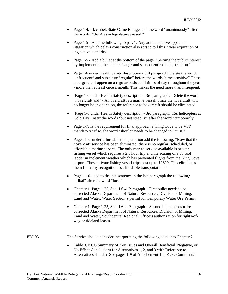- Page 1-4: Izembek State Game Refuge, add the word "unanimously" after the words: "the Alaska legislature passed."
- Page 1-5 Add the following to par. 1: Any administrative appeal or litigation which delays construction also acts to toll this 7 year expiration of legislative authority.
- Page 1-5 Add a bullet at the bottom of the page: "Serving the public interest by implementing the land exchange and subsequent road construction."
- Page 1-6 under Health Safety description 3rd paragraph: Delete the word "infrequent" and substitute "regular" before the words "time sensitive" These emergencies happen on a regular basis at all times of day throughout the year - more than at least once a month. This makes the need more than infrequent.
- [Page 1-6 under Health Safety description 3rd paragraph: ] Delete the word "hovercraft and" - A hovercraft is a marine vessel. Since the hovercraft will no longer be in operation, the reference to hovercraft should be eliminated.
- [Page 1-6 under Health Safety description 3rd paragraph:] Re: helicopters at Cold Bay: Insert the words "but not steadily" after the word "temporarily"
- Page 1-7: Is the requirement for final approach at King Cove to be VFR mandatory? if so, the word "should" needs to be changed to "must."
- Pages 1-8- under affordable transportation add the following: "Now that the hovercraft service has been eliminated, there is no regular, scheduled, or affordable marine service. The only marine service available is private fishing vessel which requires a 2.5 hour trip and the scaling of a 30 foot ladder in inclement weather which has prevented flights from the King Cove airport. These private fishing vessel trips cost up to \$2500. This eliminates them from any recognition as affordable transportation."
- Page 1-10 add to the last sentence in the last paragraph the following: "tribal" after the word "local".
- Chapter 1, Page 1-25, Sec. 1.6.4, Paragraph 1 First bullet needs to be corrected Alaska Department of Natural Resources, Division of Mining, Land and Water, Water Section's permit for Temporary Water Use Permit
- Chapter 1, Page 1-25, Sec. 1.6.4, Paragraph 1 Second bullet needs to be corrected Alaska Department of Natural Resources, Division of Mining, Land and Water, Southcentral Regional Office's authorization for rights-ofway or tideland leases.

EDI 03 The Service should consider incorporating the following edits into Chapter 2.

 Table 3. KCG Summary of Key Issues and Overall Beneficial, Negative, or No Effect Conclusions for Alternatives 1, 2, and 3 with Reference to Alternatives 4 and 5 [See pages 1-9 of Attachement 1 to KCG Comments]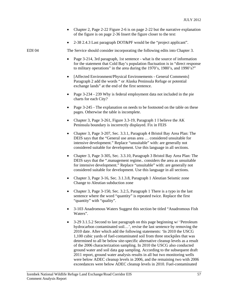- Chapter 2, Page 2-22 Figure 2-6 is on page 2-22 but the narrative explanation of the figure is on page 2-36 Insert the figure closer to the text
- 2-38 2.4.3 Last paragraph DOT&PF would be the "project applicant".

EDI 04 The Service should consider incorporating the following edits into Chapter 3.

- Page 3-214, 3rd paragraph, 1st sentence what is the source of information for the statement that Cold Bay's population fluctuation is in "direct response to military operations" in the area during the 1970's, 1980's, and 1990's?"
- [Affected Environment/Physical Environements General Comments] Paragraph 2 add the words " or Alaska Peninsula Refuge or potential exchange lands" at the end of the first sentence.
- Page 3-234 239 Why is federal employment data not included in the pie charts for each City?
- Page 3-245 The explanation on needs to be footnoted on the table on these pages. Otherwise the table is incomplete.
- Chapter 3, Page 3-261, Figure 3.3-19, Paragraph 1 I believe the AK Peninsula boundary is incorrectly displayed. Fix in FEIS
- Chapter 3, Page 3-207, Sec. 3.3.1, Paragraph 4 Bristol Bay Area Plan: The DEIS says that the "General use areas area … considered unsuitable for intensive development." Replace "unsuitable" with: are generally not considered suitable for development. Use this language in all sections.
- Chapter 3, Page 3-305, Sec. 3.3.10, Paragraph 3 Bristol Bay Area Plan: The DEIS says that the ".management regime.. considers the area as unsuitable for intensive development." Replace "unsuitable" with: are generally not considered suitable for development. Use this language in all sections.
- Chapter 3, Page 3-16, Sec. 3.1.3.8, Paragraph 1 Aleutian Seismic zone Change to Aleutian subduction zone
- Chapter 3, Page 3-150, Sec. 3.2.5, Paragraph 1 There is a typo in the last sentence where the word "quantity" is repeated twice. Replace the first "quantity" with "quality".
- 3-103 Anadromous Waters Suggest this section be titled "Anadromous Fish Waters".
- 3-29 3.1.5.2 Second to last paragraph on this page beginning w/ 'Petroleum hydrocarbon contaminated soil…', revise the last sentence by removing the 2010 date. After which add the following statements: 'In 2010 the USCG 1,100 cubic yards of fuel-contaminated soil from three stockpiles that was determined to all be below site-specific alternative cleanup levels as a result of the 2006 characterization sampling. In 2010 the USCG also conducted ground water and soil data gap sampling. According to the subsequent draft 2011 report, ground water analysis results in all but two monitoring wells were below ADEC cleanup levels in 2006, and the remaining two with 2006 exceedances were below ADEC cleanup levels in 2010. Fuel-contaminated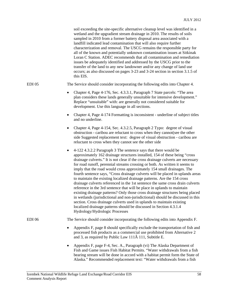|              | soil exceeding the site-specific alternative cleanup level was identified in a<br>wetland and the upgradient stream drainage in 2010. The results of soils<br>sampled in 2010 from a former battery disposal area associated with a<br>landfill indicated lead contamination that will also require further<br>characterization and removal. The USCG remains the responsible party for<br>all of the known and potentially unknown contamination issues at Sitkinak<br>Loran C Station. ADEC recommends that all contamination and remediation<br>issues be adequately identified and addressed by the USCG prior to the<br>transfer of the land to any new landowner and/or any change of land use<br>occurs; as also discussed on pages 3-23 and 3-24 section in section 3.1.5 of<br>this EIS.                                                                                                                                                                                                                                                                                      |
|--------------|----------------------------------------------------------------------------------------------------------------------------------------------------------------------------------------------------------------------------------------------------------------------------------------------------------------------------------------------------------------------------------------------------------------------------------------------------------------------------------------------------------------------------------------------------------------------------------------------------------------------------------------------------------------------------------------------------------------------------------------------------------------------------------------------------------------------------------------------------------------------------------------------------------------------------------------------------------------------------------------------------------------------------------------------------------------------------------------|
| $EDI$ 05     | The Service should consider incorporating the following edits into Chapter 4.                                                                                                                                                                                                                                                                                                                                                                                                                                                                                                                                                                                                                                                                                                                                                                                                                                                                                                                                                                                                          |
|              | Chapter 4, Page 4-176, Sec. 4.3.3.1, Paragraph 7 State parcels: "The area<br>$\bullet$<br>plan considers these lands generally unsuitable for intensive development."<br>Replace "unsuitable" with: are generally not considered suitable for<br>development. Use this language in all sections.                                                                                                                                                                                                                                                                                                                                                                                                                                                                                                                                                                                                                                                                                                                                                                                       |
|              | Chapter 4, Page 4-174 Formatting is inconsistent - underline of subject titles<br>٠<br>and no underline.                                                                                                                                                                                                                                                                                                                                                                                                                                                                                                                                                                                                                                                                                                                                                                                                                                                                                                                                                                               |
|              | Chapter 4, Page 4-154, Sec. 4.3.2.5, Paragraph 2 Typo: degree of visual<br>$\bullet$<br>obstruction - caribou are reluctant to cross when they cannot(see the other<br>side Suggested replacement text: degree of visual obstruction - caribou are<br>reluctant to cross when they cannot see the other side                                                                                                                                                                                                                                                                                                                                                                                                                                                                                                                                                                                                                                                                                                                                                                           |
|              | 4-122 4.3.2.2 Paragraph 3 The sentence says that there would be<br>$\bullet$<br>approximately 162 drainage structures installed, 154 of these being "cross<br>drainage culverts." It is not clear if the cross drainage culverts are necessary<br>for road runoff, perennial streams crossing or both. As written it seems to<br>imply that the road would cross approximately 154 small drainages. The<br>fourth sentence says, "Cross drainage culverts will be placed in uplands areas<br>to maintain the existing localized drainage patterns. Are the 154 cross<br>drainage culverts referenced in the 1st sentence the same cross drain culverts<br>reference in the 3rd sentence that will be place in uplands to maintain<br>existing drainage patterns? Only those cross drainage structures being placed<br>in wetlands (jurisdictional and non-jurisdictional) should be discussed in this<br>section. Cross drainage culverts used in uplands to maintain existing<br>localized drainage patterns should be discussed in Section 4.3.1.4<br>Hydrology/Hydrologic Processes |
| <b>EDI06</b> | The Service should consider incorporating the following edits into Appendix F.                                                                                                                                                                                                                                                                                                                                                                                                                                                                                                                                                                                                                                                                                                                                                                                                                                                                                                                                                                                                         |
|              | Appendix F, page 8 should specifically exclude the transportation of fish and<br>٠<br>processed fish products as a commercial use prohibited from Alternative 2<br>and 3, as required by Public Law 111Â 111, Subtitle E.                                                                                                                                                                                                                                                                                                                                                                                                                                                                                                                                                                                                                                                                                                                                                                                                                                                              |
|              | Appendix F, page F-4, Sec. A., Paragraph (vi) The Alaska Department of<br>٠<br>Fish and Game issues Fish Habitat Permits. "Water withdrawals from a fish<br>bearing stream will be done in accord with a habitat permit form the State of<br>Alaska." Recommended replacement text: "Water withdrawals from a fish                                                                                                                                                                                                                                                                                                                                                                                                                                                                                                                                                                                                                                                                                                                                                                     |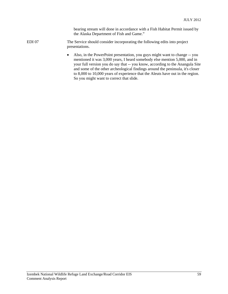bearing stream will done in accordance with a Fish Habitat Permit issued by the Alaska Department of Fish and Game."

- EDI 07 The Service should consider incorporating the following edits into project presentations.
	- Also, in the PowerPoint presentation, you guys might want to change -- you mentioned it was 3,000 years, I heard somebody else mention 5,000, and in your full version you do say that -- you know, according to the Anangula Site and some of the other archeological findings around the peninsula, it's closer to 8,000 to 10,000 years of experience that the Aleuts have out in the region. So you might want to correct that slide.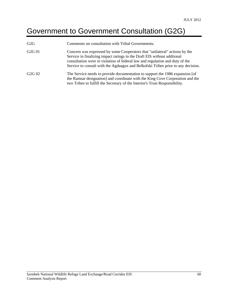# Government to Government Consultation (G2G)

| G2G                            | Comments on consultation with Tribal Governments.                                                                                                                                                                                                                                                                          |
|--------------------------------|----------------------------------------------------------------------------------------------------------------------------------------------------------------------------------------------------------------------------------------------------------------------------------------------------------------------------|
| G <sub>2</sub> G <sub>01</sub> | Concern was expressed by some Cooperators that "unilateral" actions by the<br>Service in finalizing impact ratings in the Draft EIS without additional<br>consultation were in violation of federal law and regulation and duty of the<br>Service to consult with the Agdaagux and Belkofski Tribes prior to any decision. |
| G <sub>2G</sub> 0 <sub>2</sub> | The Service needs to provide documentation to support the 1986 expansion [of<br>the Ramsar designation] and coordinate with the King Cove Corporation and the<br>two Tribes to fulfill the Secretary of the Interior's Trust Responsibility.                                                                               |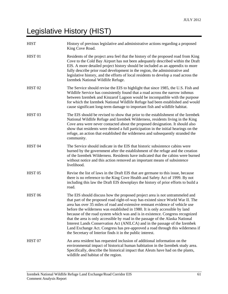# Legislative History (HIST)

| <b>HIST</b>        | History of previous legislative and administrative actions regarding a proposed<br>King Cove Road.                                                                                                                                                                                                                                                                                                                                                                                                                                                                                                                                                                                                                              |
|--------------------|---------------------------------------------------------------------------------------------------------------------------------------------------------------------------------------------------------------------------------------------------------------------------------------------------------------------------------------------------------------------------------------------------------------------------------------------------------------------------------------------------------------------------------------------------------------------------------------------------------------------------------------------------------------------------------------------------------------------------------|
| HIST <sub>01</sub> | Residents of the project area feel that the history of the proposed road from King<br>Cove to the Cold Bay Airport has not been adequately described within the Draft<br>EIS. A more detailed project history should be included as an appendix to more<br>fully describe prior road development in the region, the administrative and<br>legislative history, and the efforts of local residents to develop a road across the<br>Izembek National Wildlife Refuge.                                                                                                                                                                                                                                                             |
| HIST <sub>02</sub> | The Service should revise the EIS to highlight that since 1985, the U.S. Fish and<br>Wildlife Service has consistently found that a road across the narrow isthmus<br>between Izembek and Kinzarof Lagoon would be incompatible with the purpose<br>for which the Izembek National Wildlife Refuge had been established and would<br>cause significant long-term damage to important fish and wildlife habitat.                                                                                                                                                                                                                                                                                                                 |
| HIST <sub>03</sub> | The EIS should be revised to show that prior to the establishment of the Izembek<br>National Wildlife Refuge and Izembek Wilderness, residents living in the King<br>Cove area were never contacted about the proposed designation. It should also<br>show that residents were denied a full participation in the initial hearings on the<br>refuge, an action that established the wilderness and subsequently stranded the<br>community.                                                                                                                                                                                                                                                                                      |
| HIST <sub>04</sub> | The Service should indicate in the EIS that historic subsistence cabins were<br>burned by the government after the establishment of the refuge and the creation<br>of the Izembek Wilderness. Residents have indicated that the cabins were burned<br>without notice and this action removed an important means of subsistence<br>livelihood.                                                                                                                                                                                                                                                                                                                                                                                   |
| HIST <sub>05</sub> | Revise the list of laws in the Draft EIS that are germane to this issue, because<br>there is no reference to the King Cove Health and Safety Act of 1999. By not<br>including this law the Draft EIS downplays the history of prior efforts to build a<br>road.                                                                                                                                                                                                                                                                                                                                                                                                                                                                 |
| HIST <sub>06</sub> | The EIS should discuss how the proposed project area is not untrammeled and<br>that part of the proposed road right-of-way has existed since World War II. The<br>area has over 35 miles of road and extensive remnant evidence of vehicle use<br>before the wilderness was established in 1980. It is only accessible by land<br>because of the road system which was and is in existence. Congress recognized<br>that the area is only accessible by road in the passage of the Alaska National<br>Interest Lands Conservation Act (ANILCA) and in the passage of the Izembek<br>Land Exchange Act. Congress has pre-approved a road through this wilderness if<br>the Secretary of Interior finds it in the public interest. |
| HIST <sub>07</sub> | An area resident has requested inclusion of additional information on the<br>environmental impact of historical human habitation in the Izembek study area.<br>Specifically, describe the historical impact that Aleuts have had on the plants,<br>wildlife and habitat of the region.                                                                                                                                                                                                                                                                                                                                                                                                                                          |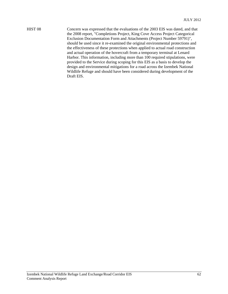HIST 08 Concern was expressed that the evaluations of the 2003 EIS was dated, and that the 2008 report, "Completions Project, King Cove Access Project Categorical Exclusion Documentation Form and Attachments (Project Number 59791)", should be used since it re-examined the original environmental protections and the effectiveness of these protections when applied to actual road construction and actual operation of the hovercraft from a temporary terminal at Lenard Harbor. This information, including more than 100 required stipulations, were provided to the Service during scoping for this EIS as a basis to develop the design and environmental mitigations for a road across the Izembek National Wildlife Refuge and should have been considered during development of the Draft EIS.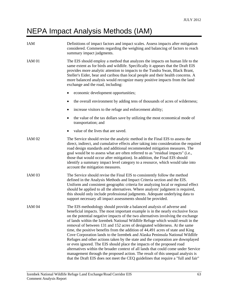### NEPA Impact Analysis Methods (IAM)

| <b>IAM</b>        | Definitions of impact factors and impact scales. Assess impacts after mitigation<br>considered. Comments regarding the weighing and balancing of factors to reach<br>summary impact judgments.                                                                                                                                                                                                                                                                                                                                                                                                                                                                                                                                                                                                                                                                                                                                                                                                             |
|-------------------|------------------------------------------------------------------------------------------------------------------------------------------------------------------------------------------------------------------------------------------------------------------------------------------------------------------------------------------------------------------------------------------------------------------------------------------------------------------------------------------------------------------------------------------------------------------------------------------------------------------------------------------------------------------------------------------------------------------------------------------------------------------------------------------------------------------------------------------------------------------------------------------------------------------------------------------------------------------------------------------------------------|
| <b>IAM 01</b>     | The EIS should employ a method that analyzes the impacts on human life to the<br>same extent as for birds and wildlife. Specifically it appears that the Draft EIS<br>provides more analytic attention to impacts to the Tundra Swan, Black Brant,<br>Steller's Eider, bear and caribou than local people and their health concerns. A<br>more balanced analysis would recognize many positive impacts from the land<br>exchange and the road, including:                                                                                                                                                                                                                                                                                                                                                                                                                                                                                                                                                  |
|                   | economic development opportunities;                                                                                                                                                                                                                                                                                                                                                                                                                                                                                                                                                                                                                                                                                                                                                                                                                                                                                                                                                                        |
|                   | the overall environment by adding tens of thousands of acres of wilderness;                                                                                                                                                                                                                                                                                                                                                                                                                                                                                                                                                                                                                                                                                                                                                                                                                                                                                                                                |
|                   | increase visitors to the refuge and enforcement ability;                                                                                                                                                                                                                                                                                                                                                                                                                                                                                                                                                                                                                                                                                                                                                                                                                                                                                                                                                   |
|                   | the value of the tax dollars save by utilizing the most economical mode of<br>transportation; and                                                                                                                                                                                                                                                                                                                                                                                                                                                                                                                                                                                                                                                                                                                                                                                                                                                                                                          |
|                   | value of the lives that are saved.                                                                                                                                                                                                                                                                                                                                                                                                                                                                                                                                                                                                                                                                                                                                                                                                                                                                                                                                                                         |
| <b>IAM 02</b>     | The Service should revise the analytic method in the Final EIS to assess the<br>direct, indirect, and cumulative effects after taking into consideration the required<br>road design standards and additional recommended mitigation measures. The<br>goal would be to assess what are often referred to as "residual impacts" (i.e.,<br>those that would occur after mitigation). In addition, the Final EIS should<br>identify a summary impact level category to a resource, which would take into<br>account the mitigation measures.                                                                                                                                                                                                                                                                                                                                                                                                                                                                  |
| IAM <sub>03</sub> | The Service should revise the Final EIS to consistently follow the method<br>defined in the Analysis Methods and Impact Criteria section and the EIS.<br>Uniform and consistent geographic criteria for analyzing local or regional effect<br>should be applied to all the alternatives. Where analysts' judgment is required,<br>this should only include professional judgments. Adequate underlying data to<br>support necessary all impact assessments should be provided.                                                                                                                                                                                                                                                                                                                                                                                                                                                                                                                             |
| IAM <sub>04</sub> | The EIS methodology should provide a balanced analysis of adverse and<br>beneficial impacts. The most important example is in the nearly exclusive focus<br>on the potential negative impacts of the two alternatives involving the exchange<br>of lands within the Izembek National Wildlife Refuge which would result in the<br>removal of between 131 and 152 acres of designated wilderness. At the same<br>time, the positive benefits from the addition of 44,491 acres of state and King<br>Cove Corporation lands to the Izembek and Alaska Peninsula National Wildlife<br>Refuges and other actions taken by the state and the corporation are downplayed<br>or even ignored. The EIS should place the impacts of the proposed road<br>alternatives within the broader context of all lands that could come under Service<br>management through the proposed action. The result of this unequal analysis is<br>that the Draft EIS does not meet the CEQ guidelines that require a "full and fair" |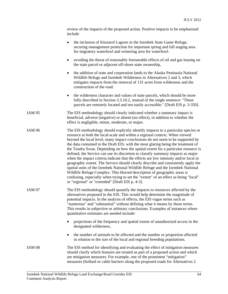|                   | review of the impacts of the proposed action. Positive impacts to be emphasized<br>include                                                                                                                                                                                                                                                                                                                                                                                                                                                                                                                                                                                                                                                                                                                                                                                                                                                                                                            |
|-------------------|-------------------------------------------------------------------------------------------------------------------------------------------------------------------------------------------------------------------------------------------------------------------------------------------------------------------------------------------------------------------------------------------------------------------------------------------------------------------------------------------------------------------------------------------------------------------------------------------------------------------------------------------------------------------------------------------------------------------------------------------------------------------------------------------------------------------------------------------------------------------------------------------------------------------------------------------------------------------------------------------------------|
|                   | the inclusion of Kinzarof Lagoon in the Izembek State Game Refuge,<br>securing management protection for important spring and fall staging area<br>for migratory waterfowl and wintering area for waterfowl.                                                                                                                                                                                                                                                                                                                                                                                                                                                                                                                                                                                                                                                                                                                                                                                          |
|                   | avoiding the threat of reasonably foreseeable effects of oil and gas leasing on<br>the state parcel or adjacent off-shore state ownership,                                                                                                                                                                                                                                                                                                                                                                                                                                                                                                                                                                                                                                                                                                                                                                                                                                                            |
|                   | the addition of state and corporation lands to the Alaska Peninsula National<br>$\bullet$<br>Wildlife Refuge and Izembek Wilderness in Alternatives 2 and 3, which<br>mitigates impacts from the removal of 131 acres from wilderness and the<br>construction of the road.                                                                                                                                                                                                                                                                                                                                                                                                                                                                                                                                                                                                                                                                                                                            |
|                   | the wilderness character and values of state parcels, which should be more<br>٠<br>fully described in Section 3.3.10.2, instead of the single sentence: "These<br>parcels are remotely located and not easily accessible." [Draft EIS p. 3-350].                                                                                                                                                                                                                                                                                                                                                                                                                                                                                                                                                                                                                                                                                                                                                      |
| IAM 05            | The EIS methodology should clearly indicated whether a summary impact is<br>beneficial, adverse (negative) or absent (no effect), in addition to whether the<br>effect is negligible, minor, moderate, or major.                                                                                                                                                                                                                                                                                                                                                                                                                                                                                                                                                                                                                                                                                                                                                                                      |
| <b>IAM 06</b>     | The EIS methodology should explicitly identify impacts to a particular species or<br>resource at both the local-scale and within a regional context. When viewed<br>beyond the local level, many impact conclusions do not seem to be supported by<br>the data contained in the Draft EIS, with the most glaring being the treatment of<br>the Tundra Swan. Depending on how the spatial extent for a particular resource is<br>defined, the Service can use its discretion to classify summary impacts as major<br>when the impact criteria indicate that the effects are low intensity and/or local in<br>geographic extent. The Service should clearly describe and consistently apply the<br>spatial units of the Izembek National Wildlife Refuge and the Izembek National<br>Wildlife Refuge Complex. This blurred description of geographic areas is<br>confusing, especially when trying to set the "extent" of an effect as being "local"<br>or "regional" or "extended" [Draft EIS p. 4-3]. |
| IAM 07            | The EIS methodology should quantify the impacts to resources affected by the<br>alternatives proposed in the EIS. This would help determine the magnitude of<br>potential impacts. In the analysis of effects, the EIS vague terms such as<br>"numerous" and "substantial" without defining what it means by those terms.<br>This results in subjective or arbitrary conclusions. Examples of instances where<br>quantitative estimates are needed include:                                                                                                                                                                                                                                                                                                                                                                                                                                                                                                                                           |
|                   | projections of the frequency and spatial extent of unauthorized access in the<br>designated wilderness,                                                                                                                                                                                                                                                                                                                                                                                                                                                                                                                                                                                                                                                                                                                                                                                                                                                                                               |
|                   | the number of animals to be affected and the number or proportion affected<br>in relation to the size of the local and regional breeding populations.                                                                                                                                                                                                                                                                                                                                                                                                                                                                                                                                                                                                                                                                                                                                                                                                                                                 |
| IAM <sub>08</sub> | The EIS method for identifying and evaluating the effect of mitigation measures<br>should clarify which features are treated as part of a proposed action and which<br>are mitigation measures. For example, one of the prominent "mitigation"<br>measures (bollard or cable barriers along the proposed roads for Alternatives 2                                                                                                                                                                                                                                                                                                                                                                                                                                                                                                                                                                                                                                                                     |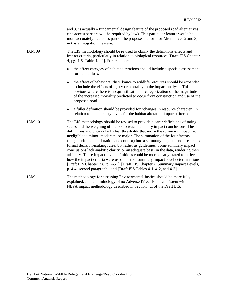|                   | and 3) is actually a fundamental design feature of the proposed road alternatives<br>(the access barriers will be required by law). This particular feature would be<br>more accurately treated as part of the proposed actions for Alternatives 2 and 3,<br>not as a mitigation measure.                                                                                                                                                                                                                                                                                                                                                                                                                                                                                                                                                                                                                                   |
|-------------------|-----------------------------------------------------------------------------------------------------------------------------------------------------------------------------------------------------------------------------------------------------------------------------------------------------------------------------------------------------------------------------------------------------------------------------------------------------------------------------------------------------------------------------------------------------------------------------------------------------------------------------------------------------------------------------------------------------------------------------------------------------------------------------------------------------------------------------------------------------------------------------------------------------------------------------|
| <b>IAM 09</b>     | The EIS methodology should be revised to clarify the definitions effects and<br>impact criteria, particularly in relation to biological resources [Draft EIS Chapter<br>4, pg. 4-6, Table 4.1-2]. For example:                                                                                                                                                                                                                                                                                                                                                                                                                                                                                                                                                                                                                                                                                                              |
|                   | the effect category of habitat alterations should include a specific assessment<br>for habitat loss,                                                                                                                                                                                                                                                                                                                                                                                                                                                                                                                                                                                                                                                                                                                                                                                                                        |
|                   | the effect of behavioral disturbance to wildlife resources should be expanded<br>$\bullet$<br>to include the effects of injury or mortality in the impact analysis. This is<br>obvious where there is no quantification or categorization of the magnitude<br>of the increased mortality predicted to occur from construction and use of the<br>proposed road.                                                                                                                                                                                                                                                                                                                                                                                                                                                                                                                                                              |
|                   | a fuller definition should be provided for "changes in resource character" in<br>$\bullet$<br>relation to the intensity levels for the habitat alteration impact criterion.                                                                                                                                                                                                                                                                                                                                                                                                                                                                                                                                                                                                                                                                                                                                                 |
| <b>IAM 10</b>     | The EIS methodology should be revised to provide clearer definitions of rating<br>scales and the weighing of factors to reach summary impact conclusions. The<br>definitions and criteria lack clear thresholds that move the summary impact from<br>negligible to minor, moderate, or major. The summation of the four factors<br>(magnitude, extent, duration and context) into a summary impact is not treated as<br>formal decision-making rules, but rather as guidelines. Some summary impact<br>conclusions lack analytic clarity, or an adequate basis in the data, rendering them<br>arbitrary. These impact-level definitions could be more clearly stated to reflect<br>how the impact criteria were used to make summary impact-level determinations.<br>[Draft EIS Chapter 2.8, p. 2-51], [Draft EIS Chapter 4, Summary Impact Levels,<br>p. 4-4, second paragraph], and [Draft EIS Tables 4-1, 4-2, and 4-3]. |
| IAM <sub>11</sub> | The methodology for assessing Environmental Justice should be more fully<br>explained, as the terminology of no Adverse Effect is not consistent with the<br>NEPA impact methodology described in Section 4.1 of the Draft EIS.                                                                                                                                                                                                                                                                                                                                                                                                                                                                                                                                                                                                                                                                                             |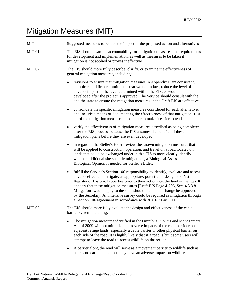### Mitigation Measures (MIT)

| <b>MIT</b>        | Suggested measures to reduce the impact of the proposed action and alternatives.                                                                                                                                                                                                                                                                                                                                                                                                                                                                                                 |
|-------------------|----------------------------------------------------------------------------------------------------------------------------------------------------------------------------------------------------------------------------------------------------------------------------------------------------------------------------------------------------------------------------------------------------------------------------------------------------------------------------------------------------------------------------------------------------------------------------------|
| MIT <sub>01</sub> | The EIS should examine accountability for mitigation measures, <i>i.e.</i> requirements<br>for development and implementation, as well as measures to be taken if<br>mitigation is not applied or proves ineffective.                                                                                                                                                                                                                                                                                                                                                            |
| <b>MIT 02</b>     | The EIS should more fully describe, clarify, or examine the effectiveness of<br>general mitigation measures, including:                                                                                                                                                                                                                                                                                                                                                                                                                                                          |
|                   | revisions to ensure that mitigation measures in Appendix F are consistent,<br>$\bullet$<br>complete, and firm commitments that would, in fact, reduce the level of<br>adverse impact to the level determined within the EIS, or would be<br>developed after the project is approved. The Service should consult with the<br>and the state to ensure the mitigation measures in the Draft EIS are effective.                                                                                                                                                                      |
|                   | consolidate the specific mitigation measures considered for each alternative,<br>٠<br>and include a means of documenting the effectiveness of that mitigation. List<br>all of the mitigation measures into a table to make it easier to read.                                                                                                                                                                                                                                                                                                                                    |
|                   | verify the effectiveness of mitigation measures described as being completed<br>٠<br>after the EIS process, because the EIS assumes the benefits of these<br>mitigation plans before they are even developed.                                                                                                                                                                                                                                                                                                                                                                    |
|                   | in regard to the Steller's Eider, review the known mitigation measures that<br>٠<br>will be applied to construction, operation, and travel on a road located on<br>lands that could be exchanged under in this EIS to more clearly identify<br>whether additional site specific mitigations, a Biological Assessment, or<br>Biological Opinion is needed for Steller's Eider.                                                                                                                                                                                                    |
|                   | fulfill the Service's Section 106 responsibility to identify, evaluate and assess<br>$\bullet$<br>adverse effect and mitigate, as appropriate, potential or designated National<br>Register of Historic Properties prior to their action (i.e. the land exchange). It<br>appears that these mitigation measures [Draft EIS Page 4-205, Sec. 4.3.3.8<br>Mitigation] would apply to the state should the land exchange be approved<br>by the Secretary. An intensive survey could be required as mitigation through<br>a Section 106 agreement in accordance with 36 CFR Part 800. |
| <b>MIT 03</b>     | The EIS should more fully evaluate the design and effectiveness of the cable<br>barrier system including:                                                                                                                                                                                                                                                                                                                                                                                                                                                                        |
|                   | The mitigation measures identified in the Omnibus Public Land Management<br>Act of 2009 will not minimize the adverse impacts of the road corridor on<br>adjacent refuge lands, especially a cable barrier or other physical barrier on<br>each side of the road. It is highly likely that if a road is built some users will<br>attempt to leave the road to access wildlife on the refuge.                                                                                                                                                                                     |

 A barrier along the road will serve as a movement barrier to wildlife such as bears and caribou, and thus may have an adverse impact on wildlife.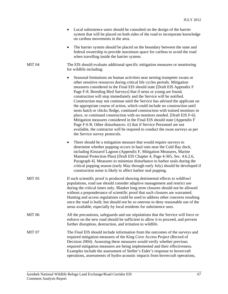| • Local subsistence users should be consulted on the design of the barrier    |
|-------------------------------------------------------------------------------|
| system that will be placed on both sides of the road to incorporate knowledge |
| on caribou movements in the area.                                             |

• The barrier system should be placed on the boundary between the state and federal ownership to provide maximum space for caribou to avoid the road when travelling inside the barrier system.

MIT 04 The EIS should evaluate additional specific mitigation measures or monitoring for wildlife including:

- Seasonal limitations on human activities near nesting trumpeter swans or other sensitive resources during critical life cycles periods. Mitigation measures considered in the Final EIS should state [Draft EIS Appendix F Page F-8. Breeding Bird Surveys] that if nests or young are found, construction will stop immediately and the Service will be notified. Construction may not continue until the Service has advised the applicant on the appropriate course of action, which could include no construction until nests hatch or chicks fledge, continued construction with trained monitors in place, or continued construction with no monitors needed. [Draft EIS F-6]. Mitigation measures considered in the Final EIS should state [Appendix F Page F-6 B. Other disturbances: ii] that if Service Personnel are not available, the contractor will be required to conduct the swan surveys as per the Service survey protocols.
- There should be a mitigation measure that would require surveys to determine whether pupping occurs in haul outs near the Cold Bay dock, including Kinzarof Lagoon (Appendix F, Mitigation Measures, Marine Mammal Protection Plan) [Draft EIS Chapter 4, Page 4-365, Sec. 4.6.2.6, Paragraph 4]. Measures to minimize disturbance to harbor seals during the critical pupping season (early May through early July) should be developed if construction noise is likely to affect harbor seal pupping.
- MIT 05 If such scientific proof is produced showing detrimental effects to wildfowl populations, road use should consider adaptive management and restrict use during the critical times only. Blanket long term closures should not be allowed without a preponderance of scientific proof that such closures are warranted. Hunting and access regulations could be used to address other concerns resulting once the road is built; but should not be so onerous to deny reasonable use of the areas available, especially by local residents for subsistence uses.
- MIT 06 All the precautions, safeguards and use stipulations that the Service will force or enforce on the new road should be sufficient to allow it to proceed, and prevent further disruption, destruction, and irritation to wildlife.
- MIT 07 The Final EIS should include information from the outcomes of the surveys and required mitigation measures of the King Cove Access Project (Record of Decision 2004). Assessing these measures would verify whether previous required mitigation measures are being implemented and their effectiveness. Examples include the assessment of Steller's Eider's response to hovercraft operations, assessments of hydro-acoustic impacts from hovercraft operations,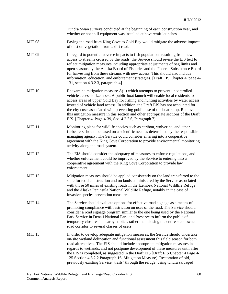|               | Tundra Swan surveys conducted at the beginning of each construction year, and<br>whether or not spill equipment was installed at hovercraft launches.                                                                                                                                                                                                                                                                                                                                                                                                                                     |
|---------------|-------------------------------------------------------------------------------------------------------------------------------------------------------------------------------------------------------------------------------------------------------------------------------------------------------------------------------------------------------------------------------------------------------------------------------------------------------------------------------------------------------------------------------------------------------------------------------------------|
| <b>MIT 08</b> | Paving the road from King Cove to Cold Bay would mitigate the adverse impacts<br>of dust on vegetation from a dirt road.                                                                                                                                                                                                                                                                                                                                                                                                                                                                  |
| <b>MIT 09</b> | In regard to potential adverse impacts to fish populations resulting from new<br>access to streams crossed by the roads, the Service should revise the EIS text to<br>reflect mitigation measures including appropriate adjustments of bag limits and<br>open seasons by the Alaska Board of Fisheries and the Federal Subsistence Board<br>for harvesting from these streams with new access. This should also include<br>information, education, and enforcement strategies. [Draft EIS Chapter 4, page 4-<br>131, section 4.3.2.3, paragraph 4]                                        |
| <b>MIT 10</b> | Reexamine mitigation measure $A(i)$ which attempts to prevent uncontrolled<br>vehicle access to Izembek. A public boat launch will enable local residents to<br>access areas of upper Cold Bay for fishing and hunting activities by water access,<br>instead of vehicle land access. In addition, the Draft EIS has not accounted for<br>the city costs associated with preventing public use of the boat ramp. Remove<br>this mitigation measure in this section and other appropriate sections of the Draft<br>EIS. [Chapter 4, Page 4-39, Sec. 4.2.2.6, Paragraph 7]                  |
| <b>MIT 11</b> | Monitoring plans for wildlife species such as caribou, wolverine, and other<br>furbearers should be based on a scientific need as determined by the responsible<br>managing agency. The Service could consider entering into a cooperative<br>agreement with the King Cove Corporation to provide environmental monitoring<br>activity along the road system.                                                                                                                                                                                                                             |
| <b>MIT 12</b> | The EIS should consider the adequacy of measures to enforce regulations, and<br>whether enforcement could be improved by the Service to entering into a<br>cooperative agreement with the King Cove Corporation to provide law<br>enforcement.                                                                                                                                                                                                                                                                                                                                            |
| <b>MIT 13</b> | Mitigation measures should be applied consistently on the land transferred to the<br>state for road construction and on lands administered by the Service associated<br>with those 50 miles of existing roads in the Izembek National Wildlife Refuge<br>and the Alaska Peninsula National Wildlife Refuge, notably in the case of<br>invasive species prevention measures.                                                                                                                                                                                                               |
| <b>MIT 14</b> | The Service should evaluate options for effective road signage as a means of<br>promoting compliance with restriction on uses of the road. The Service should<br>consider a road signage program similar to the one being used by the National<br>Park Service in Denali National Park and Preserve to inform the public of<br>temporary closures in nearby habitat, rather than closing the entire state-owned<br>road corridor to several classes of users.                                                                                                                             |
| <b>MIT 15</b> | In order to develop adequate mitigation measures, the Service should undertake<br>on-site wetland delineation and functional assessment this field season for both<br>road alternatives. The EIS should include appropriate mitigation measures in<br>regards to wetlands, and not postpone development of these measures until after<br>the EIS is completed, as suggested in the Draft EIS [Draft EIS Chapter 4 Page 4-<br>125 Section 4.3.2.2 Paragraph 16, Mitigation Measure]. Restoration of old,<br>previously existing Service "trails" through the refuge, using tundra salvaged |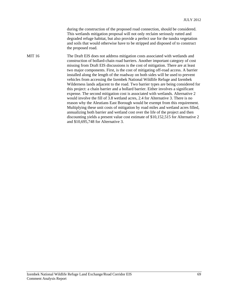during the construction of the proposed road connection, should be considered. This wetlands mitigation proposal will not only reclaim seriously rutted and degraded refuge habitat, but also provide a perfect use for the tundra vegetation and soils that would otherwise have to be stripped and disposed of to construct the proposed road.

MIT 16 The Draft EIS does not address mitigation costs associated with wetlands and construction of bollard-chain road barriers. Another important category of cost missing from Draft EIS discussions is the cost of mitigation. There are at least two major components. First, is the cost of mitigating off-road access. A barrier installed along the length of the roadway on both sides will be used to prevent vehicles from accessing the Izembek National Wildlife Refuge and Izembek Wilderness lands adjacent to the road. Two barrier types are being considered for this project: a chain barrier and a bollard barrier. Either involves a significant expense. The second mitigation cost is associated with wetlands. Alternative 2 would involve the fill of 3.8 wetland acres, 2.4 for Alternative 3. There is no reason why the Aleutians East Borough would be exempt from this requirement. Multiplying these unit costs of mitigation by road miles and wetland acres filled, annualizing both barrier and wetland cost over the life of the project and then discounting yields a present value cost estimate of \$10,152,515 for Alternative 2 and \$10,695,748 for Alternative 3.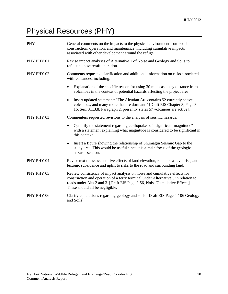# Physical Resources (PHY)

| PHY        | General comments on the impacts to the physical environment from road<br>construction, operation, and maintenance, including cumulative impacts<br>associated with other development around the refuge.                                                                         |
|------------|---------------------------------------------------------------------------------------------------------------------------------------------------------------------------------------------------------------------------------------------------------------------------------|
| PHY PHY 01 | Revise impact analyses of Alternative 1 of Noise and Geology and Soils to<br>reflect no hovercraft operation.                                                                                                                                                                   |
| PHY PHY 02 | Comments requested clarification and additional information on risks associated<br>with volcanoes, including:                                                                                                                                                                   |
|            | Explanation of the specific reason for using 30 miles as a key distance from<br>volcanoes in the context of potential hazards affecting the project area,                                                                                                                       |
|            | Insert updated statement: "The Aleutian Arc contains 52 currently active<br>volcanoes, and many more that are dormant." [Draft EIS Chapter 3, Page 3-<br>16, Sec. 3.1.3.8, Paragraph 2, presently states 57 volcanoes are active].                                              |
| PHY PHY 03 | Commenters requested revisions to the analysis of seismic hazards:                                                                                                                                                                                                              |
|            | Quantify the statement regarding earthquakes of "significant magnitude"<br>$\bullet$<br>with a statement explaining what magnitude is considered to be significant in<br>this context.                                                                                          |
|            | Insert a figure showing the relationship of Shumagin Seismic Gap to the<br>$\bullet$<br>study area. This would be useful since it is a main focus of the geologic<br>hazards section.                                                                                           |
| PHY PHY 04 | Revise text to assess additive effects of land elevation, rate of sea-level rise, and<br>tectonic subsidence and uplift to risks to the road and surrounding land.                                                                                                              |
| PHY PHY 05 | Review consistency of impact analysis on noise and cumulative effects for<br>construction and operation of a ferry terminal under Alternative 5 in relation to<br>roads under Alts 2 and 3. [Draft EIS Page 2-56, Noise/Cumulative Effects].<br>These should all be negligible. |
| PHY PHY 06 | Clarify conclusions regarding geology and soils. [Draft EIS Page 4-106 Geology<br>and Soils]                                                                                                                                                                                    |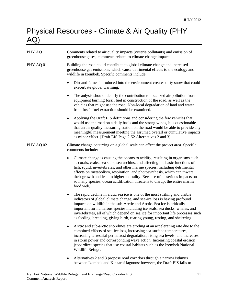## Physical Resources - Climate & Air Quality (PHY AQ)

| PHY AQ    | Comments related to air quality impacts (criteria pollutants) and emission of<br>greenhouse gases; comments related to climate change impacts.                                                                                                                                                                                                                                                                                                                                                                     |
|-----------|--------------------------------------------------------------------------------------------------------------------------------------------------------------------------------------------------------------------------------------------------------------------------------------------------------------------------------------------------------------------------------------------------------------------------------------------------------------------------------------------------------------------|
| PHY AQ 01 | Building the road could contribute to global climate change and increased<br>greenhouse gas emissions, which cause detrimental effects to the ecology and<br>wildlife in Izembek. Specific comments include:                                                                                                                                                                                                                                                                                                       |
|           | Dirt and fumes introduced into the environment creates dirty snow that could<br>$\bullet$<br>exacerbate global warming.                                                                                                                                                                                                                                                                                                                                                                                            |
|           | The anlysis should identify the contribution to localized air pollution from<br>٠<br>equipment burning fossil fuel in construction of the road, as well as the<br>vehicles that might use the road. Non-local degradation of land and water<br>from fossil fuel extraction should be examined.                                                                                                                                                                                                                     |
|           | Applying the Draft EIS definitions and considering the few vehicles that<br>$\bullet$<br>would use the road on a daily basis and the strong winds, it is questionable<br>that an air quality measuring station on the road would be able to provide any<br>meaningful measurement meeting the assumed overall or cumulative impacts<br>as minor effect. [Draft EIS Page 2-52 Alternatives 2 and 3]                                                                                                                 |
| PHY AQ 02 | Climate change occurring on a global scale can affect the project area. Specific<br>comments include:                                                                                                                                                                                                                                                                                                                                                                                                              |
|           | Climate change is causing the oceans to acidify, resulting in organisms such<br>$\bullet$<br>as corals, crabs, sea stars, sea urchins, and affecting the basic functions of<br>fish, squid, invertebrates, and other marine species, including detrimental<br>effects on metabolism, respiration, and photosynthesis, which can thwart<br>their growth and lead to higher mortality. Because of its serious impacts on<br>so many species, ocean acidification threatens to disrupt the entire marine<br>food web. |
|           | The rapid decline in arctic sea ice is one of the most striking and visible<br>$\bullet$<br>indicators of global climate change, and sea-ice loss is having profound<br>impacts on wildlife in the sub-Arctic and Arctic. Sea ice is critically<br>important for numerous species including ice seals, sea ducks, whales, and<br>invertebrates, all of which depend on sea ice for important life processes such<br>as feeding, breeding, giving birth, rearing young, resting, and sheltering.                    |
|           | Arctic and sub-arctic shorelines are eroding at an accelerating rate due to the<br>$\bullet$<br>combined effects of sea-ice loss, increasing sea-surface temperatures,<br>increasing terrestrial permafrost degradation, rising sea levels, and increases<br>in storm power and corresponding wave action. Increasing coastal erosion<br>jeopardizes species that use coastal habitats such as the Izembek National<br>Wildlife Refuge.                                                                            |
|           | Alternatives 2 and 3 propose road corridors through a narrow isthmus<br>between Izembek and Kinzarof lagoons; however, the Draft EIS fails to                                                                                                                                                                                                                                                                                                                                                                      |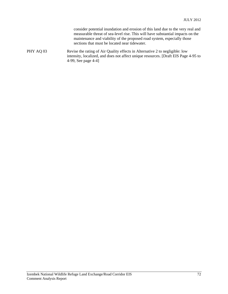|           | consider potential inundation and erosion of this land due to the very real and<br>measurable threat of sea-level rise. This will have substantial impacts on the<br>maintenance and viability of the proposed road system, especially those<br>sections that must be located near tidewater. |
|-----------|-----------------------------------------------------------------------------------------------------------------------------------------------------------------------------------------------------------------------------------------------------------------------------------------------|
| PHY AQ 03 | Revise the rating of Air Quality effects in Alternative 2 to negligible: low<br>intensity, localized, and does not affect unique resources. [Draft EIS Page 4-95 to<br>4-99, See page 4-4]                                                                                                    |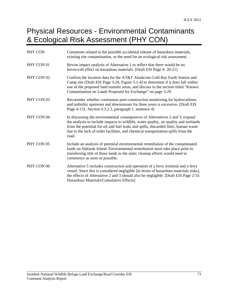#### Physical Resources - Environmental Contaminants & Ecological Risk Assessment (PHY CON)

| PHY CON    | Comments related to the possible accidental release of hazardous materials,<br>existing site contamination, or the need for an ecological risk assessment.                                                                                                                                                                                                |
|------------|-----------------------------------------------------------------------------------------------------------------------------------------------------------------------------------------------------------------------------------------------------------------------------------------------------------------------------------------------------------|
| PHY CON 01 | Revise impact analysis of Alternative 1 to reflect that there would be no<br>hovercraft effect on hazardous materials. [Draft EIS Page 4-20-21]                                                                                                                                                                                                           |
| PHY CON 02 | Confirm the location data for the AT&T Alaskcom Cold Bay Earth Station and<br>Camp site [Draft EIS Page 3-26, Figure 3.1-4] to determine if it does fall within<br>one of the proposed land transfer areas, and discuss in the section titled "Known"<br>Contamination on Lands Proposed for Exchange" on page 3-29.                                      |
| PHY CON 03 | Reconsider whether continuous post-construction monitoring for hydrocarbons<br>and turbidity upstream and downstream for three years is excessive. [Draft EIS<br>Page 4-131, Section 4.3.2.3, paragraph 1, sentence 4]                                                                                                                                    |
| PHY CON 04 | In discussing the environmental consequences of Alternatives 2 and 3, expand<br>the analysis to include impacts to wildlife, water quality, air quality and wetlands<br>from the potential for oil and fuel leaks and spills, discarded litter, human waste<br>due to the lack of toilet facilities, and chemical transportation spills from the<br>road. |
| PHY CON 05 | Include an analysis of potential environmental remediation of the contaminated<br>lands on Sitkinak Island. Environmental remediation must take place prior to<br>transferring title of those lands to the state; cleanup efforts would need to<br>commence as soon as possible.                                                                          |
| PHY CON 06 | Alternative 5 includes construction and operation of a ferry terminal and a ferry<br>vessel. Since this is considered negligible [in terms of hazardous materials risks],<br>the effects of Alternative 2 and 3 should also be negligible. [Draft EIS Page 2-55<br>Hazardous Materials/Cumulative Effects]                                                |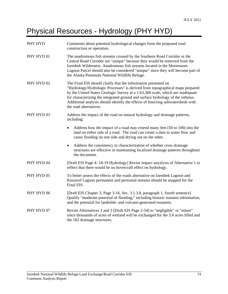# Physical Resources - Hydrology (PHY HYD)

| PHY HYD               | Comments about potential hydrological changes from the proposed road<br>construction or operation.                                                                                                                                                                                                                                                                                                                              |
|-----------------------|---------------------------------------------------------------------------------------------------------------------------------------------------------------------------------------------------------------------------------------------------------------------------------------------------------------------------------------------------------------------------------------------------------------------------------|
| PHY HYD 01            | The anadromous fish streams crossed by the Southern Road Corridor or the<br>Central Road Corridor are "unique" because they would be removed from the<br>Izembek Wilderness. Anadromous fish streams located in the Mortensens<br>Lagoon Parcel should also be considered "unique" since they will become part of<br>the Alaska Peninsula National Wildlife Refuge.                                                             |
| PHY HYD <sub>02</sub> | The Final EIS should clarify that the information presented on<br>"Hydrology/Hydrologic Processes" is derived from topographical maps prepared<br>by the United States Geologic Survey at a 1:63,360 scale, which are inadequate<br>for characterizing the integrated ground and surface hydrology of the isthmus.<br>Additional analysis should identify the effects of bisecting subwatersheds with<br>the road alternatives. |
| PHY HYD <sub>03</sub> | Address the impact of the road on natural hydrology and drainage patterns,<br>including:                                                                                                                                                                                                                                                                                                                                        |
|                       | Address how the impact of a road may extend many feet (50 to 100) into the<br>land on either side of a road. The road can create a dam to water flow and<br>cause flooding on one side and drying out on the other.                                                                                                                                                                                                             |
|                       | Address the consistency in characterization of whether cross drainage<br>$\bullet$<br>structures are effective in maintaining localized drainage patterns throughout<br>the document.                                                                                                                                                                                                                                           |
| PHY HYD 04            | [Draft EIS Page 4-18-19 Hydrology] Revise impact anyalysis of Alternative 1 to<br>reflect that there would be no hovercraft effect on hydrology.                                                                                                                                                                                                                                                                                |
| PHY HYD 05            | To better assess the effects of the roads alternative on Izembek Lagoon and<br>Kinzarof Lagoon permanent and perennial streams should be mapped for the<br>Final EIS.                                                                                                                                                                                                                                                           |
| PHY HYD 06            | [Draft EIS Chapter 3, Page 3-16, Sec. 3.1.3.8, paragraph 1, fourth sentence]<br>Qualify "moderate potential of flooding," including historic tsunami information,<br>and the potential for landslide- and volcano-generated tsunamis.                                                                                                                                                                                           |
| PHY HYD 07            | Revise Alternatives 2 and 3 [Draft EIS Page 2-54] to "negligible" or "minor"<br>since thousands of acres of wetland will be exchanged for the 3.8 acres filled and<br>the 162 drainage structures.                                                                                                                                                                                                                              |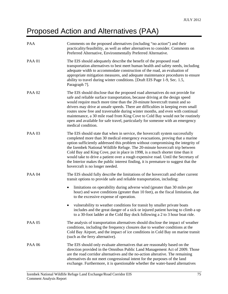# Proposed Action and Alternatives (PAA)

| PAA           | Comments on the proposed alternatives (including "no action") and their<br>practicality/feasibility, as well as other alternatives to consider. Comments on<br>Preferred Alternative, Environmentally Preferred Alternative.                                                                                                                                                                                                                                                                                                                                                                                                   |
|---------------|--------------------------------------------------------------------------------------------------------------------------------------------------------------------------------------------------------------------------------------------------------------------------------------------------------------------------------------------------------------------------------------------------------------------------------------------------------------------------------------------------------------------------------------------------------------------------------------------------------------------------------|
| <b>PAA 01</b> | The EIS should adequately describe the benefit of the proposed road<br>transportation alternatives to best meet human health and safety needs, including<br>adequate width to accommodate construction of the road, an evaluation of<br>appropriate mitigation measures, and adequate maintenance procedures to ensure<br>ability to travel during winter conditions. [Draft EIS Page 1-9, Sec. 1.5,<br>Paragraph 7].                                                                                                                                                                                                          |
| <b>PAA 02</b> | The EIS should disclose that the proposed road alternatives do not provide for<br>safe and reliable surface transportation, because driving at the design speed<br>would require much more time than the 20-minute hovercraft transit and so<br>drivers may drive at unsafe speeds. There are difficulties in keeping even small<br>routes snow free and traversable during winter months, and even with continual<br>maintenance, a 30 mile road from King Cove to Cold Bay would not be routinely<br>open and available for safe travel, particularly for someone with an emergency<br>medical condition.                    |
| <b>PAA 03</b> | The EIS should state that when in service, the hovercraft system successfully<br>completed more than 30 medical emergency evacuations, proving that a marine<br>option sufficiently addressed this problem without compromising the integrity of<br>the Izembek National Wildlife Refuge. The 20-minute hovercraft trip between<br>Cold Bay and King Cove, put in place in 1998, is a much shorter time than it<br>would take to drive a patient over a rough expensive road. Until the Secretary of<br>the Interior makes the public interest finding, it is premature to suggest that the<br>hovercraft is no longer needed. |
| <b>PAA 04</b> | The EIS should fully describe the limitations of the hovercraft and other current<br>transit options to provide safe and reliable transportation, including:                                                                                                                                                                                                                                                                                                                                                                                                                                                                   |
|               | limitations on operability during adverse wind (greater than 30 miles per<br>hour) and wave conditions (greater than 10 feet), as the fiscal limitation, due<br>to the excessive expense of operation.                                                                                                                                                                                                                                                                                                                                                                                                                         |
|               | vulnerability to weather conditions for transit by smaller private boats<br>includes and the great danger of a sick or injured patient having to climb a up<br>to a 30-foot ladder at the Cold Bay dock following a 2 to 3 hour boat ride.                                                                                                                                                                                                                                                                                                                                                                                     |
| <b>PAA 05</b> | The analysis of transportation alternatives should disclose the impact of weather<br>conditions, including the frequency closures due to weather conditions at the<br>Cold Bay Airport, and the impact of ice conditions in Cold Bay on marine transit<br>(such as the ferry alternative).                                                                                                                                                                                                                                                                                                                                     |
| <b>PAA 06</b> | The EIS should only evaluate alternatives that are reasonably based on the<br>direction provided in the Omnibus Public Land Management Act of 2009. Those<br>are the road corridor alternatives and the no-action alterative. The remaining<br>alternatives do not meet congressional intent for the purposes of the land<br>exchange. Furthermore, it is questionable whether the water-based alternatives                                                                                                                                                                                                                    |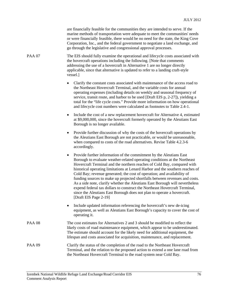|               | are financially feasible for the communities they are intended to serve. If the<br>marine methods of transportation were adequate to meet the communities' needs<br>or were financially feasible, there would be no need for the state, the King Cove<br>Corporation, Inc., and the federal government to negotiate a land exchange, and<br>go through the legislative and congressional approval processes.                                                                                                                                                                                                                                                                                                                                          |
|---------------|-------------------------------------------------------------------------------------------------------------------------------------------------------------------------------------------------------------------------------------------------------------------------------------------------------------------------------------------------------------------------------------------------------------------------------------------------------------------------------------------------------------------------------------------------------------------------------------------------------------------------------------------------------------------------------------------------------------------------------------------------------|
| <b>PAA 07</b> | The EIS should fully examine the operational and lifecycle costs associated with<br>the hovercraft operations including the following. [Note that comments<br>addressing the use of a hovercraft in Alternative 1 are no longer directly<br>applicable, since that alternative is updated to refer to a landing craft-style<br>vessel.]                                                                                                                                                                                                                                                                                                                                                                                                               |
|               | Clarify the constant costs associated with maintenance of the access road to<br>٠<br>the Northeast Hovercraft Terminal, and the variable costs for annual<br>operating expenses (including details on weekly and seasonal frequency of<br>service, transit route, and harbor to be used [Draft EIS p, 2-27]), yielding a<br>total for the "life cycle costs." Provide more information on how operational<br>and lifecycle cost numbers were calculated as footnotes to Table 2.4-1.                                                                                                                                                                                                                                                                  |
|               | Include the cost of a new replacement hovercraft for Alternative 4, estimated<br>$\bullet$<br>at \$9,000,000, since the hovercraft formerly operated by the Aleutians East<br>Borough is no longer available.                                                                                                                                                                                                                                                                                                                                                                                                                                                                                                                                         |
|               | Provide further discussion of why the costs of the hovercraft operations by<br>٠<br>the Aleutians East Borough are not practicable, or would be unreasonable,<br>when compared to costs of the road alternatives. Revise Table 4.2.3-6<br>accordingly.                                                                                                                                                                                                                                                                                                                                                                                                                                                                                                |
|               | Provide further information of the commitment by the Aleutians East<br>$\bullet$<br>Borough to evaluate weather-related operating conditions at the Northeast<br>Hovercraft Terminal and the northern reaches of Cold Bay, compared with<br>historical operating limitations at Lenard Harbor and the southern reaches of<br>Cold Bay; revenue generated; the cost of operation; and availability of<br>funding sources to make up projected shortfalls between revenues and costs.<br>As a side note, clarify whether the Aleutians East Borough will nevertheless<br>expend federal tax dollars to construct the Northeast Hovercraft Terminal,<br>since the Aleutians East Borough does not plan to operate a hovercraft.<br>[Draft EIS Page 2-19] |
|               | Include updated information referencing the hovercraft's new de-icing<br>equipment, as well as Aleutians East Borough's capacity to cover the cost of<br>operating it.                                                                                                                                                                                                                                                                                                                                                                                                                                                                                                                                                                                |
| <b>PAA 08</b> | The cost estimates for Alternatives 2 and 3 should be modified to reflect the<br>likely costs of road maintenance equipment, which appear to be underestimated.<br>The estimate should account for the likely need for additional equipment, the<br>lifespan and costs associated for acquisition, maintenance, and replacement.                                                                                                                                                                                                                                                                                                                                                                                                                      |
| <b>PAA 09</b> | Clarify the status of the completion of the road to the Northeast Hovercraft<br>Terminal, and the relation to the proposed action to extend a one lane road from<br>the Northeast Hovercraft Terminal to the road system near Cold Bay.                                                                                                                                                                                                                                                                                                                                                                                                                                                                                                               |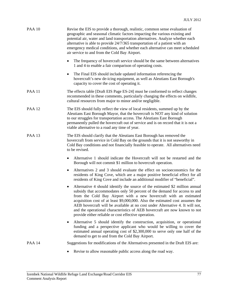| <b>PAA 10</b> | Revise the EIS to provide a thorough, realistic, common sense evaluation of<br>geographic and seasonal climatic factors impacting the various existing and<br>potential air, water and land transportation alternatives. Analyze whether each<br>alternative is able to provide 24/7/365 transportation of a patient with an<br>emergency medical conditions, and whether each alternative can meet scheduled<br>air service to and from the Cold Bay Airport.                                                                                      |
|---------------|-----------------------------------------------------------------------------------------------------------------------------------------------------------------------------------------------------------------------------------------------------------------------------------------------------------------------------------------------------------------------------------------------------------------------------------------------------------------------------------------------------------------------------------------------------|
|               | The frequency of hovercraft service should be the same between alternatives<br>$\bullet$<br>1 and 4 to enable a fair comparison of operating costs.                                                                                                                                                                                                                                                                                                                                                                                                 |
|               | The Final EIS should include updated information referencing the<br>$\bullet$<br>hovercraft's new de-icing equipment, as well as Aleutians East Borough's<br>capacity to cover the cost of operating it.                                                                                                                                                                                                                                                                                                                                            |
| <b>PAA 11</b> | The effects table [Draft EIS Page ES-24] must be conformed to reflect changes<br>recommended in these comments, particularly changing the effects on wildlife,<br>cultural resources from major to minor and/or negligible.                                                                                                                                                                                                                                                                                                                         |
| <b>PAA 12</b> | The EIS should fully reflect the view of local residents, summed up by the<br>Aleutians East Borough Mayor, that the hovercraft is NOT any kind of solution<br>to our struggles for transportation access. The Aleutians East Borough<br>permanently pulled the hovercraft out of service and is on record that it is not a<br>viable alternative to a road any time of year.                                                                                                                                                                       |
| <b>PAA 13</b> | The EIS should clarify that the Aleutians East Borough has removed the<br>hovercraft from service in Cold Bay on the grounds that it is not seaworthy in<br>Cold Bay conditions and not financially feasible to operate. All alternatives need<br>to be revised.                                                                                                                                                                                                                                                                                    |
|               | Alternative 1 should indicate the Hovercraft will not be restarted and the<br>٠<br>Borough will not commit \$1 million to hovercraft operation.                                                                                                                                                                                                                                                                                                                                                                                                     |
|               | Alternatives 2 and 3 should evaluate the effect on socioeconomics for the<br>$\bullet$<br>residents of King Cove, which are a major positive beneficial effect for all<br>residents of King Cove and include an additional modifier of "beneficial".                                                                                                                                                                                                                                                                                                |
|               | Alternative 4 should identify the source of the estimated \$2 million annual<br>$\bullet$<br>subsidy that accommodates only 50 percent of the demand for access to and<br>from the Cold Bay Airport with a new hovercraft with an estimated<br>acquisition cost of at least \$9,000,000. Also the estimated cost assumes the<br>AEB hovercraft will be available at no cost under Alternative 4. It will not,<br>and the operational characteristics of AEB hovercraft are now known to not<br>provide either reliable or cost effective operation. |
|               | Alternative 5 should identify the construction, acquisition, or operational<br>٠<br>funding and a perspective applicant who would be willing to cover the<br>estimated annual operating cost of \$2,300,000 to serve only one half of the<br>demand to get to and from the Cold Bay Airport.                                                                                                                                                                                                                                                        |
| <b>PAA 14</b> | Suggestions for modifications of the Alternatives presented in the Draft EIS are:                                                                                                                                                                                                                                                                                                                                                                                                                                                                   |
|               | Revise to allow reasonable public access along the road way.                                                                                                                                                                                                                                                                                                                                                                                                                                                                                        |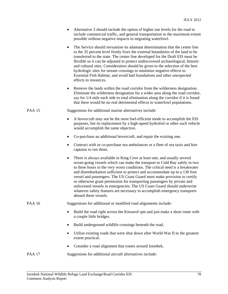| Alternative 3 should include the option of higher use levels for the road to |
|------------------------------------------------------------------------------|
| include commercial traffic, and general transportation to the maximum extent |
| possible without negative impacts to migrating waterfowl.                    |

- The Service should reexamine its adamant determination that the center line to the 35 percent level firmly fixes the external boundaries of the land to be transferred to the state. The center line developed for the Draft EIS must be flexible so it can be adjusted to protect undiscovered archaeological, historic and cultural sites. Consideration should be given to the selection of the best hydrologic sites for stream crossings to minimize negative effects to Essential Fish Habitat, and avoid bad foundations and other unexpected effects to resources.
- Remove the lands within the road corridor from the wilderness designation. Eliminate the wilderness designation for a wider area along the road corridor, say for 1/4 mile each side to total elimination along the corridor if it is found that there would be no real detrimental effects to waterfowl populations.

PAA 15 Suggestions for additional marine alternatives include:

- A hovercraft may not be the most fuel-efficient mode to accomplish the EIS purposes, but its replacement by a high-speed hydrofoil or other such vehicle would accomplish the same objective.
- Co-purchase an additional hovercraft, and repair the existing one.
- Contract with or co-purchase sea ambulances or a fleet of sea taxis and hire captains to run them.
- There is always available in King Cove at least one, and usually several ocean-going vessels which can make the transport to Cold Bay safely in two to three hours in the very worst conditions. The critical need is a breakwater and disembarkation sufficient to protect and accommodate up to a 130 foot vessel and passengers. The US Coast Guard must make provision to certify or otherwise grant permission for transporting passengers by private and unlicensed vessels in emergencies. The US Coast Guard should underwrite whatever safety features are necessary to accomplish emergency transports aboard these vessels.

PAA 16 Suggestions for additional or modified road alignments include:

- Build the road right across the Kinzarof spit and just make a short route with a couple little bridges.
- Build underground wildlife crossings beneath the road.
- Utilize existing roads that were shut down after World War II to the greatest extent practical.
- Consider a road alignment that routes around Izembek.

#### PAA 17 Suggestions for additional aircraft alternatives include: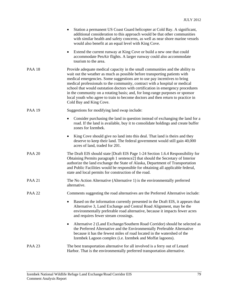|               | Station a permanent US Coast Guard helicopter at Cold Bay. A significant,<br>$\bullet$<br>additional consideration to this approach would be that other communities<br>with similar health and safety concerns, as well as near shore marine vessels<br>would also benefit at an equal level with King Cove.                                                                                                                                                                                                                                                                                             |
|---------------|----------------------------------------------------------------------------------------------------------------------------------------------------------------------------------------------------------------------------------------------------------------------------------------------------------------------------------------------------------------------------------------------------------------------------------------------------------------------------------------------------------------------------------------------------------------------------------------------------------|
|               | Extend the current runway at King Cove or build a new one that could<br>$\bullet$<br>accommodate PenAir flights. A larger runway could also accommodate<br>tourism to the area.                                                                                                                                                                                                                                                                                                                                                                                                                          |
| <b>PAA 18</b> | Provide adequate medical capacity in the small communities and the ability to<br>wait out the weather as much as possible before transporting patients with<br>medical emergencies. Some suggestions are to use pay incentives to bring<br>medical professionals to the community, contract with a hospital or medical<br>school that would outstation doctors with certification in emergency procedures<br>in the community on a rotating basis; and, for long-range purposes or sponsor<br>local youth who agree to train to become doctors and then return to practice in<br>Cold Bay and King Cove. |
| <b>PAA 19</b> | Suggestions for modifying land swap include:                                                                                                                                                                                                                                                                                                                                                                                                                                                                                                                                                             |
|               | Consider purchasing the land in question instead of exchanging the land for a<br>$\bullet$<br>road. If the land is available, buy it to consolidate holdings and create buffer<br>zones for Izembek.                                                                                                                                                                                                                                                                                                                                                                                                     |
|               | King Cove should give no land into this deal. That land is theirs and they<br>$\bullet$<br>deserve to keep their land. The federal government would still gain 40,000<br>acres of land, traded for 201.                                                                                                                                                                                                                                                                                                                                                                                                  |
| <b>PAA 20</b> | The Draft EIS should state [Draft EIS Page 1-24 Section 1.6.4 Responsibility for<br>Obtaining Permits paragraph 1 sentence2] that should the Secretary of Interior<br>authorize the land exchange the State of Alaska, Department of Transportation<br>and Public Facilities would be responsible for obtaining all applicable federal,<br>state and local permits for construction of the road.                                                                                                                                                                                                         |
| <b>PAA 21</b> | The No Action Alternative (Alternative 1) is the environmentally preferred<br>alternative.                                                                                                                                                                                                                                                                                                                                                                                                                                                                                                               |
| <b>PAA 22</b> | Comments suggesting the road alternatives are the Preferred Alternative include:                                                                                                                                                                                                                                                                                                                                                                                                                                                                                                                         |
|               | Based on the information currently presented in the Draft EIS, it appears that<br>Alternative 3, Land Exchange and Central Road Alignment, may be the<br>environmentally preferable road alternative, because it impacts fewer acres<br>and requires fewer stream crossings.                                                                                                                                                                                                                                                                                                                             |
|               | Alternative 2 (Land Exchange/Southern Road Corridor) should be selected as<br>the Preferred Alternative and the Environmentally Preferable Alternative<br>because it has the fewest miles of road located in the watershed of the<br>Izembek Lagoon complex (i.e. Izembek and Moffat lagoons).                                                                                                                                                                                                                                                                                                           |
| <b>PAA 23</b> | The best transportation alternative for all involved is a ferry out of Lenard<br>Harbor. That is the environmentally preferred transportation alternative.                                                                                                                                                                                                                                                                                                                                                                                                                                               |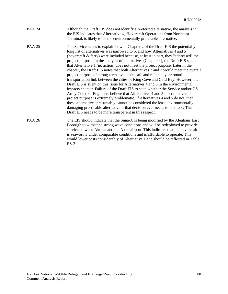| PAA 24 | Although the Draft EIS does not identify a preferred alternative, the analysis in |
|--------|-----------------------------------------------------------------------------------|
|        | the EIS indicates that Alternative 4, Hovercraft Operations from Northeast        |
|        | Terminal, is likely to be the environmentally preferable alternative.             |

- PAA 25 The Service needs to explain how in Chapter 2 of the Draft EIS the potentially long list of alternatives was narrowed to 5, and how Alternatives 4 and 5 (hovercraft & ferry) were included because, at least in part, they "addressed" the project purpose. In the analysis of alternatives (Chapter 4), the Draft EIS states that Alternative 1 (no action) does not meet the project purpose. Later in the chapter, the Draft EIS notes that both Alternatives 2 and 3 would meet the overall project purpose of a long-term, available, safe and reliable, year round transportation link between the cities of King Cove and Cold Bay. However, the Draft EIS is silent on this issue for Alternatives 4 and 5 in the environmental impacts chapter. Failure of the Draft EIS to state whether the Service and/or US Army Corps of Engineers believe that Alternatives 4 and 5 meet the overall project purpose is extremely problematic. If Alternatives 4 and 5 do not, then these alternatives presumably cannot be considered the least environmentally damaging practicable alternative if that decision ever needs to be made. The Draft EIS needs to be more transparent in this respect.
- PAA 26 The EIS should indicate that the Suna-X is being modified by the Aleutians East Borough to withstand strong wave conditions and will be redeployed to provide service between Akutan and the Akun airport. This indicates that the hovercraft is seaworthy under comparable conditions and is affordable to operate. This would lower costs considerably of Alternative 1 and should be reflected in Table ES-2.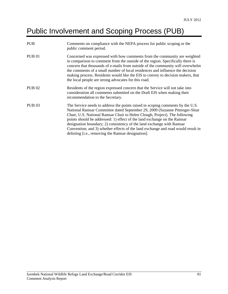### Public Involvement and Scoping Process (PUB)

| <b>PUB</b>    | Comments on compliance with the NEPA process for public scoping or the<br>public comment period.                                                                                                                                                                                                                                                                                                                                                                                                                                           |
|---------------|--------------------------------------------------------------------------------------------------------------------------------------------------------------------------------------------------------------------------------------------------------------------------------------------------------------------------------------------------------------------------------------------------------------------------------------------------------------------------------------------------------------------------------------------|
| <b>PUB 01</b> | Concerned was expressed with how comments from the community are weighted<br>in comparison to comment from the outside of the region. Specifically there is<br>concern that thousands of e-mails from outside of the community will overwhelm<br>the comments of a small number of local residences and influence the decision<br>making process. Residents would like the EIS to convey to decision makers, that<br>the local people are strong advocates for this road.                                                                  |
| <b>PUB 02</b> | Residents of the region expressed concern that the Service will not take into<br>consideration all comments submitted on the Draft EIS when making their<br>recommendation to the Secretary.                                                                                                                                                                                                                                                                                                                                               |
| <b>PUB 03</b> | The Service needs to address the points raised in scoping comments by the U.S.<br>National Ramsar Committee dated September 29, 2009 (Suzanne Pittenger-Slear<br>Chair, U.S. National Ramsar Chair to Helen Clough, Project). The following<br>points should be addressed: 1) effect of the land exchange on the Ramsar<br>designation boundary; 2) consistency of the land exchange with Ramsar<br>Convention; and 3) whether effects of the land exchange and road would result in<br>delisting [i.e., removing the Ramsar designation]. |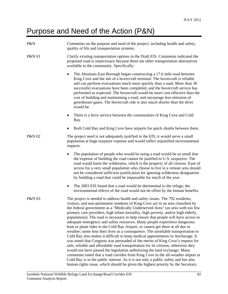#### Purpose and Need of the Action (P&N)

| P&N               | Comments on the purpose and need of the project; including health and safety,<br>quality of life and transportation systems.                                                                                                                                                                                                                                                                                                                                                                                                                                                                                                                                                                                                                                                                                                                                                                                                                                                                                                                                                                                                                                                                                                                                                          |
|-------------------|---------------------------------------------------------------------------------------------------------------------------------------------------------------------------------------------------------------------------------------------------------------------------------------------------------------------------------------------------------------------------------------------------------------------------------------------------------------------------------------------------------------------------------------------------------------------------------------------------------------------------------------------------------------------------------------------------------------------------------------------------------------------------------------------------------------------------------------------------------------------------------------------------------------------------------------------------------------------------------------------------------------------------------------------------------------------------------------------------------------------------------------------------------------------------------------------------------------------------------------------------------------------------------------|
| <b>P&amp;N 01</b> | Clarify existing transportation options in the Draft EIS. Comments indicated the<br>proposed road is unnecessary because there are other transportation alternatives<br>available to the community. Specifically:                                                                                                                                                                                                                                                                                                                                                                                                                                                                                                                                                                                                                                                                                                                                                                                                                                                                                                                                                                                                                                                                     |
|                   | The Aleutians East Borough began constructing a 17.6 mile road between<br>King Cove and the site of a hovercraft terminal. The hovercraft is reliable<br>and can perform evacuations much more quickly than a road. More than 30<br>successful evacuations have been completed, and the hovercraft service has<br>performed as expected. The hovercraft would be more cost effective than the<br>cost of building and maintaining a road, and encourage less emission of<br>greenhouse gases. The hovercraft ride is also much shorter than the drive<br>would be.                                                                                                                                                                                                                                                                                                                                                                                                                                                                                                                                                                                                                                                                                                                    |
|                   | There is a ferry service between the communities of King Cove and Cold<br>Bay.                                                                                                                                                                                                                                                                                                                                                                                                                                                                                                                                                                                                                                                                                                                                                                                                                                                                                                                                                                                                                                                                                                                                                                                                        |
|                   | Both Cold Bay and King Cove have airports for quick shuttle between them.                                                                                                                                                                                                                                                                                                                                                                                                                                                                                                                                                                                                                                                                                                                                                                                                                                                                                                                                                                                                                                                                                                                                                                                                             |
| <b>P&amp;N 02</b> | The project need is not adequately justified in the EIS; it would serve a small<br>population at huge taxpayer expense and would inflict unjustified environmental<br>impacts.                                                                                                                                                                                                                                                                                                                                                                                                                                                                                                                                                                                                                                                                                                                                                                                                                                                                                                                                                                                                                                                                                                        |
|                   | The population of people who would be using a road would be so small that<br>$\bullet$<br>the expense of building the road cannot be justified to U.S. taxpayers. The<br>road would harm the wilderness, which is the property of all citizens. Ease of<br>access for a very small population who choose to live in a remote area should<br>not be considered sufficient justification for ignoring wilderness designation<br>by building a road that could be impassable for much of the year.                                                                                                                                                                                                                                                                                                                                                                                                                                                                                                                                                                                                                                                                                                                                                                                       |
|                   | The 2003 EIS found that a road would be detrimental to the refuge; the<br>٠<br>environmental effects of the road would not be offset by the human benefits.                                                                                                                                                                                                                                                                                                                                                                                                                                                                                                                                                                                                                                                                                                                                                                                                                                                                                                                                                                                                                                                                                                                           |
| P&N 03            | The project is needed to address health and safety issues. The 792 residents,<br>visitors, and non-permanent residents of King Cove are in an area classified by<br>the federal government as a "Medically Underserved Area" (an area with too few<br>primary care providers, high infant mortality, high poverty, and/or high elderly<br>populations). The road is necessary to help ensure that people will have access to<br>adequate emergency and safety resources. Many people experience dangerous<br>boat or plane rides to the Cold Bay Airport, or cannot get there at all due to<br>weather; some lose their lives as a consequence. The unreliable transportation to<br>Cold Bay also makes it difficult to keep medical appointments in Anchorage. It<br>was noted that Congress was persuaded of the merits of King Cove's request for<br>safe, reliable and affordable road transportation for its citizens, otherwise they<br>would not have passed the legislation authorizing the land exchange. Many<br>comments noted that a road corridor from King Cove to the all-weather airport at<br>Cold Bay is in the public interest. As it is not only a public safety and but also<br>human rights issue, which should be given the highest priority by the Secretary. |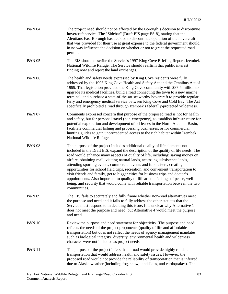| P&N 04            | The project need should not be affected by the Borough's decision to discontinue<br>hovercraft service. The "Sidebar" [Draft EIS page ES-8], stating that the<br>Aleutians East Borough has decided to discontinue operation of the hovercraft<br>that was provided for their use at great expense to the federal government should<br>in no way influence the decision on whether or not to grant the requested road<br>permit.                                                                                                                                                                                                                                                                                                                                                |
|-------------------|---------------------------------------------------------------------------------------------------------------------------------------------------------------------------------------------------------------------------------------------------------------------------------------------------------------------------------------------------------------------------------------------------------------------------------------------------------------------------------------------------------------------------------------------------------------------------------------------------------------------------------------------------------------------------------------------------------------------------------------------------------------------------------|
| P&N 05            | The EIS should describe the Service's 1997 King Cove Briefing Report, Izembek<br>National Wildlife Refuge. The Service should reaffirm that public interest<br>finding now and reject the land exchanges.                                                                                                                                                                                                                                                                                                                                                                                                                                                                                                                                                                       |
| P&N 06            | The health and safety needs expressed by King Cove residents were fully<br>addressed by the 1998 King Cove Health and Safety Act and the Omnibus Act of<br>1999. That legislation provided the King Cove community with \$37.5 million to<br>upgrade its medical facilities, build a road connecting the town to a new marine<br>terminal, and purchase a state-of-the-art seaworthy hovercraft to provide regular<br>ferry and emergency medical service between King Cove and Cold Bay. The Act<br>specifically prohibited a road through Izembek's federally-protected wilderness.                                                                                                                                                                                           |
| P&N 07            | Comments expressed concern that purpose of the proposed road is not for health<br>and safety, but for personal travel (non-emergency), to establish infrastructure for<br>potential exploration and development of oil leases in the North Aleutian Basin,<br>facilitate commercial fishing and processing businesses, or for commercial<br>hunting guides to gain unprecedented access to the rich habitat within Izembek<br>National Wildlife Refuge.                                                                                                                                                                                                                                                                                                                         |
| <b>P&amp;N 08</b> | The purpose of the project includes additional quality of life elements not<br>included in the Draft EIS; expand the description of the quality of life needs. The<br>road would enhance many aspects of quality of life, including: saving money on<br>airfare, obtaining mail, visiting natural lands, accessing subsistence lands,<br>attending sporting events, commercial events and fundraisers, creating<br>opportunities for school field trips, recreation, and convenient transportation to<br>visit friends and family, get to bigger cities for business trips and doctor's<br>appointments. Also important to quality of life are the feelings of peace, well-<br>being, and security that would come with reliable transportation between the two<br>communities. |
| P&N 09            | The EIS fails to accurately and fully frame whether non-road alternatives meet<br>the purpose and need and it fails to fully address the other statutes that the<br>Service must respond to in deciding this issue. It is unclear why Alternative 1<br>does not meet the purpose and need, but Alternative 4 would meet the purpose<br>and need.                                                                                                                                                                                                                                                                                                                                                                                                                                |
| <b>P&amp;N 10</b> | Review the purpose and need statement for objectivity. The purpose and need<br>reflects the needs of the project proponents (quality of life and affordable<br>transportation) but does not reflect the needs of agency management mandates,<br>such as biological integrity, diversity, environmental health and wilderness<br>character were not included as project needs.                                                                                                                                                                                                                                                                                                                                                                                                   |
| <b>P&amp;N 11</b> | The purpose of the project infers that a road would provide highly reliable<br>transportation that would address health and safety issues. However, the<br>proposed road would not provide the reliability of transportation that is inferred<br>due to Alaska weather (including fog, snow, landslides, and earthquakes). The                                                                                                                                                                                                                                                                                                                                                                                                                                                  |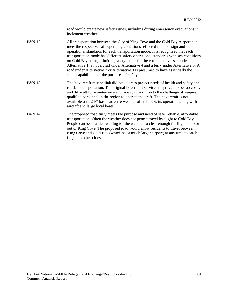|        | road would create new safety issues, including during emergency evacuations in<br>inclement weather.                                                                                                                                                                                                                                                                                                                                                                                                                                                                                                                                     |
|--------|------------------------------------------------------------------------------------------------------------------------------------------------------------------------------------------------------------------------------------------------------------------------------------------------------------------------------------------------------------------------------------------------------------------------------------------------------------------------------------------------------------------------------------------------------------------------------------------------------------------------------------------|
| P&N 12 | All transportation between the City of King Cove and the Cold Bay Airport can<br>meet the respective safe operating conditions reflected in the design and<br>operational standards for each transportation mode. It is recognized that each<br>transportation mode has different safety operational standards with sea conditions<br>on Cold Bay being a limiting safety factor for the conceptual vessel under<br>Alternative 1, a hovercraft under Alternative 4 and a ferry under Alternative 5. A<br>road under Alternative 2 or Alternative 3 is presumed to have essentially the<br>same capabilities for the purposes of safety. |
| P&N 13 | The hovercraft marine link did not address project needs of health and safety and<br>reliable transportation. The original hovercraft service has proven to be too costly<br>and difficult for maintenance and repair, in addition to the challenge of keeping<br>qualified personnel in the region to operate the craft. The hovercraft is not                                                                                                                                                                                                                                                                                          |

available on a 24/7 basis; adverse weather often blocks its operation along with

P&N 14 The proposed road fully meets the purpose and need of safe, reliable, affordable transportation. Often the weather does not permit travel by flight to Cold Bay. People can be stranded waiting for the weather to clear enough for flights into or out of King Cove. The proposed road would allow residents to travel between King Cove and Cold Bay (which has a much larger airport) at any time to catch flights to other cities.

aircraft and large local boats.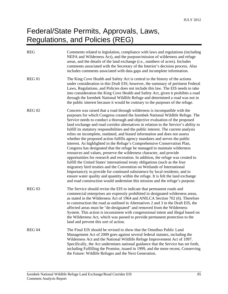#### Federal/State Permits, Approvals, Laws, Regulations, and Policies (REG)

| <b>REG</b>    | Comments related to legislation, compliance with laws and regulations (including<br>NEPA and Wilderness Act), and the purpose/mission of wilderness and refuge<br>areas, and the details of the land exchange (i.e., numbers of acres). Includes<br>comments associated with the Secretary of the Interior's decision process. Also<br>includes comments associated with data gaps and incomplete information.                                                                                                                                                                                                                                                                                                                                                                                                                                                                                                                                                                                                                                                                                                                                                                                                                                                                                                                  |
|---------------|---------------------------------------------------------------------------------------------------------------------------------------------------------------------------------------------------------------------------------------------------------------------------------------------------------------------------------------------------------------------------------------------------------------------------------------------------------------------------------------------------------------------------------------------------------------------------------------------------------------------------------------------------------------------------------------------------------------------------------------------------------------------------------------------------------------------------------------------------------------------------------------------------------------------------------------------------------------------------------------------------------------------------------------------------------------------------------------------------------------------------------------------------------------------------------------------------------------------------------------------------------------------------------------------------------------------------------|
| <b>REG 01</b> | The King Cove Health and Safety Act is central to the history of the actions<br>under consideration in this Draft EIS; however, the summary of pertinent Federal<br>Laws, Regulations, and Policies does not include this law. The EIS needs to take<br>into consideration the King Cove Health and Safety Act, given it prohibits a road<br>through the Izembek National Wildlife Refuge and determined a road was not in<br>the public interest because it would be contrary to the purposes of the refuge.                                                                                                                                                                                                                                                                                                                                                                                                                                                                                                                                                                                                                                                                                                                                                                                                                   |
| <b>REG 02</b> | Concern was raised that a road through wilderness is incompatible with the<br>purposes for which Congress created the Izembek National Wildlife Refuge. The<br>Service needs to conduct a thorough and objective evaluation of the proposed<br>land exchange and road corridor alternatives in relation to the Service's ability to<br>fulfill its statutory responsibilities and the public interest. The current analysis<br>relies on incomplete, outdated, and biased information and does not assess<br>whether the proposed action fulfills agency mandates and serves the public<br>interest. As highlighted in the Refuge's Comprehensive Conservation Plan,<br>Congress has designated that the refuge be managed to maintain wilderness<br>resources and values, preserve the wilderness character, and provide<br>opportunities for research and recreation. In addition, the refuge was created to<br>fulfill the United States' international treaty obligations (such as the four<br>migratory bird treaties and the Convention on Wetlands of International<br>Importance); to provide for continued subsistence by local residents; and to<br>ensure water quality and quantity within the refuge. It is felt the land exchange<br>and road construction would undermine this mission and the refuge's purpose. |
| <b>REG 03</b> | The Service should revise the EIS to indicate that permanent roads and<br>commercial enterprises are expressly prohibited in designated wilderness areas,<br>as stated in the Wilderness Act of 1964 and ANILCA Section 702 (6). Therefore<br>to construction the road as outlined in Alternatives 2 and 3 in the Draft EIS, the<br>affected areas must be "de-designated" and removed from the Wilderness<br>System. This action is inconsistent with congressional intent and illegal based on<br>the Wilderness Act, which was passed to provide permanent protection to the<br>land and prevent this sort of action.                                                                                                                                                                                                                                                                                                                                                                                                                                                                                                                                                                                                                                                                                                        |
| <b>REG 04</b> | The Final EIS should be revised to show that the Omnibus Public Land<br>Management Act of 2009 goes against several federal statutes, including the<br>Wilderness Act and the National Wildlife Refuge Improvement Act of 1997.<br>Specifically, the Act undermines national guidance that the Service has set forth,<br>including Fulfilling the Promise, issued in 1999, and the more recent, Conserving<br>the Future: Wildlife Refuges and the Next Generation.                                                                                                                                                                                                                                                                                                                                                                                                                                                                                                                                                                                                                                                                                                                                                                                                                                                             |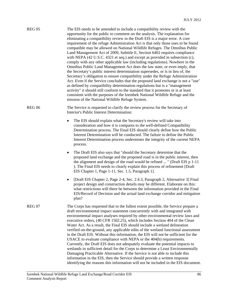| <b>REG 05</b> | The EIS needs to be amended to include a compatibility review with the<br>opportunity for the public to comment on the analysis. The explanation for<br>eliminating a compatibility review in the Draft EIS is a major error. A core<br>requirement of the refuge Administration Act is that only those uses to be found<br>compatible may be allowed on National Wildlife Refuges. The Omnibus Public<br>Land Management Act of 2009, Subtitle E, Section 6402 requires compliance<br>with NEPA (42 U.S.C. 4321 et seq.) and except as provided in subsection (c),<br>comply with any other applicable law (including regulations). Nowhere in the<br>Omnibus Public Land Management Act does the law state, or even imply, that<br>the Secretary's public interest determination supersedes, or is in lieu of, the<br>Secretary's obligation to ensure compatibility under the Refuge Administration<br>Act. Even if the Service concludes that the proposed land exchange is not a "use"<br>as defined by compatibility determination regulations but is a "management<br>activity" it should still conform to the standard that it promotes or is at least<br>consistent with the purposes of the Izembek National Wildlife Refuge and the<br>mission of the National Wildlife Refuge System. |
|---------------|---------------------------------------------------------------------------------------------------------------------------------------------------------------------------------------------------------------------------------------------------------------------------------------------------------------------------------------------------------------------------------------------------------------------------------------------------------------------------------------------------------------------------------------------------------------------------------------------------------------------------------------------------------------------------------------------------------------------------------------------------------------------------------------------------------------------------------------------------------------------------------------------------------------------------------------------------------------------------------------------------------------------------------------------------------------------------------------------------------------------------------------------------------------------------------------------------------------------------------------------------------------------------------------------------|
| <b>REG 06</b> | The Service is requested to clarify the review process for the Secretary of<br>Interior's Public Interest Determination:                                                                                                                                                                                                                                                                                                                                                                                                                                                                                                                                                                                                                                                                                                                                                                                                                                                                                                                                                                                                                                                                                                                                                                          |
|               | The EIS should explain what the Secretary's review will take into<br>consideration and how it is compares to the well-defined Compatibility<br>Determination process. The Final EIS should clearly define how the Public<br>Interest Determination will be conducted. The failure to define the Public<br>Interest Determination process undermines the integrity of the current NEPA<br>process.                                                                                                                                                                                                                                                                                                                                                                                                                                                                                                                                                                                                                                                                                                                                                                                                                                                                                                 |
|               | The Draft EIS also says that "should the Secretary determine that the<br>٠<br>proposed land exchange and the proposed road is in the public interest, then<br>the alignment and design of the road would be refined  " (Draft EIS p 1-11)<br>). The Final EIS needs to clearly explain this process of refinement [Draft]<br>EIS Chapter 1, Page 1-11, Sec. 1.5, Paragraph 1].                                                                                                                                                                                                                                                                                                                                                                                                                                                                                                                                                                                                                                                                                                                                                                                                                                                                                                                    |
|               | [Draft EIS Chapter 2, Page 2-4, Sec. 2.4.3, Paragraph 2, Alternative 3] Final<br>٠<br>project design and construction details may be different. Elaborate on this:<br>what restrictions will there be between the information provided in the Final<br>EIS/Record of Decision and the actual land exchange corridor and mitigation<br>plan?                                                                                                                                                                                                                                                                                                                                                                                                                                                                                                                                                                                                                                                                                                                                                                                                                                                                                                                                                       |
| <b>REG 07</b> | The Corps has requested that to the fullest extent possible, the Service prepare a<br>draft environmental impact statement concurrently with and integrated with<br>environmental impact analyses required by other environmental review laws and<br>executive orders, (40 CFR 1502.25), which includes Section 404 of the Clean<br>Water Act. As a result, the Final EIS should include a wetland delineation<br>verified on-the-ground, any applicable edits of the wetland functional assessment<br>in the Draft EIS. Without this information, the EIS will not be sufficient for the<br>USACE to evaluate compliance with NEPA or the 404(b) requirements.<br>Currently, the Draft EIS does not adequately evaluate the potential impacts to<br>wetlands in sufficient detail for the Corps to determine a Least Environmentally<br>Damaging Practicable Alternative. If the Service is not able to include this<br>information in the EIS, then the Service should provide a written response<br>identifying the reasons this information will not be included in the EIS document.                                                                                                                                                                                                         |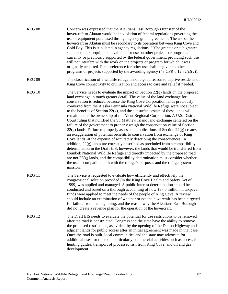| <b>REG 08</b>     | Concern was expressed that the Aleutians East Borough's transfer of the<br>hovercraft to Akutan would be in violation of federal regulations governing the<br>use of equipment purchased through agency grant agreements. The use of the<br>hovercraft in Akutan must be secondary to its operation between King Cove and<br>Cold Bay. This is stipulated in agency regulations, "[t]he grantee or sub grantee<br>shall also make equipment available for use on other projects or programs<br>currently or previously supported by the federal government, providing such use<br>will not interfere with the work on the projects or program for which it was<br>originally acquired. First preference for other use shall be given to other<br>programs or projects supported by the awarding agency $(43 \text{ CFR } \S \ 12.72(c)(2)).$                                                                                                                                                                                                                                                                                                                                                                                                                                                                                                                        |
|-------------------|---------------------------------------------------------------------------------------------------------------------------------------------------------------------------------------------------------------------------------------------------------------------------------------------------------------------------------------------------------------------------------------------------------------------------------------------------------------------------------------------------------------------------------------------------------------------------------------------------------------------------------------------------------------------------------------------------------------------------------------------------------------------------------------------------------------------------------------------------------------------------------------------------------------------------------------------------------------------------------------------------------------------------------------------------------------------------------------------------------------------------------------------------------------------------------------------------------------------------------------------------------------------------------------------------------------------------------------------------------------------|
| <b>REG 09</b>     | The classification of a wildlife refuge is not a good reason to deprive residents of<br>King Cove connectivity to civilization and access to care and relief if needed.                                                                                                                                                                                                                                                                                                                                                                                                                                                                                                                                                                                                                                                                                                                                                                                                                                                                                                                                                                                                                                                                                                                                                                                             |
| <b>REG 10</b>     | The Service needs to evaluate the impact of Section $22(g)$ lands on the proposed<br>land exchange in much greater detail. The value of the land exchange for<br>conservation is reduced because the King Cove Corporation lands previously<br>conveyed from the Alaska Peninsula National Wildlife Refuge were not subject<br>to the benefits of Section $22(g)$ , and the subsurface estate of these lands will<br>remain under the ownership of the Aleut Regional Corporation. A U.S. District<br>Court ruling that nullified the St. Matthew Island land exchange centered on the<br>failure of the government to properly weigh the conservation value of Section<br>$22(g)$ lands. Failure to properly assess the implications of Section $22(g)$ creates<br>an exaggeration of potential benefits to conservation from exchange of King<br>Cove lands, at the expense of accurately describing the consequences. In<br>addition, $22(g)$ lands are correctly described as precluded from a compatibility<br>determination in the Draft EIS; however, the lands that would be transferred from<br>Izembek National Wildlife Refuge and directly impacted by the proposed road<br>are not $22(g)$ lands, and the compatibility determination must consider whether<br>the use is compatible both with the refuge's purposes and the refuge system<br>mission. |
| REG <sub>11</sub> | The Service is requested to evaluate how efficiently and effectively the<br>congressional solution provided [in the King Cove Health and Safety Act of<br>1999] was applied and managed. A public interest determination should be<br>conducted and based on a thorough accounting of how \$37.5 million in taxpayer<br>funds were applied to meet the needs of the people of King Cove. A review<br>should include an examination of whether or not the hovercraft has been targeted<br>for failure from the beginning, and the reason why the Aleutians East Borough<br>did not create a revenue plan for the operation of the hovercraft.                                                                                                                                                                                                                                                                                                                                                                                                                                                                                                                                                                                                                                                                                                                        |
| <b>REG 12</b>     | The Draft EIS needs to evaluate the potential for use restrictions to be removed<br>after the road is constructed. Congress and the state have the ability to remove<br>the proposed restrictions, as evident by the opening of the Dalton Highway and<br>adjacent lands for public access after an initial agreement was made in that case.<br>Once the road is built, local communities and the state may advocate for<br>additional uses for the road, particularly commercial activities such as access for<br>hunting guides, transport of processed fish from King Cove, and oil and gas<br>development.                                                                                                                                                                                                                                                                                                                                                                                                                                                                                                                                                                                                                                                                                                                                                      |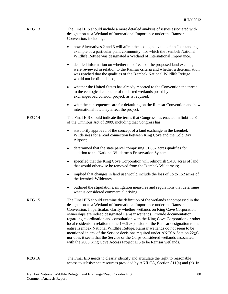| <b>REG 13</b> | The Final EIS should include a more detailed analysis of issues associated with<br>designation as a Wetland of International Importance under the Ramsar<br>Convention, including:                                                                                                                                                                                                                                                                                                                                                                                                                                                                                                                                                                                                                              |
|---------------|-----------------------------------------------------------------------------------------------------------------------------------------------------------------------------------------------------------------------------------------------------------------------------------------------------------------------------------------------------------------------------------------------------------------------------------------------------------------------------------------------------------------------------------------------------------------------------------------------------------------------------------------------------------------------------------------------------------------------------------------------------------------------------------------------------------------|
|               | how Alternatives 2 and 3 will affect the ecological value of an "outstanding"<br>example of a particular plant community" for which the Izembek National<br>Wildlife Refuge was designated a Wetland of International Importance.                                                                                                                                                                                                                                                                                                                                                                                                                                                                                                                                                                               |
|               | detailed information on whether the effects of the proposed land exchange<br>٠<br>were reviewed in relation to the Ramsar criteria and whether a determination<br>was reached that the qualities of the Izembek National Wildlife Refuge<br>would not be diminished;                                                                                                                                                                                                                                                                                                                                                                                                                                                                                                                                            |
|               | whether the United States has already reported to the Convention the threat<br>٠<br>to the ecological character of the listed wetlands posed by the land<br>exchange/road corridor project, as is required;                                                                                                                                                                                                                                                                                                                                                                                                                                                                                                                                                                                                     |
|               | what the consequences are for defaulting on the Ramsar Convention and how<br>٠<br>international law may affect the project.                                                                                                                                                                                                                                                                                                                                                                                                                                                                                                                                                                                                                                                                                     |
| <b>REG 14</b> | The Final EIS should indicate the terms that Congress has enacted in Subtitle E<br>of the Omnibus Act of 2009, including that Congress has:                                                                                                                                                                                                                                                                                                                                                                                                                                                                                                                                                                                                                                                                     |
|               | statutorily approved of the concept of a land exchange in the Izembek<br>$\bullet$<br>Wilderness for a road connection between King Cove and the Cold Bay<br>Airport;                                                                                                                                                                                                                                                                                                                                                                                                                                                                                                                                                                                                                                           |
|               | determined that the state parcel comprising 31,887 acres qualifies for<br>٠<br>addition to the National Wilderness Preservation System;                                                                                                                                                                                                                                                                                                                                                                                                                                                                                                                                                                                                                                                                         |
|               | specified that the King Cove Corporation will relinquish 5,430 acres of land<br>٠<br>that would otherwise be removed from the Izembek Wilderness;                                                                                                                                                                                                                                                                                                                                                                                                                                                                                                                                                                                                                                                               |
|               | implied that changes in land use would include the loss of up to 152 acres of<br>the Izembek Wilderness.                                                                                                                                                                                                                                                                                                                                                                                                                                                                                                                                                                                                                                                                                                        |
|               | outlined the stipulations, mitigation measures and regulations that determine<br>what is considered commercial driving.                                                                                                                                                                                                                                                                                                                                                                                                                                                                                                                                                                                                                                                                                         |
| <b>REG 15</b> | The Final EIS should examine the definition of the wetlands encompassed in the<br>designation as a Wetland of International Importance under the Ramsar<br>Convention. In particular, clarify whether wetlands on King Cove Corporation<br>ownerships are indeed designated Ramsar wetlands. Provide documentation<br>regarding coordination and consultation with the King Cove Corporation or other<br>local residents in relation to the 1986 expansion of the Ramsar designation to the<br>entire Izembek National Wildlife Refuge. Ramsar wetlands do not seem to be<br>mentioned in any of the Service decisions required under ANCSA Section 22(g)<br>nor does it seem that the Service or the Corps considered wetlands associated<br>with the 2003 King Cove Access Project EIS to be Ramsar wetlands. |
| <b>REG 16</b> | The Final EIS needs to clearly identify and articulate the right to reasonable                                                                                                                                                                                                                                                                                                                                                                                                                                                                                                                                                                                                                                                                                                                                  |

access to subsistence resources provided by ANILCA, Section 811(a) and (b). In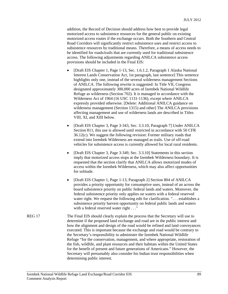addition, the Record of Decision should address how best to provide legal motorized access to subsistence resources for the general public on existing motorized access routes if the exchange occurs. Both the Southern and Central Road Corridors will significantly restrict subsistence uses and restrict access to subsistence resources by traditional means. Therefore, a means of access needs to be identified for roads/trails that are currently used for traditional subsistence access. The following adjustments regarding ANILCA subsistence access provisions should be included in the Final EIS:

- [Draft EIS Chapter 1, Page 1-13, Sec. 1.6.1.2, Paragraph 1 Alaska National Interest Lands Conservation Act, 1st paragraph, last sentence] This sentence highlights only one, instead of the several wilderness management Sections of ANILCA. The following rewrite is suggested: In Title VII, Congress designated approximately 300,000 acres of Izembek National Wildlife Refuge as wilderness (Section 702). It is managed in accordance with the Wilderness Act of 1964 (16 USC 1131-1136), except where ANILCA expressly provided otherwise. [Delete: Additional ANILCA guidance on wilderness management (Section 1315) and other The ANILCA provisions affecting management and use of wilderness lands are described in Titles VIII, XI, and XIII below.
- [Draft EIS Chapter 3, Page 3-343, Sec. 3.3.10, Paragraph 7] Under ANILCA Section 811, this use is allowed until restricted in accordance with 50 CFR 36.12(c). We suggest the following revision: Former military roads that extend into Izembek Wilderness are managed as trails. Use of off-road vehicles for subsistence access is currently allowed for local rural residents.
- [Draft EIS Chapter 3, Page 3-349, Sec. 3.3.10] Statements in this section imply that motorized access stops at the Izembek Wilderness boundary. It is requested that the section clarify that ANILCA allows motorized modes of access within the Izembek Wilderness, which may also affect opportunities for solitude.
- [Draft EIS Chapter 1, Page 1-13, Paragraph 2] Section 804 of ANILCA provides a priority opportunity for consumptive uses, instead of an across the board subsistence priority on public federal lands and waters. Moreover, the federal subsistence priority only applies on waters with a federal reserved water right. We request the following edit for clarification. "... establishes a subsistence priority harvest opportunity on federal public lands and waters with a federal reserved water right . . ."

REG 17 The Final EIS should clearly explain the process that the Secretary will use to determine if the proposed land exchange and road are in the public interest and how the alignment and design of the road would be refined and land conveyances executed. This is important because the exchange and road would be contrary to the Secretary's responsibility to administer the Izembek National Wildlife Refuge "for the conservation, management, and where appropriate, restoration of the fish, wildlife, and plant resources and their habitats within the United States for the benefit of present and future generations of Americans." However, the Secretary will presumably also consider his Indian trust responsibilities when determining public interest.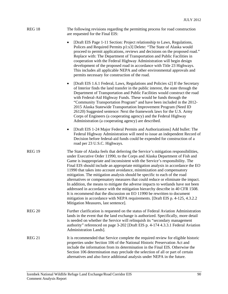| REG 18 | The following revisions regarding the permitting process for road construction |
|--------|--------------------------------------------------------------------------------|
|        | are requested for the Final EIS:                                               |

- [Draft EIS Page 1-11 Section: Project relationship to Laws, Regulations, Polices and Required Permits p1:s3] Delete: "The State of Alaska would proceed to permit applications, reviews and decisions on the proposed road." Replace with: The Department of Transportation and Public Facilities in cooperation with the Federal Highway Administration will begin design development of the proposed road in accordance with Title 23 Highways. This includes all applicable NEPA and other environmental approvals and permits necessary for construction of the road.
- [Draft EIS 1.6.1 Federal, Laws, Regulations and Policies s2] If the Secretary of Interior finds the land transfer in the public interest, the state through the Department of Transportation and Public Facilities would construct the road with Federal-Aid Highway Funds. These would be funds through the "Community Transportation Program" and have been included in the 2012- 2015 Alaska Statewide Transportation Improvement Program (Need ID 26120) Suggested sentence: Next the framework laws for the U.S. Army Corps of Engineers (a cooperating agency) and the Federal Highway Administration (a cooperating agency) are described.
- [Draft EIS 1-24 Major Federal Permits and Authorizations] Add bullet: The Federal Highway Administration will need to issue an independent Record of Decision before federal-aid funds could be expended for construction of a road per 23 U.S.C. Highways.
- REG 19 The State of Alaska feels that deferring the Service's mitigation responsibilities, under Executive Order 11990, to the Corps and Alaska Department of Fish and Game is inappropriate and inconsistent with the Service's responsibility. The Final EIS should include an appropriate mitigation analysis in accordance the EO 11990 that takes into account avoidance, minimization and compensatory mitigation. The mitigation analysis should be specific to each of the road alternatives or compensatory measures that could reduce or eliminate the impact. In addition, the means to mitigate the adverse impacts to wetlands have not been addressed in accordance with the mitigation hierarchy describe in 40 CFR 1508. It is recommend that the discussion on EO 11990 be rewritten to document mitigation in accordance with NEPA requirements. [Draft EIS p. 4-125, 4.3.2.2 Mitigation Measures, last sentence].
- REG 20 Further clarification is requested on the status of Federal Aviation Administration lands in the event that the land exchange is authorized. Specifically, more detail is needed on whether the Service will relinquish its "secondary management authority" referenced on page 3-202 [Draft EIS p. 4-174 4.3.3.1 Federal Aviation Administration Lands].
- REG 21 It is recommended that Service complete the required review for eligible historic properties under Section 106 of the National Historic Preservation Act and include the information from its determination in the Final EIS. Otherwise the Section 106 determination may preclude the selection of all or part of certain alternatives and also force additional analysis under NEPA in the future.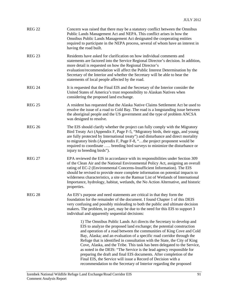| <b>REG 22</b> | Concern was raised that there may be a statutory conflict between the Omnibus<br>Public Lands Management Act and NEPA. This conflict arises in how the<br>Omnibus Public Lands Management Act designated the cooperating entities<br>required to participate in the NEPA process, several of whom have an interest in<br>having the road built.                                                                                                                                                                                                                                                                                                                                                                                                     |
|---------------|-----------------------------------------------------------------------------------------------------------------------------------------------------------------------------------------------------------------------------------------------------------------------------------------------------------------------------------------------------------------------------------------------------------------------------------------------------------------------------------------------------------------------------------------------------------------------------------------------------------------------------------------------------------------------------------------------------------------------------------------------------|
| <b>REG 23</b> | Residents have asked for clarification on how individual comments and<br>statements are factored into the Service Regional Director's decision. In addition,<br>more detail is requested on how the Regional Director's<br>evaluation/recommendation will affect the Public Interest Determination by the<br>Secretary of the Interior and whether the Secretary will be able to hear the<br>statements of local people affected by the road.                                                                                                                                                                                                                                                                                                       |
| <b>REG 24</b> | It is requested that the Final EIS and the Secretary of the Interior consider the<br>United States of America's trust responsibility to Alaskan Natives when<br>considering the proposed land exchange.                                                                                                                                                                                                                                                                                                                                                                                                                                                                                                                                             |
| <b>REG 25</b> | A resident has requested that the Alaska Native Claims Settlement Act be used to<br>resolve the issue of a road to Cold Bay. The road is a longstanding issue between<br>the aboriginal people and the US government and the type of problem ANCSA<br>was designed to resolve.                                                                                                                                                                                                                                                                                                                                                                                                                                                                      |
| <b>REG 26</b> | The EIS should clarify whether the project can fully comply with the Migratory<br>Bird Treaty Act (Appendix F, Page F-5, "Migratory birds, their eggs, and young<br>are fully protected by International treaty") and disturbance and direct mortality<br>to migratory birds (Appendix F, Page F-8, "the project proponent would be<br>required to coordinate  breeding bird surveys to minimize the disturbance or<br>injury to breeding birds").                                                                                                                                                                                                                                                                                                  |
| <b>REG 27</b> | EPA reviewed the EIS in accordance with its responsibilities under Section 309<br>of the Clean Air and the National Environmental Policy Act, assigning an overall<br>rating of EC-2 (Environmental Concerns-Insufficient Information). The EIS<br>should be revised to provide more complete information on potential impacts to<br>wilderness characteristics, a site on the Ramsar List of Wetlands of International<br>Importance, hydrology, habitat, wetlands, the No Action Alternative, and historic<br>properties.                                                                                                                                                                                                                         |
| <b>REG 28</b> | An EIS's purpose and need statements are critical in that they form the<br>foundation for the remainder of the document. I found Chapter 1 of this DEIS<br>very confusing and possibly misleading to both the public and ultimate decision<br>makers. The problem, in part, may be due to the need for this EIS to support 3<br>individual and apparently sequential decisions:                                                                                                                                                                                                                                                                                                                                                                     |
|               | 1) The Omnibus Public Lands Act directs the Secretary to develop and<br>EIS to analyze the proposed land exchange; the potential construction<br>and operation of a road between the communities of King Cove and Cold<br>Bay, Alaska; and an evaluation of a specific road corridor through the<br>Refuge that is identified in consultation with the State, the City of King<br>Cove, Alaska, and the Tribe. This task has been delegated to the Service,<br>as noted in the DEIS: "The Service is the lead agency responsible for<br>preparing the draft and final EIS documents. After completion of the<br>Final EIS, the Service will issue a Record of Decision with a<br>recommendation to the Secretary of Interior regarding the proposed |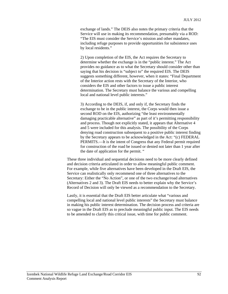exchange of lands." The DEIS also notes the primary criteria that the Service will use in making its recommendation, presumably via a ROD: "The EIS must consider the Service's mission and other mandates, including refuge purposes to provide opportunities for subsistence uses by local residents."

2) Upon completion of the EIS, the Act requires the Secretary to determine whether the exchange is in the "public interest." The Act provides no guidance as to what the Secretary should consider other than saying that his decision is "subject to" the required EIS. The DEIS suggests something different, however, when it states: "Final Department of the Interior action rests with the Secretary of the Interior, who considers the EIS and other factors to issue a public interest determination. The Secretary must balance the various and compelling local and national level public interests."

3) According to the DEIS, if, and only if, the Secretary finds the exchange to be in the public interest, the Corps would then issue a second ROD on the EIS, authorizing "the least environmentally damaging practicable alternative" as part of it's permitting responsibility and process. Though not explicitly stated, it appears that Alternative 4 and 5 were included for this analysis. The possibility of the Corps denying road construction subsequent to a positive public interest finding by the Secretary appears to be acknowledged in the Act: "(c) FEDERAL PERMITS.—It is the intent of Congress that any Federal permit required for construction of the road be issued or denied not later than 1 year after the date of application for the permit. "

These three individual and sequential decisions need to be more clearly defined and decision criteria articulated in order to allow meaningful public comment. For example, while five alternatives have been developed in the Draft EIS, the Service can realistically only recommend one of three alternatives to the Secretary: Either the "No Action", or one of the two exchange/road alternatives (Alternatives 2 and 3). The Draft EIS needs to better explain why the Service's Record of Decision will only be viewed as a recommendation to the Secretary.

Lastly, it is essential that the Draft EIS better articulate what "various and compelling local and national level public interests" the Secretary must balance in making his public interest determination. The decision process and criteria are so vague in the Draft EIS as to preclude meaningful public input. The EIS needs to be amended to clarify this critical issue, with time for public comment.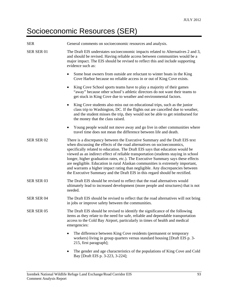#### Socioeconomic Resources (SER)

| <b>SER</b>        | General comments on socioeconomic resources and analysis.                                                                                                                                                                                                                                                                                                                                                                                                                                                                                                                                                                                                             |
|-------------------|-----------------------------------------------------------------------------------------------------------------------------------------------------------------------------------------------------------------------------------------------------------------------------------------------------------------------------------------------------------------------------------------------------------------------------------------------------------------------------------------------------------------------------------------------------------------------------------------------------------------------------------------------------------------------|
| SER SER 01        | The Draft EIS understates socioeconomic impacts related to Alternatives 2 and 3,<br>and should be revised. Having reliable access between communities would be a<br>major impact. The EIS should be revised to reflect this and include supporting<br>evidence such as:                                                                                                                                                                                                                                                                                                                                                                                               |
|                   | Some boat owners from outside are reluctant to winter boats in the King<br>$\bullet$<br>Cove Harbor because no reliable access in or out of King Cove exists.                                                                                                                                                                                                                                                                                                                                                                                                                                                                                                         |
|                   | King Cove School sports teams have to play a majority of their games<br>"away" because other school's athletic directors do not want their teams to<br>get stuck in King Cove due to weather and environmental factors.                                                                                                                                                                                                                                                                                                                                                                                                                                               |
|                   | King Cove students also miss out on educational trips, such as the junior<br>٠<br>class trip to Washington, DC. If the flights out are cancelled due to weather,<br>and the student misses the trip, they would not be able to get reimbursed for<br>the money that the class raised.                                                                                                                                                                                                                                                                                                                                                                                 |
|                   | Young people would not move away and go live in other communities where<br>٠<br>travel time does not mean the difference between life and death.                                                                                                                                                                                                                                                                                                                                                                                                                                                                                                                      |
| SER SER 02        | There is a discrepancy between the Executive Summary and the Draft EIS text<br>when discussing the effects of the road alternatives on socioeconomics,<br>specifically related to education. The Draft EIS says that education would be<br>viewed as an indirect effect of reliable transportation (students staying in school<br>longer, higher graduation rates, etc.). The Executive Summary says these effects<br>are negligible. Education in rural Alaskan communities is extremely important,<br>and warrants a higher impact rating than negligible. Any discrepancies between<br>the Executive Summary and the Draft EIS in this regard should be rectified. |
| SER SER 03        | The Draft EIS should be revised to reflect that the road alternatives would<br>ultimately lead to increased development (more people and structures) that is not<br>needed.                                                                                                                                                                                                                                                                                                                                                                                                                                                                                           |
| <b>SER SER 04</b> | The Draft EIS should be revised to reflect that the road alternatives will not bring<br>in jobs or improve safety between the communities.                                                                                                                                                                                                                                                                                                                                                                                                                                                                                                                            |
| SER SER 05        | The Draft EIS should be revised to identify the significance of the following<br>items as they relate to the need for safe, reliable and dependable transportation<br>access to the Cold Bay Airport, particularly in times of health and medical<br>emergencies:                                                                                                                                                                                                                                                                                                                                                                                                     |
|                   | The difference between King Cove residents (permanent or temporary<br>workers) living in group quarters versus standard housing [Draft EIS p. 3-<br>215, first paragraph];                                                                                                                                                                                                                                                                                                                                                                                                                                                                                            |
|                   | The gender and age characteristics of the populations of King Cove and Cold                                                                                                                                                                                                                                                                                                                                                                                                                                                                                                                                                                                           |

Bay [Draft EIS p. 3-223, 3-224];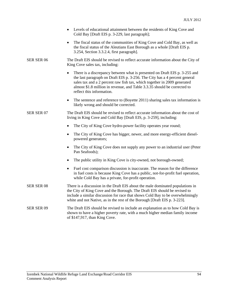|                   | Levels of educational attainment between the residents of King Cove and<br>Cold Bay [Draft EIS p. 3-229, last paragraph];                                                                                                                                                                                                                     |
|-------------------|-----------------------------------------------------------------------------------------------------------------------------------------------------------------------------------------------------------------------------------------------------------------------------------------------------------------------------------------------|
|                   | The fiscal status of the communities of King Cove and Cold Bay, as well as<br>$\bullet$<br>the fiscal status of the Aleutians East Borough as a whole [Draft EIS p.<br>3.254, Section 3.3.2.4, first paragraph].                                                                                                                              |
| SER SER 06        | The Draft EIS should be revised to reflect accurate information about the City of<br>King Cove sales tax, including:                                                                                                                                                                                                                          |
|                   | There is a discrepancy between what is presented on Draft EIS p. 3-255 and<br>the last paragraph on Draft EIS p. 3-256. The City has a 4 percent general<br>sales tax and a 2 percent raw fish tax, which together in 2009 generated<br>almost \$1.8 million in revenue, and Table 3.3.35 should be corrected to<br>reflect this information. |
|                   | The sentence and reference to (Boyette 2011) sharing sales tax information is<br>$\bullet$<br>likely wrong and should be corrected.                                                                                                                                                                                                           |
| SER SER 07        | The Draft EIS should be revised to reflect accurate information about the cost of<br>living in King Cove and Cold Bay [Draft EIS, p. 3-259], including:                                                                                                                                                                                       |
|                   | The City of King Cove hydro-power facility operates year round;<br>$\bullet$                                                                                                                                                                                                                                                                  |
|                   | The City of King Cove has bigger, newer, and more energy-efficient diesel-<br>$\bullet$<br>powered generators;                                                                                                                                                                                                                                |
|                   | The City of King Cove does not supply any power to an industrial user (Peter<br>$\bullet$<br>Pan Seafoods);                                                                                                                                                                                                                                   |
|                   | The public utility in King Cove is city-owned, not borough-owned;<br>$\bullet$                                                                                                                                                                                                                                                                |
|                   | Fuel cost comparison discussion is inaccurate. The reason for the difference<br>$\bullet$<br>in fuel costs is because King Cove has a public, not-for-profit fuel operation,<br>while Cold Bay has a private, for-profit operation.                                                                                                           |
| <b>SER SER 08</b> | There is a discussion in the Draft EIS about the male dominated populations in<br>the City of King Cove and the Borough. The Draft EIS should be revised to<br>include a similar discussion for race that shows Cold Bay to be overwhelmingly<br>white and not Native, as in the rest of the Borough [Draft EIS p. 3-223].                    |
| SER SER 09        | The Draft EIS should be revised to include an explanation as to how Cold Bay is<br>shown to have a higher poverty rate, with a much higher median family income<br>of \$147,917, than King Cove.                                                                                                                                              |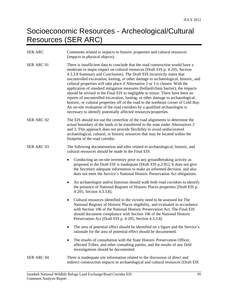### Socioeconomic Resources - Archeological/Cultural Resources (SER ARC)

| <b>SER ARC</b> | Comments related to impacts to historic properties and cultural resources<br>(impacts to physical objects).                                                                                                                                                                                                                                                                                                                                                                                                                                                                                                                                                                                                                                                                                                                                                                                                        |
|----------------|--------------------------------------------------------------------------------------------------------------------------------------------------------------------------------------------------------------------------------------------------------------------------------------------------------------------------------------------------------------------------------------------------------------------------------------------------------------------------------------------------------------------------------------------------------------------------------------------------------------------------------------------------------------------------------------------------------------------------------------------------------------------------------------------------------------------------------------------------------------------------------------------------------------------|
| SER ARC 01     | There is insufficient data to conclude that the road construction would have a<br>moderate to major impact on cultural resources [Draft EIS p. 4-205, Section<br>4.3.3.8 Summary and Conclusion]. The Draft EIS incorrectly states that<br>uncontrolled excavation, looting, or other damage to archaeological, historic, and<br>cultural properties will take place if Alternative 2 or 3 is chosen. With the<br>application of standard mitigation measures (bollard/chain barrier), the impacts<br>should be revised in the Final EIS to negligible to minor. There have been no<br>reports of uncontrolled excavation, looting, or other damage to archaeological,<br>historic, or cultural properties off of the road to the northeast corner of Cold Bay.<br>An on-site evaluation of the road corridors by a qualified archaeologist is<br>necessary to identify potentially affected resources/properties. |
| SER ARC 02     | The EIS should not use the centerline of the road alignments to determine the<br>actual boundary of the lands to be transferred to the state under Alternatives 2<br>and 3. This approach does not provide flexibility to avoid undiscovered<br>archaeological, cultural, or historic resources that may be located within the<br>footprint of the road corridor.                                                                                                                                                                                                                                                                                                                                                                                                                                                                                                                                                  |
| SER ARC 03     | The following documentation and edits related to archaeological, historic, and<br>cultural resources should be made in the Final EIS:                                                                                                                                                                                                                                                                                                                                                                                                                                                                                                                                                                                                                                                                                                                                                                              |
|                | Conducting an on-site inventory prior to any groundbreaking activity as<br>٠<br>proposed in the Draft EIS is inadequate [Draft EIS p.2-81]. It does not give<br>the Secretary adequate information to make an informed decision, and also<br>does not meet the Service's National Historic Preservation Act obligations.                                                                                                                                                                                                                                                                                                                                                                                                                                                                                                                                                                                           |
|                | An archaeologist and/or historian should walk both road corridors to identify<br>$\bullet$<br>the presence of National Register of Historic Places properties [Draft EIS p.<br>4-205, Section 4.3.3.8].                                                                                                                                                                                                                                                                                                                                                                                                                                                                                                                                                                                                                                                                                                            |
|                | Cultural resources identified in the vicinity need to be assessed for The<br>٠<br>National Register of Historic Places eligibility, and evaluated in accordance<br>with Section 106 of the National Historic Preservation Act. The Final EIS<br>should document compliance with Section 106 of the National Historic<br>Preservation Act [Draft EIS p. 4-205, Section 4.3.3.8].                                                                                                                                                                                                                                                                                                                                                                                                                                                                                                                                    |
|                | The area of potential effect should be identified on a figure and the Service's<br>rationale for the area of potential effect should be documented.                                                                                                                                                                                                                                                                                                                                                                                                                                                                                                                                                                                                                                                                                                                                                                |
|                | The results of consultation with the State Historic Preservation Officer,<br>$\bullet$<br>affected Tribes, and other consulting parties, and the results of any field<br>investigations should be documented.                                                                                                                                                                                                                                                                                                                                                                                                                                                                                                                                                                                                                                                                                                      |
| SER ARC 04     | There is inadequate site information related to the discussion of direct and<br>indirect construction impacts to archaeological and cultural resources [Draft EIS]                                                                                                                                                                                                                                                                                                                                                                                                                                                                                                                                                                                                                                                                                                                                                 |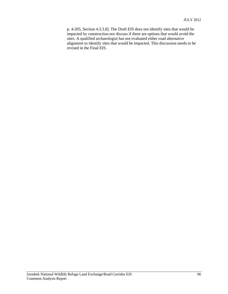p. 4-205, Section 4.3.3.8]. The Draft EIS does not identify sites that would be impacted by construction nor discuss if there are options that would avoid the sites. A qualified archaeologist has not evaluated either road alternative alignment to identify sites that would be impacted. This discussion needs to be revised in the Final EIS.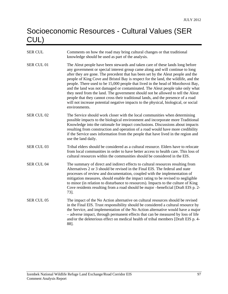# Socioeconomic Resources - Cultural Values (SER CUL)

| <b>SER CUL</b>    | Comments on how the road may bring cultural changes or that traditional<br>knowledge should be used as part of the analysis.                                                                                                                                                                                                                                                                                                                                                                                                                                                                                                                                                                                                                                                                 |
|-------------------|----------------------------------------------------------------------------------------------------------------------------------------------------------------------------------------------------------------------------------------------------------------------------------------------------------------------------------------------------------------------------------------------------------------------------------------------------------------------------------------------------------------------------------------------------------------------------------------------------------------------------------------------------------------------------------------------------------------------------------------------------------------------------------------------|
| SER CUL 01        | The Aleut people have been stewards and taken care of these lands long before<br>any government or special interest group came along and will continue to long<br>after they are gone. The precedent that has been set by the Aleut people and the<br>people of King Cove and Bristol Bay is respect for the land, the wildlife, and the<br>people. There used to be 15,000 people that lived in the head of Morzhovoi Bay,<br>and the land was not damaged or contaminated. The Aleut people take only what<br>they need from the land. The government should not be allowed to tell the Aleut<br>people that they cannot cross their traditional lands, and the presence of a road<br>will not increase potential negative impacts to the physical, biological, or social<br>environments. |
| <b>SER CUL 02</b> | The Service should work closer with the local communities when determining<br>possible impacts to the biological environment and incorporate more Traditional<br>Knowledge into the rationale for impact conclusions. Discussions about impacts<br>resulting from construction and operation of a road would have more credibility<br>if the Service uses information from the people that have lived in the region and<br>use the land daily.                                                                                                                                                                                                                                                                                                                                               |
| SER CUL 03        | Tribal elders should be considered as a cultural resource. Elders have to relocate<br>from local communities in order to have better access to health care. This loss of<br>cultural resources within the communities should be considered in the EIS.                                                                                                                                                                                                                                                                                                                                                                                                                                                                                                                                       |
| SER CUL 04        | The summary of direct and indirect effects to cultural resources resulting from<br>Alternatives 2 or 3 should be revised in the Final EIS. The federal and state<br>processes of review and documentation, coupled with the implementation of<br>mitigation measures, should enable the impact rating to be revised to negligible<br>to minor (in relation to disturbance to resources). Impacts to the culture of King<br>Cove residents resulting from a road should be major -beneficial [Draft EIS p. 2-<br>73].                                                                                                                                                                                                                                                                         |
| <b>SER CUL 05</b> | The impact of the No Action alternative on cultural resources should be revised<br>in the Final EIS. Trust responsibility should be considered a cultural resource by<br>the Service, and implementation of the No Action alternative would have a major<br>- adverse impact, through permanent effects that can be measured by loss of life<br>and/or the deleterious effect on medical health of tribal members [Draft EIS p. 4-<br>88].                                                                                                                                                                                                                                                                                                                                                   |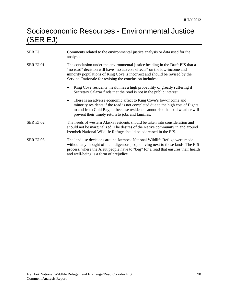### Socioeconomic Resources - Environmental Justice (SER EJ)

| SER EJ    | Comments related to the environmental justice analysis or data used for the<br>analysis.                                                                                                                                                                                                               |
|-----------|--------------------------------------------------------------------------------------------------------------------------------------------------------------------------------------------------------------------------------------------------------------------------------------------------------|
| SER EJ 01 | The conclusion under the environmental justice heading in the Draft EIS that a<br>"no road" decision will have "no adverse effects" on the low-income and<br>minority populations of King Cove is incorrect and should be revised by the<br>Service. Rationale for revising the conclusion includes:   |
|           | King Cove residents' health has a high probability of greatly suffering if<br>Secretary Salazar finds that the road is not in the public interest.                                                                                                                                                     |
|           | There is an adverse economic affect to King Cove's low-income and<br>$\bullet$<br>minority residents if the road is not completed due to the high cost of flights<br>to and from Cold Bay, or because residents cannot risk that bad weather will<br>prevent their timely return to jobs and families. |
| SER EJ 02 | The needs of western Alaska residents should be taken into consideration and<br>should not be marginalized. The desires of the Native community in and around<br>Izembek National Wildlife Refuge should be addressed in the EIS.                                                                      |
| SER EJ 03 | The land use decisions around Izembek National Wildlife Refuge were made<br>without any thought of the indigenous people living next to those lands. The EIS<br>process, where the Aleut people have to "beg" for a road that ensures their health<br>and well-being is a form of prejudice.           |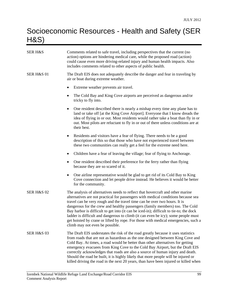# Socioeconomic Resources - Health and Safety (SER H&S)

| <b>SER H&amp;S</b>    | Comments related to safe travel, including perspectives that the current (no<br>action) options are hindering medical care, while the proposed road (action)<br>could cause even more driving-related injury and human health impacts. Also<br>includes comments related to other aspects of public health.                                                                                                                                                                                                                                                                                                                              |
|-----------------------|------------------------------------------------------------------------------------------------------------------------------------------------------------------------------------------------------------------------------------------------------------------------------------------------------------------------------------------------------------------------------------------------------------------------------------------------------------------------------------------------------------------------------------------------------------------------------------------------------------------------------------------|
| <b>SER H&amp;S 01</b> | The Draft EIS does not adequately describe the danger and fear in traveling by<br>air or boat during extreme weather.                                                                                                                                                                                                                                                                                                                                                                                                                                                                                                                    |
|                       | Extreme weather prevents air travel.                                                                                                                                                                                                                                                                                                                                                                                                                                                                                                                                                                                                     |
|                       | The Cold Bay and King Cove airports are perceived as dangerous and/or<br>$\bullet$<br>tricky to fly into.                                                                                                                                                                                                                                                                                                                                                                                                                                                                                                                                |
|                       | One resident described there is nearly a mishap every time any plane has to<br>٠<br>land or take off [at the King Cove Airport]. Everyone that I know dreads the<br>idea of flying in or out. Most residents would rather take a boat than fly in or<br>out. Most pilots are reluctant to fly in or out of there unless conditions are at<br>their best.                                                                                                                                                                                                                                                                                 |
|                       | Residents and visitors have a fear of flying. There needs to be a good<br>$\bullet$<br>description of this so that those who have not experienced travel between<br>these two communities can really get a feel for the extreme need here.                                                                                                                                                                                                                                                                                                                                                                                               |
|                       | Children have a fear of leaving the village; fear of flying to Anchorage.<br>٠                                                                                                                                                                                                                                                                                                                                                                                                                                                                                                                                                           |
|                       | One resident described their preference for the ferry rather than flying<br>$\bullet$<br>because they are so scared of it.                                                                                                                                                                                                                                                                                                                                                                                                                                                                                                               |
|                       | One airline representative would be glad to get rid of its Cold Bay to King<br>٠<br>Cove connection and let people drive instead. He believes it would be better<br>for the community.                                                                                                                                                                                                                                                                                                                                                                                                                                                   |
| <b>SER H&amp;S 02</b> | The analysis of alternatives needs to reflect that hovercraft and other marine<br>alternatives are not practical for passengers with medical conditions because sea<br>travel can be very rough and the travel time can be over two hours. It is<br>dangerous for the crew and healthy passengers (family members) too. The Cold<br>Bay harbor is difficult to get into (it can be iced-in); difficult to tie-to; the dock<br>ladder is difficult and dangerous to climb (it can even be icy); some people must<br>get hoisted by crane or lifted by rope. For those with medical emergencies, such a<br>climb may not even be possible. |
| <b>SER H&amp;S 03</b> | The Draft EIS understates the risk of the road greatly because it uses statistics<br>from roads that are not as hazardous as the one designed between King Cove and<br>Cold Bay. At times, a road would be better than other alternatives for getting<br>emergency evacuees from King Cove to the Cold Bay Airport, but the Draft EIS<br>correctly acknowledges that roads are also a source of human injury and death.<br>Should the road be built, it is highly likely that more people will be injured or<br>killed driving the road in the next 20 years, than have been injured or killed when                                      |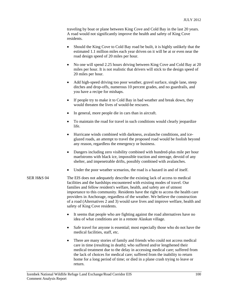traveling by boat or plane between King Cove and Cold Bay in the last 20 years. A road would not significantly improve the health and safety of King Cove residents.

- Should the King Cove to Cold Bay road be built, it is highly unlikely that the estimated 1.1 million miles each year driven on it will be at or even near the road design speed of 20 miles per hour.
- No one will spend 2.25 hours driving between King Cove and Cold Bay at 20 miles per hour. It is not realistic that drivers will stick to the design speed of 20 miles per hour.
- Add high-speed driving too poor weather, gravel surface, single lane, steep ditches and drop-offs, numerous 10 percent grades, and no guardrails, and you have a recipe for mishaps.
- If people try to make it to Cold Bay in bad weather and break down, they would threaten the lives of would-be rescuers.
- In general, more people die in cars than in aircraft.
- To maintain the road for travel in such conditions would clearly jeopardize life.
- Hurricane winds combined with darkness, avalanche conditions, and iceglazed roads, an attempt to travel the proposed road would be foolish beyond any reason, regardless the emergency or business.
- Dangers including zero visibility combined with hundred-plus mile per hour maelstroms with black ice, impossible traction and steerage, devoid of any shelter, and impenetrable drifts, possibly combined with avalanches.
- Under the poor weather scenarios, the road is a hazard in and of itself.
- SER H&S 04 The EIS does not adequately describe the existing lack of access to medical facilities and the hardships encountered with existing modes of travel. Our families and fellow resident's welfare, health, and safety are of utmost importance to this community. Residents have the right to access the health care providers in Anchorage, regardless of the weather. We believe the construction of a road (Alternatives 2 and 3) would save lives and improve welfare, health and safety of King Cove residents.
	- It seems that people who are fighting against the road alternatives have no idea of what conditions are in a remote Alaskan village.
	- Safe travel for anyone is essential; most especially those who do not have the medical facilities, staff, etc.
	- There are many stories of family and friends who could not access medical care in time (resulting in death); who suffered and/or lengthened their medical treatment due to the delay in accessing medical care; suffered from the lack of choices for medical care; suffered from the inability to return home for a long period of time; or died in a plane crash trying to leave or return.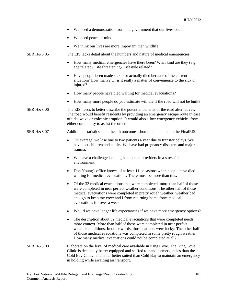|                       | We need a demonstration from the government that our lives count.                                                                                                                                                                                                                                                                                                          |
|-----------------------|----------------------------------------------------------------------------------------------------------------------------------------------------------------------------------------------------------------------------------------------------------------------------------------------------------------------------------------------------------------------------|
|                       | We need peace of mind.                                                                                                                                                                                                                                                                                                                                                     |
|                       | We think our lives are more important than wildlife.                                                                                                                                                                                                                                                                                                                       |
| <b>SER H&amp;S 05</b> | The EIS lacks detail about the numbers and nature of medical emergencies:                                                                                                                                                                                                                                                                                                  |
|                       | How many medical emergencies have there been? What kind are they (e.g.<br>٠<br>age related? Life threatening? Lifestyle related?                                                                                                                                                                                                                                           |
|                       | Have people been made sicker or actually died because of the current<br>situation? How many? Or is it really a matter of convenience to the sick or<br>injured?                                                                                                                                                                                                            |
|                       | How many people have died waiting for medical evacuations?<br>$\bullet$                                                                                                                                                                                                                                                                                                    |
|                       | How many more people do you estimate will die if the road will not be built?<br>٠                                                                                                                                                                                                                                                                                          |
| <b>SER H&amp;S 06</b> | The EIS needs to better describe the potential benefits of the road alternatives.<br>The road would benefit residents by providing an emergency escape route in case<br>of tidal wave or volcanic eruption. It would also allow emergency vehicles from<br>either community to assist the other.                                                                           |
| <b>SER H&amp;S 07</b> | Additional statistics about health outcomes should be included in the FinalEIS:                                                                                                                                                                                                                                                                                            |
|                       | On average, we lose one to two patients a year due to transfer delays. We<br>have lost children and adults. We have had pregnancy disasters and major<br>trauma.                                                                                                                                                                                                           |
|                       | We have a challenge keeping health care providers in a stressful<br>$\bullet$<br>environment.                                                                                                                                                                                                                                                                              |
|                       | Don Young's office knows of at least 11 occasions when people have died<br>waiting for medical evacuations. There must be more than this.                                                                                                                                                                                                                                  |
|                       | Of the 32 medical evacuations that were completed, more than half of those<br>$\bullet$<br>were completed in near perfect weather conditions. The other half of those<br>medical evacuations were completed in pretty rough weather, weather bad<br>enough to keep my crew and I from returning home from medical<br>evacuations for over a week.                          |
|                       | Would we have longer life expectancies if we have more emergency options?                                                                                                                                                                                                                                                                                                  |
|                       | The description about 32 medical evacuations that were completed needs<br>more context. More than half of those were completed in near perfect<br>weather conditions. In other words, those patients were lucky. The other half<br>of those medical evacuations was completed in some pretty rough weather.<br>How many medical evacuations could not be completed at all? |
| <b>SER H&amp;S 08</b> | Elaborate on the level of medical care available in King Cove. The King Cove<br>Clinic is decidedly better equipped and staffed to handle emergencies than the<br>Cold Bay Clinic, and is far better suited than Cold Bay to maintain an emergency<br>in holding while awaiting air transport.                                                                             |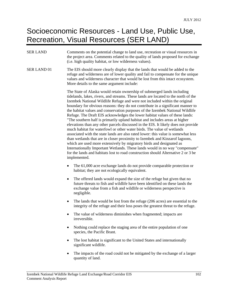#### Socioeconomic Resources - Land Use, Public Use, Recreation, Visual Resources (SER LAND)

#### SER LAND Comments on the potential change to land use, recreation or visual resources in the project area. Comments related to the quality of lands proposed for exchange (i.e. high quality habitat, or low wilderness values). SER LAND 01 The EIS should more clearly display that the lands that would be added to the refuge and wilderness are of lower quality and fail to compensate for the unique values and wilderness character that would be lost from this intact ecosystem. More details to the same argument include:

The State of Alaska would retain ownership of submerged lands including tidelands, lakes, rivers, and streams. These lands are located to the north of the Izembek National Wildlife Refuge and were not included within the original boundary for obvious reasons: they do not contribute in a significant manner to the habitat values and conservation purposes of the Izembek National Wildlife Refuge. The Draft EIS acknowledges the lower habitat values of these lands: "The southern half is primarily upland habitat and includes areas at higher elevations than any other parcels discussed in the EIS. It likely does not provide much habitat for waterfowl or other water birds. The value of wetlands associated with the state lands are also rated lower: this value is somewhat less than wetlands that are in closer proximity to Izembek and Kinzarof lagoons, which are used more extensively by migratory birds and designated as Internationally Important Wetlands. These lands would in no way "compensate" for the lands and habitats lost to road construction should Alternative 2 or 3 be implemented.

- The 61,000 acre exchange lands do not provide comparable protection or habitat; they are not ecologically equivalent.
- The offered lands would expand the size of the refuge but given that no future threats to fish and wildlife have been identified on these lands the exchange value from a fish and wildlife or wilderness perspective is negligible.
- The lands that would be lost from the refuge (206 acres) are essential to the integrity of the refuge and their loss poses the greatest threat to the refuge.
- The value of wilderness diminishes when fragmented; impacts are irreversible.
- Nothing could replace the staging area of the entire population of one species, the Pacific Brant.
- The lost habitat is significant to the United States and internationally significant wildlife.
- The impacts of the road could not be mitigated by the exchange of a larger quantity of land.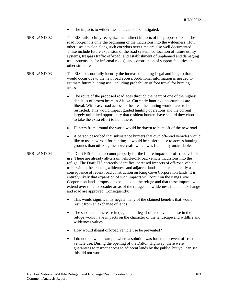- The impacts to wilderness land cannot be mitigated.
- SER LAND 02 The EIS fails to fully recognize the indirect impacts of the proposed road. The road footprint is only the beginning of the incursions into the wilderness. How other uses develop along such corridors over time are also well documented. These include future expansion of the road system, co-location of future utility systems, trespass traffic off-road (and establishment of unplanned and damaging trail systems and/or informal roads), and construction of support facilities and other structures.
- SER LAND 03 The EIS does not fully identify the increased hunting (legal and illegal) that would occur due to the new road access. Additional information is needed to estimate future hunting use, including probability of foot travel for hunting access.
	- The route of the proposed road goes through the heart of one of the highest densities of brown bears in Alaska. Currently hunting opportunities are liberal. With easy road access to the area, the hunting would have to be restricted. This would impact guided hunting operations and the current largely unlimited opportunity that resident hunters have should they choose to take the extra effort to hunt there.
	- Hunters from around the world would be drawn to hunt off of the new road.
	- A person described that subsistence hunters that own off-road vehicles would like to use new road for hunting- it would be easier to use to access hunting grounds than utilizing the hovercraft, which was frequently unavailable.
- SER LAND 04 The Draft EIS fails to account properly for the future impacts of off-road vehicle use. There are already all-terrain vehicle/off-road vehicle incursions into the refuge. The Draft EIS correctly identifies increased impacts of off-road vehicle trails within the existing wilderness and adjacent lands that are apparently a consequence of recent road construction on King Cove Corporation lands. It is entirely likely that expansion of such impacts will occur on the King Cove Corporation lands proposed to be added to the refuge and that these impacts will extend over time to broader areas of the refuge and wilderness if a land exchange and road are approved. Consequently:
	- This would significantly negate many of the claimed benefits that would result from an exchange of lands.
	- The substantial increase in (legal and illegal) off-road vehicle use in the refuge would have impacts on the character of the landscape and wildlife and wilderness values.
	- How would illegal off-road vehicle use be prevented?
	- I do not know an example where a solution was found to prevent off-road vehicle use. During the opening of the Dalton Highway, there were guarantees to restrict access to adjacent lands by the public, but you can see this did not work.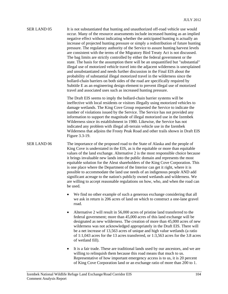### SER LAND 05 It is not substantiated that hunting and unauthorized off-road vehicle use would occur. Many of the resource assessments include increased hunting as an implied negative effect without indicating whether the anticipated hunting is actually an increase of projected hunting pressure or simply a redistribution of future hunting pressure. The regulatory authority of the Service to assure hunting harvest levels are consistent with the terms of the Migratory Bird Treaty Act is not discussed. The bag limits are strictly controlled by either the federal government or the state. The basis for the assumption there will be an unquantified but "substantial" illegal use of motorized vehicle travel into the adjacent wilderness is unexplained and unsubstantiated and needs further discussion in the Final EIS about the probability of substantial illegal motorized travel in the wilderness since the bollard-chain barriers on both sides of the road are specifically required by Subtitle E as an engineering design element to prevent illegal use of motorized travel and associated uses such as increased hunting pressure.

 The Draft EIS seems to imply the bollard-chain barrier systems will be ineffective with local residents or visitors illegally using motorized vehicles to damage wetlands. The King Cove Group requested the Service to indicate the number of violations issued by the Service. The Service has not provided any information to support the magnitude of illegal motorized use in the Izembek Wilderness since its establishment in 1980. Likewise, the Service has not indicated any problem with illegal all-terrain vehicle use in the Izembek Wilderness that adjoins the Frosty Peak Road and other trails shown in Draft EIS Figure 3.3-19.

SER LAND 06 The importance of the proposed road to the State of Alaska and the people of King Cove is understated in the EIS, as is the equitable or more than equitable values of the land exchange. Alternative 2 is the most responsible choice because it brings invaluable new lands into the public domain and represents the most equitable solution for the Aleut shareholders of the King Cove Corporation. This is one place where the Department of the Interior can get it right, where it is possible to accommodate the land use needs of an indigenous people AND add significant acreage to the nation's publicly owned wetlands and wilderness. We are willing to accept reasonable regulations on how, who, and when the road can be used.

- We find no other example of such a generous exchange considering that all we ask in return is 206 acres of land on which to construct a one-lane gravel road.
- Alternative 2 will result in 56,000 acres of pristine land transferred to the federal government; more than 45,000 acres of this land exchange will be designated as new wilderness. The creation of more than 45,000 acres of new wilderness was not acknowledged appropriately in the Draft EIS. There will be a net increase of 13,563 acres of unique and high value wetlands (a ratio of 1:1,043 acres for the 13 acres transferred, or 1:3,563 acres for the 3.8 acres of wetland fill).
- It is a fair trade. These are traditional lands used by our ancestors, and we are willing to relinquish them because this road means that much to us. Representative of how important emergency access is to us, it is 20 percent of King Cove Corporation land or an exchange ratio of more than 200 to 1.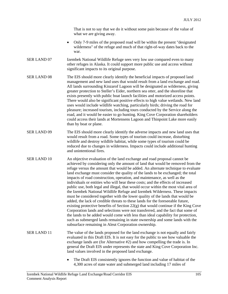That is not to say that we do it without some pain because of the value of what we are giving away.

- Only 7-9 miles of the proposed road will be within the present "designated wilderness" of the refuge and much of that right-of-way dates back to the war.
- SER LAND 07 Izembek National Wildlife Refuge sees very low use compared even to many other refuges in Alaska. It could support more public use and access without significant impacts to its original purpose.
- SER LAND 08 The EIS should more clearly identify the beneficial impacts of proposed land management and new land uses that would result from a land exchange and road. All lands surrounding Kinzarof Lagoon will be designated as wilderness, giving greater protection to Steller's Eider, northern sea otter, and the shoreline that exists presently with public boat launch facilities and motorized access points. There would also be significant positive effects to high value wetlands. New land uses would include wildlife watching, particularly birds; driving the road for pleasure; increased tourism, including tours conducted by the Service along the road, and it would be easier to go hunting. King Cove Corporation shareholders could access their lands at Mortensens Lagoon and Thinpoint Lake more easily than by boat or plane.
- SER LAND 09 The EIS should more clearly identify the adverse impacts and new land uses that would result from a road. Some types of tourism could increase, disturbing wildlife and destroy wildlife habitat, while some types of tourism could be reduced due to changes in wilderness. Impacts could include additional hunting and unintentional fires.
- SER LAND 10 An objective evaluation of the land exchange and road proposal cannot be achieved by considering only the amount of land that would be removed from the refuge versus the amount that would be added. An alternate technique to evaluate land exchange must consider the quality of the lands to be exchanged; the total impacts of road construction, operation, and maintenance, as well as the individuals or entities who will bear these costs; and the effects of increased public use, both legal and illegal, that would occur within the most vital area of the Izembek National Wildlife Refuge and Izembek Wilderness. These impacts must be considered together with the lower quality of the lands that would be added, the lack of credible threats to these lands for the foreseeable future, existing protective benefits of Section  $22(g)$  that would continue if the King Cove Corporation lands and selections were not transferred, and the fact that some of the lands to be added would come with less than ideal capability for protection, such as submerged lands remaining in state ownership and some lands with the subsurface remaining in Aleut Corporation ownership.
- SER LAND 11 The value of the lands proposed for the land exchange is not equally and fairly evaluated in this Draft EIS. It is not easy for the public to see how valuable the exchange lands are (for Alternative #2) and how compelling the trade is. In general the Draft EIS under represents the state and King Cove Corporation Inc. land values involved in the proposed land exchange.
	- The Draft EIS consistently ignores the function and value of habitat of the 4,300 acres of state water and submerged land including 17 miles of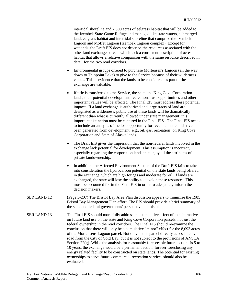intertidal shoreline and 2,300 acres of eelgrass habitat that will be added to the Izembek State Game Refuge and managed like state waters, submerged land, eelgrass habitat and intertidal shoreline that comprise the Izembek Lagoon and Moffet Lagoon (Izembek Lagoon complex). Except for wetlands, the Draft EIS does not describe the resources associated with the other land exchange parcels which lack a consistent description of acres of habitat that allows a relative comparison with the same resource described in detail for the two road corridors.

- Environmental groups offered to purchase Mortensen's Lagoon (all the way down to Thinpoint Lake) to give to the Service because of their wilderness values. This is evidence that the lands to be considered as part of the exchange are valuable.
- If title is transferred to the Service, the state and King Cove Corporation lands, their potential development, recreational use opportunities and other important values will be affected. The Final EIS must address these potential impacts. If a land exchange is authorized and large tracts of land are designated as wilderness, public use of these lands will be dramatically different than what is currently allowed under state management; this important distinction must be captured in the Final EIS. The Final EIS needs to include an analysis of the lost opportunity for revenue that could have been generated from development (e.g., oil, gas, recreation) on King Cove Corporation and State of Alaska lands.
- The Draft EIS gives the impression that the non-federal lands involved in the exchange lack potential for development. This assumption is incorrect, especially regarding the corporation lands that enjoy all the attributes of private landownership.
- In addition, the Affected Environment Section of the Draft EIS fails to take into consideration the hydrocarbon potential on the state lands being offered in the exchange, which are high for gas and moderate for oil. If lands are exchanged, the state will lose the ability to develop these resources. This must be accounted for in the Final EIS in order to adequately inform the decision makers.
- SER LAND 12 (Page 3-207) The Bristol Bay Area Plan discussion appears to minimize the 1985 Bristol Bay Management Plan effort. The EIS should provide a brief summary of the state and federal governments' perspective on this plan.
- SER LAND 13 The Final EIS should more fully address the cumulative effect of the alternatives on future land use on the state and King Cove Corporation parcels, not just the federal ownership in the road corridors. The Final EIS should re-examine the conclusion that there will only be a cumulative "minor" effect for the 8,093 acres of the Mortensens Lagoon parcel. Not only is this parcel directly accessible by road from the City of Cold Bay, but it is not subject to the provisions of ANSCA Section 22(g). While the analysis for reasonably foreseeable future actions is 5 to 10 years, the exchange would be a permanent action, forever foreclosing any energy related facility to be constructed on state lands. The potential for existing ownerships to serve future commercial recreation services should also be evaluated.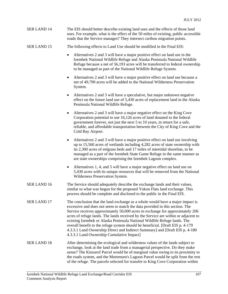| SER LAND 14 | The EIS should better describe existing land uses and the effects of those land      |
|-------------|--------------------------------------------------------------------------------------|
|             | uses. For example, what is the effect of the 50 miles of existing, public accessible |
|             | roads that the Service manages? They intersect caribou migration points.             |

#### SER LAND 15 The following effects to Land Use should be modified in the Final EIS:

- Alternatives 2 and 3 will have a major positive effect on land use in the Izembek National Wildlife Refuge and Alaska Peninsula National Wildlife Refuge because a net of 56,193 acres will be transferred to federal ownership to be managed as part of the National Wildlife Refuge System.
- Alternatives 2 and 3 will have a major positive effect on land use because a net of 49,790 acres will be added to the National Wilderness Preservation System.
- Alternatives 2 and 3 will have a speculative, but major unknown negative effect on the future land use of 5,430 acres of replacement land in the Alaska Peninsula National Wildlife Refuge.
- Alternatives 2 and 3 will have a major negative effect on the King Cove Corporation potential to use 16,126 acres of land donated to the federal government forever, not just the next 5 to 10 years, in return for a safe, reliable, and affordable transportation between the City of King Cove and the Cold Bay Airport.
- Alternatives 2 and 3 will have a major positive effect on land use involving up to 15,560 acres of wetlands including 4,282 acres of state ownership with its 2,300 acres of eelgrass beds and 17 miles of intertidal shoreline, to be managed as a part of the Izembek State Game Refuge in the same manner as are state ownerships comprising the Izembek Lagoon complex.
- Alternatives 1, 4, and 5 will have a major negative effect on land use on 5,430 acres with its unique resources that will be removed from the National Wilderness Preservation System.
- SER LAND 16 The Service should adequately describe the exchange lands and their values, similar to what was begun for the proposed Yukon Flats land exchange. This process should be complete and disclosed to the public in the Final EIS.
- SER LAND 17 The conclusion that the land exchange as a whole would have a major impact is excessive and does not seem to match the data provided in this section. The Service receives approximately 50,000 acres in exchange for approximately 206 acres of refuge lands. The lands received by the Service are within or adjacent to existing Izembek or Alaska Peninsula National Wildlife Refuge lands. The overall benefit to the refuge system should be beneficial. [Draft EIS p. 4-179 4.3.3.1 Land Ownership Direct and Indirect Summary] and [Draft EIS p. 4-180 4.3.3.1 Land Ownership Cumulative Impact]
- SER LAND 18 After determining the ecological and wilderness values of the lands subject to exchange, look at the land trade from a managerial perspective. Do they make sense? The Kinzarof Parcel would be of marginal value owing to its proximity to the roads system, and the Mortensen's Lagoon Parcel would be split from the rest of the refuge. The parcels selected for transfer to King Cove Corporation within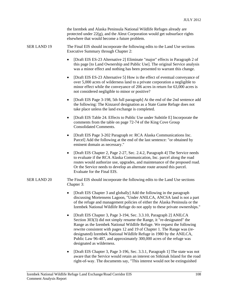the Izembek and Alaska Peninsula National Wildlife Refuges already are protected under 22(g), and the Aleut Corporation would get subsurface rights elsewhere that would become a future problem.

SER LAND 19 The Final EIS should incorporate the following edits to the Land Use sections Executive Summary through Chapter 2:

- [Draft EIS ES-23 Alternative 2] Eliminate "major" effects in Paragraph 2 of this page [to Land Ownership and Public Use]. The original Service analysis was a minor effect and nothing has been presented to warrant this change.
- [Draft EIS ES-23 Alternative 5] How is the effect of eventual conveyance of over 5,000 acres of wilderness land to a private corporation a negligible to minor effect while the conveyance of 206 acres in return for 63,000 acres is not considered negligible to minor or positive?
- [Draft EIS Page 3-198, 5th full paragraph] At the end of the 2nd sentence add the following: The Kinzarof designation as a State Game Refuge does not take place unless the land exchange is completed.
- [Draft EIS Table 24. Effects to Public Use under Subtitle E] Incorporate the comments from the table on page 72-74 of the King Cove Group Consolidated Comments.
- [Draft EIS Page 3-202 Paragraph re: RCA Alaska Communications Inc. Parcel] Add the following at the end of the last sentence: "or obtained by eminent domain as necessary."
- [Draft EIS Chapter 2, Page 2-27, Sec. 2.4.2, Paragraph 4] The Service needs to evaluate if the RCA Alaska Communication, Inc. parcel along the road routes would authorize use, upgrades, and maintenance of the proposed road. Or the Service needs to develop an alternate route around this parcel. Evaluate for the Final EIS.
- SER LAND 20 The Final EIS should incorporate the following edits to the Land Use sections Chapter 3:
	- [Draft EIS Chapter 3 and globally] Add the following in the paragraph discussing Mortensens Lagoon, "Under ANILCA, ANCSA land is not a part of the refuge and management policies of either the Alaska Peninsula or the Izembek National Wildlife Refuge do not apply to these private ownerships."
	- [Draft EIS Chapter 3, Page 3-194, Sec. 3.3.10, Paragraph 2] ANILCA Section 303(3) did not simply rename the Range, it "re-designated" the Range as the Izembek National Wildlife Refuge. We request the following rewrite consistent with pages 12 and 19 of Chapter 1. The Range was (redesignated) Izembek National Wildlife Refuge in 1980 by the ANILCA, Public Law 96-487, and approximately 300,000 acres of the refuge was designated as wilderness.
	- [Draft EIS Chapter 3, Page 3-196, Sec. 3.3.1, Paragraph 1] The state was not aware that the Service would retain an interest on Sitkinak Island for the road right-of-way. The documents say, "This interest would not be extinguished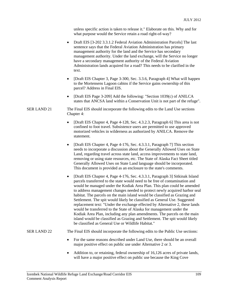unless specific action is taken to release it." Elaborate on this. Why and for what purpose would the Service retain a road right-of-way?

- Draft EIS [3-202 3.3.1.2 Federal Aviation Administration Parcels] The last sentence says that the Federal Aviation Administration has primary management authority for the land and the Service has secondary management authority. Under the land exchange, will the Service no longer have a secondary management authority of the Federal Aviation Administration lands acquired for a road? This needs to be clarified in the text.
- [Draft EIS Chapter 3, Page 3-300, Sec. 3.3.6, Paragraph 4] What will happen to the Mortensens Lagoon cabins if the Service gains ownership of this parcel? Address in Final EIS.
- [Draft EIS Page 3-209] Add the following: "Section 1039(c) of ANILCA states that ANCSA land within a Conservation Unit is not part of the refuge".
- SER LAND 21 The Final EIS should incorporate the following edits to the Land Use sections Chapter 4:
	- [Draft EIS Chapter 4, Page 4-128, Sec. 4.3.2.3, Paragraph 6] This area is not confined to foot travel. Subsistence users are permitted to use approved motorized vehicles in wilderness as authorized by ANILCA. Remove the statement.
	- [Draft EIS Chapter 4, Page 4-176, Sec. 4.3.3.1, Paragraph 7] This section needs to incorporate a discussion about the Generally Allowed Uses on State Land, regarding travel across state land, access improvements to state land, removing or using state resources, etc. The State of Alaska Fact Sheet titled Generally Allowed Uses on State Land language should be incorporated. This document is provided as an enclosure to the state's comments.
	- [Draft EIS Chapter 4, Page 4-176, Sec. 4.3.3.1, Paragraph 3] Sitkinak Island parcels transferred to the state would need to be free of contamination and would be managed under the Kodiak Area Plan. This plan could be amended to address management changes needed to protect newly acquired harbor seal habitat. The parcels on the main island would be classified as Grazing and Settlement. The spit would likely be classified as General Use. Suggested replacement text: "Under the exchange effected by Alternative 2, these lands would be transferred to the State of Alaska for management under the Kodiak Area Plan, including any plan amendments. The parcels on the main island would be classified as Grazing and Settlement. The spit would likely be classified as General Use or Wildlife Habitat."

#### SER LAND 22 The Final EIS should incorporate the following edits to the Public Use sections:

- For the same reasons described under Land Use, there should be an overall major positive effect on public use under Alternative 2 or 3.
- Addition to, or retaining, federal ownership of 16,126 acres of private lands, will have a major positive effect on public use because the King Cove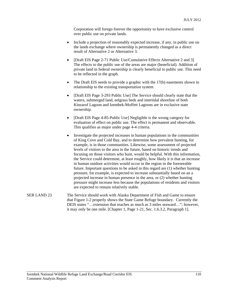Corporation will forego forever the opportunity to have exclusive control over public use on private lands.

- Include a projection of reasonably expected increase, if any, in public use on the lands exchange where ownership is permanently changed as a direct result of Alternative 2 or Alternative 3.
- [Draft EIS Page 2-71 Public Use/Cumulative Effects Alternative 2 and 3] The effects to the public use of the areas are major (beneficial). Addition of private land in federal ownership is clearly beneficial to public use. This need to be reflected in the graph.
- The Draft EIS needs to provide a graphic with the 17(b) easements shown in relationship to the existing transportation system
- [Draft EIS Page 3-293 Public Use] The Service should clearly state that the waters, submerged land, eelgrass beds and intertidal shoreline of both Kinzarof Lagoon and Izembek-Moffett Lagoons are in exclusive state ownership.
- [Draft EIS Page 4-85-Public Use] Negligible is the wrong category for evaluation of effect on public use. The effect is permanent and observable. This qualifies as major under page 4-4 criteria.
- Investigate the projected increases in human populations in the communities of King Cove and Cold Bay, and to determine how prevalent hunting, for example, is in those communities. Likewise, some assessment of projected levels of visitors to the area in the future, based on historic trends and focusing on those visitors who hunt, would be helpful. With this information, the Service could determine, at least roughly, how likely it is that an increase in human outdoor activities would occur in the region in the foreseeable future. Important questions to be asked in this regard are (1) whether hunting pressure, for example, is expected to increase substantially based on an a projected increase in human presence in the area, or (2) whether hunting pressure might increase less because the populations of residents and visitors are expected to remain relatively stable.
- SER LAND 23 The Service should work with Alaska Department of Fish and Game to ensure that Figure 1-2 properly shows the State Game Refuge boundary. Currently the DEIS states "…extension that reaches as much as 3 miles seaward…"; however, it may only be one mile. [Chapter 1, Page 1-21, Sec. 1.6.3.2, Paragraph 1].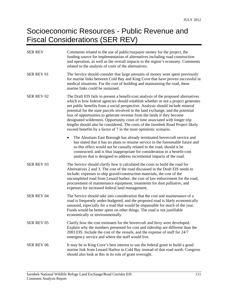### Socioeconomic Resources - Public Revenue and Fiscal Considerations (SER REV)

| <b>SER REV</b>    | Comments related to the use of public/taxpayer money for the project, the<br>funding source for implementation of alternatives including road construction<br>and operation, as well as the overall impacts to the region's economy. Comments<br>related to the analysis of costs of the alternatives.                                                                                                                                                                                                                                                                                                                                                            |  |
|-------------------|-------------------------------------------------------------------------------------------------------------------------------------------------------------------------------------------------------------------------------------------------------------------------------------------------------------------------------------------------------------------------------------------------------------------------------------------------------------------------------------------------------------------------------------------------------------------------------------------------------------------------------------------------------------------|--|
| SER REV 01        | The Service should consider that large amounts of money were spent previously<br>for marine links between Cold Bay and King Cove that have proven successful in<br>medical situations. For the cost of building and maintaining the road, these<br>marine links could be sustained.                                                                                                                                                                                                                                                                                                                                                                               |  |
| SER REV 02        | The Draft EIS fails to present a benefit-cost analysis of the proposed alternatives<br>which is how federal agencies should establish whether or not a project generates<br>net public benefits from a social perspective. Analysis should include mineral<br>potential for the state parcels involved in the land exchange, and the potential<br>loss of opportunities to generate revenue from the lands if they become<br>designated wilderness. Opportunity costs of time associated with longer trip<br>lengths should also be considered. The costs of the Izembek Road Project likely<br>exceed benefits by a factor of 7 in the most optimistic scenario. |  |
|                   | The Aleutians East Borough has already terminated hovercraft service and<br>$\bullet$<br>has stated that it has no plans to resume service in the foreseeable future and<br>so this effect would not be causally related to the road, should it be<br>constructed, and is thus inappropriate for consideration in a benefit-cost<br>analysis that is designed to address incremental impacts of the road.                                                                                                                                                                                                                                                         |  |
| SER REV 03        | The Service should clarify how it calculated the costs to build the road for<br>Alternatives 2 and 3. The cost of the road discussed in the Draft EIS needs to<br>include: expenses to ship gravel/construction materials, the cost of the<br>uncompleted road from Lenard harbor, the cost of law enforcement for the road,<br>procurement of maintenance equipment, treatments for dust palliative, and<br>expenses for increased federal land management.                                                                                                                                                                                                      |  |
| <b>SER REV 04</b> | The Service should take into consideration that the cost and maintenance of a<br>road is frequently under-budgeted, and the proposed road is likely economically<br>unsound, especially for a road that would be impassable for much of the year.<br>Funds would be better spent on other things. The road is not justifiable<br>economically or environmentally.                                                                                                                                                                                                                                                                                                 |  |
| <b>SER REV 05</b> | Clarify how the cost estimates for the hovercraft and ferry were developed.<br>Explain why the numbers presented for cost and ridership are different than the<br>2003 EIS. Include the cost of the vessels, and the expense of staff for 24/7<br>emergency service and where the staff would live.                                                                                                                                                                                                                                                                                                                                                               |  |
| <b>SER REV 06</b> | It may be in King Cove's best interest to use the federal grant to build a good<br>marine link from Lenard Harbor to Cold Bay instead of that road north. Congress<br>should also look at this in its role of grant oversight.                                                                                                                                                                                                                                                                                                                                                                                                                                    |  |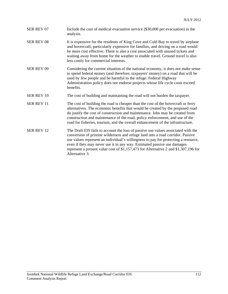| <b>SER REV 07</b> | Include the cost of medical evacuation service (\$30,000 per evacuation) in the<br>analysis.                                                                                                                                                                                                                                                                                                                                                   |
|-------------------|------------------------------------------------------------------------------------------------------------------------------------------------------------------------------------------------------------------------------------------------------------------------------------------------------------------------------------------------------------------------------------------------------------------------------------------------|
| <b>SER REV 08</b> | It is expensive for the residents of King Cove and Cold Bay to travel by airplane<br>and hovercraft, particularly expensive for families, and driving on a road would<br>be more cost effective. There is also a cost associated with unused tickets and<br>waiting away from home for the weather to enable travel. Ground travel is also<br>less costly for commercial interests.                                                            |
| <b>SER REV 09</b> | Considering the current situation of the national economy, it does not make sense<br>to spend federal money (and therefore, taxpayers' money) on a road that will be<br>used by few people and be harmful to the refuge. Federal Highway<br>Administration policy does not endorse projects whose life cycle costs exceed<br>benefits.                                                                                                         |
| <b>SER REV 10</b> | The cost of building and maintaining the road will not burden the taxpayer.                                                                                                                                                                                                                                                                                                                                                                    |
| <b>SER REV 11</b> | The cost of building the road is cheaper than the cost of the hovercraft or ferry<br>alternatives. The economic benefits that would be created by the proposed road<br>do justify the cost of construction and maintenance. Jobs may be created from<br>construction and maintenance of the road, policy enforcement, and use of the<br>road for fisheries, tourism, and the overall enhancement of the infrastructure.                        |
| <b>SER REV 12</b> | The Draft EIS fails to account the loss of passive use values associated with the<br>conversion of pristine wilderness and refuge land into a road corridor. Passive<br>use values represent an individual's willingness to pay for protecting a resource,<br>even if they may never use it in any way. Estimated passive use damages<br>represent a present value cost of \$1,157,473 for Alternative 2 and \$1,307,196 for<br>Alternative 3. |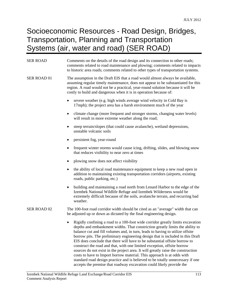### Socioeconomic Resources - Road Design, Bridges, Transportation, Planning and Transportation Systems (air, water and road) (SER ROAD)

| <b>SER ROAD</b>    | Comments on the details of the road design and its connection to other roads;<br>comments related to road maintenance and plowing; comments related to impacts<br>to historic area roads; comments related to other types of transportation systems.                                                                                                                                                                                                                                                                                                                                                                                                        |  |  |
|--------------------|-------------------------------------------------------------------------------------------------------------------------------------------------------------------------------------------------------------------------------------------------------------------------------------------------------------------------------------------------------------------------------------------------------------------------------------------------------------------------------------------------------------------------------------------------------------------------------------------------------------------------------------------------------------|--|--|
| SER ROAD 01        | The assumption in the Draft EIS that a road would almost always be available,<br>assuming regular timely maintenance, does not appear to be substantiated for this<br>region. A road would not be a practical, year-round solution because it will be<br>costly to build and dangerous when it is in operation because of:                                                                                                                                                                                                                                                                                                                                  |  |  |
|                    | severe weather (e.g. high winds average wind velocity in Cold Bay is<br>17mph); the project area has a harsh environment much of the year                                                                                                                                                                                                                                                                                                                                                                                                                                                                                                                   |  |  |
|                    | climate change (more frequent and stronger storms, changing water levels)<br>٠<br>will result in more extreme weather along the road;                                                                                                                                                                                                                                                                                                                                                                                                                                                                                                                       |  |  |
|                    | steep terrain/slopes (that could cause avalanche), wetland depressions,<br>unstable volcanic soils                                                                                                                                                                                                                                                                                                                                                                                                                                                                                                                                                          |  |  |
|                    | persistent fog, year-round                                                                                                                                                                                                                                                                                                                                                                                                                                                                                                                                                                                                                                  |  |  |
|                    | frequent winter storms would cause icing, drifting, slides, and blowing snow<br>that reduces visibility to near zero at times                                                                                                                                                                                                                                                                                                                                                                                                                                                                                                                               |  |  |
|                    | plowing snow does not affect visibility                                                                                                                                                                                                                                                                                                                                                                                                                                                                                                                                                                                                                     |  |  |
|                    | the ability of local road maintenance equipment to keep a new road open in<br>addition to maintaining existing transportation corridors (airports, existing<br>roads, public parking, etc.)                                                                                                                                                                                                                                                                                                                                                                                                                                                                 |  |  |
|                    | building and maintaining a road north from Lenard Harbor to the edge of the<br>٠<br>Izembek National Wildlife Refuge and Izembek Wilderness would be<br>extremely difficult because of the soils, avalanche terrain, and recurring bad<br>weather.                                                                                                                                                                                                                                                                                                                                                                                                          |  |  |
| <b>SER ROAD 02</b> | The 100-foot road corridor width should be cited as an "average" width that can<br>be adjusted up or down as dictated by the final engineering design.                                                                                                                                                                                                                                                                                                                                                                                                                                                                                                      |  |  |
|                    | • Rigidly confining a road to a 100-foot wide corridor greatly limits excavation<br>depths and embankment widths. That constriction greatly limits the ability to<br>balance cut and fill volumes and, in turn, leads to having to utilize offsite<br>borrow pits. The preliminary engineering design that is included in this Draft<br>EIS does conclude that there will have to be substantial offsite borrow to<br>construct the road and that, with one limited exception, offsite borrow<br>sources do not exist in the project area. It will greatly raise the construction<br>costs to have to Import borrow material. This approach is at odds with |  |  |

standard road design practice and is believed to be totally unnecessary if one

accepts the premise that roadway excavation could likely provide the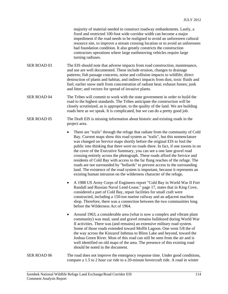majority of material needed to construct roadway embankments. Lastly, a fixed and restricted 100-foot wide corridor width can become a major impediment if the road needs to be realigned to avoid an unforeseen cultural resource site, to improve a stream crossing location or to avoid an unforeseen bad foundation condition. It also greatly constricts the construction contractors operations where large earthmoving vehicles require large turning radiuses.

- SER ROAD 03 The EIS should note that adverse impacts from road construction, maintenance, and use are well documented. These include erosion, changes to drainage patterns; fish passage concerns, noise and collision impacts to wildlife; direct destruction of plants and habitat, and indirect impacts from dust, toxic fluids and fuel; earlier snow melt from concentration of radiant heat; exhaust fumes; junk and litter; and vectors for spread of invasive plants.
- SER ROAD 04 The Tribes will commit to work with the state government in order to build the road to the highest standards. The Tribes anticipate the construction will be closely scrutinized, as is appropriate, to the quality of the land. We are building roads here as we speak. It is complicated, but we can do a pretty good job.
- SER ROAD 05 The Draft EIS is missing information about historic and existing roads in the project area.
	- There are "trails" through the refuge that radiate from the community of Cold Bay. Current maps show this road system as "trails", but this nomenclature was changed on Service maps shortly before the original EIS to fool the public into thinking that there were no roads there. In fact, if one zooms in on the cover of the Executive Summary, you can see a one lane gravel road crossing entirely across the photograph. These roads afford the Service and residents of Cold Bay with access to the far flung reaches of the refuge. The roads are not surrounded by "bollards" to prevent access to the surrounding land. The existence of the road system is important, because it represents an existing human intrusion on the wilderness character of the refuge,
	- A 1988 US Army Corps of Engineers report "Cold Bay in World War II Fort Randall and Russian Naval Lend-Lease," page 17, states that in King Cove, considered a part of Cold Bay, repair facilities for small craft were constructed, including a 150-ton marine railway and an adjacent machine shop. Therefore, there was a connection between the two communities long before the Wilderness Act of 1964.
	- Around 1963, a considerable area (what is now a complex and vibrant plant community) was mud, sand and gravel remains bulldozed during World War II activities. There was (and remains) an extensive military road system. Some of those roads extended toward Moffit Lagoon. One went 5/8 the of the way across the Kinzarof Isthmus to Blinn Lake and beyond, toward the Joshua Green River. Most of this road can still be seen from the air and is well identified on old maps of the area. The presence of this existing road should be noted in the document.
- SER ROAD 06 The road does not improve the emergency response time. Under good conditions, compare a 1.5 to 2 hour car ride to a 20-minute hovercraft ride. A road in winter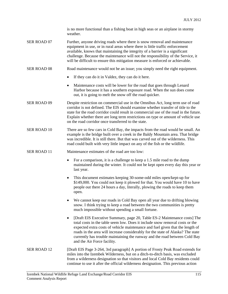is no more functional than a fishing boat in high seas or an airplane in stormy weather.

SER ROAD 07 Further, anyone driving roads where there is snow removal and maintenance equipment in use, or in rural areas where there is little traffic enforcement available, knows that maintaining the integrity of a barrier is a significant challenge. Because the maintenance will not the responsibility of the Service, it will be difficult to ensure this mitigation measure is enforced or achievable.

- SER ROAD 08 Road maintenance would not be an issue; you simply need the right equipment.
	- If they can do it in Valdez, they can do it here.
	- Maintenance costs will be lower for the road that goes through Lenard Harbor because it has a southern exposure road. When the sun does come out, it is going to melt the snow off the road quicker.
- SER ROAD 09 Despite restriction on commercial use in the Omnibus Act, long term use of road corridor is not defined. The EIS should examine whether transfer of title to the state for the road corridor could result in commercial use of the road in the future. Explain whether there are long term restrictions on type or amount of vehicle use on the road corridor once transferred to the state.
- SER ROAD 10 There are so few cars in Cold Bay, the impacts from the road would be small. An example is the bridge built over a creek in the Baldy Mountain area. That bridge was incredible. It is still there. But that was carved out of the wilderness. This road could built with very little impact on any of the fish or the wildlife.
- SER ROAD 11 Maintenance estimates of the road are too low:
	- For a comparison, it is a challenge to keep a 1.5 mile road to the dump maintained during the winter. It could not be kept open every day this year or last year.
	- This document estimates keeping 30-some-odd miles open/kept-up for \$149,000. You could not keep it plowed for that. You would have 10 to have people out there 24 hours a day, literally, plowing the roads to keep them open.
	- We cannot keep our roads in Cold Bay open all year due to drifting blowing snow. I think trying to keep a road between the two communities is pretty much impossible without spending a small fortune.
	- [Draft EIS Executive Summary, page 20, Table ES-2 Maintenance costs] The total costs in the table seem low. Does it include snow removal costs or the expected extra costs of vehicle maintenance and fuel given that the length of roads in the area will increase considerably for the state of Alaska? The state currently has trouble maintaining the runway and the road between Cold Bay and the Air Force facility.
- SER ROAD 12 [Draft EIS Page 3-264, 3rd paragraph] A portion of Frosty Peak Road extends for miles into the Izembek Wilderness, but on a ditch-to-ditch basis, was excluded from a wilderness designation so that visitors and local Cold Bay residents could continue to use it after the official wilderness designation. This previous action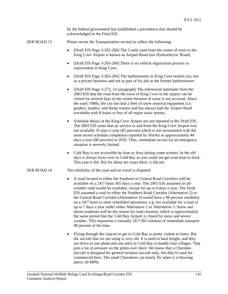by the federal government has established a precedence that should be acknowledged in the Final EIS.

- SER ROAD 13 Please revise the Transportation section to reflect the following:
	- [Draft EIS Page 3-265-266] The 5-mile road from the center of town to the King Cove Airport is known as Airport Road (not Hydroelectric Road).
	- [Draft EIS Page 3-265-266] There is no vehicle registration process or requirement in King Cove.
	- [Draft EIS Page 3-265-266] The harbormaster in King Cove rented cars, but as a private business and not as part of his job as the former harbormaster.
	- [Draft EIS Page 3-273, 1st paragraph] The referenced statement from the 2003 EIS that the road from the town of King Cove to the airport can be closed for several days in the winter because of snow is not accurate. Since the early 1980s, the city has had a fleet of snow removal equipment (i.e. graders, loaders, and dump trucks) and has always had the Airport Road travelable with 8 hours or less of all major snow storms.
	- Schedule delays at the King Cove Airport are not reported in the Draft EIS. The 2003 EIS notes that air service to and from the King Cove Airport was not available 55 days a year (85 percent) which is not inconsistent with the most recent schedule completion reported by PenAir as approximately 44 days a year (88 percent) in 2010. Thus, immediate access for an emergency situation is severely limited.
	- Cold Bay is not accessible by boat or ferry during some winters. In the old days it always froze over in Cold Bay so you could not get your boat to dock. This year it did. But for about ten years there, it did not.
- SER ROAD 14 The reliability of the road and air travel is disputed.
	- A road located in either the Southern or Central Road Corridors will be available on a 24/7 basis 365 days a year. The 2003 EIS assumed an allweather road would be available, except for up to 4 days a year. The Draft EIS assumed a road in either the Southern Road Corridor (Alternative 2) or the Central Road Corridor (Alternative 3) would have a 98 percent reliability on a 24/7 basis to meet scheduled operations, e.g. not available for a total of up to 7 days a year under either Alternative 2 or Alternative 3. Snow and storm washouts will be the reason for road closures, which is approximately the same period that the Cold Bay Airport is closed by snow and severe weather. This represents a virtually 24/7/365 solution of immediate transport 98 percent of the time.
	- Flying through the canyon to get to Cold Bay is pretty violent at times. But the aircraft that we are using is very old. It is used to haul freight, and they are down to one plane and one pilot in Cold Bay to handle four villages. That puts a lot of pressure on the pilots over there. We know that a Cherokee aircraft is designed for general aviation aircraft only, but they're used for commercial here. The small Cherokees can barely fly when it is blowing above 30 MPH.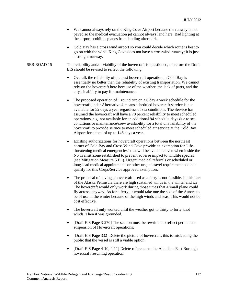- We cannot always rely on the King Cove Airport because the runway is not paved so the medical evacuation jet cannot always land here. Bad lighting at the airport prohibits planes from landing after dark.
- Cold Bay has a cross wind airport so you could decide which route is best to go on with the wind. King Cove does not have a crosswind runway; it is just a straight runway.
- SER ROAD 15 The reliability and/or viability of the hovercraft is questioned, therefore the Draft EIS should be revised to reflect the following:
	- Overall, the reliability of the past hovercraft operation in Cold Bay is essentially no better than the reliability of existing transportation. We cannot rely on the hovercraft here because of the weather, the lack of parts, and the city's inability to pay for maintenance.
	- The proposed operation of 1 round trip on a 6 day a week schedule for the hovercraft under Alternative 4 means scheduled hovercraft service is not available for 52 days a year regardless of sea conditions. The Service has assumed the hovercraft will have a 70 percent reliability to meet scheduled operations, e.g. not available for an additional 94 schedule-days due to sea conditions or maintenance/crew availability for a total unavailability of the hovercraft to provide service to meet scheduled air service at the Cold Bay Airport for a total of up to 146 days a year.
	- Existing authorizations for hovercraft operations between the northeast corner of Cold Bay and Cross Wind Cove provide an exemption for "lifethreatening medical emergencies" that will be available even when inside the No Transit Zone established to prevent adverse impact to wildlife species (see Mitigation Measure 5.B.i). Urgent medical referrals or scheduled or long-lead medical appointments or other urgent travel requirements do not qualify for this Corps/Service approved exemption.
	- The proposal of having a hovercraft used as a ferry is not feasible. In this part of the Alaska Peninsula there are high sustained winds in the winter and ice. The hovercraft would only work during those times that a small plane could fly across, anyway. As for a ferry, it would take one the size of the Aurora to be of use in the winter because of the high winds and seas. This would not be cost effective.
	- The hovercraft only worked until the weather got to thirty to forty knot winds. Then it was grounded.
	- [Draft EIS Page 3-270] The section must be rewritten to reflect permanent suspension of Hovercraft operations.
	- [Draft EIS Page 332] Delete the picture of hovercraft; this is misleading the public that the vessel is still a viable option.
	- [Draft EIS Page 4-10, 4-11] Delete reference to the Aleutians East Borough hovercraft resuming operation.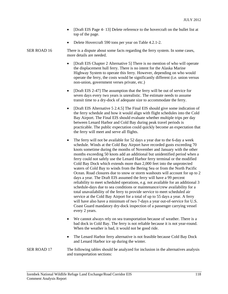- [Draft EIS Page 4-13] Delete reference to the hovercraft on the bullet list at top of the page.
- Delete Hovercraft 590 tons per year on Table 4.2.1-2.

SER ROAD 16 There is a dispute about some facts regarding the ferry system. In some cases, more details are needed.

- [Draft EIS Chapter 2 Alternative 5] There is no mention of who will operate the displacement hull ferry. There is no intent for the Alaska Marine Highway System to operate this ferry. However, depending on who would operate the ferry, the costs would be significantly different (i.e. union versus non-union, government verses private, etc.)
- [Draft EIS 2-47] The assumption that the ferry will be out of service for seven days every two years is unrealistic. The estimate needs to assume transit time to a dry-dock of adequate size to accommodate the ferry.
- [Draft EIS Alternative 5 2.4.5] The Final EIS should give some indication of the ferry schedule and how it would align with flight schedules into the Cold Bay Airport. The Final EIS should evaluate whether multiple trips per day between Lenard Harbor and Cold Bay during peak travel periods is practicable. The public expectation could quickly become an expectation that the ferry will meet and serve all flights.
- The ferry will not be available for 52 days a year due to the 6-day a week schedule. Winds at the Cold Bay Airport have recorded gusts exceeding 70 knots sometime during the months of November and January with the other months exceeding 50 knots add an additional but unidentified period when a ferry could not safely use the Lenard Harbor ferry terminal or the modified Cold Bay Dock which extends more than 2,000 feet into the unprotected waters of Cold Bay to winds from the Bering Sea or from the North Pacific Ocean. Road closures due to snow or storm washouts will account for up to 2 days a year. The Draft EIS assumed the ferry will have a 99 percent reliability to meet scheduled operations, e.g. not available for an additional 3 schedule-days due to sea conditions or maintenance/crew availability for a total unavailability of the ferry to provide service to meet scheduled air service at the Cold Bay Airport for a total of up to 55 days a year. A ferry will have also have a minimum of two 7-days a year out-of-service for U.S. Coast Guard mandatory dry-dock inspection of a passenger carrying vessel every 2 years.
- We cannot always rely on sea transportation because of weather. There is a bad dock in Cold Bay. The ferry is not reliable because it is not year-round. When the weather is bad, it would not be good ride.
- The Lenard Harbor ferry alternative is not feasible because Cold Bay Dock and Lenard Harbor ice up during the winter.
- SER ROAD 17 The following tables should be analyzed for inclusion in the alternatives analysis and transportation sections: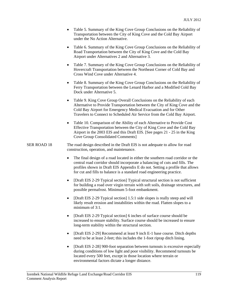- Table 5. Summary of the King Cove Group Conclusions on the Reliability of Transportation between the City of King Cove and the Cold Bay Airport under the No Action Alternative.
- Table 6. Summary of the King Cove Group Conclusions on the Reliability of Road Transportation between the City of King Cove and the Cold Bay Airport under Alternatives 2 and Alternative 3.
- Table 7. Summary of the King Cove Group Conclusions on the Reliability of Hovercraft Transportation between the Northeast Corner of Cold Bay and Cross Wind Cove under Alternative 4.
- Table 8. Summary of the King Cove Group Conclusions on the Reliability of Ferry Transportation between the Lenard Harbor and a Modified Cold Bay Dock under Alternative 5.
- Table 9. King Cove Group Overall Conclusions on the Reliability of each Alternative to Provide Transportation between the City of King Cove and the Cold Bay Airport for Emergency Medical Evacuation and for Other Travelers to Connect to Scheduled Air Service from the Cold Bay Airport.
- Table 10. Comparison of the Ability of each Alternative to Provide Cost Effective Transportation between the City of King Cove and the Cold Bay Airport in the 2003 EIS and this Draft EIS. [See pages 21 - 25 in the King Cove Group Consolidated Comments]

#### SER ROAD 18 The road design described in the Draft EIS is not adequate to allow for road construction, operation, and maintenance.

- The final design of a road located in either the southern road corridor or the central road corridor should incorporate a balancing of cuts and fills. The profiles shown in Draft EIS Appendix E do not. Setting a profile that allows for cut and fills to balance is a standard road engineering practice.
- [Draft EIS 2-29 Typical section] Typical structural section is not sufficient for building a road over virgin terrain with soft soils, drainage structures, and possible permafrost. Minimum 5-foot embankment.
- [Draft EIS 2-29 Typical section] 1.5:1 side slopes is really steep and will likely result erosion and instabilities within the road. Flatten slopes to a minimum of 3:1.
- [Draft EIS 2-29 Typical section] 6 inches of surface course should be increased to ensure stability. Surface course should be increased to ensure long-term stability within the structural section.
- [Draft EIS 2-29] Recommend at least 9 inch E-1 base course. Ditch depths need to be at least 2-feet; this includes the 1-foot riprap ditch lining.
- [Draft EIS 2-28] 900-foot separation between turnouts is excessive especially during conditions of low light and poor visibility. Recommend turnouts be located every 500 feet, except in those location where terrain or environmental factors dictate a longer distance.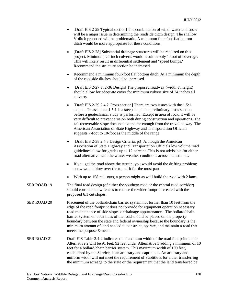- [Draft EIS 2-29 Typical section] The combination of wind, water and snow will be a major issue in determining the roadside ditch design. The shallow V-ditch proposed will be problematic. A minimum four-foot flat bottom ditch would be more appropriate for these conditions.
- [Draft EIS 2-28] Substantial drainage structures will be required on this project. Minimum, 24-inch culverts would result in only 1-foot of coverage. This will likely result in differential settlement and "speed bumps." Recommend the structure section be increased.
- Recommend a minimum four-foot flat bottom ditch. At a minimum the depth of the roadside ditches should be increased.
- [Draft EIS 2-27  $& 2-36$  Design] The proposed roadway (width  $& 2-16$ ) should allow for adequate cover for minimum culvert size of 24 inches all culverts.
- [Draft EIS 2-29 2.4.2 Cross section] There are two issues with the 1.5:1 slope: - To assume a 1.5:1 is a steep slope in a preliminary cross section before a geotechnical study is performed. Except in area of rock, it will be very difficult to prevent erosion both during construction and operations. The 4:1 recoverable slope does not extend far enough from the travelled way. The American Association of State Highway and Transportation Officials suggests 7-foot to 10-foot as the middle of the range.
- [Draft EIS 2-38 2.4.3 Design Criteria, p3] Although the American Association of State Highway and Transportation Officials low volume road guidelines allow for grades up to 12 percent. This is not advisable for either road alternative with the winter weather conditions across the isthmus.
- If you get the road above the terrain, you would avoid the drifting problem; snow would blow over the top of it for the most part.
- With up to 158 pull-outs, a person might as well build the road with 2 lanes.
- SER ROAD 19 The final road design (of either the southern road or the central road corridor) should consider snow fences to reduce the wider footprint created with the proposed 6:1 cut slopes.
- SER ROAD 20 Placement of the bollard/chain barrier system not further than 10 feet from the edge of the road footprint does not provide for equipment operation necessary road maintenance of side slopes or drainage appurtenances. The bollard/chain barrier system on both sides of the road should be placed on the property boundary between the state and federal ownership because the boundary is the minimum amount of land needed to construct, operate, and maintain a road that meets the purpose & need.
- SER ROAD 21 Draft EIS Table 2.4-2 indicates the maximum width of the road foot print under Alternative 2 will be 91 feet; 92 feet under Alternative 3 adding a minimum of 10 feet for a bollard/chain barrier system. This maximum width of 100 feet, established by the Service, is an arbitrary and capricious. An arbitrary and uniform width will not meet the requirement of Subtitle E for either transferring the minimum acreage to the state or the requirement that the land transferred be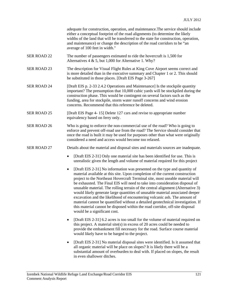adequate for construction, operation, and maintenance.The service should include either a conceptual footprint of the road alignments (to determine the likely widths of the land that will be transferred to the state for construction, operation, and maintenance) or change the description of the road corridors to be "an average of 100 feet in width."

- SER ROAD 22 The number of passengers estimated to ride the hovercraft is 1,500 for Alternatives 4 & 5, but 1,000 for Alternative 1. Why?
- SER ROAD 23 The description for Visual Flight Rules at King Cove Airport seems correct and is more detailed than in the executive summary and Chapter 1 or 2. This should be substituted in those places. [Draft EIS Page 3-267]
- SER ROAD 24 [Draft EIS p. 2-33 2.4.2 Operations and Maintenance] Is the stockpile quantity important? The presumption that 10,000 cubic yards will be stockpiled during the construction phase. This would be contingent on several factors such as the funding, area for stockpile, storm water runoff concerns and wind erosion concerns. Recommend that this reference be deleted.
- SER ROAD 25 [Draft EIS Page 4- 15] Delete 127 cars and revise to appropriate number equivalency based on ferry only.
- SER ROAD 26 Who is going to enforce the non-commercial use of the road? Who is going to enforce and prevent off-road use from the road? The Service should consider that once the road is built it may be used for purposes other than what were originally considered a need and access would become too relaxed.
- SER ROAD 27 Details about the material and disposal sites and materials sources are inadequate.
	- [Draft EIS 2-31] Only one material site has been identified for use. This is unrealistic given the length and volume of material required for this project
	- [Draft EIS 2-31] No information was presented on the type and quantity of material available at this site. Upon completion of the current construction project to the Northeast Hovercraft Terminal site, most useable material will be exhausted. The Final EIS will need to take into consideration disposal of unusable material. The rolling terrain of the central alignment (Alternative 3) would likely generate large quantities of unusable material associated deeper excavation and the likelihood of encountering volcanic ash. The amount of material cannot be quantified without a detailed geotechnical investigation. If this material cannot be disposed within the road corridor, off-site disposal would be a significant cost.
	- [Draft EIS 2-31] 6.2 acres is too small for the volume of material required on this project. A material site(s) in excess of 20 acres could be needed to provide the embankment fill necessary for the road. Surface course material would likely have to be barged to the project.
	- [Draft EIS 2-31] No material disposal sites were identified. Is it assumed that all organic material will be place on slopes? It is likely there will be a substantial amount of overburden to deal with. If placed on slopes, the result in even shallower ditches.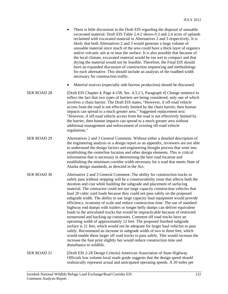- There is little discussion in the Draft EIS regarding the disposal of unusable excavated material. Draft EIS Table 2.4-2 shows 0.3 and 2.4 acres of uplands reclaimed with excavated material in Alternatives 2 and 3 respectively. It is likely that both Alternatives 2 and 3 would generate a large volume of unusable material since much of the area could have a thick layer of organics and/or volcanic ash at or near the surface. It is also possible that because of the local climate, excavated material would be too wet to compact and that drying the material would not be feasible. Therefore, the Final EIS should have an expanded discussion of construction sequencing and methodology for each alternative. This should include an analysis of the roadbed width necessary for construction traffic.
- Material sources (especially side borrow production) should be discussed.
- SER ROAD 28 [Draft EIS Chapter 4, Page 4-158, Sec. 4.3.2.5, Paragraph 4] Change sentence to reflect the fact that two types of barriers are being considered, only one of which involves a chain barrier. The Draft EIS states, "However, if off-road vehicle access from the road is not effectively limited by the chain barrier, then human impacts can spread to a much greater area." Suggested replacement text: "However, if off-road vehicle access from the road is not effectively limited by the barrier, then human impacts can spread to a much greater area without additional management and enforcement of existing off-road vehicle regulations."
- SER ROAD 29 Alternatives 2 and 3 General Comment. Without either a detailed description of the engineering analysis or a design report as an appendix, reviewers are not able to understand the design factors and engineering thought process that went into establishing the centerline location and other design elements. This is critical information that is necessary in determining the best road location and establishing the minimum corridor width necessary for a road that meets State of Alaska design standards, as directed in the Act.
- SER ROAD 30 Alternative 2 and 3 General Comment. The ability for construction trucks to safely pass without stopping will be a constructability issue that affects both the duration and cost while building the subgrade and placement of surfacing material. The contractor could not use large capacity construction vehicles that haul 20 cubic yard loads because they could not pass safely on the proposed subgrade width. The ability to use large capacity haul equipment would provide efficiency, economy of scale and reduce construction time. The use of standard highway end dumps with trailers or longer belly dumps can deliver equivalent loads to the articulated trucks but would be impracticable because of restricted turnaround and backing-up constraints. Common off road trucks have an operating width of approximately 12 feet. The proposed finished subgrade surface is 21 feet, which would not be adequate for larger haul vehicles to pass safely. Recommend an increase in subgrade width of two to three feet, which would enable these larger off road trucks to pass safely. This would increase the increase the foot print slightly but would reduce construction time and disturbance to wildlife.
- SER ROAD 31 [Draft EIS 2-28 Design Criteria] American Association of State Highway Officials low volume local roads guide suggests that the design speed should realistically represent actual and anticipated operating speeds. A 20 miles per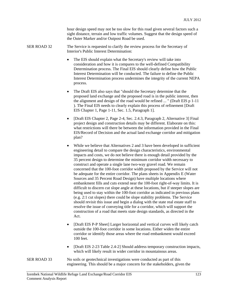hour design speed may not be too slow for this road given several factors such a sight distance, terrain and low traffic volumes. Suggest that the design speed of the Outer Marker and/or Outpost Road be used.

SER ROAD 32 The Service is requested to clarify the review process for the Secretary of Interior's Public Interest Determination:

- The EIS should explain what the Secretary's review will take into consideration and how it is compares to the well-defined Compatibility Determination process. The Final EIS should clearly define how the Public Interest Determination will be conducted. The failure to define the Public Interest Determination process undermines the integrity of the current NEPA process.
- The Draft EIS also says that "should the Secretary determine that the proposed land exchange and the proposed road is in the public interest, then the alignment and design of the road would be refined ... " (Draft EIS p 1-11 ). The Final EIS needs to clearly explain this process of refinement [Draft EIS Chapter 1, Page 1-11, Sec. 1.5, Paragraph 1].
- [Draft EIS Chapter 2, Page 2-4, Sec. 2.4.3, Paragraph 2, Alternative 3] Final project design and construction details may be different. Elaborate on this: what restrictions will there be between the information provided in the Final EIS/Record of Decision and the actual land exchange corridor and mitigation plan?
- While we believe that Alternatives 2 and 3 have been developed in sufficient engineering detail to compare the design characteristics, environmental impacts and costs, we do not believe there is enough detail provided by the 35 percent design to determine the minimum corridor width necessary to construct and operate a single lane two-way gravel road. We remain concerned that the 100-foot corridor width proposed by the Service will not be adequate for the entire corridor. The plans sheets in Appendix E (Water Sources and 35 Percent Road Design) have multiple locations where embankment fills and cuts extend near the 100-foot right-of-way limits. It is difficult to discern cut slope angle at these locations, but if steeper slopes are being used to stay within the 100-foot corridor as indicated in previous plans (e.g. 2:1 cut slopes) there could be slope stability problems. The Service should revisit this issue and begin a dialog with the state real estate staff to resolve the issue of conveying title for a corridor, which will support the construction of a road that meets state design standards, as directed in the Act.
- [Draft EIS P-P Sheet] Larger horizontal and vertical curves will likely catch outside the 100-foot corridor in some locations. Either widen the entire corridor or identify those areas where the road embankment would exceed 100 feet.
- [Draft EIS 2-23 Table 2.4-2] Should address temporary construction impacts, which will likely result in wider corridor in mountainous areas.
- SER ROAD 33 No soils or geotechnical investigations were conducted as part of this engineering. This should be a major concern for the stakeholders, given the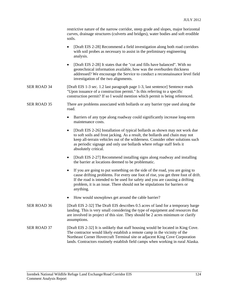| restrictive nature of the narrow corridor, steep grade and slopes, major horizontal |
|-------------------------------------------------------------------------------------|
| curves, drainage structures (culverts and bridges), water bodies and soft erodible  |
| soils.                                                                              |

- [Draft EIS 2-28] Recommend a field investigation along both road corridors with soil probes as necessary to assist in the preliminary engineering analysis.
- [Draft EIS 2-28] It states that the "cut and fills have balanced". With no geotechnical information available, how was the overburden thickness addressed? We encourage the Service to conduct a reconnaissance level field investigation of the two alignments.
- SER ROAD 34 [Draft EIS 1-3 sec. 1.2 last paragraph page 1-3, last sentence] Sentence reads "Upon issuance of a construction permit." Is this referring to a specific construction permit? If so I would mention which permit is being referenced.
- SER ROAD 35 There are problems associated with bollards or any barrier type used along the road.
	- Barriers of any type along roadway could significantly increase long-term maintenance costs.
	- [Draft EIS 2-26] Installation of typical bollards as shown may not work due to soft soils and frost jacking. As a result, the bollards and chain may not keep all-terrain vehicles out of the wilderness. Consider other solutions such as periodic signage and only use bollards where refuge staff feels it absolutely critical.
	- [Draft EIS 2-27] Recommend installing signs along roadway and installing the barrier at locations deemed to be problematic.
	- If you are going to put something on the side of the road, you are going to cause drifting problems. For every one foot of rise, you get three foot of drift. If the road is intended to be used for safety and you are causing a drifting problem, it is an issue. There should not be stipulations for barriers or anything.
	- How would snowplows get around the cable barrier?
- SER ROAD 36 [Draft EIS 2-32] The Draft EIS describes 0.5 acres of land for a temporary barge landing. This is very small considering the type of equipment and resources that are involved in project of this size. They should be 2 acres minimum or clarify assumptions.

#### SER ROAD 37 [Draft EIS 2-32] It is unlikely that staff housing would be located in King Cove. The contractor would likely establish a remote camp in the vicinity of the Northeast Corner Hovercraft Terminal site or adjacent King Cove Corporation lands. Contractors routinely establish field camps when working in rural Alaska.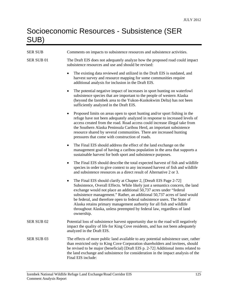### Socioeconomic Resources - Subsistence (SER SUB)

| <b>SER SUB</b>        | Comments on impacts to subsistence resources and subsistence activities.                                                                                                                                                                                                                                                                                                                                                                                                                                                                                 |  |
|-----------------------|----------------------------------------------------------------------------------------------------------------------------------------------------------------------------------------------------------------------------------------------------------------------------------------------------------------------------------------------------------------------------------------------------------------------------------------------------------------------------------------------------------------------------------------------------------|--|
| SER SUB 01            | The Draft EIS does not adequately analyze how the proposed road could impact<br>subsistence resources and use and should be revised:                                                                                                                                                                                                                                                                                                                                                                                                                     |  |
|                       | The existing data reviewed and utilized in the Draft EIS is outdated, and<br>harvest survey and resource mapping for some communities require<br>additional analysis for inclusion in the Draft EIS.                                                                                                                                                                                                                                                                                                                                                     |  |
|                       | The potential negative impact of increases in sport hunting on waterfowl<br>٠<br>subsistence species that are important to the people of western Alaska<br>(beyond the Izembek area to the Yukon-Kuskokwim Delta) has not been<br>sufficiently analyzed in the Draft EIS.                                                                                                                                                                                                                                                                                |  |
|                       | Proposed limits on areas open to sport hunting and/or sport fishing in the<br>refuge have not been adequately analyzed in response to increased levels of<br>access created from the road. Road access could increase illegal take from<br>the Southern Alaska Peninsula Caribou Herd, an important subsistence<br>resource shared by several communities. There are increased hunting<br>pressures that come with construction of roads.                                                                                                                |  |
|                       | The Final EIS should address the effect of the land exchange on the<br>٠<br>management goal of having a caribou population in the area that supports a<br>sustainable harvest for both sport and subsistence purposes.                                                                                                                                                                                                                                                                                                                                   |  |
|                       | The Final EIS should describe the total expected harvest of fish and wildlife<br>٠<br>species in order to give context to any increased harvest of fish and wildlife<br>and subsistence resources as a direct result of Alternative 2 or 3.                                                                                                                                                                                                                                                                                                              |  |
|                       | The Final EIS should clarify at Chapter 2, [Dreaft EIS Page 2-72]<br>٠<br>Subsistence, Overall Effects. While likely just a semantics concern, the land<br>exchange would not place an additional 50,737 acres under "federal<br>subsistence management." Rather, an additional 50,737 acres of land would<br>be federal, and therefore open to federal subsistence users. The State of<br>Alaska retains primary management authority for all fish and wildlife<br>throughout Alaska, unless preempted by federal law, regardless of land<br>ownership. |  |
| SER SUB <sub>02</sub> | Potential loss of subsistence harvest opportunity due to the road will negatively<br>impact the quality of life for King Cove residents, and has not been adequately<br>analyzed in the Draft EIS.                                                                                                                                                                                                                                                                                                                                                       |  |
| SER SUB 03            | The effects of more public land available to any potential subsistence user, rather<br>than restricted only to King Cove Corporation shareholders and invitees, should<br>be revised to be major (beneficial) [Draft EIS p. 2-72] Additional items related to<br>the land exchange and subsistence for consideration in the impact analysis of the<br>Final EIS include:                                                                                                                                                                                 |  |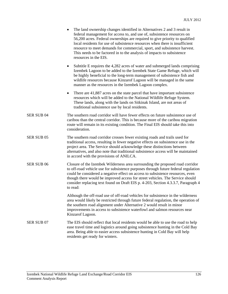- The land ownership changes identified in Alternatives 2 and 3 result in federal management for access to, and use of, subsistence resources on 56,200 acres. Federal ownerships are required to give priority to qualified local residents for use of subsistence resources when there is insufficient resource to meet demands for commercial, sport, and subsistence harvest. This needs to be factored in to the analysis of impacts to subsistence resources in the EIS.
- Subtitle E requires the 4,282 acres of water and submerged lands comprising Izembek Lagoon to be added to the Izembek State Game Refuge, which will be highly beneficial to the long-term management of subsistence fish and wildlife resources because Kinzarof Lagoon will be managed in the same manner as the resources in the Izembek Lagoon complex.
- There are 41,887 acres on the state parcel that have important subsistence resources which will be added to the National Wildlife Refuge System. These lands, along with the lands on Sitkinak Island, are not areas of traditional subsistence use by local residents.
- SER SUB 04 The southern road corridor will have fewer effects on future subsistence use of caribou than the central corridor. This is because more of the caribou migration route will remain in its existing condition. The Final EIS should take this into consideration.
- SER SUB 05 The southern road corridor crosses fewer existing roads and trails used for traditional access, resulting in fewer negative effects on subsistence use in the project area. The Service should acknowledge these distinctions between alternatives, and also note that traditional subsistence access will be maintained in accord with the provisions of ANILCA.
- SER SUB 06 Closure of the Izembek Wilderness area surrounding the proposed road corridor to off-road vehicle use for subsistence purposes through future federal regulation could be considered a negative effect on access to subsistence resources, even though there would be improved access for street vehicles. The Service should consider replacing text found on Draft EIS p. 4-203, Section 4.3.3.7, Paragraph 4 to read:

 Although the off-road use of off-road vehicles for subsistence in the wilderness area would likely be restricted through future federal regulation, the operation of the southern road alignment under Alternative 2 would result in minor improvements in access to subsistence waterfowl and salmon resources near Kinzarof Lagoon.

SER SUB 07 The EIS should reflect that local residents would be able to use the road to help ease travel time and logistics around going subsistence hunting in the Cold Bay area. Being able to easier access subsistence hunting in Cold Bay will help residents get ready for winters.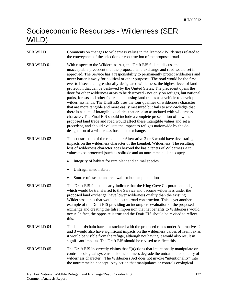# Socioeconomic Resources - Wilderness (SER WILD)

| <b>SER WILD</b>    | Comments on changes to wilderness values in the Izembek Wilderness related to<br>the conveyance of the selection or construction of the proposed road.                                                                                                                                                                                                                                                                                                                                                                                                                                                                                                                                                                                                                                                                                                                                                                                                                                                                                                                                                                                                                                                                                   |  |  |
|--------------------|------------------------------------------------------------------------------------------------------------------------------------------------------------------------------------------------------------------------------------------------------------------------------------------------------------------------------------------------------------------------------------------------------------------------------------------------------------------------------------------------------------------------------------------------------------------------------------------------------------------------------------------------------------------------------------------------------------------------------------------------------------------------------------------------------------------------------------------------------------------------------------------------------------------------------------------------------------------------------------------------------------------------------------------------------------------------------------------------------------------------------------------------------------------------------------------------------------------------------------------|--|--|
| SER WILD 01        | With respect to the Wilderness Act, the Draft EIS fails to discuss the<br>unacceptable precedent that the proposed land exchange and road would set if<br>approved. The Service has a responsibility to permanently protect wilderness and<br>never barter it away for political or other purposes. The road would be the first<br>ever to bisect a congressionally-designated wilderness, the highest level of land<br>protection that can be bestowed by the United States. The precedent opens the<br>door for other wilderness areas to be destroyed - not only on refuges, but national<br>parks, forests and other federal lands using land trades as a vehicle to develop<br>wilderness lands. The Draft EIS uses the four qualities of wilderness character<br>that are more tangible and more easily measured but fails to acknowledge that<br>there is a suite of intangible qualities that are also associated with wilderness<br>character. The Final EIS should include a complete presentation of how the<br>proposed land trade and road would affect these intangible values and set a<br>precedent, and should evaluate the impact to refuges nationwide by the de-<br>designation of a wilderness for a land exchange. |  |  |
| <b>SER WILD 02</b> | The construction of the road under Alternative 2 or 3 would have devastating<br>impacts on the wilderness character of the Izembek Wilderness. The resulting<br>loss of wilderness character goes beyond the basic tenets of Wilderness Act<br>values to be protected (such as solitude and an untrammeled landscape):                                                                                                                                                                                                                                                                                                                                                                                                                                                                                                                                                                                                                                                                                                                                                                                                                                                                                                                   |  |  |
|                    | Integrity of habitat for rare plant and animal species                                                                                                                                                                                                                                                                                                                                                                                                                                                                                                                                                                                                                                                                                                                                                                                                                                                                                                                                                                                                                                                                                                                                                                                   |  |  |
|                    | Unfragmented habitat                                                                                                                                                                                                                                                                                                                                                                                                                                                                                                                                                                                                                                                                                                                                                                                                                                                                                                                                                                                                                                                                                                                                                                                                                     |  |  |
|                    | Source of escape and renewal for human populations                                                                                                                                                                                                                                                                                                                                                                                                                                                                                                                                                                                                                                                                                                                                                                                                                                                                                                                                                                                                                                                                                                                                                                                       |  |  |
| SER WILD 03        | The Draft EIS fails to clearly indicate that the King Cove Corporation lands,<br>which would be transferred to the Service and become wilderness under the<br>proposed land exchange, have lower wilderness quality than the existing<br>Wilderness lands that would be lost to road construction. This is yet another<br>example of the Draft EIS providing an incomplete evaluation of the proposed<br>exchange and creating the false impression that net benefits to Wilderness would<br>occur. In fact, the opposite is true and the Draft EIS should be revised to reflect<br>this.                                                                                                                                                                                                                                                                                                                                                                                                                                                                                                                                                                                                                                                |  |  |
| <b>SER WILD 04</b> | The bollard/chain barrier associated with the proposed roads under Alternatives 2<br>and 3 would also have significant impacts on the wilderness values of Izembek as<br>it would be visible from the refuge, although not having it would also result in<br>significant impacts. The Draft EIS should be revised to reflect this.                                                                                                                                                                                                                                                                                                                                                                                                                                                                                                                                                                                                                                                                                                                                                                                                                                                                                                       |  |  |
| SER WILD 05        | The Draft EIS incorrectly claims that "[a]ctions that intentionally manipulate or<br>control ecological systems inside wilderness degrade the untrammeled quality of<br>wilderness character." The Wilderness Act does not invoke "intentionality" into<br>the untrammeled concept. Any action that manipulates or controls ecological                                                                                                                                                                                                                                                                                                                                                                                                                                                                                                                                                                                                                                                                                                                                                                                                                                                                                                   |  |  |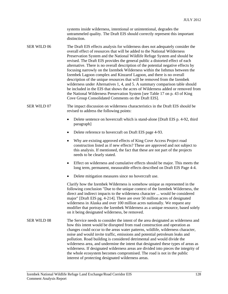systems inside wilderness, intentional or unintentional, degrades the untrammeled quality. The Draft EIS should correctly represent this important distinction.

SER WILD 06 The Draft EIS effects analysis for wilderness does not adequately consider the overall effect of resources that will be added to the National Wilderness Preservation System and the National Wildlife Refuge System and should be revised. The Draft EIS provides the general public a distorted effect of each alternative. There is no overall description of the potential negative effects by focusing narrowly on the Izembek Wilderness within the Isthmus between the Izembek Lagoon complex and Kinzarof Lagoon, and there is no overall description of the unique resources that will be removed from the Izembek wilderness under Alternatives 1, 4, and 5. A summary comparison table should be included in the EIS that shows the acres of Wilderness added or removed from the National Wilderness Preservation System [see Table 17 on p. 43 of King Cove Group Consolidated Comments on the Draft EIS].

#### SER WILD 07 The impact discussion on wilderness characteristics in the Draft EIS should be revised to address the following points:

- Delete sentence on hovercraft which is stand-alone [Draft EIS p. 4-92, third paragraph]
- Delete reference to hovercraft on Draft EIS page 4-93.
- Why are existing approved effects of King Cove Access Project road construction listed as if new effects? These are approved and not subject to this analysis. If mentioned, the fact that these are not part of the projects needs to be clearly stated.
- Effect on wilderness and cumulative effects should be major. This meets the long term, permanent, measurable effects described on Draft EIS Page 4-4.
- Delete mitigation measures since no hovercraft use.

 Clarify how the Izembek Wilderness is somehow unique as represented in the following conclusion "Due to the unique context of the Izembek Wilderness, the direct and indirect impacts to the wilderness character ... would be considered major" [Draft EIS pg. 4-214]. There are over 50 million acres of designated wilderness in Alaska and over 100 million acres nationally. We request any modifier that portrays the Izembek Wilderness as a unique resource, based solely on it being designated wilderness, be removed.

SER WILD 08 The Service needs to consider the intent of the area designated as wilderness and how this intent would be disrupted from road construction and operation as changes could occur to the areas water patterns, wildlife, wilderness character, noise and would invite traffic, emissions and potential petroleum leaks and pollution. Road building is considered detrimental and would divide the wilderness area, and undermine the intent that designated these types of areas as wilderness. If designated wilderness areas are divided into pieces the integrity of the whole ecosystem becomes compromised. The road is not in the public interest of protecting designated wilderness areas.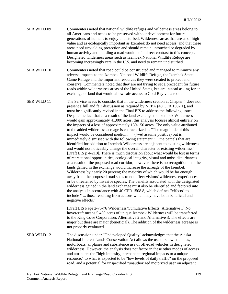| <b>SER WILD 09</b> | Commenters noted that national wildlife refuges and wilderness areas belong to<br>all Americans and needs to be preserved without development for future<br>generations of humans to enjoy undisturbed. Wilderness areas that are as of high<br>value and as ecologically important as Izembek do not need access, and that these<br>areas need unyielding protection and should remain untouched or degraded by<br>human activity and building a road would be in direct contrast to this concept.<br>Designated wilderness areas such as Izembek National Wildlife Refuge are<br>becoming increasingly rare in the U.S. and need to remain undisturbed.                                                                                                                                                                                                                                                                                                                                                                                                                                                                                                                                                                                                                                                                                                                                                                                                                                                                                                                                                                                                                                                                                                                                |
|--------------------|------------------------------------------------------------------------------------------------------------------------------------------------------------------------------------------------------------------------------------------------------------------------------------------------------------------------------------------------------------------------------------------------------------------------------------------------------------------------------------------------------------------------------------------------------------------------------------------------------------------------------------------------------------------------------------------------------------------------------------------------------------------------------------------------------------------------------------------------------------------------------------------------------------------------------------------------------------------------------------------------------------------------------------------------------------------------------------------------------------------------------------------------------------------------------------------------------------------------------------------------------------------------------------------------------------------------------------------------------------------------------------------------------------------------------------------------------------------------------------------------------------------------------------------------------------------------------------------------------------------------------------------------------------------------------------------------------------------------------------------------------------------------------------------|
| <b>SER WILD 10</b> | Commenters noted that road could be constructed and managed to minimize any<br>adverse impacts to the Izembek National Wildlife Refuge, the Izembek State<br>Game Refuge and the important resources they were created to protect and<br>conserve. Commenters noted that they are not trying to set a precedent for future<br>roads within wildernesses areas of the United States, but are instead asking for an<br>exchange of land that would allow safe access to Cold Bay via a road.                                                                                                                                                                                                                                                                                                                                                                                                                                                                                                                                                                                                                                                                                                                                                                                                                                                                                                                                                                                                                                                                                                                                                                                                                                                                                               |
| <b>SER WILD 11</b> | The Service needs to consider that in the wilderness section at Chapter 4 does not<br>present a full and fair discussion as required by NEPA (40 CFR 1502.1), and<br>must be significantly revised in the Final EIS to address the following issues.<br>Despite the fact that as a result of the land exchange the Izembek Wilderness<br>would gain approximately 41,000 acres, this analysis focuses almost entirely on<br>the impacts of a loss of approximately 130-150 acres. The only value attributed<br>to the added wilderness acreage is characterized as "The magnitude of this<br>impact would be considered medium " ([we] assume positive) but is<br>immediately dismissed with the following statement " the parcels that are<br>identified for addition to Izembek Wilderness are adjacent to existing wilderness<br>and would not noticeably change the overall character of existing wilderness"<br>[Draft EIS p 4-210]. There is much discussion about what would be lost in terms<br>of recreational opportunities, ecological integrity, visual and noise disturbances<br>as a result of the proposed road corridor; however, there is no recognition that the<br>lands gained in the exchange would increase the acreage of the Izembek<br>Wilderness by nearly 20 percent; the majority of which would be far enough<br>away from the proposed road so as to not affect visitors' wilderness experiences<br>or be threatened by invasive species. The benefits associated with the designated<br>wilderness gained in the land exchange must also be identified and factored into<br>the analysis in accordance with 40 CFR 1508.8, which defines "effects" to<br>include "  those resulting from actions which may have both beneficial and<br>negative effects." |
|                    | [Draft EIS Page 2-75-76 Wilderness/Cumulative Effects: Alternative 1] No<br>hovercraft means 5,430 acres of unique Izembek Wilderness will be transferred<br>to the King Cove Corporation. Alternative 2 and Alternative 3. The effects are<br>major but these are major (beneficial). The addition of the wilderness acreage is<br>not properly evaluated.                                                                                                                                                                                                                                                                                                                                                                                                                                                                                                                                                                                                                                                                                                                                                                                                                                                                                                                                                                                                                                                                                                                                                                                                                                                                                                                                                                                                                              |
| <b>SER WILD 12</b> | The discussion under "Undeveloped Quality" acknowledges that the Alaska<br>National Interest Lands Conservation Act allows the use of snowmachines,<br>motorboats, airplanes and subsistence use of off-road vehicles in designated<br>wilderness. However, the analysis does not factor in these other modes of access<br>and attributes the "high intensity, permanent, regional impacts to a unique<br>resource," to what is expected to be "low levels of daily traffic" on the proposed<br>road, and a potential for unspecified "unauthorized motorized use" on adjacent                                                                                                                                                                                                                                                                                                                                                                                                                                                                                                                                                                                                                                                                                                                                                                                                                                                                                                                                                                                                                                                                                                                                                                                                           |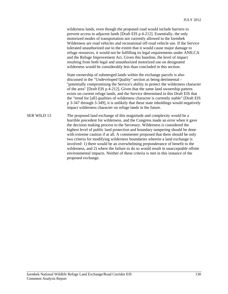wilderness lands, even though the proposed road would include barriers to prevent access to adjacent lands [Draft EIS p 4-212]. Essentially, the only motorized modes of transportation not currently allowed in the Izembek Wilderness are road vehicles and recreational off-road vehicle use. If the Service tolerated unauthorized use to the extent that it would cause major damage to refuge resources, it would not be fulfilling its legal requirements under ANILCA and the Refuge Improvement Act. Given this baseline, the level of impact resulting from both legal and unauthorized motorized use on designated wilderness would be considerably less than concluded in this section.

 State ownership of submerged lands within the exchange parcels is also discussed in the "Undeveloped Quality" section as being detrimental - ''potentially compromising the Service's ability to protect the wilderness character of the area" [Draft EIS p 4-212]. Given that the same land ownership pattern exists on current refuge lands, and the Service determined in this Draft EIS that the "trend for [all] qualities of wilderness character is currently stable" [Draft EIS p 3-347 through 3-349], it is unlikely that these state inholdings would negatively impact wilderness character on refuge lands in the future.

SER WILD 13 The proposed land exchange of this magnitude and complexity would be a horrible precedent for wilderness, and the Congress made an error when it gave the decision making process to the Secretary. Wilderness is considered the highest level of public land protection and boundary tampering should be done with extreme caution if at all. A commenter proposed that there should be only two criteria for modifying wilderness boundaries wherein a land exchange is involved: 1) there would be an overwhelming preponderance of benefit to the wilderness, and 2) where the failure to do so would result in unacceptable offsite environmental impacts. Neither of these criteria is met in this instance of the proposed exchange.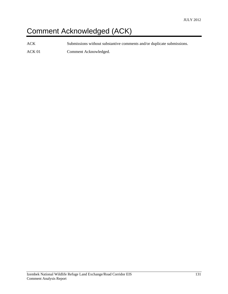# Comment Acknowledged (ACK)

ACK Submissions without substantive comments and/or duplicate submissions.

ACK 01 Comment Acknowledged.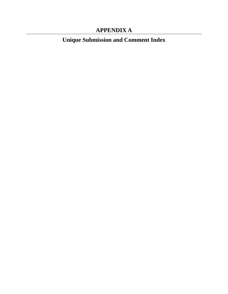### **APPENDIX A**

**Unique Submission and Comment Index**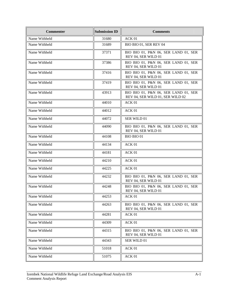| <b>Commenter</b> | <b>Submission ID</b> | <b>Comments</b>                                                          |
|------------------|----------------------|--------------------------------------------------------------------------|
| Name Withheld    | 31680                | ACK 01                                                                   |
| Name Withheld    | 31689                | BIO BIO 01, SER REV 04                                                   |
| Name Withheld    | 37371                | BIO BIO 01, P&N 06, SER LAND 01, SER<br>REV 04, SER WILD 01              |
| Name Withheld    | 37386                | BIO BIO 01, P&N 06, SER LAND 01, SER<br>REV 04, SER WILD 01              |
| Name Withheld    | 37416                | BIO BIO 01, P&N 06, SER LAND 01, SER<br>REV 04, SER WILD 01              |
| Name Withheld    | 37419                | BIO BIO 01, P&N 06, SER LAND 01, SER<br>REV 04, SER WILD 01              |
| Name Withheld    | 43913                | BIO BIO 01, P&N 06, SER LAND 01, SER<br>REV 04, SER WILD 01, SER WILD 02 |
| Name Withheld    | 44010                | ACK 01                                                                   |
| Name Withheld    | 44012                | ACK 01                                                                   |
| Name Withheld    | 44072                | SER WILD 01                                                              |
| Name Withheld    | 44090                | BIO BIO 01, P&N 06, SER LAND 01, SER<br>REV 04, SER WILD 01              |
| Name Withheld    | 44108                | <b>BIO BIO 01</b>                                                        |
| Name Withheld    | 44134                | ACK 01                                                                   |
| Name Withheld    | 44181                | ACK 01                                                                   |
| Name Withheld    | 44210                | ACK 01                                                                   |
| Name Withheld    | 44225                | ACK 01                                                                   |
| Name Withheld    | 44232                | BIO BIO 01, P&N 06, SER LAND 01, SER<br>REV 04, SER WILD 01              |
| Name Withheld    | 44248                | BIO BIO 01, P&N 06, SER LAND 01, SER<br>REV 04, SER WILD 01              |
| Name Withheld    | 44253                | ACK 01                                                                   |
| Name Withheld    | 44263                | BIO BIO 01, P&N 06, SER LAND 01, SER<br>REV 04, SER WILD 01              |
| Name Withheld    | 44281                | ACK 01                                                                   |
| Name Withheld    | 44309                | ACK 01                                                                   |
| Name Withheld    | 44315                | BIO BIO 01, P&N 06, SER LAND 01, SER<br>REV 04, SER WILD 01              |
| Name Withheld    | 44343                | SER WILD 01                                                              |
| Name Withheld    | 51018                | ACK 01                                                                   |
| Name Withheld    | 51075                | ACK 01                                                                   |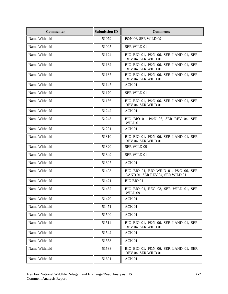| <b>Commenter</b> | <b>Submission ID</b> | <b>Comments</b>                                                          |
|------------------|----------------------|--------------------------------------------------------------------------|
| Name Withheld    | 51079                | P&N 06, SER WILD 09                                                      |
| Name Withheld    | 51095                | SER WILD 01                                                              |
| Name Withheld    | 51124                | BIO BIO 01, P&N 06, SER LAND 01, SER<br>REV 04, SER WILD 01              |
| Name Withheld    | 51132                | BIO BIO 01, P&N 06, SER LAND 01, SER<br>REV 04, SER WILD 01              |
| Name Withheld    | 51137                | BIO BIO 01, P&N 06, SER LAND 01, SER<br>REV 04, SER WILD 01              |
| Name Withheld    | 51147                | ACK 01                                                                   |
| Name Withheld    | 51170                | SER WILD 01                                                              |
| Name Withheld    | 51186                | BIO BIO 01, P&N 06, SER LAND 01, SER<br>REV 04, SER WILD 01              |
| Name Withheld    | 51242                | ACK 01                                                                   |
| Name Withheld    | 51243                | BIO BIO 01, P&N 06, SER REV 04, SER<br>WILD 01                           |
| Name Withheld    | 51291                | ACK 01                                                                   |
| Name Withheld    | 51310                | BIO BIO 01, P&N 06, SER LAND 01, SER<br>REV 04, SER WILD 01              |
| Name Withheld    | 51320                | <b>SER WILD 09</b>                                                       |
| Name Withheld    | 51349                | SER WILD 01                                                              |
| Name Withheld    | 51397                | ACK 01                                                                   |
| Name Withheld    | 51408                | BIO BIO 01, BIO WILD 01, P&N 06, SER<br>LAND 01, SER REV 04, SER WILD 01 |
| Name Withheld    | 51421                | BIO BIO 01                                                               |
| Name Withheld    | 51432                | BIO BIO 01, REG 03, SER WILD 01, SER<br>WILD 09                          |
| Name Withheld    | 51470                | ACK 01                                                                   |
| Name Withheld    | 51471                | ACK 01                                                                   |
| Name Withheld    | 51500                | ACK 01                                                                   |
| Name Withheld    | 51514                | BIO BIO 01, P&N 06, SER LAND 01, SER<br>REV 04, SER WILD 01              |
| Name Withheld    | 51542                | ACK 01                                                                   |
| Name Withheld    | 51553                | ACK 01                                                                   |
| Name Withheld    | 51588                | BIO BIO 01, P&N 06, SER LAND 01, SER<br>REV 04, SER WILD 01              |
| Name Withheld    | 51601                | ACK 01                                                                   |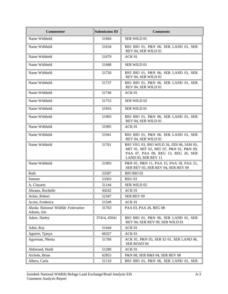| <b>Commenter</b>                                  | <b>Submission ID</b> | <b>Comments</b>                                                                                                                                   |
|---------------------------------------------------|----------------------|---------------------------------------------------------------------------------------------------------------------------------------------------|
| Name Withheld                                     | 51604                | SER WILD 01                                                                                                                                       |
| Name Withheld                                     | 51634                | BIO BIO 01, P&N 06, SER LAND 01, SER<br>REV 04, SER WILD 01                                                                                       |
| Name Withheld                                     | 51679                | ACK <sub>01</sub>                                                                                                                                 |
| Name Withheld                                     | 51688                | SER WILD 01                                                                                                                                       |
| Name Withheld                                     | 51720                | BIO BIO 01, P&N 06, SER LAND 01, SER<br>REV 04, SER WILD 01                                                                                       |
| Name Withheld                                     | 51737                | BIO BIO 01, P&N 06, SER LAND 01, SER<br>REV 04, SER WILD 01                                                                                       |
| Name Withheld                                     | 51746                | ACK <sub>01</sub>                                                                                                                                 |
| Name Withheld                                     | 51753                | SER WILD 02                                                                                                                                       |
| Name Withheld                                     | 51816                | SER WILD 01                                                                                                                                       |
| Name Withheld                                     | 51903                | BIO BIO 01, P&N 06, SER LAND 01, SER<br>REV 04, SER WILD 01                                                                                       |
| Name Withheld                                     | 51905                | ACK <sub>01</sub>                                                                                                                                 |
| Name Withheld                                     | 51941                | BIO BIO 01, P&N 06, SER LAND 01, SER<br>REV 04, SER WILD 01                                                                                       |
| Name Withheld                                     | 51761                | BIO VEG 03, BIO WILD 26, EDI 06, IAM 03,<br>MIT 01, MIT 02, MIT 07, P&N 01, P&N 09,<br>PAA 07, PAA 09, REG 13, REG 26, SER<br>LAND 03, SER REV 11 |
| Name Withheld                                     | 51993                | P&N 01, P&N 11, PAA 15, PAA 18, PAA 21,<br>SER REV 03, SER REV 04, SER REV 09                                                                     |
| Ruth                                              | 52587                | BIO BIO 02                                                                                                                                        |
| Simone                                            | 53303                | <b>REG 03</b>                                                                                                                                     |
| A, Clayarts                                       | 51144                | SER WILD 02                                                                                                                                       |
| Abrams, Rochelle                                  | 44242                | ACK <sub>01</sub>                                                                                                                                 |
| Acker, Robert                                     | 52347                | SER REV 09                                                                                                                                        |
| Acora, Frederica                                  | 51549                | ACK 01                                                                                                                                            |
| Alaska National Wildlife Federation<br>Adams, Jim | 31763                | PAA 03, PAA 26, REG 08                                                                                                                            |
| Adare, Darley                                     | 37414, 45041         | BIO BIO 01, P&N 06, SER LAND 01, SER<br>REV 04, SER REV 09, SER WILD 01                                                                           |
| Adsit, Roy                                        | 51444                | ACK <sub>01</sub>                                                                                                                                 |
| Aguirre, Tjanya                                   | 66327                | ACK 01                                                                                                                                            |
| Agyeman, Nketia                                   | 51766                | ACK 01, P&N 03, SER EJ 01, SER LAND 06,<br>SER ROAD 04                                                                                            |
| Ahlstrand, Heidi                                  | 51280                | ACK 01                                                                                                                                            |
| Aichele, Brian                                    | 62855                | P&N 08, SER H&S 04, SER REV 08                                                                                                                    |
| Albers, Carla                                     | 51110                | BIO BIO 01, P&N 06, SER LAND 01, SER                                                                                                              |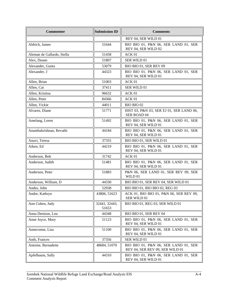| <b>Commenter</b>           | <b>Submission ID</b>   | <b>Comments</b>                                                         |
|----------------------------|------------------------|-------------------------------------------------------------------------|
|                            |                        | REV 04, SER WILD 01                                                     |
| Aldrich, James             | 51644                  | BIO BIO 01, P&N 06, SER LAND 01, SER<br>REV 04, SER WILD 02             |
| Aleman de Gallardo, Stella | 51458                  | ACK 01                                                                  |
| Alex, Deann                | 51807                  | SER WILD 01                                                             |
| Alexander, Gunta           | 53079                  | BIO BIO 01, SER REV 09                                                  |
| Alexander, J               | 44323                  | BIO BIO 01, P&N 06, SER LAND 01, SER<br>REV 04, SER WILD 01             |
| Allen, Brian               | 51003                  | ACK 01                                                                  |
| Allen, Cat                 | 37411                  | SER WILD 01                                                             |
| Allen, Kristina            | 96632                  | ACK 01                                                                  |
| Allen, Peter               | 84366                  | ACK 01                                                                  |
| Allen, Vickie              | 44011                  | BIO BIO 02                                                              |
| Alvarez, Diane             | 51771                  | HIST 03, P&N 03, SER EJ 01, SER LAND 06,<br>SER ROAD 04                 |
| Amelang, Loren             | 51492                  | BIO BIO 01, P&N 06, SER LAND 01, SER<br>REV 04, SER WILD 01             |
| Ananthakrishnan, Revathi   | 44184                  | BIO BIO 01, P&N 06, SER LAND 01, SER<br>REV 04, SER WILD 01             |
| Anavi, Teresa              | 37355                  | BIO BIO 01, SER WILD 01                                                 |
| Aiken, Ed                  | 44219                  | BIO BIO 01, P&N 06, SER LAND 01, SER<br>REV 04, SER WILD 01             |
| Anderson, Bob              | 31742                  | ACK <sub>01</sub>                                                       |
| Anderson, Judith           | 51481                  | BIO BIO 01, P&N 06, SER LAND 01, SER<br>REV 04, SER WILD 01             |
| Anderson, Peter            | 51883                  | P&N 06, SER LAND 01, SER REV 09, SER<br>WILD 01                         |
| Anderson, William, D       | 44330                  | BIO BIO 01, SER REV 04, SER WILD 01                                     |
| Andes, John                | 52938                  | BIO BIO 01, BIO BIO 02, REG 03                                          |
| Andre, Kathryn             | 43806, 51623           | ACK 01, BIO BIO 01, P&N 06, SER REV 09,<br>SER WILD 01                  |
| Ann Cohen, Judy            | 32441, 32443,<br>51653 | BIO BIO 01, REG 03, SER WILD 01                                         |
| Anna Denison, Lou          | 44348                  | BIO BIO 01, SER REV 04                                                  |
| Anne Joyce, Mary           | 51123                  | BIO BIO 01, P&N 06, SER LAND 01, SER<br>REV 04, SER WILD 01             |
| Anneconne, Lisa            | 51100                  | BIO BIO 01, P&N 06, SER LAND 01, SER<br>REV 04, SER WILD 01             |
| Anth, Frances              | 37356                  | SER WILD 01                                                             |
| Antoine, Bernadette        | 48684, 51070           | BIO BIO 01, P&N 06, SER LAND 01, SER<br>REV 04, SER REV 09, SER WILD 01 |
| Apfelbaum, Sally           | 44310                  | BIO BIO 01, P&N 06, SER LAND 01, SER<br>REV 04, SER WILD 01             |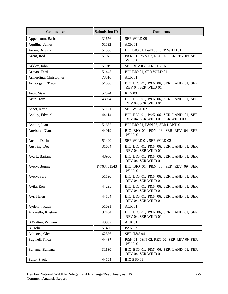| <b>Commenter</b>       | <b>Submission ID</b> | <b>Comments</b>                                                          |
|------------------------|----------------------|--------------------------------------------------------------------------|
| Appelbaum, Barbara     | 31676                | SER WILD 09                                                              |
| Aquilina, James        | 51892                | ACK 01                                                                   |
| Arden, Brigitta        | 51386                | BIO BIO 01, P&N 06, SER WILD 01                                          |
| Arent, Rod             | 51945                | P&N 01, P&N 02, REG 02, SER REV 09, SER<br>WILD 01                       |
| Arkley, John           | 51919                | SER REV 03, SER REV 04                                                   |
| Armao, Terri           | 51445                | BIO BIO 01, SER WILD 01                                                  |
| Armerding, Christopher | 73516                | ACK 01                                                                   |
| Armoogam, Tracy        | 51888                | BIO BIO 01, P&N 06, SER LAND 01, SER<br>REV 04, SER WILD 01              |
| Aron, Sissy            | 52074                | REG <sub>03</sub>                                                        |
| Artin, Tom             | 43984                | BIO BIO 01, P&N 06, SER LAND 01, SER<br>REV 04, SER WILD 01              |
| Ascot, Karin           | 51121                | SER WILD 02                                                              |
| Ashley, Edward         | 44114                | BIO BIO 01, P&N 06, SER LAND 01, SER<br>REV 04, SER WILD 01, SER WILD 09 |
| Ashton, Joan           | 51632                | BIO BIO 01, P&N 06, SER LAND 01                                          |
| Attebury, Diane        | 44019                | BIO BIO 01, P&N 06, SER REV 04, SER<br>WILD 01                           |
| Austin, Darin          | 51490                | SER WILD 01, SER WILD 02                                                 |
| Austring, Dee          | 31684                | BIO BIO 01, P&N 06, SER LAND 01, SER<br>REV 04, SER WILD 01              |
| Ava L, Bariana         | 43950                | BIO BIO 01, P&N 06, SER LAND 01, SER<br>REV 04, SER WILD 01              |
| Avery, Bonnie          | 37763, 51543         | BIO BIO 01, P&N 06, SER REV 09, SER<br>WILD 01                           |
| Avery, Sara            | 51190                | BIO BIO 01, P&N 06, SER LAND 01, SER<br>REV 04, SER WILD 01              |
| Avila, Ron             | 44295                | BIO BIO 01, P&N 06, SER LAND 01, SER<br>REV 04, SER WILD 01              |
| Avr, Helen             | 44154                | BIO BIO 01, P&N 06, SER LAND 01, SER<br>REV 04, SER WILD 01              |
| Aydelott, Ruth         | 51691                | ACK 01                                                                   |
| Azzarello, Kristine    | 37434                | BIO BIO 01, P&N 06, SER LAND 01, SER<br>REV 04, SER WILD 01              |
| B Walton, William      | 43932                | ACK 01                                                                   |
| B., John               | 51496                | <b>PAA 17</b>                                                            |
| Babcock, Glen          | 62856                | <b>SER H&amp;S 04</b>                                                    |
| Bagwell, Knox          | 44437                | P&N 01, P&N 02, REG 02, SER REV 09, SER<br>WILD 01                       |
| Bahama, Bahama         | 31630                | BIO BIO 01, P&N 06, SER LAND 01, SER<br>REV 04, SER WILD 01              |
| Baier, Stacie          | 44195                | BIO BIO 01                                                               |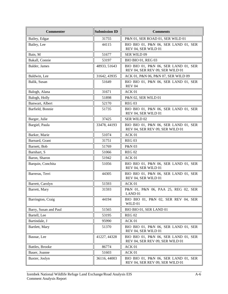| <b>Commenter</b>      | <b>Submission ID</b> | <b>Comments</b>                                                         |
|-----------------------|----------------------|-------------------------------------------------------------------------|
| Bailey, Edgar         | 31755                | P&N 01, SER ROAD 01, SER WILD 01                                        |
| Bailey, Lee           | 44115                | BIO BIO 01, P&N 06, SER LAND 01, SER<br>REV 04, SER WILD 01             |
| Bain, M               | 51677                | <b>SER WILD 09</b>                                                      |
| Bakall, Connie        | 53197                | <b>BIO BIO 01, REG 03</b>                                               |
| Balder, James         | 48933, 51643         | BIO BIO 01, P&N 06, SER LAND 01, SER<br>REV 04, SER REV 09, SER WILD 01 |
| Baldwin, Lee          | 31642, 43935         | ACK 01, P&N 06, P&N 07, SER WILD 09                                     |
| Balik, Susan          | 51649                | BIO BIO 01, P&N 06, SER LAND 01, SER<br><b>REV 04</b>                   |
| Balogh, Alana         | 31671                | ACK 01                                                                  |
| Balogh, Holly         | 51898                | P&N 02, SER WILD 01                                                     |
| Banwart, Albert       | 52170                | <b>REG 03</b>                                                           |
| Barfield, Bonnie      | 51735                | BIO BIO 01, P&N 06, SER LAND 01, SER<br>REV 04, SER WILD 01             |
| Barger, Julie         | 37425                | <b>SER WILD 02</b>                                                      |
| Bargiel, Paula        | 33478, 44193         | BIO BIO 01, P&N 06, SER LAND 01, SER<br>REV 04, SER REV 09, SER WILD 01 |
| Barker, Marie         | 51074                | ACK 01                                                                  |
| Barnard, Grant        | 31751                | <b>REG 03</b>                                                           |
| Barnett, Bob          | 51769                | P&N 03                                                                  |
| Barnhart, S           | 51066                | <b>REG 02</b>                                                           |
| Baron, Sharon         | 51942                | ACK 01                                                                  |
| Barquin, Conchita     | 51056                | BIO BIO 01, P&N 06, SER LAND 01, SER<br>REV 04, SER WILD 01             |
| Barreras, Terri       | 44305                | BIO BIO 01, P&N 06, SER LAND 01, SER<br>REV 04, SER WILD 01             |
| Barrett, Carolyn      | 51593                | ACK 01                                                                  |
| Barrett, Mary         | 31593                | P&N 01, P&N 06, PAA 25, REG 02, SER<br>LAND <sub>01</sub>               |
| Barrington, Craig     | 44194                | BIO BIO 01, P&N 02, SER REV 04, SER<br>WILD 01                          |
| Barry, Susan and Paul | 51565                | BIO BIO 01, SER LAND 01                                                 |
| Bartell, Lee          | 53195                | <b>REG 02</b>                                                           |
| Bartindale, J         | 95990                | ACK 01                                                                  |
| Bartlett, Mary        | 51370                | BIO BIO 01, P&N 06, SER LAND 01, SER<br>REV 04, SER WILD 01             |
| Basnar, Lee           | 41227, 44328         | BIO BIO 01, P&N 06, SER LAND 01, SER<br>REV 04, SER REV 09, SER WILD 01 |
| Battles, Brooke       | 86774                | ACK 01                                                                  |
| Bauer, Joanne         | 51603                | ACK 01                                                                  |
| Baxter, Joslyn        | 36116, 44003         | BIO BIO 01, P&N 06, SER LAND 01, SER<br>REV 04, SER REV 09, SER WILD 01 |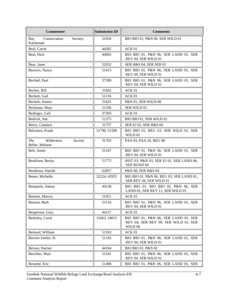| <b>Commenter</b>                                       | <b>Submission ID</b> | <b>Comments</b>                                                                         |
|--------------------------------------------------------|----------------------|-----------------------------------------------------------------------------------------|
| Conservation<br>Society,<br>Bay<br>Kachemak            | 51034                | BIO BIO 01, P&N 06, SER WILD 01                                                         |
| Beal, Carrie                                           | 44282                | ACK 01                                                                                  |
| Beal, Dick                                             | 44005                | BIO BIO 01, P&N 06, SER LAND 01, SER<br>REV 04, SER WILD 01                             |
| Bear, Janet                                            | 52032                | SER H&S 04, SER SER 01                                                                  |
| Beavers, Nancy                                         | 51413                | BIO BIO 01, P&N 06, SER LAND 01, SER<br>REV 09, SER WILD 01                             |
| Bechtel, Paul                                          | 37399                | BIO BIO 01, P&N 06, SER LAND 01, SER<br>REV 04, SER WILD 01                             |
| Becker, Bill                                           | 31602                | ACK 01                                                                                  |
| Beckett, Gail                                          | 51116                | ACK 01                                                                                  |
| Beckett, Jeneen                                        | 31625                | P&N 01, SER WILD 08                                                                     |
| Beckman, Mary                                          | 51106                | SER WILD 01                                                                             |
| Bedinger, Gail                                         | 37393                | ACK 01                                                                                  |
| Bedrick, Sue                                           | 51375                | BIO BIO 01, SER WILD 01                                                                 |
| Beery, Candace                                         | 31757                | SER EJ 02, SER H&S 04                                                                   |
| Belcastro, Frank                                       | 31790, 51508         | BIO BIO 01, REG 03, SER WILD 01, SER<br>WILD 02                                         |
| <b>The</b><br>Wilderness<br>Society<br>Beller, Melanie | 31763                | PAA 03, PAA 26, REG 08                                                                  |
| Belt, Annie                                            | 51167                | BIO BIO 01, P&N 06, SER LAND 01, SER<br>REV 04, SER WILD 01                             |
| Bendixen, Becky                                        | 51772                | HIST 03, P&N 03, SER EJ 01, SER LAND 06,<br>SER ROAD 04                                 |
| Bendixon, Harold                                       | 62857                | P&N 08, SER H&S 04                                                                      |
| Benes, Michelle                                        | 32224, 43925         | BIO BIO 01, P&N 06, REG 03, SER LAND 01,<br>SER REV 04, SER WILD 01                     |
| Benjamin, Jimmy                                        | 44136                | BIO BIO 01, BIO BIO 02, P&N 06, SER<br>LAND 01, SER REV 11, SER WILD 01                 |
| Bennett, Marcia                                        | 51051                | ACK 01                                                                                  |
| Benson, Barb                                           | 51516                | BIO BIO 01, P&N 06, SER LAND 01, SER<br>REV 04, SER WILD 01                             |
| Bergstrom, Gina                                        | 44157                | ACK 01                                                                                  |
| Berkeley, Carol                                        | 31663, 34013         | BIO BIO 01, P&N 06, SER LAND 01, SER<br>REV 04, SER REV 09, SER WILD 01, SER<br>WILD 08 |
| Bernard, William                                       | 51163                | ACK 01                                                                                  |
| Berrien Zettler, H.                                    | 51145                | BIO BIO 01, P&N 06, SER LAND 01, SER<br>REV 04, SER WILD 01                             |
| Berson, Harriet                                        | 44164                | BIO BIO 01, P&N 02                                                                      |
| Beschler, Marc                                         | 51541                | BIO BIO 01, P&N 06, SER LAND 01, SER<br>REV 04, SER WILD 01                             |
| Bessette, Eric                                         | 51498                | BIO BIO 01, P&N 06, SER LAND 01, SER                                                    |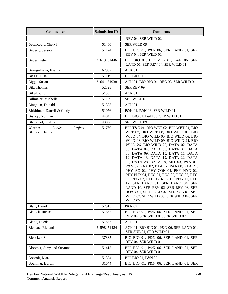| <b>Commenter</b>                                | <b>Submission ID</b> | <b>Comments</b>                                                                                                                                                                                                                                                                                                                                                                                                                                                                                                                                                                                                                                                                                                            |
|-------------------------------------------------|----------------------|----------------------------------------------------------------------------------------------------------------------------------------------------------------------------------------------------------------------------------------------------------------------------------------------------------------------------------------------------------------------------------------------------------------------------------------------------------------------------------------------------------------------------------------------------------------------------------------------------------------------------------------------------------------------------------------------------------------------------|
|                                                 |                      | REV 04, SER WILD 02                                                                                                                                                                                                                                                                                                                                                                                                                                                                                                                                                                                                                                                                                                        |
| Betancourt, Cheryl                              | 51466                | SER WILD 09                                                                                                                                                                                                                                                                                                                                                                                                                                                                                                                                                                                                                                                                                                                |
| Beverly, Jessica                                | 51174                | BIO BIO 01, P&N 06, SER LAND 01, SER<br>REV 04, SER WILD 01                                                                                                                                                                                                                                                                                                                                                                                                                                                                                                                                                                                                                                                                |
| Beves, Peter                                    | 31619, 51446         | BIO BIO 01, BIO VEG 01, P&N 06, SER<br>LAND 01, SER REV 04, SER WILD 01                                                                                                                                                                                                                                                                                                                                                                                                                                                                                                                                                                                                                                                    |
| Bezugolnaya, Ksenia                             | 62907                | ACK 01                                                                                                                                                                                                                                                                                                                                                                                                                                                                                                                                                                                                                                                                                                                     |
| Biaggi, Elsa                                    | 51119                | <b>BIO BIO 01</b>                                                                                                                                                                                                                                                                                                                                                                                                                                                                                                                                                                                                                                                                                                          |
| Biggs, Susan                                    | 31641, 31938         | ACK 01, BIO BIO 01, REG 03, SER WILD 01                                                                                                                                                                                                                                                                                                                                                                                                                                                                                                                                                                                                                                                                                    |
| Bik, Thomas                                     | 52328                | SER REV 09                                                                                                                                                                                                                                                                                                                                                                                                                                                                                                                                                                                                                                                                                                                 |
| Bikulcs, L.                                     | 51505                | ACK 01                                                                                                                                                                                                                                                                                                                                                                                                                                                                                                                                                                                                                                                                                                                     |
| Billmaier, Michelle                             | 51109                | SER WILD 01                                                                                                                                                                                                                                                                                                                                                                                                                                                                                                                                                                                                                                                                                                                |
| Bingham, Donald                                 | 51325                | ACK 01                                                                                                                                                                                                                                                                                                                                                                                                                                                                                                                                                                                                                                                                                                                     |
| Birkhimer, Darrell & Cindy                      | 51076                | P&N 01, P&N 06, SER WILD 01                                                                                                                                                                                                                                                                                                                                                                                                                                                                                                                                                                                                                                                                                                |
| Bishop, Norman                                  | 44043                | BIO BIO 01, P&N 06, SER WILD 01                                                                                                                                                                                                                                                                                                                                                                                                                                                                                                                                                                                                                                                                                            |
| Blackfoot, Joshua                               | 43936                | SER WILD 09                                                                                                                                                                                                                                                                                                                                                                                                                                                                                                                                                                                                                                                                                                                |
| Lands<br>Western<br>Project<br>Blaeloch, Janine | 51760                | BIO T&E 01, BIO WET 02, BIO WET 04, BIO<br>WET 07, BIO WET 08, BIO WILD 01, BIO<br>WILD 04, BIO WILD 05, BIO WILD 06, BIO<br>WILD 08, BIO WILD 09, BIO WILD 24, BIO<br>WILD 26, BIO WILD 29, DATA 02, DATA<br>03, DATA 04, DATA 06, DATA 07, DATA<br>08, DATA 09, DATA 10, DATA 11, DATA<br>12, DATA 13, DATA 19, DATA 22, DATA<br>25, DATA 28, DATA 29, MIT 03, P&N 01,<br>P&N 07, PAA 02, PAA 07, PAA 08, PAA 21,<br>PHY AQ 02, PHY CON 04, PHY HYD 02,<br>PHY PHY 04, REG 01, REG 02, REG 03, REG<br>05, REG 07, REG 08, REG 10, REG 11, REG<br>12, SER LAND 01, SER LAND 04, SER<br>LAND 10, SER REV 02, SER REV 08, SER<br>ROAD 01, SER ROAD 07, SER SUB 01, SER<br>WILD 02, SER WILD 03, SER WILD 04, SER<br>WILD 05 |
| Blair, David                                    | 52315                | P&N 02                                                                                                                                                                                                                                                                                                                                                                                                                                                                                                                                                                                                                                                                                                                     |
| Blalack, Russell                                | 51665                | BIO BIO 01, P&N 06, SER LAND 01, SER<br>REV 04, SER WILD 01, SER WILD 02                                                                                                                                                                                                                                                                                                                                                                                                                                                                                                                                                                                                                                                   |
| Blane, Deedee                                   | 51587                | ACK 01                                                                                                                                                                                                                                                                                                                                                                                                                                                                                                                                                                                                                                                                                                                     |
| Bledsoe, Richard                                | 31598, 51484         | ACK 01, BIO BIO 01, P&N 06, SER LAND 01,<br>SER SUB 01, SER WILD 01                                                                                                                                                                                                                                                                                                                                                                                                                                                                                                                                                                                                                                                        |
| Bleecker, Sam                                   | 37385                | BIO BIO 01, P&N 06, SER LAND 01, SER<br>REV 04, SER WILD 01                                                                                                                                                                                                                                                                                                                                                                                                                                                                                                                                                                                                                                                                |
| Bloomer, Jerry and Susanne                      | 51415                | BIO BIO 01, P&N 06, SER LAND 01, SER<br>REV 04, SER WILD 01                                                                                                                                                                                                                                                                                                                                                                                                                                                                                                                                                                                                                                                                |
| Bobroff, Marc                                   | 51324                | BIO BIO 01, P&N 02                                                                                                                                                                                                                                                                                                                                                                                                                                                                                                                                                                                                                                                                                                         |
| Boehling, Burton                                | 31644                | BIO BIO 01, P&N 06, SER LAND 01, SER                                                                                                                                                                                                                                                                                                                                                                                                                                                                                                                                                                                                                                                                                       |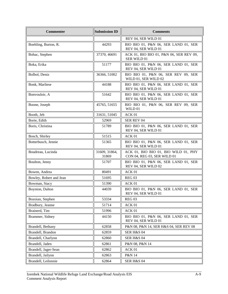| <b>Commenter</b>        | <b>Submission ID</b>   | <b>Comments</b>                                                     |
|-------------------------|------------------------|---------------------------------------------------------------------|
|                         |                        | REV 04, SER WILD 01                                                 |
| Boehling, Burton, R.    | 44293                  | BIO BIO 01, P&N 06, SER LAND 01, SER<br>REV 04, SER WILD 01         |
| Bohac, Stephen          | 37370, 46691           | ACK 01, BIO BIO 01, P&N 06, SER REV 09,<br>SER WILD 01              |
| Boka, Erika             | 51177                  | BIO BIO 01, P&N 06, SER LAND 01, SER<br>REV 04, SER WILD 01         |
| Bolbol, Deniz           | 36366, 51002           | BIO BIO 01, P&N 06, SER REV 09, SER<br>WILD 01, SER WILD 02         |
| Bonk, Marliese          | 44188                  | BIO BIO 01, P&N 06, SER LAND 01, SER<br>REV 04, SER WILD 01         |
| Bonvouloir, A           | 51642                  | BIO BIO 01, P&N 06, SER LAND 01, SER<br>REV 04, SER WILD 01         |
| Boone, Joseph           | 45765, 51655           | BIO BIO 01, P&N 06, SER REV 09, SER<br>WILD 01                      |
| Booth, Jeb              | 31631, 51045           | ACK 01                                                              |
| Borie, Edith            | 52969                  | <b>SER REV 04</b>                                                   |
| Boris, Christina        | 51789                  | BIO BIO 01, P&N 06, SER LAND 01, SER<br>REV 04, SER WILD 01         |
| Bosch, Shirley          | 51515                  | ACK 01                                                              |
| Botterbusch, Jennie     | 51365                  | BIO BIO 01, P&N 06, SER LAND 01, SER<br>REV 04, SER WILD 01         |
| Boudreau, Lucinda       | 31609, 31864,<br>31869 | ACK 01, BIO BIO 01, BIO WILD 01, PHY<br>CON 04, REG 03, SER WILD 01 |
| Boulton, Jenny          | 51707                  | BIO BIO 01, P&N 06, SER LAND 01, SER<br>REV 04, SER WILD 02         |
| Bowen, Andrea           | 80491                  | ACK 01                                                              |
| Bowley, Robert and Jean | 51695                  | <b>REG 03</b>                                                       |
| Bowman, Stacy           | 51390                  | ACK 01                                                              |
| Boynton, Dalton         | 44039                  | BIO BIO 01, P&N 06, SER LAND 01, SER<br>REV 04, SER WILD 01         |
| Bozoian, Stephen        | 53334                  | REG <sub>03</sub>                                                   |
| Bradbury, Jeanne        | 51714                  | ACK 01                                                              |
| Brainerd, Tim           | 51996                  | ACK 01                                                              |
| Brammer, Sidney         | 44150                  | BIO BIO 01, P&N 06, SER LAND 01, SER<br>REV 04, SER WILD 01         |
| Brandell, Bethany       | 62858                  | P&N 08, P&N 14, SER H&S 04, SER REV 08                              |
| Brandell, Brandon       | 62859                  | SER H&S 04                                                          |
| Brandell, Charlynn      | 62860                  | SER H&S 04                                                          |
| Brandell, Jaden         | 62861                  | P&N 08, P&N 14                                                      |
| Brandell, Jager-Sean    | 62862                  | ACK 01                                                              |
| Brandell, Jailynn       | 62863                  | P&N 14                                                              |
| Brandell, Leilonnie     | 62864                  | <b>SER H&amp;S 04</b>                                               |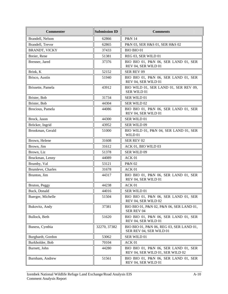| <b>Commenter</b>     | <b>Submission ID</b> | <b>Comments</b>                                                          |
|----------------------|----------------------|--------------------------------------------------------------------------|
| Brandell, Nelson     | 62866                | P&N 14                                                                   |
| Brandell, Trevor     | 62865                | P&N 03, SER H&S 01, SER H&S 02                                           |
| <b>BRANDT, VICKY</b> | 37433                | <b>BIO BIO 01</b>                                                        |
| Breier, Rene         | 51381                | REG 03, SER WILD 01                                                      |
| Brenner, Jared       | 37376                | BIO BIO 01, P&N 06, SER LAND 01, SER<br>REV 04, SER WILD 01              |
| Brink, K             | 52152                | SER REV 09                                                               |
| Brisco, Austin       | 51940                | BIO BIO 01, P&N 06, SER LAND 01, SER<br>REV 04, SER WILD 01              |
| Brissette, Pamela    | 43912                | BIO WILD 01, SER LAND 01, SER REV 09,<br>SER WILD 01                     |
| Brister, Bob         | 31734                | SER WILD 01                                                              |
| Brister, Bob         | 44304                | SER WILD 02                                                              |
| Brocious, Pamela     | 44086                | BIO BIO 01, P&N 06, SER LAND 01, SER<br>REV 04, SER WILD 01              |
| Brock, Jason         | 44300                | SER WILD 01                                                              |
| Bröcker, Ingrid      | 43952                | <b>SER WILD 09</b>                                                       |
| Brookman, Gerald     | 51000                | BIO WILD 01, P&N 04, SER LAND 01, SER<br>WILD 01                         |
| Brown, Helene        | 31608                | <b>SER REV 02</b>                                                        |
| Brown, Jim           | 31612                | ACK 01, BIO WILD 03                                                      |
| Brown, Liz           | 51378                | <b>SER WILD 09</b>                                                       |
| Bruckman, Lenny      | 44089                | ACK 01                                                                   |
| Brumby, Val          | 53121                | P&N 02                                                                   |
| Brumleve, Charles    | 31678                | ACK 01                                                                   |
| Brunton, Jim         | 44317                | BIO BIO 01, P&N 06, SER LAND 01, SER<br>REV 04, SER WILD 01              |
| Bruton, Peggy        | 44238                | ACK 01                                                                   |
| Buck, Donald         | 44016                | SER WILD 01                                                              |
| Buerger, Michelle    | 51504                | BIO BIO 01, P&N 06, SER LAND 01, SER<br>REV 04, SER WILD 02              |
| Bukovitz, Andy       | 37381                | BIO BIO 01, P&N 02, P&N 06, SER LAND 01,<br>SER REV 04                   |
| Bullock, Beth        | 51620                | BIO BIO 01, P&N 06, SER LAND 01, SER<br>REV 04, SER WILD 01              |
| Buness, Cynthia      | 32270, 37382         | BIO BIO 01, P&N 06, REG 03, SER LAND 01,<br>SER REV 04, SER WILD 01      |
| Burghardt, Gordon    | 53062                | SER WILD 01                                                              |
| Burkholder, Bob      | 70104                | ACK 01                                                                   |
| Burnett, John        | 44280                | BIO BIO 01, P&N 06, SER LAND 01, SER<br>REV 04, SER WILD 01, SER WILD 02 |
| Burnham, Andrew      | 51561                | BIO BIO 01, P&N 06, SER LAND 01, SER<br>REV 04, SER WILD 01              |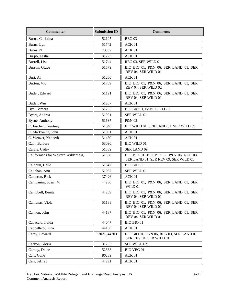| <b>Commenter</b>                     | <b>Submission ID</b> | <b>Comments</b>                                                                 |
|--------------------------------------|----------------------|---------------------------------------------------------------------------------|
| Burns, Christina                     | 52197                | <b>REG 03</b>                                                                   |
| Burns, Lyn                           | 51742                | ACK 01                                                                          |
| Burns, N                             | 73867                | ACK 01                                                                          |
| Burpo, Leslie                        | 31723                | ACK 01                                                                          |
| Burrell, Lisa                        | 51744                | REG 03, SER WILD 01                                                             |
| Burson, Grace                        | 51579                | BIO BIO 01, P&N 06, SER LAND 01, SER<br>REV 04, SER WILD 01                     |
| Burt, Al                             | 51260                | ACK 01                                                                          |
| Burton, Vic                          | 51709                | BIO BIO 01, P&N 06, SER LAND 01, SER<br>REV 04, SER WILD 02                     |
| Butler, Edward                       | 51191                | BIO BIO 01, P&N 06, SER LAND 01, SER<br>REV 04, SER WILD 01                     |
| Butler, Wm                           | 51207                | ACK 01                                                                          |
| Bye, Barbara                         | 51792                | BIO BIO 01, P&N 06, REG 03                                                      |
| Byers, Andrea                        | 51001                | SER WILD 01                                                                     |
| Byrne, Anthony                       | 51637                | P&N 02                                                                          |
| C. Fischer, Courtney                 | 51540                | BIO WILD 01, SER LAND 01, SER WILD 09                                           |
| C. Markowitz, John                   | 51591                | ACK 01                                                                          |
| C. Wenzer, Kenneth                   | 51460                | ACK <sub>01</sub>                                                               |
| Cain, Barbara                        | 53090                | <b>BIO WILD 01</b>                                                              |
| Caldie, Cathy                        | 51539                | <b>SER LAND 09</b>                                                              |
| Californians for Western Wilderness, | 51988                | BIO BIO 01, BIO BIO 02, P&N 06, REG 03,<br>SER LAND 01, SER REV 09, SER WILD 01 |
| Calhoun, Helle                       | 51547                | BIO BIO 02                                                                      |
| Callahan, Ann                        | 51067                | SER WILD 01                                                                     |
| Cameron, Rick                        | 37426                | ACK 01                                                                          |
| Campanini, Susan M                   | 44266                | BIO BIO 01, P&N 06, SER LAND 01, SER<br>WILD 01                                 |
| Campbell, Benita                     | 44259                | BIO BIO 01, P&N 06, SER LAND 01, SER<br>REV 04, SER WILD 01                     |
| Camunas, Viola                       | 51188                | BIO BIO 01, P&N 06, SER LAND 01, SER<br>REV 04, SER WILD 01                     |
| Cannon, John                         | 44187                | BIO BIO 01, P&N 06, SER LAND 01, SER<br>REV 04, SER WILD 01                     |
| Capaccio, Iraida                     | 44047                | <b>BIO BIO 01</b>                                                               |
| Cappelletti, Gina                    | 44100                | ACK 01                                                                          |
| Carey, Edward                        | 32021, 44303         | BIO BIO 01, P&N 06, REG 03, SER LAND 01,<br>SER REV 04, SER WILD 01             |
| Carlton, Gloria                      | 31705                | SER WILD 02                                                                     |
| Carney, Diane                        | 52338                | <b>BIO VEG 01</b>                                                               |
| Carr, Gaile                          | 86239                | $\rm{ACK}\ 01$                                                                  |
| Carr, Jeffrey                        | 44291                | ACK 01                                                                          |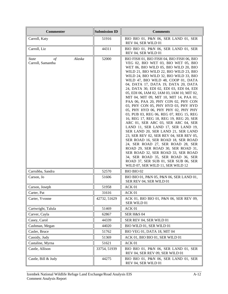| <b>Commenter</b>                                          | <b>Submission ID</b> | <b>Comments</b>                                                                                                                                                                                                                                                                                                                                                                                                                                                                                                                                                                                                                                                                                                                                                                                                                                                                                                                                                                                                                                                                      |
|-----------------------------------------------------------|----------------------|--------------------------------------------------------------------------------------------------------------------------------------------------------------------------------------------------------------------------------------------------------------------------------------------------------------------------------------------------------------------------------------------------------------------------------------------------------------------------------------------------------------------------------------------------------------------------------------------------------------------------------------------------------------------------------------------------------------------------------------------------------------------------------------------------------------------------------------------------------------------------------------------------------------------------------------------------------------------------------------------------------------------------------------------------------------------------------------|
| Carroll, Katy                                             | 51916                | BIO BIO 01, P&N 06, SER LAND 01, SER<br>REV 04, SER WILD 01                                                                                                                                                                                                                                                                                                                                                                                                                                                                                                                                                                                                                                                                                                                                                                                                                                                                                                                                                                                                                          |
| Carroll, Liz                                              | 44311                | BIO BIO 01, P&N 06, SER LAND 01, SER<br>REV 04, SER WILD 01                                                                                                                                                                                                                                                                                                                                                                                                                                                                                                                                                                                                                                                                                                                                                                                                                                                                                                                                                                                                                          |
| Alaska<br><i>State</i><br>$\sigma f$<br>Carroll, Samantha | 52000                | BIO FISH 01, BIO FISH 04, BIO FISH 06, BIO<br>VEG 02, BIO WET 03, BIO WET 05, BIO<br>WET 06, BIO WILD 05, BIO WILD 20, BIO<br>WILD 21, BIO WILD 22, BIO WILD 23, BIO<br>WILD 24, BIO WILD 32, BIO WILD 33, BIO<br>WILD 47, BIO WILD 48, COOP 01, DATA<br>04, DATA 17, DATA 19, DATA 20, DATA<br>24, DATA 30, EDI 02, EDI 03, EDI 04, EDI<br>05, EDI 06, IAM 02, IAM 03, IAM 10, MIT 02,<br>MIT 04, MIT 09, MIT 10, MIT 14, PAA 01,<br>PAA 06, PAA 20, PHY CON 02, PHY CON<br>03, PHY CON 05, PHY HYD 03, PHY HYD<br>05, PHY HYD 06, PHY PHY 02, PHY PHY<br>03, PUB 03, REG 06, REG 07, REG 15, REG<br>16, REG 17, REG 18, REG 19, REG 20, SER<br>ARC 01, SER ARC 03, SER ARC 04, SER<br>LAND 11, SER LAND 17, SER LAND 19,<br>SER LAND 20, SER LAND 21, SER LAND<br>23, SER REV 02, SER REV 04, SER REV 05,<br>SER ROAD 16, SER ROAD 18, SER ROAD<br>24, SER ROAD 27, SER ROAD 28, SER<br>ROAD 29, SER ROAD 30, SER ROAD 31,<br>SER ROAD 32, SER ROAD 33, SER ROAD<br>34, SER ROAD 35, SER ROAD 36, SER<br>ROAD 37, SER SUB 01, SER SUB 06, SER<br>WILD 07, SER WILD 11, SER WILD 12 |
| Carrubba, Sandra                                          | 52570                | BIO BIO 02                                                                                                                                                                                                                                                                                                                                                                                                                                                                                                                                                                                                                                                                                                                                                                                                                                                                                                                                                                                                                                                                           |
| Carson, Jo                                                | 51606                | BIO BIO 01, P&N 05, P&N 06, SER LAND 01,<br>SER REV 04, SER WILD 01                                                                                                                                                                                                                                                                                                                                                                                                                                                                                                                                                                                                                                                                                                                                                                                                                                                                                                                                                                                                                  |
| Carson, Joseph                                            | 51958                | ACK 01                                                                                                                                                                                                                                                                                                                                                                                                                                                                                                                                                                                                                                                                                                                                                                                                                                                                                                                                                                                                                                                                               |
| Carter, Pat                                               | 31616                | ACK 01                                                                                                                                                                                                                                                                                                                                                                                                                                                                                                                                                                                                                                                                                                                                                                                                                                                                                                                                                                                                                                                                               |
| Carter, Yvonne                                            | 42732, 51629         | ACK 01, BIO BIO 01, P&N 06, SER REV 09,<br>SER WILD 01                                                                                                                                                                                                                                                                                                                                                                                                                                                                                                                                                                                                                                                                                                                                                                                                                                                                                                                                                                                                                               |
| Cartwright, Talula                                        | 51469                | ACK 01                                                                                                                                                                                                                                                                                                                                                                                                                                                                                                                                                                                                                                                                                                                                                                                                                                                                                                                                                                                                                                                                               |
| Carver, Cayla                                             | 62867                | SER H&S 04                                                                                                                                                                                                                                                                                                                                                                                                                                                                                                                                                                                                                                                                                                                                                                                                                                                                                                                                                                                                                                                                           |
| Casey, Carol                                              | 44339                | SER REV 04, SER WILD 01                                                                                                                                                                                                                                                                                                                                                                                                                                                                                                                                                                                                                                                                                                                                                                                                                                                                                                                                                                                                                                                              |
| Cashman, Megan                                            | 44020                | BIO WILD 01, SER WILD 01                                                                                                                                                                                                                                                                                                                                                                                                                                                                                                                                                                                                                                                                                                                                                                                                                                                                                                                                                                                                                                                             |
| Casler, Bruce                                             | 51762                | BIO VEG 01, DATA 18, MIT 04                                                                                                                                                                                                                                                                                                                                                                                                                                                                                                                                                                                                                                                                                                                                                                                                                                                                                                                                                                                                                                                          |
| Cassidy, Judy                                             | 51369                | ACK 01, BIO BIO 01, SER WILD 01                                                                                                                                                                                                                                                                                                                                                                                                                                                                                                                                                                                                                                                                                                                                                                                                                                                                                                                                                                                                                                                      |
| Castaline, Myrna                                          | 51621                | ACK 01                                                                                                                                                                                                                                                                                                                                                                                                                                                                                                                                                                                                                                                                                                                                                                                                                                                                                                                                                                                                                                                                               |
| Castle, Allison                                           | 33754, 51939         | BIO BIO 01, P&N 06, SER LAND 01, SER<br>REV 04, SER REV 09, SER WILD 01                                                                                                                                                                                                                                                                                                                                                                                                                                                                                                                                                                                                                                                                                                                                                                                                                                                                                                                                                                                                              |
| Castle, Bill & Judy                                       | 44275                | BIO BIO 01, P&N 06, SER LAND 01, SER<br>REV 04, SER WILD 01                                                                                                                                                                                                                                                                                                                                                                                                                                                                                                                                                                                                                                                                                                                                                                                                                                                                                                                                                                                                                          |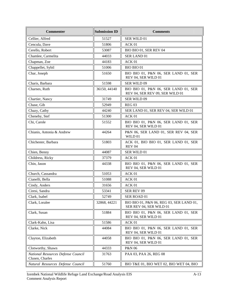| <b>Commenter</b>                                      | <b>Submission ID</b> | <b>Comments</b>                                                         |
|-------------------------------------------------------|----------------------|-------------------------------------------------------------------------|
| Cellier, Alfred                                       | 51527                | SER WILD 01                                                             |
| Cencula, Dave                                         | 51806                | ACK 01                                                                  |
| Cerello, Robert                                       | 53087                | BIO BIO 01, SER REV 04                                                  |
| Chamlee, Carmelita                                    | 44033                | SER LAND 01                                                             |
| Chapman, Zoe                                          | 44183                | ACK 01                                                                  |
| Chappellet, Sybil                                     | 51006                | <b>BIO BIO 01</b>                                                       |
| Char, Joseph                                          | 51650                | BIO BIO 01, P&N 06, SER LAND 01, SER<br>REV 04, SER WILD 01             |
| Charis, Barbara                                       | 51598                | SER WILD 09                                                             |
| Charnes, Ruth                                         | 36150, 44140         | BIO BIO 01, P&N 06, SER LAND 01, SER<br>REV 04, SER REV 09, SER WILD 01 |
| Chartier, Nancy                                       | 31749                | SER WILD 09                                                             |
| Chase, Gib                                            | 52949                | <b>REG 03</b>                                                           |
| Chazy, Cathy                                          | 44240                | SER LAND 01, SER REV 04, SER WILD 01                                    |
| Cheneby, Stef                                         | 51300                | ACK 01                                                                  |
| Chi, Carole                                           | 51552                | BIO BIO 01, P&N 06, SER LAND 01, SER<br>REV 04, SER WILD 01             |
| Chianis, Antonia & Andrew                             | 44264                | P&N 06, SER LAND 01, SER REV 04, SER<br>WILD 01                         |
| Chichester, Barbara                                   | 51803                | ACK 01, BIO BIO 01, SER LAND 01, SER<br><b>REV 04</b>                   |
| Chien, Benny                                          | 44087                | SER WILD 01                                                             |
| Childress, Ricky                                      | 37379                | ACK 01                                                                  |
| Chin, Jason                                           | 44338                | BIO BIO 01, P&N 06, SER LAND 01, SER<br>REV 04, SER WILD 01             |
| Church, Cassandra                                     | 51053                | ACK 01                                                                  |
| Cianelli, Bella                                       | 51088                | ACK 01                                                                  |
| Cindy, Anders                                         | 31656                | ACK <sub>01</sub>                                                       |
| Ciresi, Sandra                                        | 53341                | SER REV 09                                                              |
| Clark, Isabel                                         | 52749                | SER ROAD 01                                                             |
| Clark, Loralee                                        | 32868, 44221         | BIO BIO 01, P&N 06, REG 03, SER LAND 01,<br>SER REV 04, SER WILD 01     |
| Clark, Susan                                          | 51884                | BIO BIO 01, P&N 06, SER LAND 01, SER<br>REV 04, SER WILD 01             |
| Clark-Kahn, Lisa                                      | 51586                | ACK 01                                                                  |
| Clarke, Nick                                          | 44084                | BIO BIO 01, P&N 06, SER LAND 01, SER<br>REV 04, SER WILD 01             |
| Clayton, Elizabeth                                    | 44058                | BIO BIO 01, P&N 06, SER LAND 01, SER<br>REV 04, SER WILD 01             |
| Clotworthy, Shawn                                     | 44333                | P&N 06                                                                  |
| National Resources Defense Council<br>Clusen, Charles | 31763                | PAA 03, PAA 26, REG 08                                                  |
| Natural Resources Defense Council                     | 51760                | BIO T&E 01, BIO WET 02, BIO WET 04, BIO                                 |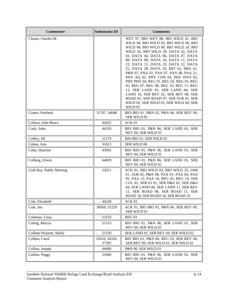| <b>Commenter</b>          | <b>Submission ID</b>   | <b>Comments</b>                                                                                                                                                                                                                                                                                                                                                                                                                                                                                                                                                                                                                                                                 |
|---------------------------|------------------------|---------------------------------------------------------------------------------------------------------------------------------------------------------------------------------------------------------------------------------------------------------------------------------------------------------------------------------------------------------------------------------------------------------------------------------------------------------------------------------------------------------------------------------------------------------------------------------------------------------------------------------------------------------------------------------|
| Clusen, Charles M.        |                        | WET 07, BIO WET 08, BIO WILD 01, BIO<br>WILD 04, BIO WILD 05, BIO WILD 06, BIO<br>WILD 08, BIO WILD 09, BIO WILD 24, BIO<br>WILD 26, BIO WILD 29, DATA 02, DATA<br>03, DATA 04, DATA 06, DATA 07, DATA<br>08, DATA 09, DATA 10, DATA 11, DATA<br>12, DATA 13, DATA 19, DATA 22, DATA<br>25, DATA 28, DATA 29, MIT 03, P&N 01,<br>P&N 07, PAA 02, PAA 07, PAA 08, PAA 21,<br>PHY AQ 02, PHY CON 04, PHY HYD 02,<br>PHY PHY 04, REG 01, REG 02, REG 03, REG<br>05, REG 07, REG 08, REG 10, REG 11, REG<br>12, SER LAND 01, SER LAND 04, SER<br>LAND 10, SER REV 02, SER REV 08, SER<br>ROAD 01, SER ROAD 07, SER SUB 01, SER<br>WILD 02, SER WILD 03, SER WILD 04, SER<br>WILD 05 |
| Coates, Portland          | 31707, 34048           | BIO BIO 01, P&N 02, P&N 06, SER REV 09,<br>SER WILD 01                                                                                                                                                                                                                                                                                                                                                                                                                                                                                                                                                                                                                          |
| Coburn, Julie-Bruce       | 44325                  | ACK 01                                                                                                                                                                                                                                                                                                                                                                                                                                                                                                                                                                                                                                                                          |
| Cody, John                | 44329                  | BIO BIO 01, P&N 06, SER LAND 01, SER<br>REV 04, SER WILD 01                                                                                                                                                                                                                                                                                                                                                                                                                                                                                                                                                                                                                     |
| Coffey, Jill              | 51279                  | BIO BIO 01, SER WILD 01                                                                                                                                                                                                                                                                                                                                                                                                                                                                                                                                                                                                                                                         |
| Cohen, Ann                | 31613                  | SER WILD 08                                                                                                                                                                                                                                                                                                                                                                                                                                                                                                                                                                                                                                                                     |
| Cohn, Sharilyn            | 43942                  | BIO BIO 01, P&N 06, SER LAND 01, SER<br>REV 04, SER WILD 01                                                                                                                                                                                                                                                                                                                                                                                                                                                                                                                                                                                                                     |
| Colberg, Edwin            | 44029                  | BIO BIO 01, P&N 06, SER LAND 01, SER<br>REV 04, SER WILD 01                                                                                                                                                                                                                                                                                                                                                                                                                                                                                                                                                                                                                     |
| Cold Bay, Public Meeting  | 52011                  | ACK 01, BIO WILD 03, BIO WILD 25, IAM<br>01, IAM 02, P&N 08, PAA 01, PAA 04, PAA<br>05, PAA 13, PAA 16, REG 02, REG 14, SER<br>CUL 01, SER EJ 01, SER H&S 02, SER H&S<br>04, SER LAND 06, SER LAND 11, SER REV<br>11, SER ROAD 08, SER ROAD 11, SER<br>ROAD 18, SER ROAD 34, SER ROAD 35                                                                                                                                                                                                                                                                                                                                                                                        |
| Cole, Elizabeth           | 44228                  | ACK 01                                                                                                                                                                                                                                                                                                                                                                                                                                                                                                                                                                                                                                                                          |
| Cole, Jen                 | 36950, 51229           | ACK 01, BIO BIO 01, P&N 06, SER REV 09,<br>SER WILD 01                                                                                                                                                                                                                                                                                                                                                                                                                                                                                                                                                                                                                          |
| Coleman, Lissa            | 53233                  | REG <sub>03</sub>                                                                                                                                                                                                                                                                                                                                                                                                                                                                                                                                                                                                                                                               |
| Coling, Marcia            | 51315                  | BIO BIO 01, P&N 06, SER LAND 01, SER<br>REV 04, SER WILD 01                                                                                                                                                                                                                                                                                                                                                                                                                                                                                                                                                                                                                     |
| Collette Pickeett, Shelly | 51150                  | SER LAND 01, SER REV 04, SER WILD 02                                                                                                                                                                                                                                                                                                                                                                                                                                                                                                                                                                                                                                            |
| Collins, Carol            | 32616, 34326,<br>37395 | BIO BIO 01, P&N 06, REG 03, SER REV 04,<br>SER REV 09, SER WILD 01, SER WILD 02                                                                                                                                                                                                                                                                                                                                                                                                                                                                                                                                                                                                 |
| Collins, Joseph           | 44000                  | P&N 06, SER WILD 01                                                                                                                                                                                                                                                                                                                                                                                                                                                                                                                                                                                                                                                             |
| Collins, Peggy            | 51666                  | BIO BIO 01, P&N 06, SER LAND 01, SER<br>REV 04, SER WILD 01                                                                                                                                                                                                                                                                                                                                                                                                                                                                                                                                                                                                                     |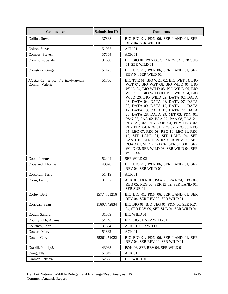| <b>Commenter</b>                                     | <b>Submission ID</b> | <b>Comments</b>                                                                                                                                                                                                                                                                                                                                                                                                                                                                                                                                                                                                                                                                                                            |
|------------------------------------------------------|----------------------|----------------------------------------------------------------------------------------------------------------------------------------------------------------------------------------------------------------------------------------------------------------------------------------------------------------------------------------------------------------------------------------------------------------------------------------------------------------------------------------------------------------------------------------------------------------------------------------------------------------------------------------------------------------------------------------------------------------------------|
| Collins, Steve                                       | 37368                | BIO BIO 01, P&N 06, SER LAND 01, SER<br>REV 04, SER WILD 01                                                                                                                                                                                                                                                                                                                                                                                                                                                                                                                                                                                                                                                                |
| Colton, Steve                                        | 51077                | ACK 01                                                                                                                                                                                                                                                                                                                                                                                                                                                                                                                                                                                                                                                                                                                     |
| Combes, Steven                                       | 37364                | ACK 01                                                                                                                                                                                                                                                                                                                                                                                                                                                                                                                                                                                                                                                                                                                     |
| Commons, Sandy                                       | 31600                | BIO BIO 01, P&N 06, SER REV 04, SER SUB<br>01, SER WILD 01                                                                                                                                                                                                                                                                                                                                                                                                                                                                                                                                                                                                                                                                 |
| Comstock, Ginger                                     | 51425                | BIO BIO 01, P&N 06, SER LAND 01, SER<br>REV 04, SER WILD 01                                                                                                                                                                                                                                                                                                                                                                                                                                                                                                                                                                                                                                                                |
| Alaska Center for the Environment<br>Connor, Valerie | 51760                | BIO T&E 01, BIO WET 02, BIO WET 04, BIO<br>WET 07, BIO WET 08, BIO WILD 01, BIO<br>WILD 04, BIO WILD 05, BIO WILD 06, BIO<br>WILD 08, BIO WILD 09, BIO WILD 24, BIO<br>WILD 26, BIO WILD 29, DATA 02, DATA<br>03, DATA 04, DATA 06, DATA 07, DATA<br>08, DATA 09, DATA 10, DATA 11, DATA<br>12, DATA 13, DATA 19, DATA 22, DATA<br>25, DATA 28, DATA 29, MIT 03, P&N 01,<br>P&N 07, PAA 02, PAA 07, PAA 08, PAA 21,<br>PHY AQ 02, PHY CON 04, PHY HYD 02,<br>PHY PHY 04, REG 01, REG 02, REG 03, REG<br>05, REG 07, REG 08, REG 10, REG 11, REG<br>12, SER LAND 01, SER LAND 04, SER<br>LAND 10, SER REV 02, SER REV 08, SER<br>ROAD 01, SER ROAD 07, SER SUB 01, SER<br>WILD 02, SER WILD 03, SER WILD 04, SER<br>WILD 05 |
| Cook, Lizette                                        | 52444                | SER WILD 02                                                                                                                                                                                                                                                                                                                                                                                                                                                                                                                                                                                                                                                                                                                |
| Copeland, Thomas                                     | 43978                | BIO BIO 01, P&N 06, SER LAND 01, SER<br>REV 04, SER WILD 01                                                                                                                                                                                                                                                                                                                                                                                                                                                                                                                                                                                                                                                                |
| Corcoran, Terry                                      | 51419                | ACK 01                                                                                                                                                                                                                                                                                                                                                                                                                                                                                                                                                                                                                                                                                                                     |
| Corin, Lenny                                         | 31737                | ACK 01, P&N 01, PAA 23, PAA 24, REG 04,<br>REG 05, REG 06, SER EJ 02, SER LAND 01,<br>SER SUB 01                                                                                                                                                                                                                                                                                                                                                                                                                                                                                                                                                                                                                           |
| Corley, Bert                                         | 35774, 51216         | BIO BIO 01, P&N 06, SER LAND 01, SER<br>REV 04, SER REV 09, SER WILD 01                                                                                                                                                                                                                                                                                                                                                                                                                                                                                                                                                                                                                                                    |
| Corrigan, Sean                                       | 31607, 42834         | BIO BIO 01, BIO VEG 01, P&N 06, SER REV<br>04, SER REV 09, SER SUB 01, SER WILD 01                                                                                                                                                                                                                                                                                                                                                                                                                                                                                                                                                                                                                                         |
| Couch, Sandra                                        | 31589                | <b>BIO WILD 01</b>                                                                                                                                                                                                                                                                                                                                                                                                                                                                                                                                                                                                                                                                                                         |
| County ETF, Adams                                    | 51440                | BIO BIO 01, SER WILD 01                                                                                                                                                                                                                                                                                                                                                                                                                                                                                                                                                                                                                                                                                                    |
| Courtney, John                                       | 37394                | ACK 01, SER WILD 09                                                                                                                                                                                                                                                                                                                                                                                                                                                                                                                                                                                                                                                                                                        |
| Cowart, Mary                                         | 51362                | ACK 01                                                                                                                                                                                                                                                                                                                                                                                                                                                                                                                                                                                                                                                                                                                     |
| Cowin, Caryn                                         | 35261, 51022         | BIO BIO 01, P&N 06, SER LAND 01, SER<br>REV 04, SER REV 09, SER WILD 01                                                                                                                                                                                                                                                                                                                                                                                                                                                                                                                                                                                                                                                    |
| Crabill, Phillip J.                                  | 43963                | P&N 06, SER REV 04, SER WILD 01                                                                                                                                                                                                                                                                                                                                                                                                                                                                                                                                                                                                                                                                                            |
| Craig, Ella                                          | 51047                | ACK 01                                                                                                                                                                                                                                                                                                                                                                                                                                                                                                                                                                                                                                                                                                                     |
| Cramer, Patricia                                     | 52838                | <b>BIO WILD 01</b>                                                                                                                                                                                                                                                                                                                                                                                                                                                                                                                                                                                                                                                                                                         |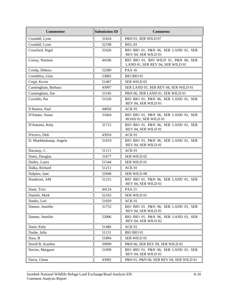| <b>Commenter</b>       | <b>Submission ID</b> | <b>Comments</b>                                                          |
|------------------------|----------------------|--------------------------------------------------------------------------|
| Crandall, Lynn         | 31624                | P&N 01, SER WILD 07                                                      |
| Crandall, Lynn         | 52198                | <b>REG 03</b>                                                            |
| Crawford, Nigel        | 31626                | BIO BIO 01, P&N 06, SER LAND 01, SER<br>REV 04, SER WILD 01              |
| Cressy, Norman         | 44106                | BIO BIO 01, BIO WILD 01, P&N 06, SER<br>LAND 01, SER REV 04, SER WILD 01 |
| Crislip, Debora        | 52589                | <b>PAA 16</b>                                                            |
| Crumbliss, Gina        | 53085                | <b>BIO BIO 01</b>                                                        |
| Crupi, Kevin           | 51467                | <b>SER WILD 02</b>                                                       |
| Cunningham, Barbara    | 43997                | SER LAND 01, SER REV 04, SER WILD 01                                     |
| Cunningham, Jim        | 51545                | P&N 06, SER LAND 01, SER WILD 01                                         |
| Cuviello, Pat          | 51520                | BIO BIO 01, P&N 06, SER LAND 01, SER<br>REV 04, SER WILD 01              |
| D Ramos, Paul          | 44050                | ACK 01                                                                   |
| D'Amato, Susan         | 31664                | BIO BIO 01, P&N 06, SER LAND 01, SER<br>ROAD 01, SER WILD 01             |
| D'Antonio, Kitty       | 31712                | BIO BIO 01, P&N 06, SER LAND 01, SER<br>REV 04, SER WILD 01              |
| D'errico, Didi         | 43910                | ACK <sub>01</sub>                                                        |
| D. Muehlenkamp, Angela | 51019                | BIO BIO 01, P&N 06, SER LAND 01, SER<br>REV 04, SER WILD 01              |
| Dacanay, C.            | 51111                | ACK 01                                                                   |
| Daetz, Douglas         | 31677                | SER WILD 02                                                              |
| Dailey, Laura          | 51544                | SER WILD 01                                                              |
| Dalka, Richard         | 51211                | ACK 01                                                                   |
| Dalpino, Jane          | 52948                | SER WILD 08                                                              |
| Dambrosi, AM           | 51215                | BIO BIO 01, P&N 06, SER LAND 01, SER<br>REV 04, SER WILD 01              |
| Dane, Trixi            | 44124                | <b>PAA 21</b>                                                            |
| Daniels, Mark          | 52163                | SER WILD 01                                                              |
| Danko, Lori            | 51929                | ACK 01                                                                   |
| Danner, Jennifer       | 31753                | BIO BIO 01, P&N 06, SER LAND 01, SER<br>REV 04, SER WILD 01              |
| Danner, Jennifer       | 52006                | BIO BIO 01, P&N 06, SER LAND 01, SER<br>REV 04, SER WILD 02              |
| Darst, Kitty           | 51486                | ACK 01                                                                   |
| Dashe, Julia           | 51131                | <b>BIO BIO 01</b>                                                        |
| Dass, B                | 51894                | SER WILD 01                                                              |
| David B, Scanlon       | 50999                | P&N 06, SER REV 09, SER WILD 01                                          |
| Davies, Margaret       | 51099                | BIO BIO 01, P&N 06, SER LAND 01, SER<br>REV 04, SER WILD 01              |
| Davis, Glenn           | 43982                | P&N 01, P&N 06, SER REV 04, SER WILD 01                                  |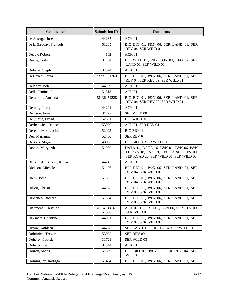| <b>Commenter</b>          | <b>Submission ID</b>   | <b>Comments</b>                                                                                                           |
|---------------------------|------------------------|---------------------------------------------------------------------------------------------------------------------------|
| de Arteaga, Jose          | 44287                  | ACK <sub>01</sub>                                                                                                         |
| de la Giroday, Francois   | 51205                  | BIO BIO 01, P&N 06, SER LAND 01, SER<br>REV 04, SER WILD 01                                                               |
| Deacy, Robert             | 44162                  | ACK 01                                                                                                                    |
| Deane, Cody               | 31754                  | BIO WILD 01, PHY CON 04, REG 02, SER<br>LAND 01, SER WILD 01                                                              |
| DeFerie, Steph            | 37374                  | ACK 01                                                                                                                    |
| DeHaven, Laura            | 33721, 51263           | BIO BIO 01, P&N 06, SER LAND 01, SER<br>REV 04, SER REV 09, SER WILD 01                                                   |
| Delaney, Bob              | 44189                  | ACK 01                                                                                                                    |
| Della Femina, P           | 51813                  | ACK <sub>01</sub>                                                                                                         |
| Demarino, Amanda          | 38136, 51228           | BIO BIO 01, P&N 06, SER LAND 01, SER<br>REV 04, SER REV 09, SER WILD 01                                                   |
| Deming, Larry             | 44201                  | ACK 01                                                                                                                    |
| Denison, James            | 31727                  | SER WILD 08                                                                                                               |
| DeQuasie, David           | 52531                  | <b>BIO WILD 01</b>                                                                                                        |
| Derbenwick, Rebecca       | 53029                  | ACK 01, SER REV 04                                                                                                        |
| Derepkowski, Jackie       | 52093                  | BIO BIO 01                                                                                                                |
| Des, Marianne             | 52450                  | <b>SER REV 04</b>                                                                                                         |
| DeSoto, Abigail           | 43998                  | BIO BIO 01, SER WILD 01                                                                                                   |
| Devlin, Marybeth          | 51979                  | DATA 14, DATA 16, P&N 01, P&N 06, P&N<br>11, PAA 18, PAA 19, REG 12, SER REV 09,<br>SER ROAD 26, SER WILD 01, SER WILD 08 |
| DH van der Scheer, Kilian | 44245                  | ACK 01                                                                                                                    |
| Dickson, Michele          | 51126                  | BIO BIO 01, P&N 06, SER LAND 01, SER<br>REV 04, SER WILD 01                                                               |
| Diehl, Jodie              | 51337                  | BIO BIO 01, P&N 06, SER LAND 01, SER<br>REV 04, SER WILD 01                                                               |
| Dillon, Christi           | 44178                  | BIO BIO 01, P&N 06, SER LAND 01, SER<br>REV 04, SER WILD 01                                                               |
| DiMatteo, Richard         | 51554                  | BIO BIO 01, P&N 06, SER LAND 01, SER<br>REV 04, SER WILD 01                                                               |
| DiSimone, Christine       | 31604, 38149,<br>51538 | ACK 01, BIO BIO 01, P&N 06, SER REV 09,<br>SER WILD 01                                                                    |
| DiVinere, Christine       | 44001                  | BIO BIO 01, P&N 06, SER LAND 01, SER<br>REV 04, SER WILD 01                                                               |
| Dixon, Kathleen           | 44278                  | SER LAND 01, SER REV 04, SER WILD 01                                                                                      |
| Dobrinich, Trevor         | 53052                  | SER REV 09                                                                                                                |
| Doherty, Patrick          | 31721                  | SER WILD 08                                                                                                               |
| Doherty, Pat              | 91344                  | ACK 01                                                                                                                    |
| Doiron, Sherri            | 51339                  | BIO BIO 01, P&N 06, SER REV 04, SER<br>WILD 01                                                                            |
| Dominguez, Rodrigo        | 51474                  | BIO BIO 01, P&N 06, SER LAND 01, SER                                                                                      |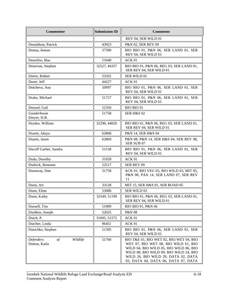| <b>Commenter</b>                                    | <b>Submission ID</b> | <b>Comments</b>                                                                                                                                                                                                                                   |
|-----------------------------------------------------|----------------------|---------------------------------------------------------------------------------------------------------------------------------------------------------------------------------------------------------------------------------------------------|
|                                                     |                      | REV 04, SER WILD 01                                                                                                                                                                                                                               |
| Donaldson, Patrick                                  | 43923                | P&N 02, SER REV 09                                                                                                                                                                                                                                |
| Donna, Jensen                                       | 37390                | BIO BIO 01, P&N 06, SER LAND 01, SER<br>REV 04, SER WILD 01                                                                                                                                                                                       |
| Donofrio, Mac                                       | 51040                | ACK 01                                                                                                                                                                                                                                            |
| Donovan, Stephan                                    | 32527, 44357         | BIO BIO 01, P&N 06, REG 03, SER LAND 01,<br>SER REV 04, SER WILD 01                                                                                                                                                                               |
| Doren, Robert                                       | 53332                | SER WILD 01                                                                                                                                                                                                                                       |
| Dorer, Jeff                                         | 44227                | ACK 01                                                                                                                                                                                                                                            |
| Dotcheva, Ana                                       | 50997                | BIO BIO 01, P&N 06, SER LAND 01, SER<br>REV 04, SER WILD 01                                                                                                                                                                                       |
| Drake, Michael                                      | 51727                | BIO BIO 01, P&N 06, SER LAND 01, SER<br>REV 04, SER WILD 01                                                                                                                                                                                       |
| Dressel, Gail                                       | 52350                | <b>BIO BIO 01</b>                                                                                                                                                                                                                                 |
| Gunderboom<br>Dreyer, H.B.                          | 51758                | <b>SER H&amp;S 02</b>                                                                                                                                                                                                                             |
| Dryden, William                                     | 32290, 44026         | BIO BIO 01, P&N 06, REG 03, SER LAND 01,<br>SER REV 04, SER WILD 01                                                                                                                                                                               |
| Duarte, Jalaya                                      | 62868                | P&N 14, SER H&S 04                                                                                                                                                                                                                                |
| Duarte, Jason                                       | 62869                | P&N 08, P&N 14, SER H&S 04, SER REV 08,<br>SER SUB 07                                                                                                                                                                                             |
| Ducoff Garber, Sandra                               | 51158                | BIO BIO 01, P&N 06, SER LAND 01, SER<br>REV 04, SER WILD 01                                                                                                                                                                                       |
| Duda, Dorothy                                       | 31659                | ACK 01                                                                                                                                                                                                                                            |
| Dudrick, Roseann                                    | 52517                | SER REV 09                                                                                                                                                                                                                                        |
| Dunaway, Dan                                        | 31758                | ACK 01, BIO VEG 05, BIO WILD 03, MIT 05,<br>P&N 08, PAA 14, SER LAND 07, SER REV<br>11                                                                                                                                                            |
| Dunn, Art                                           | 33128                | MIT 15, SER H&S 01, SER ROAD 05                                                                                                                                                                                                                   |
| Dunn, Elmo                                          | 53086                | SER WILD 02                                                                                                                                                                                                                                       |
| Dunn, Kathy                                         | 32549, 51199         | BIO BIO 01, P&N 06, REG 03, SER LAND 01,<br>SER REV 04, SER WILD 01                                                                                                                                                                               |
| Durnell, Tim                                        | 51909                | BIO BIO 01, P&N 06                                                                                                                                                                                                                                |
| Dushkin, Joseph                                     | 52025                | P&N 08                                                                                                                                                                                                                                            |
| Dutch, P.                                           | 31695, 51572         | ACK 01                                                                                                                                                                                                                                            |
| Dutcher, Linda                                      | 96451                | ACK 01                                                                                                                                                                                                                                            |
| Dutschke, Stephen                                   | 51395                | BIO BIO 01, P&N 06, SER LAND 01, SER<br>REV 04, SER WILD 01                                                                                                                                                                                       |
| Wildlife<br>Defenders<br>$\circ f$<br>Dutton, Karla | 51760                | BIO T&E 01, BIO WET 02, BIO WET 04, BIO<br>WET 07, BIO WET 08, BIO WILD 01, BIO<br>WILD 04, BIO WILD 05, BIO WILD 06, BIO<br>WILD 08, BIO WILD 09, BIO WILD 24, BIO<br>WILD 26, BIO WILD 29, DATA 02, DATA<br>03, DATA 04, DATA 06, DATA 07, DATA |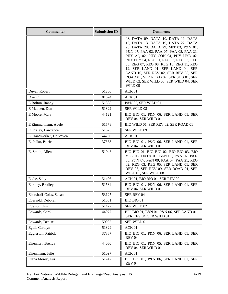| <b>Commenter</b>         | <b>Submission ID</b> | <b>Comments</b>                                                                                                                                                                                                                                                                                                                                                                                                                                                       |
|--------------------------|----------------------|-----------------------------------------------------------------------------------------------------------------------------------------------------------------------------------------------------------------------------------------------------------------------------------------------------------------------------------------------------------------------------------------------------------------------------------------------------------------------|
|                          |                      | 08, DATA 09, DATA 10, DATA 11, DATA<br>12, DATA 13, DATA 19, DATA 22, DATA<br>25, DATA 28, DATA 29, MIT 03, P&N 01,<br>P&N 07, PAA 02, PAA 07, PAA 08, PAA 21,<br>PHY AQ 02, PHY CON 04, PHY HYD 02,<br>PHY PHY 04, REG 01, REG 02, REG 03, REG<br>05, REG 07, REG 08, REG 10, REG 11, REG<br>12, SER LAND 01, SER LAND 04, SER<br>LAND 10, SER REV 02, SER REV 08, SER<br>ROAD 01, SER ROAD 07, SER SUB 01, SER<br>WILD 02, SER WILD 03, SER WILD 04, SER<br>WILD 05 |
| Duval, Robert            | 51250                | ACK 01                                                                                                                                                                                                                                                                                                                                                                                                                                                                |
| Dye, C                   | 81674                | ACK 01                                                                                                                                                                                                                                                                                                                                                                                                                                                                |
| E Bolton, Randy          | 51388                | P&N 02, SER WILD 01                                                                                                                                                                                                                                                                                                                                                                                                                                                   |
| E Madden, Don            | 51322                | <b>SER WILD 08</b>                                                                                                                                                                                                                                                                                                                                                                                                                                                    |
| E Moore, Mary            | 44121                | BIO BIO 01, P&N 06, SER LAND 01, SER<br>REV 04, SER WILD 01                                                                                                                                                                                                                                                                                                                                                                                                           |
| E Zimmermann, Adele      | 51578                | BIO WILD 01, SER REV 02, SER ROAD 01                                                                                                                                                                                                                                                                                                                                                                                                                                  |
| E. Fraley, Lawrence      | 51675                | <b>SER WILD 09</b>                                                                                                                                                                                                                                                                                                                                                                                                                                                    |
| E. Handwerker, Dr.Steven | 44206                | ACK 01                                                                                                                                                                                                                                                                                                                                                                                                                                                                |
| E. Palko, Patricia       | 37388                | BIO BIO 01, P&N 06, SER LAND 01, SER<br>REV 04, SER WILD 01                                                                                                                                                                                                                                                                                                                                                                                                           |
| E. Smith, Allen          | 51943                | BIO BIO 01, BIO BIO 02, BIO BIO 03, BIO<br>VEG 05, DATA 01, P&N 01, P&N 02, P&N<br>05, P&N 07, P&N 09, PAA 07, PAA 21, REG<br>02, REG 03, REG 05, SER LAND 01, SER<br>REV 06, SER REV 09, SER ROAD 01, SER<br>WILD 01, SER WILD 08                                                                                                                                                                                                                                    |
| Eadie, Sally             | 51406                | ACK 01, BIO BIO 01, SER REV 09                                                                                                                                                                                                                                                                                                                                                                                                                                        |
| Eardley, Bradley         | 51584                | BIO BIO 01, P&N 06, SER LAND 01, SER<br>REV 04, SER WILD 01                                                                                                                                                                                                                                                                                                                                                                                                           |
| Ebershoff-Coles, Susan   | 53127                | SER REV 04                                                                                                                                                                                                                                                                                                                                                                                                                                                            |
| Ebersold, Deborah        | 51501                | BIO BIO 01                                                                                                                                                                                                                                                                                                                                                                                                                                                            |
| Edelson, Jim             | 51477                | SER WILD 02                                                                                                                                                                                                                                                                                                                                                                                                                                                           |
| Edwards, Carol           | 44077                | BIO BIO 01, P&N 01, P&N 06, SER LAND 01,<br>SER REV 04, SER WILD 01                                                                                                                                                                                                                                                                                                                                                                                                   |
| Edwards, Denise          | 50995                | SER WILD 01                                                                                                                                                                                                                                                                                                                                                                                                                                                           |
| Egeli, Carolyn           | 51329                | ACK 01                                                                                                                                                                                                                                                                                                                                                                                                                                                                |
| Eggleston, Patrick       | 37367                | BIO BIO 01, P&N 06, SER LAND 01, SER<br><b>REV 04</b>                                                                                                                                                                                                                                                                                                                                                                                                                 |
| Eisenhart, Brenda        | 44060                | BIO BIO 01, P&N 05, SER LAND 01, SER<br>REV 04, SER WILD 01                                                                                                                                                                                                                                                                                                                                                                                                           |
| Eisenmann, Julie         | 51097                | ACK 01                                                                                                                                                                                                                                                                                                                                                                                                                                                                |
| Elena Morey, Luz         | 51747                | BIO BIO 01, P&N 06, SER LAND 01, SER<br><b>REV 04</b>                                                                                                                                                                                                                                                                                                                                                                                                                 |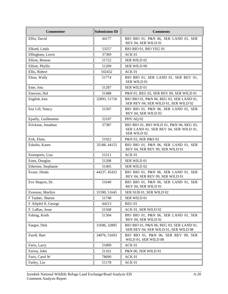| <b>Commenter</b>      | <b>Submission ID</b> | <b>Comments</b>                                                                                  |
|-----------------------|----------------------|--------------------------------------------------------------------------------------------------|
| Elfin, David          | 44177                | BIO BIO 01, P&N 06, SER LAND 01, SER<br>REV 04, SER WILD 01                                      |
| Elkind, Linda         | 53257                | BIO BIO 01, BIO VEG 01                                                                           |
| Ellingham, Lewis      | 37369                | ACK 01                                                                                           |
| Elliott, Benton       | 51722                | SER WILD 02                                                                                      |
| Elliott, Phyllis      | 51209                | SER WILD 09                                                                                      |
| Ellis, Robert         | 102432               | ACK <sub>01</sub>                                                                                |
| Elton, Wally          | 51774                | BIO BIO 01, SER LAND 01, SER REV 01,<br>SER WILD 01                                              |
| Eme, Jota             | 51287                | SER WILD 01                                                                                      |
| Enerson, Hal          | 51488                | P&N 01, REG 02, SER REV 09, SER WILD 01                                                          |
| English, kim          | 32893, 51718         | BIO BIO 01, P&N 06, REG 03, SER LAND 01,<br>SER REV 04, SER WILD 01, SER WILD 02                 |
| Enz Lill, Nancy       | 51507                | BIO BIO 01, P&N 06, SER LAND 01, SER<br>REV 04, SER WILD 02                                      |
| Epailly, Guillemette  | 52107                | PHY AQ 02                                                                                        |
| Erickson, Jonathan    | 37387                | BIO BIO 01, BIO WILD 01, P&N 06, REG 03,<br>SER LAND 01, SER REV 04, SER WILD 01,<br>SER WILD 02 |
| Erik, Elam,           | 51922                | P&N 03, SER H&S 02                                                                               |
| Eskelin, Karen        | 35188, 44155         | BIO BIO 01, P&N 06, SER LAND 01, SER<br>REV 04, SER REV 09, SER WILD 01                          |
| Essenpreis, Lisa      | 51511                | ACK 01                                                                                           |
| Estes, Douglas        | 51208                | SER WILD 01                                                                                      |
| Etherton, Stephanie   | 51405                | SER WILD 02                                                                                      |
| Evans, Dinda          | 44237, 45432         | BIO BIO 01, P&N 06, SER LAND 01, SER<br>REV 04, SER REV 09, SER WILD 01                          |
| Eve Shapiro, Dr.      | 51640                | BIO BIO 01, P&N 06, SER LAND 01, SER<br>REV 04, SER WILD 01                                      |
| Evenson, Marilyn      | 31590, 51645         | SER SUB 01, SER WILD 02                                                                          |
| F Tauber, Sharon      | 51748                | SER WILD 01                                                                                      |
| F. Klipfel II, George | 44213                | <b>REG 03</b>                                                                                    |
| F. LaRue, Jesse       | 51568                | ACK 01, SER WILD 02                                                                              |
| Fabing, Keith         | 51304                | BIO BIO 01, P&N 06, SER LAND 01, SER<br>REV 04, SER WILD 01                                      |
| Faegre, Dirk          | 31696, 32895         | BIO BIO 01, P&N 06, REG 03, SER LAND 01,<br>SER REV 04, SER WILD 01, SER WILD 08                 |
| Farell, Bart          | 34076, 51693         | BIO BIO 01, P&N 06, SER REV 09, SER<br>WILD 01, SER WILD 08                                      |
| Farin, Larry          | 51899                | ACK 01                                                                                           |
| Farina, John          | 51161                | P&N 06, SER WILD 01                                                                              |
| Faris, Carol W        | 78690                | ACK 01                                                                                           |
| Farley, Lin           | 51178                | ACK 01                                                                                           |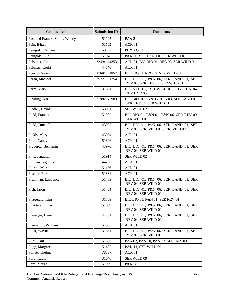| <b>Commenter</b>              | <b>Submission ID</b> | <b>Comments</b>                                                          |
|-------------------------------|----------------------|--------------------------------------------------------------------------|
| Fast and Frances Smith, Wendy | 51195                | <b>PAA 21</b>                                                            |
| Fein, Ethan                   | 51563                | ACK 01                                                                   |
| Feingold, Pauline             | 53157                | PHY AQ 01                                                                |
| Feingold, Sue                 | 51048                | P&N 06, SER LAND 01, SER WILD 01                                         |
| Felstiner, John               | 32494, 44353         | ACK 01, BIO BIO 01, REG 03, SER WILD 01                                  |
| Feltman, Corki                | 44146                | ACK 01                                                                   |
| Fenster, Steven               | 31691, 31857         | BIO BIO 01, REG 03, SER WILD 01                                          |
| Feran, Michael                | 35721, 51354         | BIO BIO 01, P&N 06, SER LAND 01, SER<br>REV 04, SER REV 09, SER WILD 01  |
| Ferm, Mary                    | 31651                | BIO VEG 01, BIO WILD 01, PHY CON 04,<br>PHY HYD 03                       |
| Fickling, Karl                | 31982, 43983         | BIO BIO 01, P&N 06, REG 03, SER LAND 01,<br>SER REV 04, SER WILD 01      |
| Fiedler, David                | 53031                | <b>SER WILD 02</b>                                                       |
| Field, Francis                | 51902                | BIO BIO 01, P&N 01, P&N 06, SER REV 09,<br>SER WILD 01                   |
| Field, James T.               | 43972                | BIO BIO 01, P&N 06, SER LAND 01, SER<br>REV 04, SER WILD 01, SER WILD 02 |
| Fields, Mary                  | 43954                | ACK 01                                                                   |
| Fifer, Nancy                  | 51396                | ACK 01                                                                   |
| Figueroa, Benjamin            | 43970                | BIO BIO 01, P&N 06, SER LAND 01, SER<br>REV 04, SER WILD 01              |
| Fine, Jonathan                | 51914                | SER WILD 02                                                              |
| Finman, Sigmund               | 44200                | ACK 01                                                                   |
| Fiorini, Mark                 | 51136                | ACK 01                                                                   |
| Fischer, Roz                  | 51881                | ACK 01                                                                   |
| Fischman, Lawrence            | 51489                | BIO BIO 01, P&N 06, SER LAND 01, SER<br>REV 04, SER WILD 01              |
| Fish, Jason                   | 51434                | BIO BIO 01, P&N 06, SER LAND 01, SER<br>REV 04, SER WILD 01              |
| Fitzgerald, Kim               | 31759                | BIO BIO 01, P&N 01, SER REV 04                                           |
| FitzGerald, Lisa              | 51009                | BIO BIO 01, P&N 06, SER LAND 01, SER<br>REV 04, SER WILD 01              |
| Flanagan, Lynn                | 44101                | BIO BIO 01, P&N 06, SER LAND 01, SER<br>REV 04, SER WILD 01              |
| Fleener Sr, William           | 51535                | ACK 01                                                                   |
| Flick, Wayne                  | 31661                | BIO BIO 01, P&N 06, SER LAND 01, SER<br>REV 04, SER WILD 01              |
| Flint, Paul                   | 51896                | PAA 02, PAA 10, PAA 17, SER H&S 03                                       |
| Fogg, Margaret                | 51402                | P&N 11, SER WILD 09                                                      |
| Follett, Thelma               | 78837                | ACK 01                                                                   |
| Ford, Kathy                   | 31646                | SER WILD 09                                                              |
| Ford, Marge                   | 51039                | <b>P&amp;N 08</b>                                                        |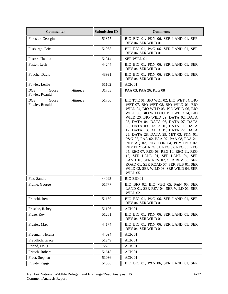| <b>Commenter</b>                            | <b>Submission ID</b> | <b>Comments</b>                                                                                                                                                                                                                                                                                                                                                                                                                                                                                                                                                                                                                                                                                                            |
|---------------------------------------------|----------------------|----------------------------------------------------------------------------------------------------------------------------------------------------------------------------------------------------------------------------------------------------------------------------------------------------------------------------------------------------------------------------------------------------------------------------------------------------------------------------------------------------------------------------------------------------------------------------------------------------------------------------------------------------------------------------------------------------------------------------|
| Forester, Georgina                          | 51377                | BIO BIO 01, P&N 06, SER LAND 01, SER<br>REV 04, SER WILD 01                                                                                                                                                                                                                                                                                                                                                                                                                                                                                                                                                                                                                                                                |
| Fosburgh, Eric                              | 51968                | BIO BIO 01, P&N 06, SER LAND 01, SER<br>REV 04, SER WILD 01                                                                                                                                                                                                                                                                                                                                                                                                                                                                                                                                                                                                                                                                |
| Foster, Claudia                             | 51314                | SER WILD 01                                                                                                                                                                                                                                                                                                                                                                                                                                                                                                                                                                                                                                                                                                                |
| Foster, Leah                                | 44244                | BIO BIO 01, P&N 06, SER LAND 01, SER<br>REV 04, SER WILD 01                                                                                                                                                                                                                                                                                                                                                                                                                                                                                                                                                                                                                                                                |
| Fouche, David                               | 43991                | BIO BIO 01, P&N 06, SER LAND 01, SER<br>REV 04, SER WILD 01                                                                                                                                                                                                                                                                                                                                                                                                                                                                                                                                                                                                                                                                |
| Fowler, Leslie                              | 51102                | ACK 01                                                                                                                                                                                                                                                                                                                                                                                                                                                                                                                                                                                                                                                                                                                     |
| Blue<br>Alliance<br>Goose<br>Fowler, Roanld | 31763                | PAA 03, PAA 26, REG 08                                                                                                                                                                                                                                                                                                                                                                                                                                                                                                                                                                                                                                                                                                     |
| Alliance<br>Blue<br>Goose<br>Fowler, Ronald | 51760                | BIO T&E 01, BIO WET 02, BIO WET 04, BIO<br>WET 07, BIO WET 08, BIO WILD 01, BIO<br>WILD 04, BIO WILD 05, BIO WILD 06, BIO<br>WILD 08, BIO WILD 09, BIO WILD 24, BIO<br>WILD 26, BIO WILD 29, DATA 02, DATA<br>03, DATA 04, DATA 06, DATA 07, DATA<br>08, DATA 09, DATA 10, DATA 11, DATA<br>12, DATA 13, DATA 19, DATA 22, DATA<br>25, DATA 28, DATA 29, MIT 03, P&N 01,<br>P&N 07, PAA 02, PAA 07, PAA 08, PAA 21,<br>PHY AQ 02, PHY CON 04, PHY HYD 02,<br>PHY PHY 04, REG 01, REG 02, REG 03, REG<br>05, REG 07, REG 08, REG 10, REG 11, REG<br>12, SER LAND 01, SER LAND 04, SER<br>LAND 10, SER REV 02, SER REV 08, SER<br>ROAD 01, SER ROAD 07, SER SUB 01, SER<br>WILD 02, SER WILD 03, SER WILD 04, SER<br>WILD 05 |
| Fox, Sandra                                 | 44093                | <b>BIO BIO 01</b>                                                                                                                                                                                                                                                                                                                                                                                                                                                                                                                                                                                                                                                                                                          |
| Frame, George                               | 51777                | BIO BIO 02, BIO VEG 05, P&N 05, SER<br>LAND 01, SER REV 04, SER WILD 01, SER<br>WILD 02                                                                                                                                                                                                                                                                                                                                                                                                                                                                                                                                                                                                                                    |
| Franchi, Irena                              | 51169                | BIO BIO 01, P&N 06, SER LAND 01, SER<br>REV 04, SER WILD 01                                                                                                                                                                                                                                                                                                                                                                                                                                                                                                                                                                                                                                                                |
| Frasche, Robey                              | 51196                | ACK 01                                                                                                                                                                                                                                                                                                                                                                                                                                                                                                                                                                                                                                                                                                                     |
| Fraze, Roy                                  | 51261                | BIO BIO 01, P&N 06, SER LAND 01, SER<br>REV 04, SER WILD 01                                                                                                                                                                                                                                                                                                                                                                                                                                                                                                                                                                                                                                                                |
| Frazier, Max                                | 44174                | BIO BIO 01, P&N 06, SER LAND 01, SER<br>REV 04, SER WILD 01                                                                                                                                                                                                                                                                                                                                                                                                                                                                                                                                                                                                                                                                |
| Freeman, Helena                             | 44094                | ACK 01                                                                                                                                                                                                                                                                                                                                                                                                                                                                                                                                                                                                                                                                                                                     |
| Freudlich, Grace                            | 51249                | ACK 01                                                                                                                                                                                                                                                                                                                                                                                                                                                                                                                                                                                                                                                                                                                     |
| Friend, Doug                                | 72783                | ACK 01                                                                                                                                                                                                                                                                                                                                                                                                                                                                                                                                                                                                                                                                                                                     |
| Fritsch, Robert                             | 51618                | ACK 01                                                                                                                                                                                                                                                                                                                                                                                                                                                                                                                                                                                                                                                                                                                     |
| Frost, Stephen                              | 51036                | ACK 01                                                                                                                                                                                                                                                                                                                                                                                                                                                                                                                                                                                                                                                                                                                     |
| Fugate, Peggy                               | 51338                | BIO BIO 01, P&N 06, SER LAND 01, SER                                                                                                                                                                                                                                                                                                                                                                                                                                                                                                                                                                                                                                                                                       |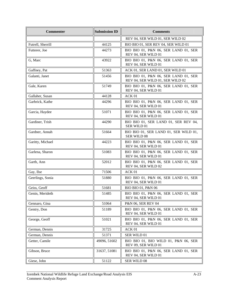| <b>Commenter</b>  | <b>Submission ID</b> | <b>Comments</b>                                                          |
|-------------------|----------------------|--------------------------------------------------------------------------|
|                   |                      | REV 04, SER WILD 01, SER WILD 02                                         |
| Futrell, Sherrill | 44125                | BIO BIO 01, SER REV 04, SER WILD 01                                      |
| Futterer, Joe     | 44273                | BIO BIO 01, P&N 06, SER LAND 01, SER<br>REV 04, SER WILD 01              |
| G, Marc           | 43922                | BIO BIO 01, P&N 06, SER LAND 01, SER<br>REV 04, SER WILD 01              |
| Gaffney, Pat      | 51363                | ACK 01, SER LAND 01, SER WILD 01                                         |
| Galanti, Janet    | 51456                | BIO BIO 01, P&N 06, SER LAND 01, SER<br>REV 04, SER WILD 01, SER WILD 02 |
| Gale, Karen       | 51749                | BIO BIO 01, P&N 06, SER LAND 01, SER<br>REV 04, SER WILD 01              |
| Gallaher, Susan   | 44128                | ACK 01                                                                   |
| Garbrick, Kathe   | 44296                | BIO BIO 01, P&N 06, SER LAND 01, SER<br>REV 04, SER WILD 01              |
| Garcia, Haydee    | 51071                | BIO BIO 01, P&N 06, SER LAND 01, SER<br>REV 04, SER WILD 01              |
| Gardiner, Trish   | 44290                | BIO BIO 01, SER LAND 01, SER REV 04,<br>SER WILD 01                      |
| Gardner, Annah    | 51664                | BIO BIO 01, SER LAND 01, SER WILD 01,<br>SER WILD 08                     |
| Garitty, Michael  | 44223                | BIO BIO 01, P&N 06, SER LAND 01, SER<br>REV 04, SER WILD 01              |
| Garlena, Sharon   | 51083                | BIO BIO 01, P&N 06, SER LAND 01, SER<br>REV 04, SER WILD 01              |
| Garth, Ann        | 52012                | BIO BIO 01, P&N 06, SER LAND 01, SER<br>REV 04, SER WILD 02              |
| Gay, Ilse         | 71506                | ACK 01                                                                   |
| Geerlings, Sonia  | 51880                | BIO BIO 01, P&N 06, SER LAND 01, SER<br>REV 04, SER WILD 01              |
| Geiss, Geoff      | 51681                | BIO BIO 01, P&N 06                                                       |
| Genin, Merideth   | 51485                | BIO BIO 01, P&N 06, SER LAND 01, SER<br>REV 04, SER WILD 01              |
| Gennaro, Gina     | 51064                | P&N 06, SER REV 04                                                       |
| Gentry, Don       | 51189                | BIO BIO 01, P&N 06, SER LAND 01, SER<br>REV 04, SER WILD 01              |
| George, Geoff     | 51021                | BIO BIO 01, P&N 06, SER LAND 01, SER<br>REV 04, SER WILD 01              |
| German, Dennis    | 31725                | ACK 01                                                                   |
| German, Dennis    | 51371                | SER WILD 01                                                              |
| Getter, Camile    | 49096, 51602         | BIO BIO 01, BIO WILD 01, P&N 06, SER<br>REV 09, SER WILD 01              |
| Gibson, Bruce     | 31637, 51081         | BIO BIO 01, P&N 06, SER LAND 01, SER<br>REV 04, SER WILD 01              |
| Giese, John       | 51122                | <b>SER WILD 08</b>                                                       |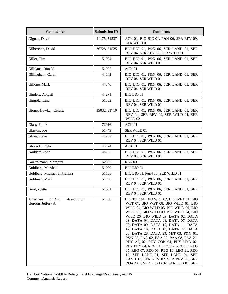| <b>Commenter</b>                                                | <b>Submission ID</b> | <b>Comments</b>                                                                                                                                                                                                                                                                                                                                                                                                                                                                                                                                                                                                                                                       |
|-----------------------------------------------------------------|----------------------|-----------------------------------------------------------------------------------------------------------------------------------------------------------------------------------------------------------------------------------------------------------------------------------------------------------------------------------------------------------------------------------------------------------------------------------------------------------------------------------------------------------------------------------------------------------------------------------------------------------------------------------------------------------------------|
| Gignac, David                                                   | 41175, 51537         | ACK 01, BIO BIO 01, P&N 06, SER REV 09,<br>SER WILD 01                                                                                                                                                                                                                                                                                                                                                                                                                                                                                                                                                                                                                |
| Gilbertson, David                                               | 36728, 51525         | BIO BIO 01, P&N 06, SER LAND 01, SER<br>REV 04, SER REV 09, SER WILD 01                                                                                                                                                                                                                                                                                                                                                                                                                                                                                                                                                                                               |
| Giller, Tim                                                     | 51904                | BIO BIO 01, P&N 06, SER LAND 01, SER<br>REV 04, SER WILD 01                                                                                                                                                                                                                                                                                                                                                                                                                                                                                                                                                                                                           |
| Gilliland, Ronald                                               | 51952                | ACK 01                                                                                                                                                                                                                                                                                                                                                                                                                                                                                                                                                                                                                                                                |
| Gillingham, Carol                                               | 44142                | BIO BIO 01, P&N 06, SER LAND 01, SER<br>REV 04, SER WILD 01                                                                                                                                                                                                                                                                                                                                                                                                                                                                                                                                                                                                           |
| Gillono, Mark                                                   | 44346                | BIO BIO 01, P&N 06, SER LAND 01, SER<br>REV 04, SER WILD 01                                                                                                                                                                                                                                                                                                                                                                                                                                                                                                                                                                                                           |
| Gindele, Abigail                                                | 44271                | <b>BIO BIO 01</b>                                                                                                                                                                                                                                                                                                                                                                                                                                                                                                                                                                                                                                                     |
| Gingold, Lina                                                   | 51352                | BIO BIO 01, P&N 06, SER LAND 01, SER<br>REV 04, SER WILD 01                                                                                                                                                                                                                                                                                                                                                                                                                                                                                                                                                                                                           |
| Gionet-Hawker, Celeste                                          | 35032, 51710         | BIO BIO 01, P&N 06, SER LAND 01, SER<br>REV 04, SER REV 09, SER WILD 01, SER<br><b>WILD 02</b>                                                                                                                                                                                                                                                                                                                                                                                                                                                                                                                                                                        |
| Glass, Frank                                                    | 72916                | ACK 01                                                                                                                                                                                                                                                                                                                                                                                                                                                                                                                                                                                                                                                                |
| Glaston, Joe                                                    | 51449                | SER WILD 01                                                                                                                                                                                                                                                                                                                                                                                                                                                                                                                                                                                                                                                           |
| Gliva, Steve                                                    | 44292                | BIO BIO 01, P&N 06, SER LAND 01, SER<br>REV 04, SER WILD 01                                                                                                                                                                                                                                                                                                                                                                                                                                                                                                                                                                                                           |
| Glosecki, Dylan                                                 | 44224                | ACK 01                                                                                                                                                                                                                                                                                                                                                                                                                                                                                                                                                                                                                                                                |
| Goddard, John                                                   | 44265                | BIO BIO 01, P&N 06, SER LAND 01, SER<br>REV 04, SER WILD 01                                                                                                                                                                                                                                                                                                                                                                                                                                                                                                                                                                                                           |
| Goettelmann, Margaret                                           | 52302                | <b>REG 03</b>                                                                                                                                                                                                                                                                                                                                                                                                                                                                                                                                                                                                                                                         |
| Goldberg, Marshall                                              | 51080                | BIO BIO 01                                                                                                                                                                                                                                                                                                                                                                                                                                                                                                                                                                                                                                                            |
| Goldberg, Michael & Melissa                                     | 51185                | BIO BIO 01, P&N 06, SER WILD 01                                                                                                                                                                                                                                                                                                                                                                                                                                                                                                                                                                                                                                       |
| Goldman, Mark                                                   | 51738                | BIO BIO 01, P&N 06, SER LAND 01, SER<br>REV 04, SER WILD 01                                                                                                                                                                                                                                                                                                                                                                                                                                                                                                                                                                                                           |
| Goot, yvette                                                    | 51661                | BIO BIO 01, P&N 06, SER LAND 01, SER<br>REV 04, SER WILD 01                                                                                                                                                                                                                                                                                                                                                                                                                                                                                                                                                                                                           |
| <b>Birding</b><br>American<br>Association<br>Gordon, Jeffery A. | 51760                | BIO T&E 01, BIO WET 02, BIO WET 04, BIO<br>WET 07, BIO WET 08, BIO WILD 01, BIO<br>WILD 04, BIO WILD 05, BIO WILD 06, BIO<br>WILD 08, BIO WILD 09, BIO WILD 24, BIO<br>WILD 26, BIO WILD 29, DATA 02, DATA<br>03, DATA 04, DATA 06, DATA 07, DATA<br>08, DATA 09, DATA 10, DATA 11, DATA<br>12, DATA 13, DATA 19, DATA 22, DATA<br>25, DATA 28, DATA 29, MIT 03, P&N 01,<br>P&N 07, PAA 02, PAA 07, PAA 08, PAA 21,<br>PHY AQ 02, PHY CON 04, PHY HYD 02,<br>PHY PHY 04, REG 01, REG 02, REG 03, REG<br>05, REG 07, REG 08, REG 10, REG 11, REG<br>12, SER LAND 01, SER LAND 04, SER<br>LAND 10, SER REV 02, SER REV 08, SER<br>ROAD 01, SER ROAD 07, SER SUB 01, SER |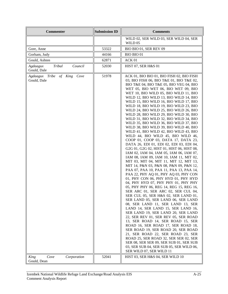| <b>Commenter</b>                             | <b>Submission ID</b> | <b>Comments</b>                                                                                                                                                                                                                                                                                                                                                                                                                                                                                                                                                                                                                                                                                                                                                                                                                                                                                                                                                                                                                                                                                                                                                                                                                                                                                                                                                                                                                                                                                                                                                                                                                                                                                                                                                            |
|----------------------------------------------|----------------------|----------------------------------------------------------------------------------------------------------------------------------------------------------------------------------------------------------------------------------------------------------------------------------------------------------------------------------------------------------------------------------------------------------------------------------------------------------------------------------------------------------------------------------------------------------------------------------------------------------------------------------------------------------------------------------------------------------------------------------------------------------------------------------------------------------------------------------------------------------------------------------------------------------------------------------------------------------------------------------------------------------------------------------------------------------------------------------------------------------------------------------------------------------------------------------------------------------------------------------------------------------------------------------------------------------------------------------------------------------------------------------------------------------------------------------------------------------------------------------------------------------------------------------------------------------------------------------------------------------------------------------------------------------------------------------------------------------------------------------------------------------------------------|
|                                              |                      | WILD 02, SER WILD 03, SER WILD 04, SER<br>WILD 05                                                                                                                                                                                                                                                                                                                                                                                                                                                                                                                                                                                                                                                                                                                                                                                                                                                                                                                                                                                                                                                                                                                                                                                                                                                                                                                                                                                                                                                                                                                                                                                                                                                                                                                          |
| Gore, Anne                                   | 53322                | BIO BIO 01, SER REV 09                                                                                                                                                                                                                                                                                                                                                                                                                                                                                                                                                                                                                                                                                                                                                                                                                                                                                                                                                                                                                                                                                                                                                                                                                                                                                                                                                                                                                                                                                                                                                                                                                                                                                                                                                     |
| Gorham, Judy                                 | 44166                | <b>BIO BIO 01</b>                                                                                                                                                                                                                                                                                                                                                                                                                                                                                                                                                                                                                                                                                                                                                                                                                                                                                                                                                                                                                                                                                                                                                                                                                                                                                                                                                                                                                                                                                                                                                                                                                                                                                                                                                          |
| Gould, Ashten                                | 62871                | ACK 01                                                                                                                                                                                                                                                                                                                                                                                                                                                                                                                                                                                                                                                                                                                                                                                                                                                                                                                                                                                                                                                                                                                                                                                                                                                                                                                                                                                                                                                                                                                                                                                                                                                                                                                                                                     |
| Council<br>Tribal<br>Agdaagux<br>Gould, Dale | 52030                | HIST 07, SER H&S 01                                                                                                                                                                                                                                                                                                                                                                                                                                                                                                                                                                                                                                                                                                                                                                                                                                                                                                                                                                                                                                                                                                                                                                                                                                                                                                                                                                                                                                                                                                                                                                                                                                                                                                                                                        |
| Agdaagux Tribe of King Cove<br>Gould, Dale   | 51978                | ACK 01, BIO BIO 01, BIO FISH 02, BIO FISH<br>03, BIO FISH 06, BIO T&E 01, BIO T&E 02,<br>BIO T&E 04, BIO T&E 05, BIO VEG 04, BIO<br>WET 05, BIO WET 06, BIO WET 09, BIO<br>WET 10, BIO WILD 05, BIO WILD 11, BIO<br>WILD 12, BIO WILD 13, BIO WILD 14, BIO<br>WILD 15, BIO WILD 16, BIO WILD 17, BIO<br>WILD 18, BIO WILD 19, BIO WILD 23, BIO<br>WILD 24, BIO WILD 25, BIO WILD 26, BIO<br>WILD 28, BIO WILD 29, BIO WILD 30, BIO<br>WILD 31, BIO WILD 32, BIO WILD 34, BIO<br>WILD 35, BIO WILD 36, BIO WILD 37, BIO<br>WILD 38, BIO WILD 39, BIO WILD 40, BIO<br>WILD 41, BIO WILD 42, BIO WILD 43, BIO<br>WILD 44, BIO WILD 45, BIO WILD 46,<br>COOP 01, COOP 03, DATA 17, DATA 23,<br>DATA 26, EDI 01, EDI 02, EDI 03, EDI 04,<br>G2G 01, G2G 02, HIST 01, HIST 06, HIST 08,<br>IAM 02, IAM 04, IAM 05, IAM 06, IAM 07,<br>IAM 08, IAM 09, IAM 10, IAM 11, MIT 02,<br>MIT 03, MIT 04, MIT 11, MIT 12, MIT 13,<br>MIT 14, P&N 03, P&N 08, P&N 09, P&N 12,<br>PAA 07, PAA 10, PAA 11, PAA 13, PAA 14,<br>PAA 22, PHY AQ 01, PHY AQ 03, PHY CON<br>01, PHY CON 06, PHY HYD 01, PHY HYD<br>04, PHY HYD 07, PHY PHY 01, PHY PHY<br>05, PHY PHY 06, REG 14, REG 15, REG 16,<br>SER ARC 01, SER ARC 02, SER CUL 04,<br>SER CUL 05, SER H&S 02, SER LAND 01,<br>SER LAND 05, SER LAND 06, SER LAND<br>08, SER LAND 11, SER LAND 13, SER<br>LAND 14, SER LAND 15, SER LAND 16,<br>SER LAND 19, SER LAND 20, SER LAND<br>22, SER REV 01, SER REV 05, SER ROAD<br>13, SER ROAD 14, SER ROAD 15, SER<br>ROAD 16, SER ROAD 17, SER ROAD 18,<br>SER ROAD 19, SER ROAD 20, SER ROAD<br>21, SER ROAD 22, SER ROAD 23, SER<br>ROAD 25, SER ROAD 32, SER SER 02, SER<br>SER 08, SER SER 09, SER SUB 01, SER SUB<br>03, SER SUB 04, SER SUB 05, SER WILD 06,<br>SER WILD 07, SER WILD 11 |
| Cove<br>King<br>Corporation<br>Gould, Dean   | 52041                | HIST 03, SER H&S 04, SER WILD 10                                                                                                                                                                                                                                                                                                                                                                                                                                                                                                                                                                                                                                                                                                                                                                                                                                                                                                                                                                                                                                                                                                                                                                                                                                                                                                                                                                                                                                                                                                                                                                                                                                                                                                                                           |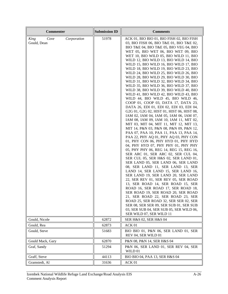| <b>Commenter</b>                           | <b>Submission ID</b> | <b>Comments</b>                                                                                                                                                                                                                                                                                                                                                                                                                                                                                                                                                                                                                                                                                                                                                                                                                                                                                                                                                                                                                                                                                                                                                                                                                                                                                                                                                                                                                                                                                                                                                                                                                                                                                                                                                            |
|--------------------------------------------|----------------------|----------------------------------------------------------------------------------------------------------------------------------------------------------------------------------------------------------------------------------------------------------------------------------------------------------------------------------------------------------------------------------------------------------------------------------------------------------------------------------------------------------------------------------------------------------------------------------------------------------------------------------------------------------------------------------------------------------------------------------------------------------------------------------------------------------------------------------------------------------------------------------------------------------------------------------------------------------------------------------------------------------------------------------------------------------------------------------------------------------------------------------------------------------------------------------------------------------------------------------------------------------------------------------------------------------------------------------------------------------------------------------------------------------------------------------------------------------------------------------------------------------------------------------------------------------------------------------------------------------------------------------------------------------------------------------------------------------------------------------------------------------------------------|
| King<br>Cove<br>Corporation<br>Gould, Dean | 51978                | ACK 01, BIO BIO 01, BIO FISH 02, BIO FISH<br>03, BIO FISH 06, BIO T&E 01, BIO T&E 02,<br>BIO T&E 04, BIO T&E 05, BIO VEG 04, BIO<br>WET 05, BIO WET 06, BIO WET 09, BIO<br>WET 10, BIO WILD 05, BIO WILD 11, BIO<br>WILD 12, BIO WILD 13, BIO WILD 14, BIO<br>WILD 15, BIO WILD 16, BIO WILD 17, BIO<br>WILD 18, BIO WILD 19, BIO WILD 23, BIO<br>WILD 24, BIO WILD 25, BIO WILD 26, BIO<br>WILD 28, BIO WILD 29, BIO WILD 30, BIO<br>WILD 31, BIO WILD 32, BIO WILD 34, BIO<br>WILD 35, BIO WILD 36, BIO WILD 37, BIO<br>WILD 38, BIO WILD 39, BIO WILD 40, BIO<br>WILD 41, BIO WILD 42, BIO WILD 43, BIO<br>WILD 44, BIO WILD 45, BIO WILD 46,<br>COOP 01, COOP 03, DATA 17, DATA 23,<br>DATA 26, EDI 01, EDI 02, EDI 03, EDI 04,<br>G2G 01, G2G 02, HIST 01, HIST 06, HIST 08,<br>IAM 02, IAM 04, IAM 05, IAM 06, IAM 07,<br>IAM 08, IAM 09, IAM 10, IAM 11, MIT 02,<br>MIT 03, MIT 04, MIT 11, MIT 12, MIT 13,<br>MIT 14, P&N 03, P&N 08, P&N 09, P&N 12,<br>PAA 07, PAA 10, PAA 11, PAA 13, PAA 14,<br>PAA 22, PHY AQ 01, PHY AQ 03, PHY CON<br>01, PHY CON 06, PHY HYD 01, PHY HYD<br>04, PHY HYD 07, PHY PHY 01, PHY PHY<br>05, PHY PHY 06, REG 14, REG 15, REG 16,<br>SER ARC 01, SER ARC 02, SER CUL 04,<br>SER CUL 05, SER H&S 02, SER LAND 01,<br>SER LAND 05, SER LAND 06, SER LAND<br>08, SER LAND 11, SER LAND 13, SER<br>LAND 14, SER LAND 15, SER LAND 16,<br>SER LAND 19, SER LAND 20, SER LAND<br>22, SER REV 01, SER REV 05, SER ROAD<br>13, SER ROAD 14, SER ROAD 15, SER<br>ROAD 16, SER ROAD 17, SER ROAD 18,<br>SER ROAD 19. SER ROAD 20. SER ROAD<br>21, SER ROAD 22, SER ROAD 23, SER<br>ROAD 25, SER ROAD 32, SER SER 02, SER<br>SER 08, SER SER 09, SER SUB 01, SER SUB<br>03, SER SUB 04, SER SUB 05, SER WILD 06,<br>SER WILD 07, SER WILD 11 |
| Gould, Nicole                              | 62872                | SER H&S 02, SER H&S 04                                                                                                                                                                                                                                                                                                                                                                                                                                                                                                                                                                                                                                                                                                                                                                                                                                                                                                                                                                                                                                                                                                                                                                                                                                                                                                                                                                                                                                                                                                                                                                                                                                                                                                                                                     |
| Gould, Rea                                 | 62873                | ACK 01                                                                                                                                                                                                                                                                                                                                                                                                                                                                                                                                                                                                                                                                                                                                                                                                                                                                                                                                                                                                                                                                                                                                                                                                                                                                                                                                                                                                                                                                                                                                                                                                                                                                                                                                                                     |
| Gould, Steve                               | 51683                | BIO BIO 01, P&N 06, SER LAND 01, SER<br>REV 04, SER WILD 01                                                                                                                                                                                                                                                                                                                                                                                                                                                                                                                                                                                                                                                                                                                                                                                                                                                                                                                                                                                                                                                                                                                                                                                                                                                                                                                                                                                                                                                                                                                                                                                                                                                                                                                |
| Gould Mack, Gary                           | 62870                | P&N 08, P&N 14, SER H&S 04                                                                                                                                                                                                                                                                                                                                                                                                                                                                                                                                                                                                                                                                                                                                                                                                                                                                                                                                                                                                                                                                                                                                                                                                                                                                                                                                                                                                                                                                                                                                                                                                                                                                                                                                                 |
| Graf, Sandy                                | 51294                | P&N 06, SER LAND 01, SER REV 04, SER<br>WILD 01                                                                                                                                                                                                                                                                                                                                                                                                                                                                                                                                                                                                                                                                                                                                                                                                                                                                                                                                                                                                                                                                                                                                                                                                                                                                                                                                                                                                                                                                                                                                                                                                                                                                                                                            |
| Graff, Steve                               | 44113                | BIO BIO 04, PAA 13, SER H&S 04                                                                                                                                                                                                                                                                                                                                                                                                                                                                                                                                                                                                                                                                                                                                                                                                                                                                                                                                                                                                                                                                                                                                                                                                                                                                                                                                                                                                                                                                                                                                                                                                                                                                                                                                             |
| Gramstedt, Al                              | 31636                | ACK 01                                                                                                                                                                                                                                                                                                                                                                                                                                                                                                                                                                                                                                                                                                                                                                                                                                                                                                                                                                                                                                                                                                                                                                                                                                                                                                                                                                                                                                                                                                                                                                                                                                                                                                                                                                     |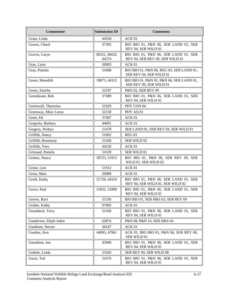| <b>Commenter</b>        | <b>Submission ID</b>   | <b>Comments</b>                                                          |
|-------------------------|------------------------|--------------------------------------------------------------------------|
| Grant, Linda            | 44334                  | ACK 01                                                                   |
| Graver, Chuck           | 37392                  | BIO BIO 01, P&N 06, SER LAND 01, SER<br>REV 04, SER WILD 01              |
| Graves, Caryn           | 36525, 36650,<br>44274 | BIO BIO 01, P&N 06, SER LAND 01, SER<br>REV 04, SER REV 09, SER WILD 01  |
| Gray, Lynn              | 50993                  | ACK 01                                                                   |
| Gray, Pamela            | 51608                  | BIO BIO 01, P&N 06, REG 03, SER LAND 01,<br>SER REV 04, SER WILD 01      |
| Green, Meredith         | 39073, 44312           | BIO BIO 01, P&N 02, P&N 06, SER LAND 01,<br>SER REV 09, SER WILD 01      |
| Green, Simcha           | 52187                  | P&N 02, SER REV 09                                                       |
| Greenboam, Bob          | 37389                  | BIO BIO 01, P&N 06, SER LAND 01, SER<br>REV 04, SER WILD 01              |
| Greenwall, Theresina    | 51029                  | PHY CON 04                                                               |
| Greenway, Mary Lorna    | 52158                  | PHY AQ 01                                                                |
| Greer, Ed               | 37407                  | ACK 01                                                                   |
| Gregorio, Barbara       | 44091                  | ACK 01                                                                   |
| Gregory, Probyn         | 51478                  | SER LAND 01, SER REV 04, SER WILD 01                                     |
| Griffith, Nancy         | 51092                  | <b>REG 03</b>                                                            |
| Griffith, Rosemary      | 51436                  | SER WILD 02                                                              |
| Griffith, Vern          | 44130                  | ACK 01                                                                   |
| Grimaud, Pamela         | 51639                  | <b>SER WILD 01</b>                                                       |
| Grimes, Nancy           | 39723, 51913           | BIO BIO 01, P&N 06, SER REV 09, SER<br>WILD 01, SER WILD 02              |
| Grone, Lori             | 51912                  | ACK 01                                                                   |
| Gross, Marc             | 50988                  | ACK 01                                                                   |
| Groth, Kathy            | 31726, 44324           | BIO BIO 01, P&N 06, SER LAND 01, SER<br>REV 04, SER WILD 01, SER WILD 02 |
| Grove, Paul             | 31652, 51890           | BIO BIO 01, P&N 06, SER LAND 01, SER<br>REV 04, SER WILD 01              |
| Grover, Ravi            | 51336                  | BIO BIO 01, SER H&S 03, SER REV 09                                       |
| Gruber, Kathy           | 97905                  | ACK 01                                                                   |
| Gruzebeck, Terry        | 51430                  | BIO BIO 01, P&N 06, SER LAND 01, SER<br>REV 04, SER WILD 01              |
| Gundersen, Elijah Jaden | 62874                  | P&N 08, P&N 14, SER H&S 04                                               |
| Gundrum, Steven         | 44147                  | ACK 01                                                                   |
| Gunther, Ken            | 44095, 47961           | ACK 01, BIO BIO 01, P&N 06, SER REV 09,<br>SER WILD 01                   |
| Gustafson, Jon          | 43940                  | BIO BIO 01, P&N 06, SER LAND 01, SER<br>REV 04, SER WILD 01              |
| Guthrie, Linda          | 53342                  | SER REV 09, SER WILD 08                                                  |
| Guzzi, Ted              | 51676                  | BIO BIO 01, P&N 06, SER LAND 01, SER<br>REV 04, SER WILD 01              |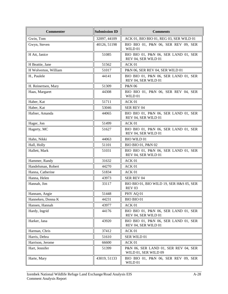| <b>Commenter</b>     | <b>Submission ID</b> | <b>Comments</b>                                              |
|----------------------|----------------------|--------------------------------------------------------------|
| Gwin, Tom            | 32097, 44109         | ACK 01, BIO BIO 01, REG 03, SER WILD 01                      |
| Gwyn, Steven         | 40126, 51198         | BIO BIO 01, P&N 06, SER REV 09, SER<br>WILD 01               |
| H Att, Janice        | 51085                | BIO BIO 01, P&N 06, SER LAND 01, SER<br>REV 04, SER WILD 01  |
| H Beattie, Jane      | 51562                | ACK 01                                                       |
| H Wolverton, William | 51017                | P&N 06, SER REV 04, SER WILD 01                              |
| H., Paulele          | 44141                | BIO BIO 01, P&N 06, SER LAND 01, SER<br>REV 04, SER WILD 01  |
| H. Reinertsen, Mary  | 51309                | P&N 06                                                       |
| Haas, Margaret       | 44308                | BIO BIO 01, P&N 06, SER REV 04, SER<br>WILD 01               |
| Haber, Kat           | 51711                | ACK 01                                                       |
| Haber, Kat           | 53046                | SER REV 04                                                   |
| Hafner, Amanda       | 44065                | BIO BIO 01, P&N 06, SER LAND 01, SER<br>REV 04, SER WILD 01  |
| Hager, Jon           | 51499                | ACK 01                                                       |
| Hagerty, MC          | 51627                | BIO BIO 01, P&N 06, SER LAND 01, SER<br>REV 04, SER WILD 01  |
| Hahn, Nikki          | 44063                | <b>BIO WILD 01</b>                                           |
| Hall, Holly          | 51101                | BIO BIO 01, P&N 02                                           |
| Hallett, Mark        | 51031                | BIO BIO 01, P&N 06, SER LAND 01, SER<br>REV 04, SER WILD 01  |
| Hammer, Randy        | 31632                | ACK 01                                                       |
| Handelsman, Robert   | 44270                | ACK 01                                                       |
| Hanna, Catherine     | 51834                | ACK <sub>01</sub>                                            |
| Hanna, Helen         | 43973                | SER REV 04                                                   |
| Hannah, Jim          | 33117                | BIO BIO 01, BIO WILD 19, SER H&S 05, SER<br><b>REV 03</b>    |
| Hannam, Angie        | 51448                | PHY AQ 01                                                    |
| Hanneken, Donna K    | 44231                | BIO BIO 01                                                   |
| Hansen, Hannah       | 43977                | ACK 01                                                       |
| Hardy, Ingrid        | 44176                | BIO BIO 01, P&N 06, SER LAND 01, SER<br>REV 04, SER WILD 01  |
| Harker, Jana         | 43920                | BIO BIO 01, P&N 06, SER LAND 01, SER<br>REV 04, SER WILD 01  |
| Harman, Chris        | 37412                | ACK 01                                                       |
| Harris, Debra        | 51610                | SER WILD 01                                                  |
| Harrison, Jerome     | 66600                | ACK 01                                                       |
| Hart, Jennifer       | 51399                | P&N 06, SER LAND 01, SER REV 04, SER<br>WILD 01, SER WILD 09 |
| Harte, Mary          | 43019, 51133         | BIO BIO 01, P&N 06, SER REV 09, SER<br>WILD 01               |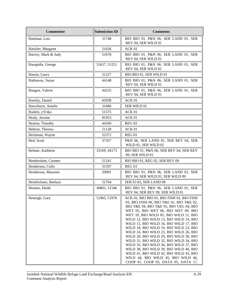| <b>Commenter</b>     | <b>Submission ID</b> | <b>Comments</b>                                                                                                                                                                                                                                                                                                                                                                                                                                                                                                                                                                                                                                                                         |
|----------------------|----------------------|-----------------------------------------------------------------------------------------------------------------------------------------------------------------------------------------------------------------------------------------------------------------------------------------------------------------------------------------------------------------------------------------------------------------------------------------------------------------------------------------------------------------------------------------------------------------------------------------------------------------------------------------------------------------------------------------|
| Hartman, Lois        | 31748                | BIO BIO 01, P&N 06, SER LAND 01, SER<br>REV 04, SER WILD 01                                                                                                                                                                                                                                                                                                                                                                                                                                                                                                                                                                                                                             |
| Hartzler, Margaret   | 51636                | ACK 01                                                                                                                                                                                                                                                                                                                                                                                                                                                                                                                                                                                                                                                                                  |
| Harvey, Mark & Judy  | 51678                | BIO BIO 01, P&N 06, SER LAND 01, SER<br>REV 04, SER WILD 01                                                                                                                                                                                                                                                                                                                                                                                                                                                                                                                                                                                                                             |
| Hasapidis, George    | 31657, 51221         | BIO BIO 01, P&N 06, SER LAND 01, SER<br>REV 04, SER WILD 01                                                                                                                                                                                                                                                                                                                                                                                                                                                                                                                                                                                                                             |
| Hassin, Laura        | 51227                | BIO BIO 01, SER WILD 01                                                                                                                                                                                                                                                                                                                                                                                                                                                                                                                                                                                                                                                                 |
| Hathaway, Susan      | 44148                | BIO BIO 01, P&N 06, SER LAND 01, SER<br>REV 04, SER WILD 01                                                                                                                                                                                                                                                                                                                                                                                                                                                                                                                                                                                                                             |
| Haugen, Valerie      | 44233                | BIO BIO 01, P&N 06, SER LAND 01, SER<br>REV 04, SER WILD 01                                                                                                                                                                                                                                                                                                                                                                                                                                                                                                                                                                                                                             |
| Hawley, Daniel       | 65938                | ACK <sub>01</sub>                                                                                                                                                                                                                                                                                                                                                                                                                                                                                                                                                                                                                                                                       |
| Hawxhurst, Amelie    | 31686                | SER WILD 01                                                                                                                                                                                                                                                                                                                                                                                                                                                                                                                                                                                                                                                                             |
| Hazlett, yYriko      | 51575                | ACK 01                                                                                                                                                                                                                                                                                                                                                                                                                                                                                                                                                                                                                                                                                  |
| Healy, Jerome        | 81953                | ACK 01                                                                                                                                                                                                                                                                                                                                                                                                                                                                                                                                                                                                                                                                                  |
| Heaton, Timothy      | 44160                | <b>REG 03</b>                                                                                                                                                                                                                                                                                                                                                                                                                                                                                                                                                                                                                                                                           |
| Hebron, Theresa      | 51128                | ACK 01                                                                                                                                                                                                                                                                                                                                                                                                                                                                                                                                                                                                                                                                                  |
| Heckman, Wayne       | 52372                | <b>REG 03</b>                                                                                                                                                                                                                                                                                                                                                                                                                                                                                                                                                                                                                                                                           |
| Hed, Scott           | 37357                | P&N 06, SER LAND 01, SER REV 04, SER<br>WILD 01, SER WILD 02                                                                                                                                                                                                                                                                                                                                                                                                                                                                                                                                                                                                                            |
| Helmer, Kathleen     | 33169, 44173         | BIO BIO 01, P&N 06, SER REV 04, SER REV<br>09, SER WILD 01                                                                                                                                                                                                                                                                                                                                                                                                                                                                                                                                                                                                                              |
| Hendershott, Carmen  | 51241                | BIO BIO 01, REG 02, SER REV 09                                                                                                                                                                                                                                                                                                                                                                                                                                                                                                                                                                                                                                                          |
| Henderson, Colin     | 31597                | <b>REG 03</b>                                                                                                                                                                                                                                                                                                                                                                                                                                                                                                                                                                                                                                                                           |
| Henderson, Maureen   | 50991                | BIO BIO 01, P&N 06, SER LAND 01, SER<br>REV 04, SER WILD 01, SER WILD 09                                                                                                                                                                                                                                                                                                                                                                                                                                                                                                                                                                                                                |
| Hendricksen, Barbara | 51764                | SER EJ 03, SER LAND 06                                                                                                                                                                                                                                                                                                                                                                                                                                                                                                                                                                                                                                                                  |
| Hennen, Heide        | 49801, 51546         | BIO BIO 01, P&N 06, SER LAND 01, SER<br>REV 04, SER REV 09, SER WILD 01                                                                                                                                                                                                                                                                                                                                                                                                                                                                                                                                                                                                                 |
| Hennigh, Gary        | 51965, 51978         | ACK 01, BIO BIO 01, BIO FISH 02, BIO FISH<br>03, BIO FISH 06, BIO T&E 01, BIO T&E 02,<br>BIO T&E 04, BIO T&E 05, BIO VEG 04, BIO<br>WET 05, BIO WET 06, BIO WET 09, BIO<br>WET 10, BIO WILD 05, BIO WILD 11, BIO<br>WILD 12, BIO WILD 13, BIO WILD 14, BIO<br>WILD 15, BIO WILD 16, BIO WILD 17, BIO<br>WILD 18, BIO WILD 19, BIO WILD 23, BIO<br>WILD 24, BIO WILD 25, BIO WILD 26, BIO<br>WILD 28, BIO WILD 29, BIO WILD 30, BIO<br>WILD 31, BIO WILD 32, BIO WILD 34, BIO<br>WILD 35, BIO WILD 36, BIO WILD 37, BIO<br>WILD 38, BIO WILD 39, BIO WILD 40, BIO<br>WILD 41, BIO WILD 42, BIO WILD 43, BIO<br>WILD 44, BIO WILD 45, BIO WILD 46,<br>COOP 01, COOP 03, DATA 05, DATA 17, |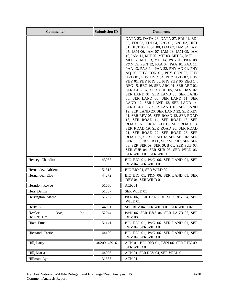| <b>Commenter</b>                             | <b>Submission ID</b> | <b>Comments</b>                                                                                                                                                                                                                                                                                                                                                                                                                                                                                                                                                                                                                                                                                                                                                                                                                                                                                                                                                                                                                                                                                                                                                       |
|----------------------------------------------|----------------------|-----------------------------------------------------------------------------------------------------------------------------------------------------------------------------------------------------------------------------------------------------------------------------------------------------------------------------------------------------------------------------------------------------------------------------------------------------------------------------------------------------------------------------------------------------------------------------------------------------------------------------------------------------------------------------------------------------------------------------------------------------------------------------------------------------------------------------------------------------------------------------------------------------------------------------------------------------------------------------------------------------------------------------------------------------------------------------------------------------------------------------------------------------------------------|
|                                              |                      | DATA 23, DATA 26, DATA 27, EDI 01, EDI<br>02, EDI 03, EDI 04, G2G 01, G2G 02, HIST<br>01, HIST 06, HIST 08, IAM 02, IAM 04, IAM<br>05, IAM 06, IAM 07, IAM 08, IAM 09, IAM<br>10, IAM 11, MIT 02, MIT 03, MIT 04, MIT 11,<br>MIT 12, MIT 13, MIT 14, P&N 03, P&N 08,<br>P&N 09, P&N 12, PAA 07, PAA 10, PAA 11,<br>PAA 13, PAA 14, PAA 22, PHY AQ 01, PHY<br>AQ 03, PHY CON 01, PHY CON 06, PHY<br>HYD 01, PHY HYD 04, PHY HYD 07, PHY<br>PHY 01, PHY PHY 05, PHY PHY 06, REG 14,<br>REG 15, REG 16, SER ARC 01, SER ARC 02,<br>SER CUL 04, SER CUL 05, SER H&S 02,<br>SER LAND 01, SER LAND 05, SER LAND<br>06, SER LAND 08, SER LAND 11, SER<br>LAND 12, SER LAND 13, SER LAND 14,<br>SER LAND 15, SER LAND 16, SER LAND<br>19, SER LAND 20, SER LAND 22, SER REV<br>01, SER REV 05, SER ROAD 12, SER ROAD<br>13, SER ROAD 14, SER ROAD 15, SER<br>ROAD 16, SER ROAD 17, SER ROAD 18,<br>SER ROAD 19, SER ROAD 20, SER ROAD<br>21, SER ROAD 22, SER ROAD 23, SER<br>ROAD 25, SER ROAD 32, SER SER 02, SER<br>SER 05, SER SER 06, SER SER 07, SER SER<br>08, SER SER 09, SER SUB 01, SER SUB 03,<br>SER SUB 04, SER SUB 05, SER WILD 06,<br>SER WILD 07, SER WILD 11 |
| Hensey, Chandira                             | 43967                | BIO BIO 01, P&N 06, SER LAND 01, SER<br>REV 04, SER WILD 01                                                                                                                                                                                                                                                                                                                                                                                                                                                                                                                                                                                                                                                                                                                                                                                                                                                                                                                                                                                                                                                                                                           |
| Hernandez, Adrienne                          | 51318                | BIO BIO 01, SER WILD 09                                                                                                                                                                                                                                                                                                                                                                                                                                                                                                                                                                                                                                                                                                                                                                                                                                                                                                                                                                                                                                                                                                                                               |
| Hernandez, Eloy                              | 44272                | BIO BIO 01, P&N 06, SER LAND 01, SER<br>REV 04, SER WILD 01                                                                                                                                                                                                                                                                                                                                                                                                                                                                                                                                                                                                                                                                                                                                                                                                                                                                                                                                                                                                                                                                                                           |
| Herndon, Royce                               | 51656                | ACK 01                                                                                                                                                                                                                                                                                                                                                                                                                                                                                                                                                                                                                                                                                                                                                                                                                                                                                                                                                                                                                                                                                                                                                                |
| Herr, Dennis                                 | 51357                | SER WILD 01                                                                                                                                                                                                                                                                                                                                                                                                                                                                                                                                                                                                                                                                                                                                                                                                                                                                                                                                                                                                                                                                                                                                                           |
| Herrington, Marna                            | 51267                | P&N 06, SER LAND 01, SER REV 04, SER<br>WILD 01                                                                                                                                                                                                                                                                                                                                                                                                                                                                                                                                                                                                                                                                                                                                                                                                                                                                                                                                                                                                                                                                                                                       |
| Hertz, L                                     | 44061                | SER REV 04, SER WILD 01, SER WILD 02                                                                                                                                                                                                                                                                                                                                                                                                                                                                                                                                                                                                                                                                                                                                                                                                                                                                                                                                                                                                                                                                                                                                  |
| Heuker<br><i>Inc</i><br>Bros,<br>Heuker, Tim | 52044                | P&N 06, SER H&S 04, SER LAND 06, SER<br><b>REV 08</b>                                                                                                                                                                                                                                                                                                                                                                                                                                                                                                                                                                                                                                                                                                                                                                                                                                                                                                                                                                                                                                                                                                                 |
| Hiatt, Ettus                                 | 51141                | BIO BIO 01, P&N 06, SER LAND 01, SER<br>REV 04, SER WILD 01                                                                                                                                                                                                                                                                                                                                                                                                                                                                                                                                                                                                                                                                                                                                                                                                                                                                                                                                                                                                                                                                                                           |
| Hiestand, Carrie                             | 44120                | BIO BIO 01, P&N 06, SER LAND 01, SER<br>REV 04, SER WILD 01                                                                                                                                                                                                                                                                                                                                                                                                                                                                                                                                                                                                                                                                                                                                                                                                                                                                                                                                                                                                                                                                                                           |
| Hill, Larry                                  | 40209, 43916         | ACK 01, BIO BIO 01, P&N 06, SER REV 09,<br>SER WILD 01                                                                                                                                                                                                                                                                                                                                                                                                                                                                                                                                                                                                                                                                                                                                                                                                                                                                                                                                                                                                                                                                                                                |
| Hill, Maria                                  | 44036                | ACK 01, SER REV 04, SER WILD 01                                                                                                                                                                                                                                                                                                                                                                                                                                                                                                                                                                                                                                                                                                                                                                                                                                                                                                                                                                                                                                                                                                                                       |
| Hillman, Lynn                                | 31688                | ACK 01                                                                                                                                                                                                                                                                                                                                                                                                                                                                                                                                                                                                                                                                                                                                                                                                                                                                                                                                                                                                                                                                                                                                                                |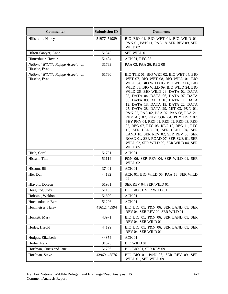| <b>Commenter</b>                                      | <b>Submission ID</b> | <b>Comments</b>                                                                                                                                                                                                                                                                                                                                                                                                                                                                                                                                                                                                                                                                                                            |
|-------------------------------------------------------|----------------------|----------------------------------------------------------------------------------------------------------------------------------------------------------------------------------------------------------------------------------------------------------------------------------------------------------------------------------------------------------------------------------------------------------------------------------------------------------------------------------------------------------------------------------------------------------------------------------------------------------------------------------------------------------------------------------------------------------------------------|
| Hillstrand, Nancy                                     | 51977, 51989         | BIO BIO 01, BIO WET 01, BIO WILD 01,<br>P&N 01, P&N 11, PAA 18, SER REV 09, SER<br>WILD 02                                                                                                                                                                                                                                                                                                                                                                                                                                                                                                                                                                                                                                 |
| Hilton-Sawyer, Anne                                   | 51342                | SER WILD 01                                                                                                                                                                                                                                                                                                                                                                                                                                                                                                                                                                                                                                                                                                                |
| Hinterthuer, Howard                                   | 51404                | ACK 01, REG 03                                                                                                                                                                                                                                                                                                                                                                                                                                                                                                                                                                                                                                                                                                             |
| National Wildlife Refuge Associaiton<br>Hirsche, Evan | 31763                | PAA 03, PAA 26, REG 08                                                                                                                                                                                                                                                                                                                                                                                                                                                                                                                                                                                                                                                                                                     |
| National Wildlife Refuge Association<br>Hirsche, Evan | 51760                | BIO T&E 01, BIO WET 02, BIO WET 04, BIO<br>WET 07, BIO WET 08, BIO WILD 01, BIO<br>WILD 04, BIO WILD 05, BIO WILD 06, BIO<br>WILD 08, BIO WILD 09, BIO WILD 24, BIO<br>WILD 26, BIO WILD 29, DATA 02, DATA<br>03, DATA 04, DATA 06, DATA 07, DATA<br>08, DATA 09, DATA 10, DATA 11, DATA<br>12, DATA 13, DATA 19, DATA 22, DATA<br>25, DATA 28, DATA 29, MIT 03, P&N 01,<br>P&N 07, PAA 02, PAA 07, PAA 08, PAA 21,<br>PHY AQ 02, PHY CON 04, PHY HYD 02,<br>PHY PHY 04, REG 01, REG 02, REG 03, REG<br>05, REG 07, REG 08, REG 10, REG 11, REG<br>12, SER LAND 01, SER LAND 04, SER<br>LAND 10, SER REV 02, SER REV 08, SER<br>ROAD 01, SER ROAD 07, SER SUB 01, SER<br>WILD 02, SER WILD 03, SER WILD 04, SER<br>WILD 05 |
| Hirth, Carol                                          | 51731                | ACK 01                                                                                                                                                                                                                                                                                                                                                                                                                                                                                                                                                                                                                                                                                                                     |
| Hissam, Tim                                           | 51114                | P&N 06, SER REV 04, SER WILD 01, SER<br>WILD 02                                                                                                                                                                                                                                                                                                                                                                                                                                                                                                                                                                                                                                                                            |
| Hissom, Jill                                          | 37401                | ACK 01                                                                                                                                                                                                                                                                                                                                                                                                                                                                                                                                                                                                                                                                                                                     |
| Hitt, Dan                                             | 44132                | ACK 01, BIO WILD 05, PAA 16, SER WILD<br>09                                                                                                                                                                                                                                                                                                                                                                                                                                                                                                                                                                                                                                                                                |
| Hlavaty, Doreen                                       | 51981                | SER REV 04, SER WILD 01                                                                                                                                                                                                                                                                                                                                                                                                                                                                                                                                                                                                                                                                                                    |
| Hoaglund, Judy                                        | 51135                | BIO BIO 01, SER WILD 01                                                                                                                                                                                                                                                                                                                                                                                                                                                                                                                                                                                                                                                                                                    |
| Hobbins, Weldon                                       | 51590                | ACK 01                                                                                                                                                                                                                                                                                                                                                                                                                                                                                                                                                                                                                                                                                                                     |
| Hochendoner, Bernie                                   | 51296                | ACK 01                                                                                                                                                                                                                                                                                                                                                                                                                                                                                                                                                                                                                                                                                                                     |
| Hochheiser, Harry                                     | 41612, 43994         | BIO BIO 01, P&N 06, SER LAND 01, SER<br>REV 04, SER REV 09, SER WILD 01                                                                                                                                                                                                                                                                                                                                                                                                                                                                                                                                                                                                                                                    |
| Hockett, Mary                                         | 43971                | BIO BIO 01, P&N 06, SER LAND 01, SER<br>REV 04, SER WILD 01                                                                                                                                                                                                                                                                                                                                                                                                                                                                                                                                                                                                                                                                |
| Hodes, Harold                                         | 44199                | BIO BIO 01, P&N 06, SER LAND 01, SER<br>REV 04, SER WILD 01                                                                                                                                                                                                                                                                                                                                                                                                                                                                                                                                                                                                                                                                |
| Hodges, Elizabeth                                     | 44354                | ACK 01                                                                                                                                                                                                                                                                                                                                                                                                                                                                                                                                                                                                                                                                                                                     |
| Hodie, Mark                                           | 31675                | <b>BIO WILD 01</b>                                                                                                                                                                                                                                                                                                                                                                                                                                                                                                                                                                                                                                                                                                         |
| Hoffman, Curtis and Jane                              | 51736                | BIO BIO 01, SER REV 09                                                                                                                                                                                                                                                                                                                                                                                                                                                                                                                                                                                                                                                                                                     |
| Hoffman, Steve                                        | 43969, 45576         | BIO BIO 01, P&N 06, SER REV 09, SER<br>WILD 01, SER WILD 09                                                                                                                                                                                                                                                                                                                                                                                                                                                                                                                                                                                                                                                                |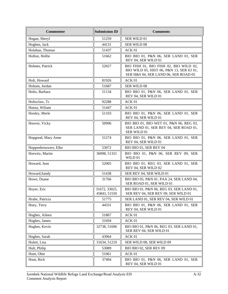| <b>Commenter</b>     | <b>Submission ID</b>          | <b>Comments</b>                                                                                                            |
|----------------------|-------------------------------|----------------------------------------------------------------------------------------------------------------------------|
| Hogan, Sheryl        | 51259                         | SER WILD 01                                                                                                                |
| Hogben, Jack         | 44131                         | SER WILD 08                                                                                                                |
| Holahan, Thomas      | 51437                         | ACK 01                                                                                                                     |
| Hollon, Hollie       | 51662                         | BIO BIO 01, P&N 06, SER LAND 01, SER<br>REV 04, SER WILD 01                                                                |
| Holmes, Patrick      | 52027                         | BIO FISH 01, BIO FISH 02, BIO WILD 02,<br>BIO WILD 05, HIST 06, P&N 13, SER EJ 01,<br>SER H&S 04, SER LAND 06, SER ROAD 05 |
| Holt, Howard         | 81926                         | ACK 01                                                                                                                     |
| Holtam, Jordan       | 51687                         | SER WILD 08                                                                                                                |
| Holtz, Barbara       | 51134                         | BIO BIO 01, P&N 06, SER LAND 01, SER<br>REV 04, SER WILD 01                                                                |
| Holtzclaw, Tc        | 92288                         | ACK 01                                                                                                                     |
| Honsa, Wiliam        | 51447                         | ACK 01                                                                                                                     |
| Hooley, Merle        | 51103                         | BIO BIO 01, P&N 06, SER LAND 01, SER<br>REV 04, SER WILD 01                                                                |
| Hoover, Vicky        | 50996                         | BIO BIO 01, BIO WET 01, P&N 06, REG 03,<br>SER LAND 01, SER REV 04, SER ROAD 01,<br><b>SER WILD 01</b>                     |
| Hopgood, Mary Anne   | 51274                         | BIO BIO 01, P&N 06, SER LAND 01, SER<br>REV 04, SER WILD 01                                                                |
| Hoppenbrouwers, Elke | 53072                         | BIO BIO 01, SER REV 04                                                                                                     |
| Horwitz, Martin      | 36098, 51331                  | BIO BIO 01, P&N 06, SER REV 09, SER<br>WILD 01                                                                             |
| Howard, Jean         | 52005                         | BIO BIO 01, REG 03, SER LAND 01, SER<br>REV 04, SER WILD 02                                                                |
| Howard, Sandy        | 51438                         | SER REV 04, SER WILD 01                                                                                                    |
| Howe, Duane          | 31766                         | BIO BIO 05, P&N 01, PAA 24, SER LAND 04,<br>SER ROAD 01, SER WILD 01                                                       |
| Hoyer, Eric          | 31672, 33025,<br>45843, 51550 | BIO BIO 01, P&N 06, REG 03, SER LAND 01,<br>SER REV 04, SER REV 09, SER WILD 01                                            |
| Hrabe, Patricia      | 51775                         | SER LAND 01, SER REV 04, SER WILD 01                                                                                       |
| Huey, Terry          | 44331                         | BIO BIO 01, P&N 06, SER LAND 01, SER<br>REV 04, SER WILD 01                                                                |
| Hughes, Aileen       | 51867                         | ACK 01                                                                                                                     |
| Hughes, James        | 31694                         | ACK 01                                                                                                                     |
| Hughes, Kevin        | 32738, 51696                  | BIO BIO 01, P&N 06, REG 03, SER LAND 01,<br>SER REV 04, SER WILD 01                                                        |
| Hughes, Sarah        | 43964                         | ACK 01                                                                                                                     |
| Hulett, Lisa         | 31634, 51210                  | SER WILD 08, SER WILD 09                                                                                                   |
| Hult, Philip         | 53089                         | <b>BIO BIO 02, SER REV 09</b>                                                                                              |
| Hunt, Obie           | 51061                         | ACK 01                                                                                                                     |
| Hunt, Rich           | 37404                         | BIO BIO 01, P&N 06, SER LAND 01, SER<br>REV 04, SER WILD 01                                                                |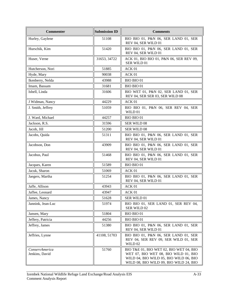| <b>Commenter</b>                 | <b>Submission ID</b> | <b>Comments</b>                                                                                                                                                     |
|----------------------------------|----------------------|---------------------------------------------------------------------------------------------------------------------------------------------------------------------|
| Hurley, Gaylene                  | 51108                | BIO BIO 01, P&N 06, SER LAND 01, SER<br>REV 04, SER WILD 01                                                                                                         |
| Hurschik, Kim                    | 51420                | BIO BIO 01, P&N 06, SER LAND 01, SER<br>REV 04, SER WILD 01                                                                                                         |
| Huser, Verne                     | 31653, 34722         | ACK 01, BIO BIO 01, P&N 06, SER REV 09,<br>SER WILD 01                                                                                                              |
| Hutcherson, Nori                 | 51885                | ACK 01                                                                                                                                                              |
| Hyde, Mary                       | 90038                | ACK <sub>01</sub>                                                                                                                                                   |
| Ikenberry, Nelda                 | 43988                | <b>BIO BIO 01</b>                                                                                                                                                   |
| Imam, Bassam                     | 31681                | <b>BIO BIO 01</b>                                                                                                                                                   |
| Isbell, Linda                    | 31606                | BIO WET 01, P&N 02, SER LAND 01, SER<br>REV 04, SER SER 03, SER WILD 08                                                                                             |
| J Widman, Nancy                  | 44229                | ACK 01                                                                                                                                                              |
| J. Smith, Jeffrey                | 51059                | BIO BIO 01, P&N 06, SER REV 04, SER<br>WILD 01                                                                                                                      |
| J. Ward, Michael                 | 44257                | <b>BIO BIO 01</b>                                                                                                                                                   |
| Jackson, R.S.                    | 31596                | SER WILD 08                                                                                                                                                         |
| Jacob, Jill                      | 51200                | SER WILD 08                                                                                                                                                         |
| Jacobs, Quida                    | 51311                | BIO BIO 01, P&N 06, SER LAND 01, SER<br>REV 04, SER WILD 01                                                                                                         |
| Jacobson, Don                    | 43909                | BIO BIO 01, P&N 06, SER LAND 01, SER<br>REV 04, SER WILD 01                                                                                                         |
| Jacobus, Paul                    | 51468                | BIO BIO 01, P&N 06, SER LAND 01, SER<br>REV 04, SER WILD 01                                                                                                         |
| Jacques, Karen                   | 51589                | <b>BIO BIO 01</b>                                                                                                                                                   |
| Jacuk, Sharon                    | 51069                | ACK <sub>01</sub>                                                                                                                                                   |
| Jaegers, Martha                  | 51254                | BIO BIO 01, P&N 06, SER LAND 01, SER<br>REV 04, SER WILD 01                                                                                                         |
| Jaffe, Allison                   | 43943                | ACK 01                                                                                                                                                              |
| Jaffee, Leonard                  | 43947                | ACK 01                                                                                                                                                              |
| James, Nancy                     | 51628                | SER WILD 01                                                                                                                                                         |
| Jannink, Jean-Luc                | 51974                | BIO BIO 01, SER LAND 01, SER REV 04,<br>SER WILD 02                                                                                                                 |
| Jansen, Mary                     | 51804                | BIO BIO 01                                                                                                                                                          |
| Jeffery, Patricia                | 44256                | <b>BIO BIO 01</b>                                                                                                                                                   |
| Jeffrey, James                   | 51380                | BIO BIO 01, P&N 06, SER LAND 01, SER<br>REV 04, SER WILD 01                                                                                                         |
| Jeffries, Lynne                  | 41108, 51703         | BIO BIO 01, P&N 06, SER LAND 01, SER<br>REV 04, SER REV 09, SER WILD 01, SER<br>WILD 02                                                                             |
| ConservAmerica<br>Jenkins, David | 51760                | BIO T&E 01, BIO WET 02, BIO WET 04, BIO<br>WET 07, BIO WET 08, BIO WILD 01, BIO<br>WILD 04, BIO WILD 05, BIO WILD 06, BIO<br>WILD 08, BIO WILD 09, BIO WILD 24, BIO |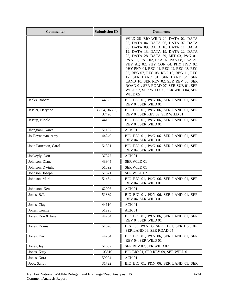| <b>Commenter</b>      | <b>Submission ID</b>   | <b>Comments</b>                                                                                                                                                                                                                                                                                                                                                                                                                                                                                                                                     |
|-----------------------|------------------------|-----------------------------------------------------------------------------------------------------------------------------------------------------------------------------------------------------------------------------------------------------------------------------------------------------------------------------------------------------------------------------------------------------------------------------------------------------------------------------------------------------------------------------------------------------|
|                       |                        | WILD 26, BIO WILD 29, DATA 02, DATA<br>03, DATA 04, DATA 06, DATA 07, DATA<br>08, DATA 09, DATA 10, DATA 11, DATA<br>12, DATA 13, DATA 19, DATA 22, DATA<br>25, DATA 28, DATA 29, MIT 03, P&N 01,<br>P&N 07, PAA 02, PAA 07, PAA 08, PAA 21,<br>PHY AQ 02, PHY CON 04, PHY HYD 02,<br>PHY PHY 04, REG 01, REG 02, REG 03, REG<br>05, REG 07, REG 08, REG 10, REG 11, REG<br>12, SER LAND 01, SER LAND 04, SER<br>LAND 10, SER REV 02, SER REV 08, SER<br>ROAD 01, SER ROAD 07, SER SUB 01, SER<br>WILD 02, SER WILD 03, SER WILD 04, SER<br>WILD 05 |
| Jenks, Robert         | 44022                  | BIO BIO 01, P&N 06, SER LAND 01, SER<br>REV 04, SER WILD 01                                                                                                                                                                                                                                                                                                                                                                                                                                                                                         |
| Jessler, Darynne      | 36394, 36395,<br>37420 | BIO BIO 01, P&N 06, SER LAND 01, SER<br>REV 04, SER REV 09, SER WILD 01                                                                                                                                                                                                                                                                                                                                                                                                                                                                             |
| Jessup, Nicole        | 44153                  | BIO BIO 01, P&N 06, SER LAND 01, SER<br>REV 04, SER WILD 01                                                                                                                                                                                                                                                                                                                                                                                                                                                                                         |
| Jhangiani, Kares      | 51197                  | ACK 01                                                                                                                                                                                                                                                                                                                                                                                                                                                                                                                                              |
| Jo Heyneman, Amy      | 44249                  | BIO BIO 01, P&N 06, SER LAND 01, SER<br>REV 04, SER WILD 01                                                                                                                                                                                                                                                                                                                                                                                                                                                                                         |
| Joan Patterson, Carol | 51831                  | BIO BIO 01, P&N 06, SER LAND 01, SER<br>REV 04, SER WILD 01                                                                                                                                                                                                                                                                                                                                                                                                                                                                                         |
| Jockeyly, Don         | 37377                  | ACK 01                                                                                                                                                                                                                                                                                                                                                                                                                                                                                                                                              |
| Johnson, Diane        | 43945                  | SER WILD 01                                                                                                                                                                                                                                                                                                                                                                                                                                                                                                                                         |
| Johnson, Dwight       | 51592                  | SER WILD 01                                                                                                                                                                                                                                                                                                                                                                                                                                                                                                                                         |
| Johnson, Joseph       | 51571                  | SER WILD 02                                                                                                                                                                                                                                                                                                                                                                                                                                                                                                                                         |
| Johnson, Mark         | 51464                  | BIO BIO 01, P&N 06, SER LAND 01, SER<br>REV 04, SER WILD 01                                                                                                                                                                                                                                                                                                                                                                                                                                                                                         |
| Johnston, Ken         | 62906                  | ACK 01                                                                                                                                                                                                                                                                                                                                                                                                                                                                                                                                              |
| Jones, B.T.           | 51389                  | BIO BIO 01, P&N 06, SER LAND 01, SER<br>REV 04, SER WILD 01                                                                                                                                                                                                                                                                                                                                                                                                                                                                                         |
| Jones, Clayton        | 44110                  | ACK 01                                                                                                                                                                                                                                                                                                                                                                                                                                                                                                                                              |
| Jones, Connie         | 51223                  | ACK 01                                                                                                                                                                                                                                                                                                                                                                                                                                                                                                                                              |
| Jones, Don & Jane     | 44234                  | BIO BIO 01, P&N 06, SER LAND 01, SER<br>REV 04, SER WILD 01                                                                                                                                                                                                                                                                                                                                                                                                                                                                                         |
| Jones, Donna          | 51878                  | HIST 03, P&N 03, SER EJ 01, SER H&S 04,<br>SER LAND 06, SER ROAD 04                                                                                                                                                                                                                                                                                                                                                                                                                                                                                 |
| Jones, Eric           | 44254                  | BIO BIO 01, P&N 06, SER LAND 01, SER<br>REV 04, SER WILD 01                                                                                                                                                                                                                                                                                                                                                                                                                                                                                         |
| Jones, Jay            | 51682                  | SER REV 02, SER WILD 02                                                                                                                                                                                                                                                                                                                                                                                                                                                                                                                             |
| Jones, Kitty          | 103610                 | BIO BIO 01, SER REV 09, SER WILD 01                                                                                                                                                                                                                                                                                                                                                                                                                                                                                                                 |
| Jones, Nora           | 50994                  | ACK 01                                                                                                                                                                                                                                                                                                                                                                                                                                                                                                                                              |
| Joos, Sandy           | 31722                  | BIO BIO 01, P&N 06, SER LAND 01, SER                                                                                                                                                                                                                                                                                                                                                                                                                                                                                                                |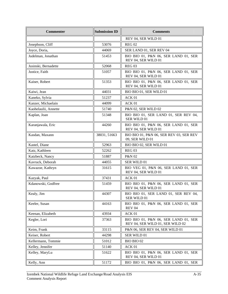| <b>Commenter</b>     | <b>Submission ID</b> | <b>Comments</b>                                                          |
|----------------------|----------------------|--------------------------------------------------------------------------|
|                      |                      | REV 04, SER WILD 01                                                      |
| Josephson, Cliff     | 53076                | <b>REG 02</b>                                                            |
| Joyce, Doria,        | 44069                | SER LAND 01, SER REV 04                                                  |
| Judelman, Jonathan   | 51453                | BIO BIO 01, P&N 06, SER LAND 01, SER<br>REV 04, SER WILD 01              |
| Jusinski, Bernadette | 52068                | <b>REG 03</b>                                                            |
| Justice, Faith       | 51057                | BIO BIO 01, P&N 06, SER LAND 01, SER<br>REV 04, SER WILD 01              |
| Kaiser, Robert       | 51353                | BIO BIO 01, P&N 06, SER LAND 01, SER<br>REV 04, SER WILD 01              |
| Kaiwi, Jean          | 44031                | BIO BIO 01, SER WILD 01                                                  |
| Kaneko, Sylvia       | 51237                | ACK 01                                                                   |
| Kanzer, Michaelain   | 44099                | ACK 01                                                                   |
| Kaohelaulii, Annette | 51740                | P&N 02, SER WILD 02                                                      |
| Kaplan, Joan         | 51348                | BIO BIO 01, SER LAND 01, SER REV 04,<br>SER WILD 01                      |
| Karanjawala, Eric    | 44260                | BIO BIO 01, P&N 06, SER LAND 01, SER<br>REV 04, SER WILD 01              |
| Kasdan, Maxann       | 38031, 51663         | BIO BIO 01, P&N 06, SER REV 03, SER REV<br>09, SER WILD 01               |
| Kastel, Diane        | 52963                | BIO BIO 02, SER WILD 01                                                  |
| Katz, Kathleen       | 52262                | <b>REG 03</b>                                                            |
| Katzbeck, Nancy      | 51887                | P&N 02                                                                   |
| Kavruck, Deborah     | 44055                | SER WILD 01                                                              |
| Kawazoe, Kathryn     | 31615                | BIO VEG 01, P&N 06, SER LAND 01, SER<br>REV 04, SER WILD 01              |
| Kazyak, Paul         | 37431                | ACK 01                                                                   |
| Kdanowski, Godfree   | 51459                | BIO BIO 01, P&N 06, SER LAND 01, SER<br>REV 04, SER WILD 01              |
| Kealy, Jim           | 44307                | BIO BIO 01, SER LAND 01, SER REV 04,<br>SER WILD 01                      |
| Keeler, Susan        | 44163                | BIO BIO 01, P&N 06, SER LAND 01, SER<br><b>REV 04</b>                    |
| Keenan, Elizabeth    | 43934                | ACK 01                                                                   |
| Kegler, Lori         | 37363                | BIO BIO 01, P&N 06, SER LAND 01, SER<br>REV 04, SER WILD 01, SER WILD 02 |
| Keim, Frank          | 33115                | P&N 06, SER REV 04, SER WILD 01                                          |
| Keiser, Robert       | 44298                | SER WILD 01                                                              |
| Kellermann, Tommie   | 51012                | BIO BIO 02                                                               |
| Kelley, Jennifer     | 51140                | ACK 01                                                                   |
| Kelley, MaryLu       | 51622                | BIO BIO 01, P&N 06, SER LAND 01, SER<br>REV 04, SER WILD 01              |
| Kelly, Ann           | 51172                | BIO BIO 01, P&N 06, SER LAND 01, SER                                     |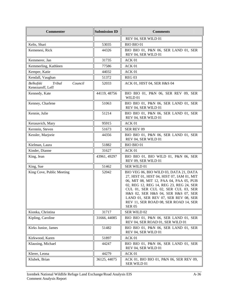| <b>Commenter</b>                                   | <b>Submission ID</b> | <b>Comments</b>                                                                                                                                                                                                                                                                                                                                            |
|----------------------------------------------------|----------------------|------------------------------------------------------------------------------------------------------------------------------------------------------------------------------------------------------------------------------------------------------------------------------------------------------------------------------------------------------------|
|                                                    |                      | REV 04, SER WILD 01                                                                                                                                                                                                                                                                                                                                        |
| Kelts, Shari                                       | 53035                | <b>BIO BIO 01</b>                                                                                                                                                                                                                                                                                                                                          |
| Kemenesi, Rick                                     | 44326                | BIO BIO 01, P&N 06, SER LAND 01, SER<br>REV 04, SER WILD 01                                                                                                                                                                                                                                                                                                |
| Kemmerer, Jan                                      | 31735                | ACK 01                                                                                                                                                                                                                                                                                                                                                     |
| Kemmerling, Kathleen                               | 77586                | ACK 01                                                                                                                                                                                                                                                                                                                                                     |
| Kemper, Katie                                      | 44032                | ACK 01                                                                                                                                                                                                                                                                                                                                                     |
| Kendall, Vaughan                                   | 51372                | <b>REG 03</b>                                                                                                                                                                                                                                                                                                                                              |
| Tribal<br>Belkofski<br>Council<br>Kenezuroff, Leff | 52033                | ACK 01, HIST 04, SER H&S 04                                                                                                                                                                                                                                                                                                                                |
| Kennedy, Kate                                      | 44119, 48756         | BIO BIO 01, P&N 06, SER REV 09, SER<br>WILD 01                                                                                                                                                                                                                                                                                                             |
| Kenney, Charlene                                   | 51063                | BIO BIO 01, P&N 06, SER LAND 01, SER<br>REV 04, SER WILD 01                                                                                                                                                                                                                                                                                                |
| Kennie, Julie                                      | 51214                | BIO BIO 01, P&N 06, SER LAND 01, SER<br>REV 04, SER WILD 01                                                                                                                                                                                                                                                                                                |
| Kerasavich, Mary                                   | 95915                | ACK 01                                                                                                                                                                                                                                                                                                                                                     |
| Kerstein, Steven                                   | 51673                | SER REV 09                                                                                                                                                                                                                                                                                                                                                 |
| Kessler, Marjorie                                  | 44356                | BIO BIO 01, P&N 06, SER LAND 01, SER<br>REV 04, SER WILD 01                                                                                                                                                                                                                                                                                                |
| Kielman, Laura                                     | 51882                | <b>BIO BIO 01</b>                                                                                                                                                                                                                                                                                                                                          |
| Kinder, Dianne                                     | 31627                | ACK 01                                                                                                                                                                                                                                                                                                                                                     |
| King, Jean                                         | 43961, 49297         | BIO BIO 01, BIO WILD 01, P&N 06, SER<br>REV 09, SER WILD 01                                                                                                                                                                                                                                                                                                |
| King, Sue                                          | 51462                | SER WILD 01                                                                                                                                                                                                                                                                                                                                                |
| King Cove, Public Meeting                          | 52042                | BIO VEG 06, BIO WILD 03, DATA 21, DATA<br>27, HIST 01, HIST 04, HIST 07, IAM 01, MIT<br>06, MIT 08, MIT 12, PAA 04, PAA 05, PUB<br>02, REG 12, REG 14, REG 23, REG 24, SER<br>CUL 01, SER CUL 02, SER CUL 03, SER<br>H&S 02, SER H&S 04, SER H&S 07, SER<br>LAND 01, SER REV 07, SER REV 08, SER<br>REV 11, SER ROAD 08, SER ROAD 14, SER<br><b>SER 05</b> |
| Kionka, Christina                                  | 31717                | SER WILD 02                                                                                                                                                                                                                                                                                                                                                |
| Kipling, Caroline                                  | 31666, 44085         | BIO BIO 01, P&N 06, SER LAND 01, SER<br>REV 04, SER ROAD 01, SER WILD 01                                                                                                                                                                                                                                                                                   |
| Kirks Junior, James                                | 51482                | BIO BIO 01, P&N 06, SER LAND 01, SER<br>REV 04, SER WILD 01                                                                                                                                                                                                                                                                                                |
| Kirkwood, Karen                                    | 51897                | ACK 01                                                                                                                                                                                                                                                                                                                                                     |
| Klausing, Michael                                  | 44247                | BIO BIO 01, P&N 06, SER LAND 01, SER<br>REV 04, SER WILD 01                                                                                                                                                                                                                                                                                                |
| Klerer, Leona                                      | 44279                | ACK 01                                                                                                                                                                                                                                                                                                                                                     |
| Klubek, Brian                                      | 36125, 44075         | ACK 01, BIO BIO 01, P&N 06, SER REV 09,<br>SER WILD 01                                                                                                                                                                                                                                                                                                     |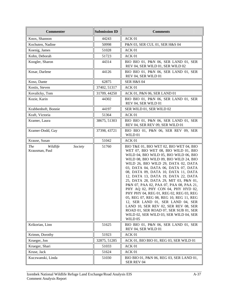| <b>Commenter</b>                                    | <b>Submission ID</b> | <b>Comments</b>                                                                                                                                                                                                                                                                                                                                                                                                                                                                                                                                                                                                                                                                                                            |
|-----------------------------------------------------|----------------------|----------------------------------------------------------------------------------------------------------------------------------------------------------------------------------------------------------------------------------------------------------------------------------------------------------------------------------------------------------------------------------------------------------------------------------------------------------------------------------------------------------------------------------------------------------------------------------------------------------------------------------------------------------------------------------------------------------------------------|
| Knox, Shannon                                       | 44243                | ACK 01                                                                                                                                                                                                                                                                                                                                                                                                                                                                                                                                                                                                                                                                                                                     |
| Kochuten, Nadine                                    | 50998                | P&N 03, SER CUL 01, SER H&S 04                                                                                                                                                                                                                                                                                                                                                                                                                                                                                                                                                                                                                                                                                             |
| Koenig, James                                       | 51028                | ACK 01                                                                                                                                                                                                                                                                                                                                                                                                                                                                                                                                                                                                                                                                                                                     |
| Kohn, Deborah                                       | 51723                | ACK 01                                                                                                                                                                                                                                                                                                                                                                                                                                                                                                                                                                                                                                                                                                                     |
| Koogler, Sharon                                     | 44314                | BIO BIO 01, P&N 06, SER LAND 01, SER<br>REV 04, SER WILD 01, SER WILD 02                                                                                                                                                                                                                                                                                                                                                                                                                                                                                                                                                                                                                                                   |
| Kosar, Darlene                                      | 44126                | BIO BIO 01, P&N 06, SER LAND 01, SER<br>REV 04, SER WILD 01                                                                                                                                                                                                                                                                                                                                                                                                                                                                                                                                                                                                                                                                |
| Koso, Dante                                         | 62875                | SER H&S 04                                                                                                                                                                                                                                                                                                                                                                                                                                                                                                                                                                                                                                                                                                                 |
| Kostis, Steven                                      | 37402, 51317         | ACK 01                                                                                                                                                                                                                                                                                                                                                                                                                                                                                                                                                                                                                                                                                                                     |
| Kovalicky, Tom                                      | 31709, 44250         | ACK 01, P&N 06, SER LAND 01                                                                                                                                                                                                                                                                                                                                                                                                                                                                                                                                                                                                                                                                                                |
| Kozie, Karin                                        | 44302                | BIO BIO 01, P&N 06, SER LAND 01, SER<br>REV 04, SER WILD 01                                                                                                                                                                                                                                                                                                                                                                                                                                                                                                                                                                                                                                                                |
| Krabbenhoft, Bonnie                                 | 44197                | SER WILD 01, SER WILD 02                                                                                                                                                                                                                                                                                                                                                                                                                                                                                                                                                                                                                                                                                                   |
| Kraft, Victoria                                     | 51364                | ACK 01                                                                                                                                                                                                                                                                                                                                                                                                                                                                                                                                                                                                                                                                                                                     |
| Kramer, Laura                                       | 38675, 51303         | BIO BIO 01, P&N 06, SER LAND 01, SER<br>REV 04, SER REV 09, SER WILD 01                                                                                                                                                                                                                                                                                                                                                                                                                                                                                                                                                                                                                                                    |
| Kramer-Dodd, Gay                                    | 37398, 43721         | BIO BIO 01, P&N 06, SER REV 09, SER<br>WILD 01                                                                                                                                                                                                                                                                                                                                                                                                                                                                                                                                                                                                                                                                             |
| Krause, Susan                                       | 51042                | ACK 01                                                                                                                                                                                                                                                                                                                                                                                                                                                                                                                                                                                                                                                                                                                     |
| <b>The</b><br>Wildlife<br>Society<br>Krausman, Paul | 51760                | BIO T&E 01, BIO WET 02, BIO WET 04, BIO<br>WET 07, BIO WET 08, BIO WILD 01, BIO<br>WILD 04, BIO WILD 05, BIO WILD 06, BIO<br>WILD 08, BIO WILD 09, BIO WILD 24, BIO<br>WILD 26, BIO WILD 29, DATA 02, DATA<br>03, DATA 04, DATA 06, DATA 07, DATA<br>08, DATA 09, DATA 10, DATA 11, DATA<br>12, DATA 13, DATA 19, DATA 22, DATA<br>25, DATA 28, DATA 29, MIT 03, P&N 01,<br>P&N 07, PAA 02, PAA 07, PAA 08, PAA 21,<br>PHY AQ 02, PHY CON 04, PHY HYD 02,<br>PHY PHY 04, REG 01, REG 02, REG 03, REG<br>05, REG 07, REG 08, REG 10, REG 11, REG<br>12, SER LAND 01, SER LAND 04, SER<br>LAND 10, SER REV 02, SER REV 08, SER<br>ROAD 01, SER ROAD 07, SER SUB 01, SER<br>WILD 02, SER WILD 03, SER WILD 04, SER<br>WILD 05 |
| Krikorian, Linn                                     | 51625                | BIO BIO 01, P&N 06, SER LAND 01, SER<br>REV 04, SER WILD 01                                                                                                                                                                                                                                                                                                                                                                                                                                                                                                                                                                                                                                                                |
| Krimm, Dorothy                                      | 51923                | ACK 01                                                                                                                                                                                                                                                                                                                                                                                                                                                                                                                                                                                                                                                                                                                     |
| Krueger, Jon                                        | 32875, 51285         | ACK 01, BIO BIO 01, REG 03, SER WILD 01                                                                                                                                                                                                                                                                                                                                                                                                                                                                                                                                                                                                                                                                                    |
| Krueger, Shari                                      | 51033                | ACK 01                                                                                                                                                                                                                                                                                                                                                                                                                                                                                                                                                                                                                                                                                                                     |
| Kruse, Jack                                         | 51624                | ACK 01                                                                                                                                                                                                                                                                                                                                                                                                                                                                                                                                                                                                                                                                                                                     |
| Kuczwanski, Linda                                   | 51030                | BIO BIO 01, P&N 06, REG 03, SER LAND 01,<br>SER REV 04                                                                                                                                                                                                                                                                                                                                                                                                                                                                                                                                                                                                                                                                     |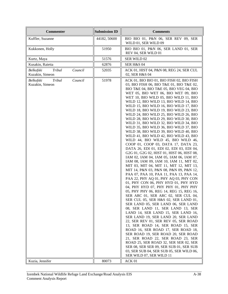| <b>Commenter</b>                                  | <b>Submission ID</b> | <b>Comments</b>                                                                                                                                                                                                                                                                                                                                                                                                                                                                                                                                                                                                                                                                                                                                                                                                                                                                                                                                                                                                                                                                                                                                                                                                                                                                                                                                                                                                                                                                                                                                                                                                                                                                                                                                                            |
|---------------------------------------------------|----------------------|----------------------------------------------------------------------------------------------------------------------------------------------------------------------------------------------------------------------------------------------------------------------------------------------------------------------------------------------------------------------------------------------------------------------------------------------------------------------------------------------------------------------------------------------------------------------------------------------------------------------------------------------------------------------------------------------------------------------------------------------------------------------------------------------------------------------------------------------------------------------------------------------------------------------------------------------------------------------------------------------------------------------------------------------------------------------------------------------------------------------------------------------------------------------------------------------------------------------------------------------------------------------------------------------------------------------------------------------------------------------------------------------------------------------------------------------------------------------------------------------------------------------------------------------------------------------------------------------------------------------------------------------------------------------------------------------------------------------------------------------------------------------------|
| Kuffler, Suzanne                                  | 44182, 50600         | BIO BIO 01, P&N 06, SER REV 09, SER<br>WILD 01, SER WILD 09                                                                                                                                                                                                                                                                                                                                                                                                                                                                                                                                                                                                                                                                                                                                                                                                                                                                                                                                                                                                                                                                                                                                                                                                                                                                                                                                                                                                                                                                                                                                                                                                                                                                                                                |
| Kukkonen, Holly                                   | 51950                | BIO BIO 01, P&N 06, SER LAND 01, SER<br>REV 04, SER WILD 01                                                                                                                                                                                                                                                                                                                                                                                                                                                                                                                                                                                                                                                                                                                                                                                                                                                                                                                                                                                                                                                                                                                                                                                                                                                                                                                                                                                                                                                                                                                                                                                                                                                                                                                |
| Kurtz, Maya                                       | 51576                | SER WILD 02                                                                                                                                                                                                                                                                                                                                                                                                                                                                                                                                                                                                                                                                                                                                                                                                                                                                                                                                                                                                                                                                                                                                                                                                                                                                                                                                                                                                                                                                                                                                                                                                                                                                                                                                                                |
| Kusakin, Raietta                                  | 62876                | SER H&S 04                                                                                                                                                                                                                                                                                                                                                                                                                                                                                                                                                                                                                                                                                                                                                                                                                                                                                                                                                                                                                                                                                                                                                                                                                                                                                                                                                                                                                                                                                                                                                                                                                                                                                                                                                                 |
| Belkofski<br>Tribal<br>Council<br>Kuzakin, Simeon | 52035                | ACK 01, HIST 04, P&N 08, REG 24, SER CUL<br>02, SER H&S 04                                                                                                                                                                                                                                                                                                                                                                                                                                                                                                                                                                                                                                                                                                                                                                                                                                                                                                                                                                                                                                                                                                                                                                                                                                                                                                                                                                                                                                                                                                                                                                                                                                                                                                                 |
| Belkofski<br>Tribal<br>Council<br>Kuzakin, Simeon | 51978                | ACK 01, BIO BIO 01, BIO FISH 02, BIO FISH<br>03, BIO FISH 06, BIO T&E 01, BIO T&E 02,<br>BIO T&E 04, BIO T&E 05, BIO VEG 04, BIO<br>WET 05, BIO WET 06, BIO WET 09, BIO<br>WET 10, BIO WILD 05, BIO WILD 11, BIO<br>WILD 12, BIO WILD 13, BIO WILD 14, BIO<br>WILD 15, BIO WILD 16, BIO WILD 17, BIO<br>WILD 18, BIO WILD 19, BIO WILD 23, BIO<br>WILD 24, BIO WILD 25, BIO WILD 26, BIO<br>WILD 28, BIO WILD 29, BIO WILD 30, BIO<br>WILD 31, BIO WILD 32, BIO WILD 34, BIO<br>WILD 35, BIO WILD 36, BIO WILD 37, BIO<br>WILD 38, BIO WILD 39, BIO WILD 40, BIO<br>WILD 41, BIO WILD 42, BIO WILD 43, BIO<br>WILD 44, BIO WILD 45, BIO WILD 46,<br>COOP 01, COOP 03, DATA 17, DATA 23,<br>DATA 26, EDI 01, EDI 02, EDI 03, EDI 04,<br>G2G 01, G2G 02, HIST 01, HIST 06, HIST 08,<br>IAM 02, IAM 04, IAM 05, IAM 06, IAM 07,<br>IAM 08, IAM 09, IAM 10, IAM 11, MIT 02,<br>MIT 03, MIT 04, MIT 11, MIT 12, MIT 13,<br>MIT 14, P&N 03, P&N 08, P&N 09, P&N 12,<br>PAA 07, PAA 10, PAA 11, PAA 13, PAA 14,<br>PAA 22, PHY AQ 01, PHY AQ 03, PHY CON<br>01, PHY CON 06, PHY HYD 01, PHY HYD<br>04, PHY HYD 07, PHY PHY 01, PHY PHY<br>05, PHY PHY 06, REG 14, REG 15, REG 16,<br>SER ARC 01, SER ARC 02, SER CUL 04,<br>SER CUL 05, SER H&S 02, SER LAND 01,<br>SER LAND 05, SER LAND 06, SER LAND<br>08, SER LAND 11, SER LAND 13, SER<br>LAND 14, SER LAND 15, SER LAND 16,<br>SER LAND 19, SER LAND 20, SER LAND<br>22, SER REV 01, SER REV 05, SER ROAD<br>13, SER ROAD 14, SER ROAD 15, SER<br>ROAD 16, SER ROAD 17, SER ROAD 18,<br>SER ROAD 19, SER ROAD 20, SER ROAD<br>21, SER ROAD 22, SER ROAD 23, SER<br>ROAD 25, SER ROAD 32, SER SER 02, SER<br>SER 08, SER SER 09, SER SUB 01, SER SUB<br>03, SER SUB 04, SER SUB 05, SER WILD 06,<br>SER WILD 07, SER WILD 11 |
| Kuzia, Jennifer                                   | 80073                | ACK 01                                                                                                                                                                                                                                                                                                                                                                                                                                                                                                                                                                                                                                                                                                                                                                                                                                                                                                                                                                                                                                                                                                                                                                                                                                                                                                                                                                                                                                                                                                                                                                                                                                                                                                                                                                     |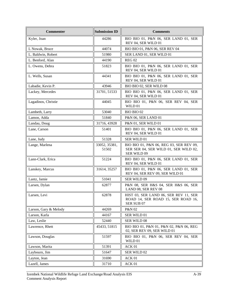| <b>Commenter</b>      | <b>Submission ID</b>   | <b>Comments</b>                                                                                 |
|-----------------------|------------------------|-------------------------------------------------------------------------------------------------|
| Kyler, Joan           | 44286                  | BIO BIO 01, P&N 06, SER LAND 01, SER<br>REV 04, SER WILD 01                                     |
| L Nowak, Bruce        | 44074                  | BIO BIO 01, P&N 06, SER REV 04                                                                  |
| L. Baldwin, Robert    | 51980                  | SER LAND 01, SER WILD 01                                                                        |
| L. Benford, Alan      | 44190                  | <b>REG 02</b>                                                                                   |
| L. Owens, Debra       | 51823                  | BIO BIO 01, P&N 06, SER LAND 01, SER<br>REV 04, SER WILD 01                                     |
| L. Wells, Susan       | 44341                  | BIO BIO 01, P&N 06, SER LAND 01, SER<br>REV 04, SER WILD 01                                     |
| Labadie, Kevin P.     | 43946                  | BIO BIO 02, SER WILD 08                                                                         |
| Lackey, Mercedes      | 31701, 51533           | BIO BIO 01, P&N 06, SER LAND 01, SER<br>REV 04, SER WILD 01                                     |
| Lagadinos, Christie   | 44045                  | BIO BIO 01, P&N 06, SER REV 04, SER<br>WILD 01                                                  |
| Lambeth, Larry        | 53040                  | BIO BIO 02                                                                                      |
| Lamon, Adda           | 51840                  | P&N 06, SER LAND 01                                                                             |
| Landau, Doug          | 31716, 43928           | P&N 01, SER WILD 01                                                                             |
| Lane, Carson          | 51401                  | BIO BIO 01, P&N 06, SER LAND 01, SER<br>REV 04, SER WILD 01                                     |
| Lane, Judy            | 51328                  | <b>SER WILD 01</b>                                                                              |
| Lange, Marlena        | 33052, 35381,<br>51502 | BIO BIO 01, P&N 06, REG 03, SER REV 09,<br>SER SER 04, SER WILD 01, SER WILD 02,<br>SER WILD 09 |
| Lann-Clark, Erica     | 51224                  | BIO BIO 01, P&N 06, SER LAND 01, SER<br>REV 04, SER WILD 01                                     |
| Lanskey, Marcus       | 31614, 35257           | BIO BIO 01, P&N 06, SER LAND 01, SER<br>REV 04, SER REV 09, SER WILD 01                         |
| Lantz, Jamie          | 51041                  | SER WILD 09                                                                                     |
| Larsen, Dylan         | 62877                  | P&N 08, SER H&S 04, SER H&S 06, SER<br>LAND 08, SER REV 08                                      |
| Larsen, Levi          | 62878                  | HIST 03, SER LAND 06, SER REV 11, SER<br>ROAD 14, SER ROAD 15, SER ROAD 16,<br>SER SUB 07       |
| Larson, Gary & Melody | 44269                  | P&N 02                                                                                          |
| Larson, Karla         | 44167                  | SER WILD 01                                                                                     |
| Law, Leslie           | 52440                  | SER WILD 08                                                                                     |
| Lawrence, Rhett       | 45433, 51815           | BIO BIO 01, P&N 01, P&N 02, P&N 06, REG<br>02, SER REV 09, SER WILD 01                          |
| Lawson, Douglas       | 51597                  | BIO BIO 01, P&N 06, SER REV 04, SER<br>WILD 01                                                  |
| Lawson, Marita        | 51391                  | ACK 01                                                                                          |
| Laybourn, Jim         | 51647                  | SER WILD 02                                                                                     |
| Layton, Jean          | 31690                  | ACK 01                                                                                          |
| Lazell, James         | 31710                  | ACK 01                                                                                          |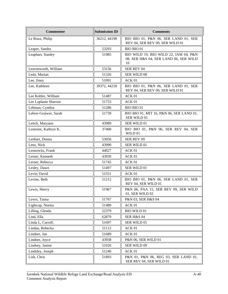| <b>Commenter</b>      | <b>Submission ID</b> | <b>Comments</b>                                                                      |
|-----------------------|----------------------|--------------------------------------------------------------------------------------|
| Le Roux, Philip       | 36212, 44198         | BIO BIO 01, P&N 06, SER LAND 01, SER<br>REV 04, SER REV 09, SER WILD 01              |
| Leaper, Sandra        | 53293                | <b>BIO BIO 01</b>                                                                    |
| Leaphart, Stanley     | 51985                | BIO WILD 19, BIO WILD 22, IAM 04, P&N<br>08, SER H&S 04, SER LAND 06, SER WILD<br>10 |
| Leavenworth, William  | 53156                | SER REV 04                                                                           |
| Leda, Marian          | 51326                | <b>SER WILD 08</b>                                                                   |
| Lee, Jinny            | 51091                | ACK 01                                                                               |
| Lee, Kathleen         | 39372, 44218         | BIO BIO 01, P&N 06, SER LAND 01, SER<br>REV 04, SER REV 09, SER WILD 01              |
| Lee Kohler, William   | 51487                | ACK 01                                                                               |
| Lee Laplante Sharron  | 51733                | ACK 01                                                                               |
| Lehman, Cynthia       | 51286                | <b>BIO BIO 01</b>                                                                    |
| Lehrer-Graiwer, Sarah | 51739                | BIO BIO 01, MIT 16, P&N 06, SER LAND 01,<br>SER WILD 01                              |
| Leitch, Maryann       | 43989                | <b>SER WILD 01</b>                                                                   |
| Lemoine, Kathryn K.   | 37400                | BIO BIO 01, P&N 06, SER REV 04, SER<br>WILD 01                                       |
| Lenhart, Donna        | 53056                | <b>SER REV 09</b>                                                                    |
| Lenz, Nick            | 43990                | SER WILD 01                                                                          |
| Leonowitz, Frank      | 44027                | ACK <sub>01</sub>                                                                    |
| Lerner, Kenneth       | 43930                | ACK 01                                                                               |
| Lerner, Rebecca       | 51745                | ACK 01                                                                               |
| Lesley, Dawn          | 51497                | <b>SER WILD 01</b>                                                                   |
| Levin, David          | 51551                | ACK 01                                                                               |
| Levine, Beth          | 51212                | BIO BIO 01, P&N 06, SER LAND 01, SER<br>REV 04, SER WILD 01                          |
| Lewis, Sherry         | 51967                | P&N 06, PAA 15, SER REV 09, SER WILD<br>01, SER WILD 02                              |
| Lewis, Tanna          | 51767                | P&N 03, SER H&S 04                                                                   |
| Lightcap, Norma       | 51480                | ACK 01                                                                               |
| Lilling, Glenda       | 52379                | <b>BIO WILD 01</b>                                                                   |
| Lind, Ella            | 62879                | <b>SER H&amp;S 04</b>                                                                |
| Linda L, Carroll,     | 51697                | SER WILD 01                                                                          |
| Lindau, Rebecka       | 51112                | ACK 01                                                                               |
| Lindner, Jan          | 51689                | ACK 01                                                                               |
| Lindner, Joyce        | 43938                | P&N 06, SER WILD 01                                                                  |
| Lindsey, Janine       | 51026                | SER WILD 09                                                                          |
| Lindsley, Joseph      | 51240                | ACK 01                                                                               |
| Lish, Chris           | 51893                | P&N 01, P&N 06, REG 03, SER LAND 01,<br>SER REV 04, SER WILD 01                      |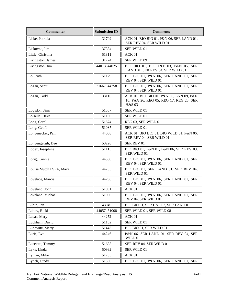| <b>Commenter</b>        | <b>Submission ID</b> | <b>Comments</b>                                                                              |
|-------------------------|----------------------|----------------------------------------------------------------------------------------------|
| Liske, Patricia         | 31702                | ACK 01, BIO BIO 01, P&N 06, SER LAND 01,<br>SER REV 04, SER WILD 01                          |
| Liskovec, Jim           | 37384                | SER WILD 01                                                                                  |
| Little, Christina       | 51811                | ACK 01                                                                                       |
| Livingston, James       | 31724                | SER WILD 09                                                                                  |
| Livingston, Jim         | 44013, 44025         | BIO BIO 01, BIO T&E 03, P&N 06, SER<br>LAND 01, SER REV 04, SER WILD 01                      |
| Lo, Ruth                | 51129                | BIO BIO 01, P&N 06, SER LAND 01, SER<br>REV 04, SER WILD 01                                  |
| Logan, Scott            | 31667, 44358         | BIO BIO 01, P&N 06, SER LAND 01, SER<br>REV 04, SER WILD 01                                  |
| Logan, Todd             | 33116                | ACK 01, BIO BIO 01, P&N 06, P&N 09, P&N<br>10, PAA 26, REG 05, REG 17, REG 28, SER<br>H&S 03 |
| Logsdon, Jimi           | 51557                | SER WILD 01                                                                                  |
| Loiselle, Dave          | 51160                | SER WILD 01                                                                                  |
| Long, Carol             | 51674                | REG 03, SER WILD 01                                                                          |
| Long, Geoff             | 51087                | SER WILD 01                                                                                  |
| Longenecker, Pam        | 44008                | ACK 01, BIO BIO 01, BIO WILD 01, P&N 06,<br>SER REV 04, SER WILD 01                          |
| Longengaugh, Dee        | 53228                | <b>SER REV 01</b>                                                                            |
| Lopez, Josephine        | 51113                | BIO BIO 01, P&N 01, P&N 06, SER REV 09,<br>SER WILD 01                                       |
| Lorig, Connie           | 44350                | BIO BIO 01, P&N 06, SER LAND 01, SER<br>REV 04, SER WILD 01                                  |
| Louise Mutch FSPA, Mary | 44235                | BIO BIO 01, SER LAND 01, SER REV 04,<br>SER WILD 01                                          |
| Lovelace, Marcia        | 44236                | BIO BIO 01, P&N 06, SER LAND 01, SER<br>REV 04, SER WILD 01                                  |
| Loveland, John          | 51891                | ACK 01                                                                                       |
| Loveland, Michael       | 51090                | BIO BIO 01, P&N 06, SER LAND 01, SER<br>REV 04, SER WILD 01                                  |
| Lubin, Jan              | 43949                | BIO BIO 01, SER H&S 03, SER LAND 01                                                          |
| Lubov, Ricki            | 44057, 51008         | SER WILD 01, SER WILD 08                                                                     |
| Lucas, Mary             | 44252                | ACK 01                                                                                       |
| Luckham, David          | 51162                | SER WILD 01                                                                                  |
| Lupowitz, Marty         | 51443                | BIO BIO 01, SER WILD 01                                                                      |
| Lurie, Eve              | 44246                | P&N 06, SER LAND 01, SER REV 04, SER<br>$\rm WILD$ 01                                        |
| Lusciatti, Tammy        | 51638                | SER REV 04, SER WILD 01                                                                      |
| Lyke, Linda             | 50992                | SER WILD 01                                                                                  |
| Lyman, Mike             | 51755                | ACK 01                                                                                       |
| Lynch, Cindy            | 51330                | BIO BIO 01, P&N 06, SER LAND 01, SER                                                         |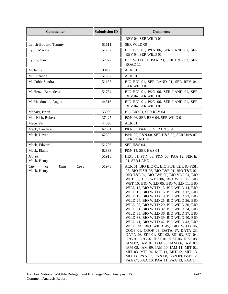| <b>Commenter</b>                                  | <b>Submission ID</b> | <b>Comments</b>                                                                                                                                                                                                                                                                                                                                                                                                                                                                                                                                                                                                                                                                                                                                                                                                                                                                                                                                                                                          |
|---------------------------------------------------|----------------------|----------------------------------------------------------------------------------------------------------------------------------------------------------------------------------------------------------------------------------------------------------------------------------------------------------------------------------------------------------------------------------------------------------------------------------------------------------------------------------------------------------------------------------------------------------------------------------------------------------------------------------------------------------------------------------------------------------------------------------------------------------------------------------------------------------------------------------------------------------------------------------------------------------------------------------------------------------------------------------------------------------|
|                                                   |                      | REV 04, SER WILD 01                                                                                                                                                                                                                                                                                                                                                                                                                                                                                                                                                                                                                                                                                                                                                                                                                                                                                                                                                                                      |
| Lynch-Bobbitt, Tammy                              | 51611                | SER WILD 09                                                                                                                                                                                                                                                                                                                                                                                                                                                                                                                                                                                                                                                                                                                                                                                                                                                                                                                                                                                              |
| Lyon, Marsha                                      | 51297                | BIO BIO 01, P&N 06, SER LAND 01, SER<br>REV 04, SER WILD 01                                                                                                                                                                                                                                                                                                                                                                                                                                                                                                                                                                                                                                                                                                                                                                                                                                                                                                                                              |
| Lyons, Dawn                                       | 52022                | BIO WILD 01, PAA 23, SER H&S 03, SER<br>ROAD <sub>11</sub>                                                                                                                                                                                                                                                                                                                                                                                                                                                                                                                                                                                                                                                                                                                                                                                                                                                                                                                                               |
| M, Jamie                                          | 90490                | ACK 01                                                                                                                                                                                                                                                                                                                                                                                                                                                                                                                                                                                                                                                                                                                                                                                                                                                                                                                                                                                                   |
| M., Suzanne                                       | 51567                | ACK 01                                                                                                                                                                                                                                                                                                                                                                                                                                                                                                                                                                                                                                                                                                                                                                                                                                                                                                                                                                                                   |
| M. Cobb, Sandra                                   | 51157                | BIO BIO 01, SER LAND 01, SER REV 04,<br>SER WILD 01                                                                                                                                                                                                                                                                                                                                                                                                                                                                                                                                                                                                                                                                                                                                                                                                                                                                                                                                                      |
| M. Henzi, Bernadette                              | 51734                | BIO BIO 01, P&N 06, SER LAND 01, SER<br>REV 04, SER WILD 01                                                                                                                                                                                                                                                                                                                                                                                                                                                                                                                                                                                                                                                                                                                                                                                                                                                                                                                                              |
| M. Macdonald, Angus                               | 44316                | BIO BIO 01, P&N 06, SER LAND 01, SER<br>REV 04, SER WILD 01                                                                                                                                                                                                                                                                                                                                                                                                                                                                                                                                                                                                                                                                                                                                                                                                                                                                                                                                              |
| Mabary, Brian                                     | 53099                | BIO BIO 01, SER REV 04                                                                                                                                                                                                                                                                                                                                                                                                                                                                                                                                                                                                                                                                                                                                                                                                                                                                                                                                                                                   |
| Mac Nish, Robert                                  | 37427                | P&N 06, SER REV 04, SER WILD 01                                                                                                                                                                                                                                                                                                                                                                                                                                                                                                                                                                                                                                                                                                                                                                                                                                                                                                                                                                          |
| Mace, Pat                                         | 44098                | ACK 01                                                                                                                                                                                                                                                                                                                                                                                                                                                                                                                                                                                                                                                                                                                                                                                                                                                                                                                                                                                                   |
| Mack, Candace                                     | 62881                | P&N 03, P&N 08, SER H&S 04                                                                                                                                                                                                                                                                                                                                                                                                                                                                                                                                                                                                                                                                                                                                                                                                                                                                                                                                                                               |
| Mack, Devan                                       | 62882                | P&N 03, P&N 08, SER H&S 02, SER H&S 07,<br><b>SER ROAD 14</b>                                                                                                                                                                                                                                                                                                                                                                                                                                                                                                                                                                                                                                                                                                                                                                                                                                                                                                                                            |
| Mack, Edward                                      | 51796                | SER H&S 04                                                                                                                                                                                                                                                                                                                                                                                                                                                                                                                                                                                                                                                                                                                                                                                                                                                                                                                                                                                               |
| Mack, Elaina                                      | 62883                | P&N 14, SER H&S 04                                                                                                                                                                                                                                                                                                                                                                                                                                                                                                                                                                                                                                                                                                                                                                                                                                                                                                                                                                                       |
| Mayor,<br>Mack, Henry                             | 51918                | HIST 01, P&N 03, P&N 08, PAA 12, SER EJ<br>01, SER LAND 11                                                                                                                                                                                                                                                                                                                                                                                                                                                                                                                                                                                                                                                                                                                                                                                                                                                                                                                                               |
| $\sigma f$<br>King<br>Cove<br>City<br>Mack, Henry | 51978                | ACK 01, BIO BIO 01, BIO FISH 02, BIO FISH<br>03, BIO FISH 06, BIO T&E 01, BIO T&E 02,<br>BIO T&E 04, BIO T&E 05, BIO VEG 04, BIO<br>WET 05, BIO WET 06, BIO WET 09, BIO<br>WET 10, BIO WILD 05, BIO WILD 11, BIO<br>WILD 12, BIO WILD 13, BIO WILD 14, BIO<br>WILD 15, BIO WILD 16, BIO WILD 17, BIO<br>WILD 18, BIO WILD 19, BIO WILD 23, BIO<br>WILD 24, BIO WILD 25, BIO WILD 26, BIO<br>WILD 28, BIO WILD 29, BIO WILD 30, BIO<br>WILD 31, BIO WILD 32, BIO WILD 34, BIO<br>WILD 35, BIO WILD 36, BIO WILD 37, BIO<br>WILD 38, BIO WILD 39, BIO WILD 40, BIO<br>WILD 41, BIO WILD 42, BIO WILD 43, BIO<br>WILD 44, BIO WILD 45, BIO WILD 46,<br>COOP 01, COOP 03, DATA 17, DATA 23,<br>DATA 26, EDI 01, EDI 02, EDI 03, EDI 04,<br>G2G 01, G2G 02, HIST 01, HIST 06, HIST 08,<br>IAM 02, IAM 04, IAM 05, IAM 06, IAM 07,<br>IAM 08, IAM 09, IAM 10, IAM 11, MIT 02,<br>MIT 03, MIT 04, MIT 11, MIT 12, MIT 13,<br>MIT 14, P&N 03, P&N 08, P&N 09, P&N 12,<br>PAA 07, PAA 10, PAA 11, PAA 13, PAA 14, |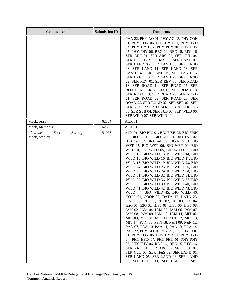| <b>Commenter</b>                                            | <b>Submission ID</b> | <b>Comments</b>                                                                                                                                                                                                                                                                                                                                                                                                                                                                                                                                                                                                                                                                                                                                                                                                                                                                                                                                                                                                                                                                                                                                                                                                                                                                                                                      |
|-------------------------------------------------------------|----------------------|--------------------------------------------------------------------------------------------------------------------------------------------------------------------------------------------------------------------------------------------------------------------------------------------------------------------------------------------------------------------------------------------------------------------------------------------------------------------------------------------------------------------------------------------------------------------------------------------------------------------------------------------------------------------------------------------------------------------------------------------------------------------------------------------------------------------------------------------------------------------------------------------------------------------------------------------------------------------------------------------------------------------------------------------------------------------------------------------------------------------------------------------------------------------------------------------------------------------------------------------------------------------------------------------------------------------------------------|
|                                                             |                      | PAA 22, PHY AQ 01, PHY AQ 03, PHY CON<br>01, PHY CON 06, PHY HYD 01, PHY HYD<br>04, PHY HYD 07, PHY PHY 01, PHY PHY<br>05, PHY PHY 06, REG 14, REG 15, REG 16,<br>SER ARC 01, SER ARC 02, SER CUL 04,<br>SER CUL 05, SER H&S 02, SER LAND 01,<br>SER LAND 05, SER LAND 06, SER LAND<br>08, SER LAND 11, SER LAND 13, SER<br>LAND 14, SER LAND 15, SER LAND 16,<br>SER LAND 19, SER LAND 20, SER LAND<br>22, SER REV 01, SER REV 05, SER ROAD<br>13, SER ROAD 14, SER ROAD 15, SER<br>ROAD 16, SER ROAD 17, SER ROAD 18,<br>SER ROAD 19, SER ROAD 20, SER ROAD<br>21, SER ROAD 22, SER ROAD 23, SER<br>ROAD 25, SER ROAD 32, SER SER 02, SER<br>SER 08, SER SER 09, SER SUB 01, SER SUB<br>03, SER SUB 04, SER SUB 05, SER WILD 06,<br>SER WILD 07, SER WILD 11                                                                                                                                                                                                                                                                                                                                                                                                                                                                                                                                                                       |
| Mack, Jersey                                                | 62884                | ACK 01                                                                                                                                                                                                                                                                                                                                                                                                                                                                                                                                                                                                                                                                                                                                                                                                                                                                                                                                                                                                                                                                                                                                                                                                                                                                                                                               |
| Mack, Memphis                                               | 62885                | ACK 01                                                                                                                                                                                                                                                                                                                                                                                                                                                                                                                                                                                                                                                                                                                                                                                                                                                                                                                                                                                                                                                                                                                                                                                                                                                                                                                               |
| <b>Aleutians</b><br>East<br><b>Borough</b><br>Mack, Stanley | 51978                | ACK 01, BIO BIO 01, BIO FISH 02, BIO FISH<br>03, BIO FISH 06, BIO T&E 01, BIO T&E 02,<br>BIO T&E 04, BIO T&E 05, BIO VEG 04, BIO<br>WET 05, BIO WET 06, BIO WET 09, BIO<br>WET 10, BIO WILD 05, BIO WILD 11, BIO<br>WILD 12, BIO WILD 13, BIO WILD 14, BIO<br>WILD 15, BIO WILD 16, BIO WILD 17, BIO<br>WILD 18, BIO WILD 19, BIO WILD 23, BIO<br>WILD 24, BIO WILD 25, BIO WILD 26, BIO<br>WILD 28, BIO WILD 29, BIO WILD 30, BIO<br>WILD 31, BIO WILD 32, BIO WILD 34, BIO<br>WILD 35, BIO WILD 36, BIO WILD 37, BIO<br>WILD 38, BIO WILD 39, BIO WILD 40, BIO<br>WILD 41, BIO WILD 42, BIO WILD 43, BIO<br>WILD 44, BIO WILD 45, BIO WILD 46,<br>COOP 01, COOP 03, DATA 17, DATA 23,<br>DATA 26, EDI 01, EDI 02, EDI 03, EDI 04,<br>G2G 01, G2G 02, HIST 01, HIST 06, HIST 08,<br>IAM 02, IAM 04, IAM 05, IAM 06, IAM 07,<br>IAM 08, IAM 09, IAM 10, IAM 11, MIT 02,<br>MIT 03, MIT 04, MIT 11, MIT 12, MIT 13,<br>MIT 14, P&N 03, P&N 08, P&N 09, P&N 12,<br>PAA 07, PAA 10, PAA 11, PAA 13, PAA 14,<br>PAA 22, PHY AQ 01, PHY AQ 03, PHY CON<br>01, PHY CON 06, PHY HYD 01, PHY HYD<br>04, PHY HYD 07, PHY PHY 01, PHY PHY<br>05, PHY PHY 06, REG 14, REG 15, REG 16,<br>SER ARC 01, SER ARC 02, SER CUL 04,<br>SER CUL 05, SER H&S 02, SER LAND 01,<br>SER LAND 05, SER LAND 06, SER LAND<br>08, SER LAND 11, SER LAND 13, SER |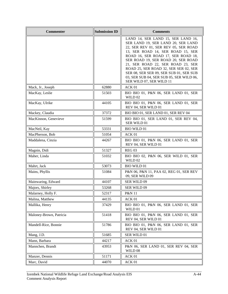| <b>Commenter</b>        | <b>Submission ID</b> | <b>Comments</b>                                                                                                                                                                                                                                                                                                                                                                                                                    |
|-------------------------|----------------------|------------------------------------------------------------------------------------------------------------------------------------------------------------------------------------------------------------------------------------------------------------------------------------------------------------------------------------------------------------------------------------------------------------------------------------|
|                         |                      | LAND 14, SER LAND 15, SER LAND 16,<br>SER LAND 19, SER LAND 20, SER LAND<br>22, SER REV 01, SER REV 05, SER ROAD<br>13, SER ROAD 14, SER ROAD 15, SER<br>ROAD 16, SER ROAD 17, SER ROAD 18,<br>SER ROAD 19, SER ROAD 20, SER ROAD<br>21, SER ROAD 22, SER ROAD 23, SER<br>ROAD 25, SER ROAD 32, SER SER 02, SER<br>SER 08, SER SER 09, SER SUB 01, SER SUB<br>03, SER SUB 04, SER SUB 05, SER WILD 06,<br>SER WILD 07, SER WILD 11 |
| Mack, Jr., Joseph       | 62880                | ACK 01                                                                                                                                                                                                                                                                                                                                                                                                                             |
| MacKay, Leslie          | 51503                | BIO BIO 01, P&N 06, SER LAND 01, SER<br>WILD 02                                                                                                                                                                                                                                                                                                                                                                                    |
| MacKay, Ulrike          | 44105                | BIO BIO 01, P&N 06, SER LAND 01, SER<br>REV 04, SER WILD 01                                                                                                                                                                                                                                                                                                                                                                        |
| Mackey, Claudia         | 37372                | BIO BIO 01, SER LAND 01, SER REV 04                                                                                                                                                                                                                                                                                                                                                                                                |
| MacKinnon, Genevieve    | 51599                | BIO BIO 01, SER LAND 01, SER REV 04,<br>SER WILD 01                                                                                                                                                                                                                                                                                                                                                                                |
| MacNeil, Kay            | 53331                | <b>BIO WILD 01</b>                                                                                                                                                                                                                                                                                                                                                                                                                 |
| MacPherson, Bob         | 51054                | ACK 01                                                                                                                                                                                                                                                                                                                                                                                                                             |
| Maddalena, Cinzia       | 44267                | BIO BIO 01, P&N 06, SER LAND 01, SER<br>REV 04, SER WILD 01                                                                                                                                                                                                                                                                                                                                                                        |
| Magnin, Didi            | 51327                | <b>REG 03</b>                                                                                                                                                                                                                                                                                                                                                                                                                      |
| Maher, Linda            | 51032                | BIO BIO 02, P&N 06, SER WILD 01, SER<br>WILD 02                                                                                                                                                                                                                                                                                                                                                                                    |
| Mahrt, Jack             | 53073                | <b>BIO WILD 01</b>                                                                                                                                                                                                                                                                                                                                                                                                                 |
| Mains, Phyllis          | 51084                | P&N 06, P&N 11, PAA 02, REG 01, SER REV<br>09, SER WILD 09                                                                                                                                                                                                                                                                                                                                                                         |
| Mainwaring, Edward      | 44107                | SER WILD 09                                                                                                                                                                                                                                                                                                                                                                                                                        |
| Majors, Shirley         | 53268                | SER WILD 09                                                                                                                                                                                                                                                                                                                                                                                                                        |
| Malarney, Holly F.      | 52317                | P&N 11                                                                                                                                                                                                                                                                                                                                                                                                                             |
| Malina, Matthew         | 44135                | ACK 01                                                                                                                                                                                                                                                                                                                                                                                                                             |
| Mallika, Henry          | 37429                | BIO BIO 01, P&N 06, SER LAND 01, SER<br>WILD 01                                                                                                                                                                                                                                                                                                                                                                                    |
| Maloney-Brown, Patricia | 51418                | BIO BIO 01, P&N 06, SER LAND 01, SER<br>REV 04, SER WILD 01                                                                                                                                                                                                                                                                                                                                                                        |
| Mandell-Rice, Bonnie    | 51786                | BIO BIO 01, P&N 06, SER LAND 01, SER<br>REV 04, SER WILD 01                                                                                                                                                                                                                                                                                                                                                                        |
| Mang, J.D.              | 51685                | SER WILD 01                                                                                                                                                                                                                                                                                                                                                                                                                        |
| Mann, Barbara           | 44217                | ACK 01                                                                                                                                                                                                                                                                                                                                                                                                                             |
| Mannchen, Brandt        | 43953                | P&N 06, SER LAND 01, SER REV 04, SER<br>WILD 08                                                                                                                                                                                                                                                                                                                                                                                    |
| Manzer, Dennis          | 51171                | ACK 01                                                                                                                                                                                                                                                                                                                                                                                                                             |
| Marc, David             | 44070                | ACK 01                                                                                                                                                                                                                                                                                                                                                                                                                             |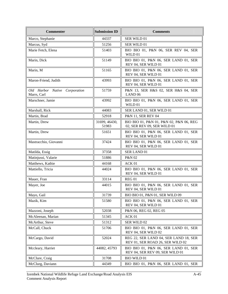| <b>Commenter</b>                                | <b>Submission ID</b>   | <b>Comments</b>                                                           |
|-------------------------------------------------|------------------------|---------------------------------------------------------------------------|
| Marco, Stephanie                                | 44337                  | SER WILD 01                                                               |
| Marcus, Syd                                     | 51256                  | SER WILD 01                                                               |
| Marie Fetch, Elena                              | 51403                  | BIO BIO 01, P&N 06, SER REV 04, SER<br>WILD 01                            |
| Marin, Dick                                     | 51149                  | BIO BIO 01, P&N 06, SER LAND 01, SER<br>REV 04, SER WILD 01               |
| Marin, M                                        | 51165                  | BIO BIO 01, P&N 06, SER LAND 01, SER<br>REV 04, SER WILD 01               |
| Maron-Friend, Judith                            | 43993                  | BIO BIO 01, P&N 06, SER LAND 01, SER<br>REV 04, SER WILD 01               |
| Old Harbor Native<br>Corporation<br>Marrs, Carl | 51759                  | P&N 13, SER H&S 02, SER H&S 04, SER<br>LAND <sub>06</sub>                 |
| Marschner, Jamie                                | 43992                  | BIO BIO 01, P&N 06, SER LAND 01, SER<br>WILD 01                           |
| Marshall, Rick                                  | 44083                  | SER LAND 01, SER WILD 01                                                  |
| Martin, Brad                                    | 52918                  | P&N 11, SER REV 04                                                        |
| Martin, Drew                                    | 31699, 46430,<br>51983 | BIO BIO 01, P&N 01, P&N 02, P&N 06, REG<br>02, SER REV 09, SER WILD 01    |
| Martin, Drew                                    | 51651                  | BIO BIO 01, P&N 06, SER LAND 01, SER<br>REV 04, SER WILD 01               |
| Mastracchio, Giovanni                           | 37424                  | BIO BIO 01, P&N 06, SER LAND 01, SER<br>REV 04, SER WILD 01               |
| Matilda, Essig                                  | 37358                  | SER LAND 01                                                               |
| Matinjussi, Valarie                             | 51886                  | P&N 02                                                                    |
| Matthews, Kathie                                | 44168                  | ACK 01                                                                    |
| Mattiello, Tricia                               | 44024                  | BIO BIO 01, P&N 06, SER LAND 01, SER<br>REV 04, SER WILD 01               |
| Mauer, Fran                                     | 33114                  | REG <sub>01</sub>                                                         |
| Mayer, Joe                                      | 44015                  | BIO BIO 01, P&N 06, SER LAND 01, SER<br>REV 04, SER WILD 01               |
| Mayo, Gail                                      | 31739                  | BIO BIO 01, P&N 01, SER WILD 09                                           |
| Mazik, Kim                                      | 51580                  | BIO BIO 01, P&N 06, SER LAND 01, SER<br>REV 04, SER WILD 01               |
| Mazzoni, Joseph                                 | 52038                  | P&N 06, REG 02, REG 05                                                    |
| McAleenan, Marian                               | 51345                  | ACK 01                                                                    |
| McArthur, Steve                                 | 51312                  | SER WILD 02                                                               |
| McCall, Chuck                                   | 51706                  | BIO BIO 01, P&N 06, SER LAND 01, SER<br>REV 04, SER WILD 02               |
| McCargo, David                                  | 52024                  | REG 22, SER LAND 04, SER LAND 18, SER<br>REV 01, SER ROAD 26, SER WILD 02 |
| Mccleary, Harriet                               | 44082, 45793           | BIO BIO 01, P&N 06, SER LAND 01, SER<br>REV 04, SER REV 09, SER WILD 01   |
| McClure, Craig                                  | 31708                  | <b>BIO WILD 01</b>                                                        |
| McClurg, Daviann                                | 44349                  | BIO BIO 01, P&N 06, SER LAND 01, SER                                      |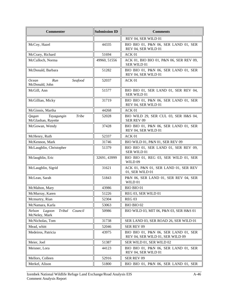| <b>Commenter</b>                                          | <b>Submission ID</b> | <b>Comments</b>                                                          |
|-----------------------------------------------------------|----------------------|--------------------------------------------------------------------------|
|                                                           |                      | REV 04, SER WILD 01                                                      |
| McCoy, Hazel                                              | 44335                | BIO BIO 01, P&N 06, SER LAND 01, SER<br>REV 04, SER WILD 01              |
| McCrary, Richard                                          | 51694                | ACK 01                                                                   |
| McCulloch, Norma                                          | 49960, 51556         | ACK 01, BIO BIO 01, P&N 06, SER REV 09,<br>SER WILD 01                   |
| McDonald, Barbara                                         | 51282                | BIO BIO 01, P&N 06, SER LAND 01, SER<br>REV 04, SER WILD 01              |
| Run<br>Seafood<br>Ocean<br>McDonald, John                 | 52037                | ACK 01                                                                   |
| McGill, Ann                                               | 51577                | BIO BIO 01, SER LAND 01, SER REV 04,<br>SER WILD 01                      |
| McGillian, Micky                                          | 31719                | BIO BIO 01, P&N 06, SER LAND 01, SER<br>REV 04, SER WILD 01              |
| McGinnis, Martha                                          | 44268                | ACK 01                                                                   |
| Tayagungin<br><b>Tribe</b><br>Qagan<br>McGlashan, Rayette | 52028                | BIO WILD 29, SER CUL 03, SER H&S 04,<br>SER REV 09                       |
| McGowan, Wendy                                            | 37428                | BIO BIO 01, P&N 06, SER LAND 01, SER<br>REV 04, SER WILD 01              |
| McHenry, Ruth                                             | 52337                | ACK 01                                                                   |
| McKennon, Mark                                            | 31746                | BIO WILD 01, P&N 01, SER REV 09                                          |
| McLaughlin, Christopher                                   | 51379                | BIO BIO 01, SER LAND 01, SER REV 09,<br>SER WILD 01                      |
| Mclaughlin, Eric                                          | 32691, 43999         | BIO BIO 01, REG 03, SER WILD 01, SER<br>WILD 09                          |
| McLaughlin, Sigrid                                        | 31621                | ACK 01, P&N 01, SER LAND 01, SER REV<br>01, SER WILD 01                  |
| McLean, Sarah                                             | 51843                | P&N 06, SER LAND 01, SER REV 04, SER<br>WILD 01                          |
| McMahon, Mary                                             | 43986                | BIO BIO 01                                                               |
| McMurray, Karen                                           | 51226                | REG 03, SER WILD 01                                                      |
| Mcmurtry, Rian                                            | 52304                | REG <sub>03</sub>                                                        |
| McNamara, Karla                                           | 53063                | BIO BIO 02                                                               |
| Lagoon<br>Council<br>Nelson<br>Tribal<br>McNeley, Mark    | 50986                | BIO WILD 03, MIT 06, P&N 03, SER H&S 01                                  |
| McNicholas, Tom                                           | 31738                | SER LAND 03, SER ROAD 26, SER WILD 01                                    |
| Mead, whitt                                               | 52046                | SER REV 09                                                               |
| Medeiros, Patricia                                        | 43975                | BIO BIO 01, P&N 06, SER LAND 01, SER<br>REV 04, SER WILD 01, SER WILD 09 |
| Meier, Joel                                               | 51387                | SER WILD 01, SER WILD 02                                                 |
| Meisner, Lora                                             | 44123                | BIO BIO 01, P&N 06, SER LAND 01, SER<br>REV 04, SER WILD 01              |
| Mellors, Colleen                                          | 52916                | SER REV 09                                                               |
| Merkel, Alison                                            | 51800                | BIO BIO 01, P&N 06, SER LAND 01, SER                                     |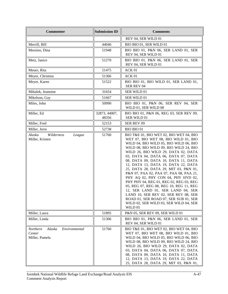| <b>Commenter</b>                                                | <b>Submission ID</b>   | <b>Comments</b>                                                                                                                                                                                                                                                                                                                                                                                                                                                                                                                                                                                                                                                                                                            |
|-----------------------------------------------------------------|------------------------|----------------------------------------------------------------------------------------------------------------------------------------------------------------------------------------------------------------------------------------------------------------------------------------------------------------------------------------------------------------------------------------------------------------------------------------------------------------------------------------------------------------------------------------------------------------------------------------------------------------------------------------------------------------------------------------------------------------------------|
|                                                                 |                        | REV 04, SER WILD 01                                                                                                                                                                                                                                                                                                                                                                                                                                                                                                                                                                                                                                                                                                        |
| Merrill, Bill                                                   | 44046                  | BIO BIO 01, SER WILD 01                                                                                                                                                                                                                                                                                                                                                                                                                                                                                                                                                                                                                                                                                                    |
| Messino, Dina                                                   | 51948                  | BIO BIO 01, P&N 06, SER LAND 01, SER<br>REV 04, SER WILD 01                                                                                                                                                                                                                                                                                                                                                                                                                                                                                                                                                                                                                                                                |
| Metz, Janice                                                    | 51270                  | BIO BIO 01, P&N 06, SER LAND 01, SER<br>REV 04, SER WILD 01                                                                                                                                                                                                                                                                                                                                                                                                                                                                                                                                                                                                                                                                |
| Meuer, Rita                                                     | 51475                  | ACK 01                                                                                                                                                                                                                                                                                                                                                                                                                                                                                                                                                                                                                                                                                                                     |
| Meyer, Christina                                                | 51366                  | ACK 01                                                                                                                                                                                                                                                                                                                                                                                                                                                                                                                                                                                                                                                                                                                     |
| Meyer, Karen                                                    | 51522                  | BIO BIO 01, BIO WILD 01, SER LAND 01,<br>SER REV 04                                                                                                                                                                                                                                                                                                                                                                                                                                                                                                                                                                                                                                                                        |
| Mihalek, Jeannine                                               | 31654                  | SER WILD 01                                                                                                                                                                                                                                                                                                                                                                                                                                                                                                                                                                                                                                                                                                                |
| Mikelson, Gay                                                   | 51667                  | SER WILD 01                                                                                                                                                                                                                                                                                                                                                                                                                                                                                                                                                                                                                                                                                                                |
| Miles, John                                                     | 50990                  | BIO BIO 01, P&N 06, SER REV 04, SER<br>WILD 01, SER WILD 08                                                                                                                                                                                                                                                                                                                                                                                                                                                                                                                                                                                                                                                                |
| Miller, Ed                                                      | 32873, 44007,<br>48356 | BIO BIO 01, P&N 06, REG 03, SER REV 09,<br>SER WILD 01                                                                                                                                                                                                                                                                                                                                                                                                                                                                                                                                                                                                                                                                     |
| Miller, Fred                                                    | 52153                  | <b>SER REV 09</b>                                                                                                                                                                                                                                                                                                                                                                                                                                                                                                                                                                                                                                                                                                          |
| Miller, Jerre                                                   | 52738                  | BIO BIO 01                                                                                                                                                                                                                                                                                                                                                                                                                                                                                                                                                                                                                                                                                                                 |
| Alaska<br>Wilderness<br>League<br>Miller, Kristen               | 51760                  | BIO T&E 01, BIO WET 02, BIO WET 04, BIO<br>WET 07, BIO WET 08, BIO WILD 01, BIO<br>WILD 04, BIO WILD 05, BIO WILD 06, BIO<br>WILD 08, BIO WILD 09, BIO WILD 24, BIO<br>WILD 26, BIO WILD 29, DATA 02, DATA<br>03, DATA 04, DATA 06, DATA 07, DATA<br>08, DATA 09, DATA 10, DATA 11, DATA<br>12, DATA 13, DATA 19, DATA 22, DATA<br>25, DATA 28, DATA 29, MIT 03, P&N 01,<br>P&N 07, PAA 02, PAA 07, PAA 08, PAA 21,<br>PHY AQ 02, PHY CON 04, PHY HYD 02,<br>PHY PHY 04, REG 01, REG 02, REG 03, REG<br>05, REG 07, REG 08, REG 10, REG 11, REG<br>12, SER LAND 01, SER LAND 04, SER<br>LAND 10, SER REV 02, SER REV 08, SER<br>ROAD 01, SER ROAD 07, SER SUB 01, SER<br>WILD 02, SER WILD 03, SER WILD 04, SER<br>WILD 05 |
| Miller, Laura                                                   | 51895                  | P&N 05, SER REV 09, SER WILD 01                                                                                                                                                                                                                                                                                                                                                                                                                                                                                                                                                                                                                                                                                            |
| Miller, Linda                                                   | 51306                  | BIO BIO 01, P&N 06, SER LAND 01, SER<br>REV 04, SER WILD 01                                                                                                                                                                                                                                                                                                                                                                                                                                                                                                                                                                                                                                                                |
| Northern<br>Alaska<br>Environmental<br>Center<br>Miller, Pamela | 51760                  | BIO T&E 01, BIO WET 02, BIO WET 04, BIO<br>WET 07, BIO WET 08, BIO WILD 01, BIO<br>WILD 04, BIO WILD 05, BIO WILD 06, BIO<br>WILD 08, BIO WILD 09, BIO WILD 24, BIO<br>WILD 26, BIO WILD 29, DATA 02, DATA<br>03, DATA 04, DATA 06, DATA 07, DATA<br>08, DATA 09, DATA 10, DATA 11, DATA<br>12, DATA 13, DATA 19, DATA 22, DATA<br>25, DATA 28, DATA 29, MIT 03, P&N 01,                                                                                                                                                                                                                                                                                                                                                   |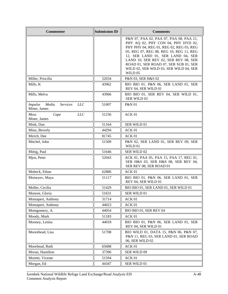| <b>Commenter</b>                                                  | <b>Submission ID</b> | <b>Comments</b>                                                                                                                                                                                                                                                                                                                                |
|-------------------------------------------------------------------|----------------------|------------------------------------------------------------------------------------------------------------------------------------------------------------------------------------------------------------------------------------------------------------------------------------------------------------------------------------------------|
|                                                                   |                      | P&N 07, PAA 02, PAA 07, PAA 08, PAA 21,<br>PHY AQ 02, PHY CON 04, PHY HYD 02,<br>PHY PHY 04, REG 01, REG 02, REG 03, REG<br>05, REG 07, REG 08, REG 10, REG 11, REG<br>12, SER LAND 01, SER LAND 04, SER<br>LAND 10, SER REV 02, SER REV 08, SER<br>ROAD 01, SER ROAD 07, SER SUB 01, SER<br>WILD 02, SER WILD 03, SER WILD 04, SER<br>WILD 05 |
| Miller, Priscilla                                                 | 52034                | P&N 03, SER H&S 02                                                                                                                                                                                                                                                                                                                             |
| Mills, K                                                          | 43962                | BIO BIO 01, P&N 06, SER LAND 01, SER<br>REV 04, SER WILD 01                                                                                                                                                                                                                                                                                    |
| Mills, Melva                                                      | 43966                | BIO BIO 01, SER REV 04, SER WILD 01,<br>SER WILD 02                                                                                                                                                                                                                                                                                            |
| Media<br><b>Services</b><br>LLC<br><i>Impulse</i><br>Miner, James | 51007                | <b>P&amp;N 01</b>                                                                                                                                                                                                                                                                                                                              |
| LLC<br><b>Moss</b><br>Cape<br>Miner, James                        | 51236                | ACK 01                                                                                                                                                                                                                                                                                                                                         |
| Mink, Dan                                                         | 51164                | SER WILD 01                                                                                                                                                                                                                                                                                                                                    |
| Minn, Beverly                                                     | 44294                | ACK 01                                                                                                                                                                                                                                                                                                                                         |
| Mirich, Dee                                                       | 81745                | ACK 01                                                                                                                                                                                                                                                                                                                                         |
| Mitchel, John                                                     | 51509                | P&N 02, SER LAND 01, SER REV 09, SER<br>WILD 01                                                                                                                                                                                                                                                                                                |
| Mittig, Paul                                                      | 51646                | SER WILD 02                                                                                                                                                                                                                                                                                                                                    |
| Mjos, Peter                                                       | 52043                | ACK 01, PAA 05, PAA 15, PAA 17, REG 01,<br>SER H&S 03, SER H&S 08, SER REV 04,<br>SER REV 08, SER ROAD 01                                                                                                                                                                                                                                      |
| Mobeck, Ethan                                                     | 62886                | ACK <sub>01</sub>                                                                                                                                                                                                                                                                                                                              |
| Moiseyev, Maya                                                    | 51117                | BIO BIO 01, P&N 06, SER LAND 01, SER<br>REV 04, SER WILD 01                                                                                                                                                                                                                                                                                    |
| Moller, Cecilia                                                   | 51429                | BIO BIO 01, SER LAND 01, SER WILD 01                                                                                                                                                                                                                                                                                                           |
| Monroe, Gloria                                                    | 51631                | SER WILD 01                                                                                                                                                                                                                                                                                                                                    |
| Montapert, Anthony                                                | 31714                | ACK 01                                                                                                                                                                                                                                                                                                                                         |
| Montapert, Anthony                                                | 44023                | ACK 01                                                                                                                                                                                                                                                                                                                                         |
| Montgomery, A.                                                    | 44054                | BIO BIO 01, SER REV 04                                                                                                                                                                                                                                                                                                                         |
| Moody, Mark                                                       | 51183                | ACK 01                                                                                                                                                                                                                                                                                                                                         |
| Mooney, Letitia                                                   | 44018                | BIO BIO 01, P&N 06, SER LAND 01, SER<br>REV 04, SER WILD 01                                                                                                                                                                                                                                                                                    |
| Moorehead, Lisa                                                   | 51708                | BIO WILD 01, DATA 15, P&N 06, P&N 07,<br>P&N 11, REG 03, SER LAND 01, SER ROAD<br>06, SER WILD 02                                                                                                                                                                                                                                              |
| Moorhead, Ruth                                                    | 65688                | ACK 01                                                                                                                                                                                                                                                                                                                                         |
| Moran, Hamilton                                                   | 37396                | SER WILD 09                                                                                                                                                                                                                                                                                                                                    |
| Moretti, Vicente                                                  | 51594                | ACK 01                                                                                                                                                                                                                                                                                                                                         |
| Morgan, Ed                                                        | 44347                | SER WILD 01                                                                                                                                                                                                                                                                                                                                    |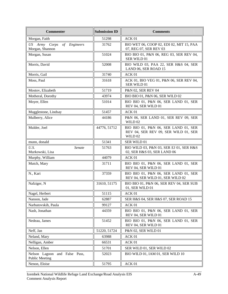| <b>Commenter</b>                                          | <b>Submission ID</b> | <b>Comments</b>                                                                         |
|-----------------------------------------------------------|----------------------|-----------------------------------------------------------------------------------------|
| Morgan, Faith                                             | 51298                | ACK 01                                                                                  |
| US Army Corps<br>Engineers<br>of<br>Morgan, Shannon       | 31762                | BIO WET 06, COOP 02, EDI 02, MIT 15, PAA<br>07, REG 07, SER REV 03                      |
| Morgan, Susan                                             | 51024                | BIO BIO 01, P&N 06, REG 03, SER REV 04,<br>SER WILD 01                                  |
| Morris, David                                             | 52008                | BIO WILD 03, PAA 22, SER H&S 04, SER<br>LAND 06, SER ROAD 15                            |
| Morris, Gail                                              | 31740                | ACK 01                                                                                  |
| Moss, Paul                                                | 31618                | ACK 01, BIO VEG 01, P&N 06, SER REV 04,<br>SER WILD 01                                  |
| Mostov, Elizabeth                                         | 51719                | P&N 02, SER REV 04                                                                      |
| Motheral, Dorothy                                         | 43974                | BIO BIO 01, P&N 06, SER WILD 02                                                         |
| Moyer, Ellen                                              | 51014                | BIO BIO 01, P&N 06, SER LAND 01, SER<br>REV 04, SER WILD 01                             |
| Mugglestone, Lindsay                                      | 51457                | ACK 01                                                                                  |
| Mulberry, Alice                                           | 44186                | P&N 06, SER LAND 01, SER REV 09, SER<br>WILD 02                                         |
| Mulder, Joel                                              | 44776, 51712         | BIO BIO 01, P&N 06, SER LAND 01, SER<br>REV 04, SER REV 09, SER WILD 01, SER<br>WILD 02 |
| munn, donald                                              | 51341                | SER WILD 01                                                                             |
| U.S.<br>Senate<br>Murkowski, Lisa                         | 51763                | BIO WILD 03, P&N 03, SER EJ 01, SER H&S<br>02, SER H&S 03, SER LAND 06                  |
| Murphy, William                                           | 44079                | ACK 01                                                                                  |
| Mutch, Mary                                               | 31711                | BIO BIO 01, P&N 06, SER LAND 01, SER<br>REV 04, SER WILD 01                             |
| N., Kari                                                  | 37359                | BIO BIO 01, P&N 06, SER LAND 01, SER<br>REV 04, SER WILD 01, SER WILD 02                |
| Nafziger, N                                               | 31610, 51175         | BIO BIO 01, P&N 06, SER REV 04, SER SUB<br>01, SER WILD 01                              |
| Nagel, Herbert                                            | 51115                | ACK 01                                                                                  |
| Nanson, Jade                                              | 62887                | SER H&S 04, SER H&S 07, SER ROAD 15                                                     |
| Narbutovskih, Paula                                       | 99127                | ACK 01                                                                                  |
| Nash, Jonathan                                            | 44359                | BIO BIO 01, P&N 06, SER LAND 01, SER<br>REV 04, SER WILD 01                             |
| Nedeau, James                                             | 51452                | BIO BIO 01, P&N 06, SER LAND 01, SER<br>REV 04, SER WILD 01                             |
| Neff, Jan                                                 | 51220, 51724         | P&N 02, SER WILD 01                                                                     |
| Neland, Mary                                              | 63988                | ACK 01                                                                                  |
| Nelligan, Amber                                           | 66531                | ACK 01                                                                                  |
| Nelson, Ellen                                             | 51701                | SER WILD 01, SER WILD 02                                                                |
| Nelson Lagoon<br>and False Pass,<br><b>Public Meeting</b> | 52023                | BIO WILD 01, IAM 01, SER WILD 10                                                        |
| Nenon, Eloise                                             | 51795                | ACK 01                                                                                  |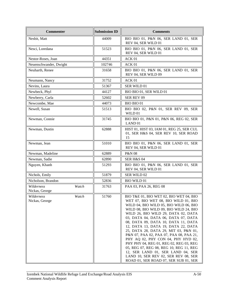| <b>Commenter</b>                      | <b>Submission ID</b> | <b>Comments</b>                                                                                                                                                                                                                                                                                                                                                                                                                                                                                                                                                                                                                                                       |
|---------------------------------------|----------------------|-----------------------------------------------------------------------------------------------------------------------------------------------------------------------------------------------------------------------------------------------------------------------------------------------------------------------------------------------------------------------------------------------------------------------------------------------------------------------------------------------------------------------------------------------------------------------------------------------------------------------------------------------------------------------|
| Nesbit, Matt                          | 44009                | BIO BIO 01, P&N 06, SER LAND 01, SER<br>REV 04, SER WILD 01                                                                                                                                                                                                                                                                                                                                                                                                                                                                                                                                                                                                           |
| Nesci, Loredana                       | 51523                | BIO BIO 01, P&N 06, SER LAND 01, SER<br>REV 04, SER WILD 01                                                                                                                                                                                                                                                                                                                                                                                                                                                                                                                                                                                                           |
| Nestor-Roses, Joan                    | 44351                | ACK 01                                                                                                                                                                                                                                                                                                                                                                                                                                                                                                                                                                                                                                                                |
| Neuenschwander, Dwight                | 102746               | ACK 01                                                                                                                                                                                                                                                                                                                                                                                                                                                                                                                                                                                                                                                                |
| Neuharth, Renee                       | 31658                | BIO BIO 01, P&N 06, SER LAND 01, SER<br>REV 04, SER WILD 09                                                                                                                                                                                                                                                                                                                                                                                                                                                                                                                                                                                                           |
| Neumann, Nancy                        | 31752                | ACK 01                                                                                                                                                                                                                                                                                                                                                                                                                                                                                                                                                                                                                                                                |
| Nevins, Laura                         | 51367                | SER WILD 01                                                                                                                                                                                                                                                                                                                                                                                                                                                                                                                                                                                                                                                           |
| Newbeck, Phyl                         | 44127                | BIO BIO 01, SER WILD 01                                                                                                                                                                                                                                                                                                                                                                                                                                                                                                                                                                                                                                               |
| Newberry, Carla                       | 52602                | SER REV 09                                                                                                                                                                                                                                                                                                                                                                                                                                                                                                                                                                                                                                                            |
| Newcombe, Mae                         | 44073                | <b>BIO BIO 01</b>                                                                                                                                                                                                                                                                                                                                                                                                                                                                                                                                                                                                                                                     |
| Newell, Susan                         | 51513                | BIO BIO 02, P&N 01, SER REV 09, SER<br>WILD 01                                                                                                                                                                                                                                                                                                                                                                                                                                                                                                                                                                                                                        |
| Newman, Connie                        | 31745                | BIO BIO 01, P&N 01, P&N 06, REG 02, SER<br>LAND <sub>01</sub>                                                                                                                                                                                                                                                                                                                                                                                                                                                                                                                                                                                                         |
| Newman, Dustin                        | 62888                | HIST 01, HIST 03, IAM 01, REG 25, SER CUL<br>01, SER H&S 04, SER REV 10, SER ROAD<br>15                                                                                                                                                                                                                                                                                                                                                                                                                                                                                                                                                                               |
| Newman, Jean                          | 51010                | BIO BIO 01, P&N 06, SER LAND 01, SER<br>REV 04, SER WILD 01                                                                                                                                                                                                                                                                                                                                                                                                                                                                                                                                                                                                           |
| Newman, Madeline                      | 62889                | P&N 08                                                                                                                                                                                                                                                                                                                                                                                                                                                                                                                                                                                                                                                                |
| Newman, Sadie                         | 62890                | <b>SER H&amp;S 04</b>                                                                                                                                                                                                                                                                                                                                                                                                                                                                                                                                                                                                                                                 |
| Nguyen, Khanh                         | 51293                | BIO BIO 01, P&N 06, SER LAND 01, SER<br>REV 04, SER WILD 01                                                                                                                                                                                                                                                                                                                                                                                                                                                                                                                                                                                                           |
| Nichols, Emily                        | 51879                | SER WILD 02                                                                                                                                                                                                                                                                                                                                                                                                                                                                                                                                                                                                                                                           |
| Nicholson, Brandon                    | 52836                | <b>BIO WILD 01</b>                                                                                                                                                                                                                                                                                                                                                                                                                                                                                                                                                                                                                                                    |
| Wilderness<br>Watch<br>Nickas, George | 31763                | PAA 03, PAA 26, REG 08                                                                                                                                                                                                                                                                                                                                                                                                                                                                                                                                                                                                                                                |
| Wilderness<br>Watch<br>Nickas, George | 51760                | BIO T&E 01, BIO WET 02, BIO WET 04, BIO<br>WET 07, BIO WET 08, BIO WILD 01, BIO<br>WILD 04, BIO WILD 05, BIO WILD 06, BIO<br>WILD 08, BIO WILD 09, BIO WILD 24, BIO<br>WILD 26, BIO WILD 29, DATA 02, DATA<br>03, DATA 04, DATA 06, DATA 07, DATA<br>08, DATA 09, DATA 10, DATA 11, DATA<br>12, DATA 13, DATA 19, DATA 22, DATA<br>25, DATA 28, DATA 29, MIT 03, P&N 01,<br>P&N 07, PAA 02, PAA 07, PAA 08, PAA 21,<br>PHY AQ 02, PHY CON 04, PHY HYD 02,<br>PHY PHY 04, REG 01, REG 02, REG 03, REG<br>05, REG 07, REG 08, REG 10, REG 11, REG<br>12, SER LAND 01, SER LAND 04, SER<br>LAND 10, SER REV 02, SER REV 08, SER<br>ROAD 01, SER ROAD 07, SER SUB 01, SER |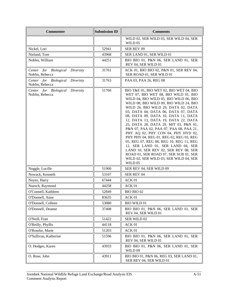| <b>Commenter</b>                                      | <b>Submission ID</b> | <b>Comments</b>                                                                                                                                                                                                                                                                                                                                                                                                                                                                                                                                                                                                                                                                                                            |
|-------------------------------------------------------|----------------------|----------------------------------------------------------------------------------------------------------------------------------------------------------------------------------------------------------------------------------------------------------------------------------------------------------------------------------------------------------------------------------------------------------------------------------------------------------------------------------------------------------------------------------------------------------------------------------------------------------------------------------------------------------------------------------------------------------------------------|
|                                                       |                      | WILD 02, SER WILD 03, SER WILD 04, SER<br>WILD <sub>05</sub>                                                                                                                                                                                                                                                                                                                                                                                                                                                                                                                                                                                                                                                               |
| Nickel, Lori                                          | 52941                | SER REV 09                                                                                                                                                                                                                                                                                                                                                                                                                                                                                                                                                                                                                                                                                                                 |
| Nieland, Tom                                          | 43968                | SER LAND 01, SER WILD 01                                                                                                                                                                                                                                                                                                                                                                                                                                                                                                                                                                                                                                                                                                   |
| Nobles, William                                       | 44251                | BIO BIO 01, P&N 06, SER LAND 01, SER<br>REV 04, SER WILD 01                                                                                                                                                                                                                                                                                                                                                                                                                                                                                                                                                                                                                                                                |
| Center for Biological Diversity<br>Noblin, Rebecca    | 31761                | ACK 01, BIO BIO 02, P&N 01, SER REV 04,<br>SER ROAD 01, SER WILD 01                                                                                                                                                                                                                                                                                                                                                                                                                                                                                                                                                                                                                                                        |
| Center for Biological Diveristy<br>Noblin, Rebecca    | 31763                | PAA 03, PAA 26, REG 08                                                                                                                                                                                                                                                                                                                                                                                                                                                                                                                                                                                                                                                                                                     |
| Diversity<br>Center for Biological<br>Noblin, Rebecca | 51760                | BIO T&E 01, BIO WET 02, BIO WET 04, BIO<br>WET 07, BIO WET 08, BIO WILD 01, BIO<br>WILD 04, BIO WILD 05, BIO WILD 06, BIO<br>WILD 08, BIO WILD 09, BIO WILD 24, BIO<br>WILD 26, BIO WILD 29, DATA 02, DATA<br>03, DATA 04, DATA 06, DATA 07, DATA<br>08, DATA 09, DATA 10, DATA 11, DATA<br>12, DATA 13, DATA 19, DATA 22, DATA<br>25, DATA 28, DATA 29, MIT 03, P&N 01,<br>P&N 07, PAA 02, PAA 07, PAA 08, PAA 21,<br>PHY AQ 02, PHY CON 04, PHY HYD 02,<br>PHY PHY 04, REG 01, REG 02, REG 03, REG<br>05, REG 07, REG 08, REG 10, REG 11, REG<br>12, SER LAND 01, SER LAND 04, SER<br>LAND 10, SER REV 02, SER REV 08, SER<br>ROAD 01, SER ROAD 07, SER SUB 01, SER<br>WILD 02, SER WILD 03, SER WILD 04, SER<br>WILD 05 |
| Noggle, Lucille                                       | 51900                | SER REV 04, SER WILD 09                                                                                                                                                                                                                                                                                                                                                                                                                                                                                                                                                                                                                                                                                                    |
| Nowack, Kenneth                                       | 53107                | SER REV 04                                                                                                                                                                                                                                                                                                                                                                                                                                                                                                                                                                                                                                                                                                                 |
| Noyes, Harry                                          | 67444                | ACK 01                                                                                                                                                                                                                                                                                                                                                                                                                                                                                                                                                                                                                                                                                                                     |
| Nuesch, Raymond                                       | 44258                | ACK 01                                                                                                                                                                                                                                                                                                                                                                                                                                                                                                                                                                                                                                                                                                                     |
| O'Connell, Kathleen                                   | 52849                | BIO BIO 02                                                                                                                                                                                                                                                                                                                                                                                                                                                                                                                                                                                                                                                                                                                 |
| O'Donnell, Anne                                       | 83635                | ACK 01                                                                                                                                                                                                                                                                                                                                                                                                                                                                                                                                                                                                                                                                                                                     |
| O'Donnell, Colleen                                    | 53080                | <b>BIO WILD 01</b>                                                                                                                                                                                                                                                                                                                                                                                                                                                                                                                                                                                                                                                                                                         |
| O'Donnell, Deanne                                     | 37408                | BIO BIO 01, P&N 06, SER LAND 01, SER<br>REV 04, SER WILD 01                                                                                                                                                                                                                                                                                                                                                                                                                                                                                                                                                                                                                                                                |
| O'Neill, Fran                                         | 51422                | SER WILD 02                                                                                                                                                                                                                                                                                                                                                                                                                                                                                                                                                                                                                                                                                                                |
| O'Reilly, Phyllis                                     | 44118                | ACK 01                                                                                                                                                                                                                                                                                                                                                                                                                                                                                                                                                                                                                                                                                                                     |
| O'Rourke, Marie                                       | 51203                | ACK 01                                                                                                                                                                                                                                                                                                                                                                                                                                                                                                                                                                                                                                                                                                                     |
| O'Sullivan, Katherine                                 | 51596                | BIO BIO 01, P&N 06, SER LAND 01, SER<br>REV 04, SER WILD 01                                                                                                                                                                                                                                                                                                                                                                                                                                                                                                                                                                                                                                                                |
| O. Hodges, Karen                                      | 43933                | BIO BIO 01, P&N 06, SER LAND 01, SER<br>WILD 09                                                                                                                                                                                                                                                                                                                                                                                                                                                                                                                                                                                                                                                                            |
| O. Rose, John                                         | 43911                | BIO BIO 01, P&N 06, REG 03, SER LAND 01,<br>SER REV 04, SER WILD 01                                                                                                                                                                                                                                                                                                                                                                                                                                                                                                                                                                                                                                                        |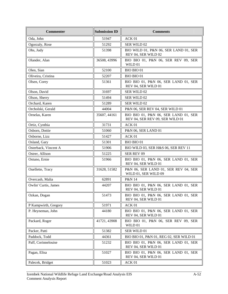| <b>Commenter</b>     | <b>Submission ID</b> | <b>Comments</b>                                                         |
|----------------------|----------------------|-------------------------------------------------------------------------|
| Oda, John            | 51947                | ACK 01                                                                  |
| Ogorzaly, Rose       | 51292                | SER WILD 02                                                             |
| Ohs, Judy            | 51398                | BIO WILD 01, P&N 06, SER LAND 01, SER<br>REV 04, SER WILD 02            |
| Olander, Alan        | 36508, 43996         | BIO BIO 01, P&N 06, SER REV 09, SER<br>WILD 01                          |
| Olen, Sian           | 52100                | <b>BIO BIO 01</b>                                                       |
| Oliveira, Cristina   | 52207                | BIO BIO 01                                                              |
| Olsen, Corey         | 51361                | BIO BIO 01, P&N 06, SER LAND 01, SER<br>REV 04, SER WILD 01             |
| Olson, David         | 31697                | SER WILD 02                                                             |
| Olson, Sherry        | 51494                | SER WILD 02                                                             |
| Orchard, Karen       | 51289                | SER WILD 02                                                             |
| Orcholski, Gerald    | 44004                | P&N 06, SER REV 04, SER WILD 01                                         |
| Ornelas, Karen       | 35607, 44161         | BIO BIO 01, P&N 06, SER LAND 01, SER<br>REV 04, SER REV 09, SER WILD 01 |
| Ortiz, Cynthia       | 31731                | ACK 01                                                                  |
| Osborn, Dottie       | 51060                | P&N 06, SER LAND 01                                                     |
| Osborne, Lizz        | 51427                | ACK 01                                                                  |
| Osland, Gary         | 51301                | <b>BIO BIO 01</b>                                                       |
| Osterback, Vincent A | 51906                | BIO WILD 03, SER H&S 06, SER REV 11                                     |
| Ostrer, Allison      | 51225                | SER REV 09                                                              |
| Ostuno, Ernie        | 51966                | BIO BIO 01, P&N 06, SER LAND 01, SER<br>REV 04, SER WILD 01             |
| Ouellette, Tracy     | 31628, 51582         | P&N 06, SER LAND 01, SER REV 04, SER<br>WILD 01, SER WILD 09            |
| Overcash, Malia      | 62891                | P&N 14                                                                  |
| Owlin' Curtis, James | 44207                | BIO BIO 01, P&N 06, SER LAND 01, SER<br>REV 04, SER WILD 01             |
| Ozkan, Dogan         | 51473                | BIO BIO 01, P&N 06, SER LAND 01, SER<br>REV 04, SER WILD 01             |
| P Kampwirth, Gregory | 51971                | ACK 01                                                                  |
| P. Heyneman, John    | 44180                | BIO BIO 01, P&N 06, SER LAND 01, SER<br>REV 04, SER WILD 01             |
| Packard, Roger       | 41721, 43908         | BIO BIO 01, P&N 06, SER REV 09, SER<br>WILD 01                          |
| Packer, Patti        | 51382                | SER WILD 01                                                             |
| Paddock, Todd        | 44361                | BIO BIO 01, P&N 01, REG 02, SER WILD 01                                 |
| Paff, Corinnelouise  | 51232                | BIO BIO 01, P&N 06, SER LAND 01, SER<br>REV 04, SER WILD 01             |
| Pagan, Elisa         | 51027                | BIO BIO 01, P&N 06, SER LAND 01, SER<br>REV 04, SER WILD 01             |
| Palecek, Bridget     | 51023                | ACK 01                                                                  |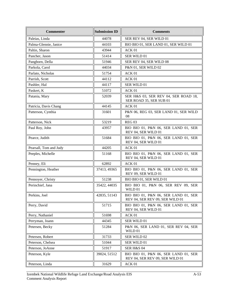| <b>Commenter</b>       | <b>Submission ID</b> | <b>Comments</b>                                                         |
|------------------------|----------------------|-------------------------------------------------------------------------|
| Paleias, Linda         | 44078                | SER REV 04, SER WILD 01                                                 |
| Palma-Glennie, Janice  | 44103                | BIO BIO 01, SER LAND 01, SER WILD 01                                    |
| Paltin, Sharon         | 43944                | ACK 01                                                                  |
| Pancher, Jason         | 51414                | SER WILD 01                                                             |
| Pangborn, Della        | 51946                | SER REV 04, SER WILD 08                                                 |
| Parkola, Carol         | 44034                | P&N 01, SER WILD 02                                                     |
| Parlato, Nicholas      | 51754                | ACK <sub>01</sub>                                                       |
| Parrish, Scott         | 44112                | ACK 01                                                                  |
| Pashler, Hal           | 44117                | SER WILD 01                                                             |
| Paskert, K             | 51072                | ACK 01                                                                  |
| Patania, Mary          | 52039                | SER H&S 03, SER REV 04, SER ROAD 18,<br>SER ROAD 35, SER SUB 01         |
| Patricia, Davis Chang  | 44145                | ACK 01                                                                  |
| Patterson, Cynthia     | 31601                | P&N 06, REG 03, SER LAND 01, SER WILD<br>08                             |
| Patterson, Nick        | 53219                | <b>REG 03</b>                                                           |
| Paul Roy, John         | 43957                | BIO BIO 01, P&N 06, SER LAND 01, SER<br>REV 04, SER WILD 01             |
| Pearce, Judith         | 51684                | BIO BIO 01, P&N 06, SER LAND 01, SER<br>REV 04, SER WILD 01             |
| Pearsall, Tom and Judy | 44205                | ACK <sub>01</sub>                                                       |
| Peeples, Michelle      | 51168                | BIO BIO 01, P&N 06, SER LAND 01, SER<br>REV 04, SER WILD 01             |
| Penney, Eli            | 62892                | ACK 01                                                                  |
| Pennington, Heather    | 37413, 49365         | BIO BIO 01, P&N 06, SER LAND 01, SER<br>REV 09, SER WILD 01             |
| Pennoyer, Christy      | 51238                | BIO BIO 01, SER WILD 01                                                 |
| Perinchief, Jana       | 35422, 44035         | BIO BIO 01, P&N 06, SER REV 09, SER<br>WILD 01                          |
| Perkins, Joel          | 42835, 51143         | BIO BIO 01, P&N 06, SER LAND 01, SER<br>REV 04, SER REV 09, SER WILD 01 |
| Perry, David           | 51715                | BIO BIO 01, P&N 06, SER LAND 01, SER<br>REV 04, SER WILD 01             |
| Perry, Nathaniel       | 51698                | ACK 01                                                                  |
| Perryman, Joann        | 44345                | SER WILD 01                                                             |
| Petersen, Becky        | 51284                | P&N 06, SER LAND 01, SER REV 04, SER<br>WILD 01                         |
| Petersen, Robert       | 31733                | SER WILD 02                                                             |
| Peterson, Chelsea      | 51044                | SER WILD 01                                                             |
| Peterson, JoAnne       | 51917                | <b>SER H&amp;S 04</b>                                                   |
| Peterson, Kyle         | 39024, 51512         | BIO BIO 01, P&N 06, SER LAND 01, SER<br>REV 04, SER REV 09, SER WILD 01 |
| Peterson, Linda        | 31629                | ACK 01                                                                  |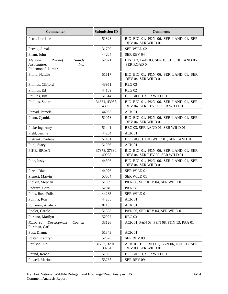| <b>Commenter</b>                                                                      | <b>Submission ID</b>   | <b>Comments</b>                                                         |
|---------------------------------------------------------------------------------------|------------------------|-------------------------------------------------------------------------|
| Petro, Lorriane                                                                       | 51828                  | BIO BIO 01, P&N 06, SER LAND 01, SER<br>REV 04, SER WILD 01             |
| Petzak, Jamaka                                                                        | 31729                  | SER WILD 02                                                             |
| Pham, John                                                                            | 44204                  | SER REV 04                                                              |
| Aleutian<br>Pribilof<br><b>Islands</b><br>Association,<br>Inc.<br>Philemonof, Dimitri | 52021                  | HIST 03, P&N 03, SER EJ 01, SER LAND 06,<br>SER ROAD 04                 |
| Philip, Natalie                                                                       | 51617                  | BIO BIO 01, P&N 06, SER LAND 01, SER<br>REV 04, SER WILD 01             |
| Phillips, Clifford                                                                    | 43951                  | <b>REG 03</b>                                                           |
| Phillips, Ed                                                                          | 44159                  | <b>REG 02</b>                                                           |
| Phillips, Jim                                                                         | 51614                  | BIO BIO 01, SER WILD 01                                                 |
| Phillips, Stuart                                                                      | 34831, 43955,<br>43965 | BIO BIO 01, P&N 06, SER LAND 01, SER<br>REV 04, SER REV 09, SER WILD 01 |
| Phread, Pamela                                                                        | 44053                  | ACK 01                                                                  |
| Piano, Cynthia                                                                        | 51078                  | BIO BIO 01, P&N 06, SER LAND 01, SER<br>REV 04, SER WILD 01             |
| Pickering, Amy                                                                        | 51441                  | REG 03, SER LAND 01, SER WILD 01                                        |
| Piehl, Jeanne                                                                         | 44284                  | ACK 01                                                                  |
| Pietrzak, Darlene                                                                     | 51431                  | BIO BIO 01, BIO WILD 01, SER LAND 01                                    |
| Piihl, Stacy                                                                          | 51086                  | ACK <sub>01</sub>                                                       |
| PIKE, BRIAN                                                                           | 37378, 37380,<br>40928 | BIO BIO 01, P&N 06, SER LAND 01, SER<br>REV 04, SER REV 09, SER WILD 01 |
| Pine, Joslyn                                                                          | 44306                  | BIO BIO 01, P&N 06, SER LAND 01, SER<br>REV 04, SER WILD 01             |
| Pizza, Diane                                                                          | 44076                  | SER WILD 01                                                             |
| Plenert, Marvin                                                                       | 53064                  | SER WILD 01                                                             |
| Plotkin, Stephen                                                                      | 51959                  | P&N 06, SER REV 04, SER WILD 01                                         |
| Podraza, Carol                                                                        | 52040                  | <b>P&amp;N 08</b>                                                       |
| Polis, Rose Polis                                                                     | 44283                  | SER WILD 01                                                             |
| Pollina, Ron                                                                          | 44285                  | ACK 01                                                                  |
| Pomeroy, Anahata                                                                      | 84135                  | ACK 01                                                                  |
| Pooler, Carole                                                                        | 51308                  | P&N 06, SER REV 04, SER WILD 01                                         |
| Porcino, Marilyn                                                                      | 52927                  | REG <sub>03</sub>                                                       |
| Council<br>Resource<br>Development<br>Portman, Carl                                   | 33126                  | ACK 01, P&N 03, P&N 08, P&N 13, PAA 01                                  |
| Post, Dianne                                                                          | 51343                  | ACK 01                                                                  |
| Posten, Kathryn                                                                       | 52326                  | SER REV 09                                                              |
| Poulson, Judi                                                                         | 31703, 32919,<br>39294 | ACK 01, BIO BIO 01, P&N 06, REG 03, SER<br>REV 09, SER WILD 01          |
| Pound, Renee                                                                          | 51093                  | BIO BIO 01, SER WILD 01                                                 |
| Powell, Marion                                                                        | 53265                  | SER REV 09                                                              |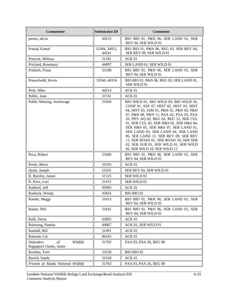| <b>Commenter</b>                                                      | <b>Submission ID</b>   | <b>Comments</b>                                                                                                                                                                                                                                                                                                                                                                                                                                                                                       |
|-----------------------------------------------------------------------|------------------------|-------------------------------------------------------------------------------------------------------------------------------------------------------------------------------------------------------------------------------------------------------------------------------------------------------------------------------------------------------------------------------------------------------------------------------------------------------------------------------------------------------|
| power, alicia                                                         | 44215                  | BIO BIO 01, P&N 06, SER LAND 01, SER<br>REV 04, SER WILD 01                                                                                                                                                                                                                                                                                                                                                                                                                                           |
| Prasad, Kamal                                                         | 32394, 34051,<br>44241 | BIO BIO 01, P&N 06, REG 03, SER REV 04,<br>SER REV 09, SER WILD 01                                                                                                                                                                                                                                                                                                                                                                                                                                    |
| Prescott, Melissa                                                     | 51181                  | ACK 01                                                                                                                                                                                                                                                                                                                                                                                                                                                                                                |
| Prichard, Rosemary                                                    | 44097                  | SER LAND 01, SER WILD 01                                                                                                                                                                                                                                                                                                                                                                                                                                                                              |
| Priskich, Fiona                                                       | 51248                  | BIO BIO 01, P&N 06, SER LAND 01, SER<br>REV 04, SER WILD 01                                                                                                                                                                                                                                                                                                                                                                                                                                           |
| Proescholdt, Kevin                                                    | 32540, 40316           | BIO BIO 01, P&N 06, REG 03, SER LAND 01,<br>SER WILD 01                                                                                                                                                                                                                                                                                                                                                                                                                                               |
| Prok, Mike                                                            | 44214                  | ACK 01                                                                                                                                                                                                                                                                                                                                                                                                                                                                                                |
| Public, Jean                                                          | 31741                  | ACK 01                                                                                                                                                                                                                                                                                                                                                                                                                                                                                                |
| Public Meeting, Anchorage                                             | 51920                  | BIO WILD 01, BIO WILD 03, BIO WILD 26,<br>COOP 01, EDI 07, HIST 02, HIST 03, HIST<br>04, HIST 05, IAM 01, P&N 01, P&N 03, P&N<br>07, P&N 08, P&N 11, PAA 02, PAA 03, PAA<br>26, PHY AQ 02, REG 02, REG 12, SER CUL<br>01, SER CUL 02, SER H&S 02, SER H&S 04,<br>SER H&S 05, SER H&S 07, SER LAND 01,<br>SER LAND 03, SER LAND 04, SER LAND<br>06, SER LAND 11, SER REV 09, SER REV<br>11, SER ROAD 01, SER ROAD 10, SER SER<br>02, SER SUB 01, SER WILD 01, SER WILD<br>02, SER WILD 10, SER WILD 13 |
| Puca, Robert                                                          | 51600                  | BIO BIO 01, P&N 06, SER LAND 01, SER<br>REV 04, SER WILD 01                                                                                                                                                                                                                                                                                                                                                                                                                                           |
| Purdy, Bruce                                                          | 51016                  | ACK 01                                                                                                                                                                                                                                                                                                                                                                                                                                                                                                |
| Quirk, Joseph                                                         | 51035                  | SER REV 04, SER WILD 01                                                                                                                                                                                                                                                                                                                                                                                                                                                                               |
| R. Byerley, James                                                     | 51125                  | SER WILD 01                                                                                                                                                                                                                                                                                                                                                                                                                                                                                           |
| R. Price, Lori                                                        | 51472                  | SER WILD 01                                                                                                                                                                                                                                                                                                                                                                                                                                                                                           |
| Radford, Jeff                                                         | 95993                  | ACK 01                                                                                                                                                                                                                                                                                                                                                                                                                                                                                                |
| Raebeck, Wendy                                                        | 43924                  | BIO BIO 02                                                                                                                                                                                                                                                                                                                                                                                                                                                                                            |
| Raeder, Meggi                                                         | 51613                  | BIO BIO 01, P&N 06, SER LAND 01, SER<br>REV 04, SER WILD 01                                                                                                                                                                                                                                                                                                                                                                                                                                           |
| Raider, Phil                                                          | 51641                  | BIO BIO 01, P&N 06, SER LAND 01, SER<br>REV 04, SER WILD 01                                                                                                                                                                                                                                                                                                                                                                                                                                           |
| Raili, Sierra                                                         | 62893                  | ACK 01                                                                                                                                                                                                                                                                                                                                                                                                                                                                                                |
| Rainsong, Pamela                                                      | 44067                  | ACK 01, SER WILD 01                                                                                                                                                                                                                                                                                                                                                                                                                                                                                   |
| Randall, Bill                                                         | 51491                  | ACK 01                                                                                                                                                                                                                                                                                                                                                                                                                                                                                                |
| Ransom, Cat                                                           | 86163                  | ACK 01                                                                                                                                                                                                                                                                                                                                                                                                                                                                                                |
| <b>Defenders</b><br>Wildlife<br>$\sigma f$<br>Rappaport Clarke, Jamie | 31763                  | PAA 03, PAA 26, REG 08                                                                                                                                                                                                                                                                                                                                                                                                                                                                                |
| Raridon, Terri                                                        | 53139                  | BIO BIO 02                                                                                                                                                                                                                                                                                                                                                                                                                                                                                            |
| Rasich, Sandy                                                         | 51518                  | ACK 01                                                                                                                                                                                                                                                                                                                                                                                                                                                                                                |
| Friends of Alaska National Wildlife                                   | 31763                  | PAA 03, PAA 26, REG 08                                                                                                                                                                                                                                                                                                                                                                                                                                                                                |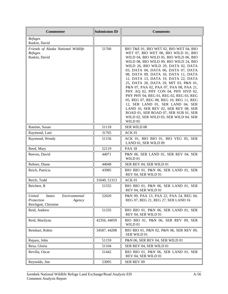| <b>Commenter</b>                                                                                | <b>Submission ID</b> | <b>Comments</b>                                                                                                                                                                                                                                                                                                                                                                                                                                                                                                                                                                                                                                                                                                            |
|-------------------------------------------------------------------------------------------------|----------------------|----------------------------------------------------------------------------------------------------------------------------------------------------------------------------------------------------------------------------------------------------------------------------------------------------------------------------------------------------------------------------------------------------------------------------------------------------------------------------------------------------------------------------------------------------------------------------------------------------------------------------------------------------------------------------------------------------------------------------|
| Refuges<br>Raskin, David                                                                        |                      |                                                                                                                                                                                                                                                                                                                                                                                                                                                                                                                                                                                                                                                                                                                            |
| Friends of Alaska National Wildlife<br>Refuges<br>Raskin, David                                 | 51760                | BIO T&E 01, BIO WET 02, BIO WET 04, BIO<br>WET 07, BIO WET 08, BIO WILD 01, BIO<br>WILD 04, BIO WILD 05, BIO WILD 06, BIO<br>WILD 08, BIO WILD 09, BIO WILD 24, BIO<br>WILD 26, BIO WILD 29, DATA 02, DATA<br>03, DATA 04, DATA 06, DATA 07, DATA<br>08, DATA 09, DATA 10, DATA 11, DATA<br>12, DATA 13, DATA 19, DATA 22, DATA<br>25, DATA 28, DATA 29, MIT 03, P&N 01,<br>P&N 07, PAA 02, PAA 07, PAA 08, PAA 21,<br>PHY AQ 02, PHY CON 04, PHY HYD 02,<br>PHY PHY 04, REG 01, REG 02, REG 03, REG<br>05, REG 07, REG 08, REG 10, REG 11, REG<br>12, SER LAND 01, SER LAND 04, SER<br>LAND 10, SER REV 02, SER REV 08, SER<br>ROAD 01, SER ROAD 07, SER SUB 01, SER<br>WILD 02, SER WILD 03, SER WILD 04, SER<br>WILD 05 |
| Rautine, Susan                                                                                  | 51118                | SER WILD 08                                                                                                                                                                                                                                                                                                                                                                                                                                                                                                                                                                                                                                                                                                                |
| Raymond, Lani                                                                                   | 31765                | ACK 01                                                                                                                                                                                                                                                                                                                                                                                                                                                                                                                                                                                                                                                                                                                     |
| Raymond, Wendy                                                                                  | 51156                | ACK 01, BIO BIO 01, BIO VEG 05, SER<br>LAND 01, SER WILD 09                                                                                                                                                                                                                                                                                                                                                                                                                                                                                                                                                                                                                                                                |
| Reed, Mary                                                                                      | 52119                | <b>PAA 18</b>                                                                                                                                                                                                                                                                                                                                                                                                                                                                                                                                                                                                                                                                                                              |
| Reeves, David                                                                                   | 44071                | P&N 06, SER LAND 01, SER REV 04, SER<br>WILD 01                                                                                                                                                                                                                                                                                                                                                                                                                                                                                                                                                                                                                                                                            |
| Rehner, Diane                                                                                   | 44048                | SER REV 04, SER WILD 01                                                                                                                                                                                                                                                                                                                                                                                                                                                                                                                                                                                                                                                                                                    |
| Reich, Patricia                                                                                 | 43985                | BIO BIO 01, P&N 06, SER LAND 01, SER<br>REV 04, SER WILD 01                                                                                                                                                                                                                                                                                                                                                                                                                                                                                                                                                                                                                                                                |
| Reich, Todd                                                                                     | 31649, 51313         | ACK 01                                                                                                                                                                                                                                                                                                                                                                                                                                                                                                                                                                                                                                                                                                                     |
| Reichert, R                                                                                     | 51555                | BIO BIO 01, P&N 06, SER LAND 01, SER<br>REV 04, SER WILD 01                                                                                                                                                                                                                                                                                                                                                                                                                                                                                                                                                                                                                                                                |
| <b>United</b><br><b>States</b><br>Environmental<br>Protection<br>Agency<br>Reichgott, Christine | 52020                | P&N 09, PAA 13, PAA 22, PAA 24, REG 04,<br>REG 07, REG 21, REG 27, SER LAND 16                                                                                                                                                                                                                                                                                                                                                                                                                                                                                                                                                                                                                                             |
| Reid, Andrew                                                                                    | 51335                | BIO BIO 01, P&N 06, SER LAND 01, SER<br>REV 04, SER WILD 01                                                                                                                                                                                                                                                                                                                                                                                                                                                                                                                                                                                                                                                                |
| Reid, Marilynn                                                                                  | 42356, 44059         | BIO BIO 01, P&N 06, SER REV 09, SER<br>WILD 01                                                                                                                                                                                                                                                                                                                                                                                                                                                                                                                                                                                                                                                                             |
| Reinhart, Robin                                                                                 | 34587, 44208         | BIO BIO 01, P&N 02, P&N 06, SER REV 09,<br>SER WILD 01                                                                                                                                                                                                                                                                                                                                                                                                                                                                                                                                                                                                                                                                     |
| Repass, John                                                                                    | 51159                | P&N 06, SER REV 04, SER WILD 01                                                                                                                                                                                                                                                                                                                                                                                                                                                                                                                                                                                                                                                                                            |
| Resa, Gloria                                                                                    | 51104                | SER REV 04, SER WILD 01                                                                                                                                                                                                                                                                                                                                                                                                                                                                                                                                                                                                                                                                                                    |
| Revilla, Oscar                                                                                  | 51442                | BIO BIO 01, P&N 06, SER LAND 01, SER<br>REV 04, SER WILD 01                                                                                                                                                                                                                                                                                                                                                                                                                                                                                                                                                                                                                                                                |
| Reynolds, Jim                                                                                   | 53095                | SER REV 09                                                                                                                                                                                                                                                                                                                                                                                                                                                                                                                                                                                                                                                                                                                 |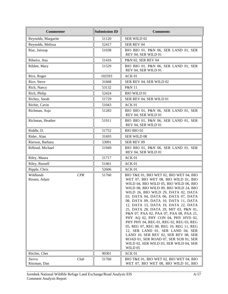| <b>Commenter</b>                 | <b>Submission ID</b> | <b>Comments</b>                                                                                                                                                                                                                                                                                                                                                                                                                                                                                                                                                                                                                                                                                                            |
|----------------------------------|----------------------|----------------------------------------------------------------------------------------------------------------------------------------------------------------------------------------------------------------------------------------------------------------------------------------------------------------------------------------------------------------------------------------------------------------------------------------------------------------------------------------------------------------------------------------------------------------------------------------------------------------------------------------------------------------------------------------------------------------------------|
| Reynolds, Margarite              | 51120                | SER WILD 02                                                                                                                                                                                                                                                                                                                                                                                                                                                                                                                                                                                                                                                                                                                |
| Reynolds, Melissa                | 52417                | SER REV 04                                                                                                                                                                                                                                                                                                                                                                                                                                                                                                                                                                                                                                                                                                                 |
| Riar, Jairoop                    | 51038                | BIO BIO 01, P&N 06, SER LAND 01, SER<br>REV 04, SER WILD 01                                                                                                                                                                                                                                                                                                                                                                                                                                                                                                                                                                                                                                                                |
| Ribeiro, Ana                     | 51416                | P&N 02, SER REV 04                                                                                                                                                                                                                                                                                                                                                                                                                                                                                                                                                                                                                                                                                                         |
| Riblett, Mary                    | 51529                | BIO BIO 01, P&N 06, SER LAND 01, SER<br>REV 04, SER WILD 01                                                                                                                                                                                                                                                                                                                                                                                                                                                                                                                                                                                                                                                                |
| Rice, Roger                      | 102593               | ACK <sub>01</sub>                                                                                                                                                                                                                                                                                                                                                                                                                                                                                                                                                                                                                                                                                                          |
| Rice, Steve                      | 31668                | SER REV 04, SER WILD 02                                                                                                                                                                                                                                                                                                                                                                                                                                                                                                                                                                                                                                                                                                    |
| Rich, Nancy                      | 53132                | P&N 11                                                                                                                                                                                                                                                                                                                                                                                                                                                                                                                                                                                                                                                                                                                     |
| Rich, Philip                     | 52424                | <b>BIO WILD 01</b>                                                                                                                                                                                                                                                                                                                                                                                                                                                                                                                                                                                                                                                                                                         |
| Richey, Sarah                    | 51729                | SER REV 04, SER WILD 01                                                                                                                                                                                                                                                                                                                                                                                                                                                                                                                                                                                                                                                                                                    |
| Richie, Cavin                    | 51043                | ACK 01                                                                                                                                                                                                                                                                                                                                                                                                                                                                                                                                                                                                                                                                                                                     |
| Richman, Asja                    | 51283                | BIO BIO 01, P&N 06, SER LAND 01, SER<br>REV 04, SER WILD 01                                                                                                                                                                                                                                                                                                                                                                                                                                                                                                                                                                                                                                                                |
| Richman, Heather                 | 51911                | BIO BIO 01, P&N 06, SER LAND 01, SER<br>REV 04, SER WILD 01                                                                                                                                                                                                                                                                                                                                                                                                                                                                                                                                                                                                                                                                |
| Riddle, D.                       | 51752                | BIO BIO 02                                                                                                                                                                                                                                                                                                                                                                                                                                                                                                                                                                                                                                                                                                                 |
| Rider, Alan                      | 31693                | SER WILD 08                                                                                                                                                                                                                                                                                                                                                                                                                                                                                                                                                                                                                                                                                                                |
| Rierson, Barbara                 | 53091                | SER REV 09                                                                                                                                                                                                                                                                                                                                                                                                                                                                                                                                                                                                                                                                                                                 |
| Rifkind, Michael                 | 51949                | BIO BIO 01, P&N 06, SER LAND 01, SER<br>REV 04, SER WILD 01                                                                                                                                                                                                                                                                                                                                                                                                                                                                                                                                                                                                                                                                |
| Riley, Maura                     | 51717                | ACK 01                                                                                                                                                                                                                                                                                                                                                                                                                                                                                                                                                                                                                                                                                                                     |
| Riley, Russell                   | 51461                | ACK 01                                                                                                                                                                                                                                                                                                                                                                                                                                                                                                                                                                                                                                                                                                                     |
| Ripple, Chris                    | 52606                | ACK 01                                                                                                                                                                                                                                                                                                                                                                                                                                                                                                                                                                                                                                                                                                                     |
| Wildlands<br>CPR<br>Rissen, Adam | 51760                | BIO T&E 01, BIO WET 02, BIO WET 04, BIO<br>WET 07, BIO WET 08, BIO WILD 01, BIO<br>WILD 04, BIO WILD 05, BIO WILD 06, BIO<br>WILD 08, BIO WILD 09, BIO WILD 24, BIO<br>WILD 26, BIO WILD 29, DATA 02, DATA<br>03, DATA 04, DATA 06, DATA 07, DATA<br>08, DATA 09, DATA 10, DATA 11, DATA<br>12, DATA 13, DATA 19, DATA 22, DATA<br>25, DATA 28, DATA 29, MIT 03, P&N 01,<br>P&N 07, PAA 02, PAA 07, PAA 08, PAA 21,<br>PHY AQ 02, PHY CON 04, PHY HYD 02,<br>PHY PHY 04, REG 01, REG 02, REG 03, REG<br>05, REG 07, REG 08, REG 10, REG 11, REG<br>12, SER LAND 01, SER LAND 04, SER<br>LAND 10, SER REV 02, SER REV 08, SER<br>ROAD 01, SER ROAD 07, SER SUB 01, SER<br>WILD 02, SER WILD 03, SER WILD 04, SER<br>WILD 05 |
| Ritchie, Chet                    | 90301                | ACK 01                                                                                                                                                                                                                                                                                                                                                                                                                                                                                                                                                                                                                                                                                                                     |
| Club<br>Sierra<br>Ritzman, Dan   | 51760                | BIO T&E 01, BIO WET 02, BIO WET 04, BIO<br>WET 07, BIO WET 08, BIO WILD 01, BIO                                                                                                                                                                                                                                                                                                                                                                                                                                                                                                                                                                                                                                            |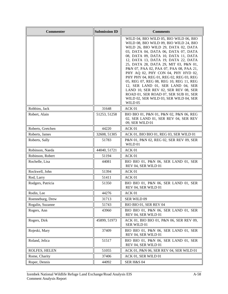| <b>Commenter</b>  | <b>Submission ID</b> | <b>Comments</b>                                                                                                                                                                                                                                                                                                                                                                                                                                                                                                                                                                                                                         |
|-------------------|----------------------|-----------------------------------------------------------------------------------------------------------------------------------------------------------------------------------------------------------------------------------------------------------------------------------------------------------------------------------------------------------------------------------------------------------------------------------------------------------------------------------------------------------------------------------------------------------------------------------------------------------------------------------------|
|                   |                      | WILD 04, BIO WILD 05, BIO WILD 06, BIO<br>WILD 08, BIO WILD 09, BIO WILD 24, BIO<br>WILD 26, BIO WILD 29, DATA 02, DATA<br>03, DATA 04, DATA 06, DATA 07, DATA<br>08, DATA 09, DATA 10, DATA 11, DATA<br>12, DATA 13, DATA 19, DATA 22, DATA<br>25, DATA 28, DATA 29, MIT 03, P&N 01,<br>P&N 07, PAA 02, PAA 07, PAA 08, PAA 21,<br>PHY AQ 02, PHY CON 04, PHY HYD 02,<br>PHY PHY 04, REG 01, REG 02, REG 03, REG<br>05, REG 07, REG 08, REG 10, REG 11, REG<br>12, SER LAND 01, SER LAND 04, SER<br>LAND 10, SER REV 02, SER REV 08, SER<br>ROAD 01, SER ROAD 07, SER SUB 01, SER<br>WILD 02, SER WILD 03, SER WILD 04, SER<br>WILD 05 |
| Robbins, Jack     | 31648                | ACK 01                                                                                                                                                                                                                                                                                                                                                                                                                                                                                                                                                                                                                                  |
| Robert, Alain     | 51253, 51258         | BIO BIO 01, P&N 01, P&N 02, P&N 06, REG<br>02, SER LAND 01, SER REV 04, SER REV<br>09, SER WILD 01                                                                                                                                                                                                                                                                                                                                                                                                                                                                                                                                      |
| Roberts, Gretchen | 44220                | ACK 01                                                                                                                                                                                                                                                                                                                                                                                                                                                                                                                                                                                                                                  |
| Roberts, James    | 32608, 51305         | ACK 01, BIO BIO 01, REG 03, SER WILD 01                                                                                                                                                                                                                                                                                                                                                                                                                                                                                                                                                                                                 |
| Roberts, Sally    | 51783                | P&N 01, P&N 02, REG 02, SER REV 09, SER<br>WILD 01                                                                                                                                                                                                                                                                                                                                                                                                                                                                                                                                                                                      |
| Robinson, Naeda   | 44040, 51721         | ACK 01                                                                                                                                                                                                                                                                                                                                                                                                                                                                                                                                                                                                                                  |
| Robinson, Robert  | 51194                | ACK 01                                                                                                                                                                                                                                                                                                                                                                                                                                                                                                                                                                                                                                  |
| Rochelle, Lisa    | 44081                | BIO BIO 01, P&N 06, SER LAND 01, SER<br>REV 04, SER WILD 01                                                                                                                                                                                                                                                                                                                                                                                                                                                                                                                                                                             |
| Rockwell, John    | 51394                | ACK 01                                                                                                                                                                                                                                                                                                                                                                                                                                                                                                                                                                                                                                  |
| Rod, Larry        | 51411                | ACK 01                                                                                                                                                                                                                                                                                                                                                                                                                                                                                                                                                                                                                                  |
| Rodgers, Patricia | 51350                | BIO BIO 01, P&N 06, SER LAND 01, SER<br>REV 04, SER WILD 01                                                                                                                                                                                                                                                                                                                                                                                                                                                                                                                                                                             |
| Rodin, Lee        | 44276                | ACK 01                                                                                                                                                                                                                                                                                                                                                                                                                                                                                                                                                                                                                                  |
| Roenneburg, Drew  | 31713                | SER WILD 09                                                                                                                                                                                                                                                                                                                                                                                                                                                                                                                                                                                                                             |
| Rogalin, Suzanne  | 51743                | BIO BIO 01, SER REV 04                                                                                                                                                                                                                                                                                                                                                                                                                                                                                                                                                                                                                  |
| Rogers, Ann       | 43960                | BIO BIO 01, P&N 06, SER LAND 01, SER<br>REV 04, SER WILD 01                                                                                                                                                                                                                                                                                                                                                                                                                                                                                                                                                                             |
| Rogers, Dirk      | 45899, 51973         | ACK 01, BIO BIO 01, P&N 06, SER REV 09,<br>SER WILD 01                                                                                                                                                                                                                                                                                                                                                                                                                                                                                                                                                                                  |
| Rojeski, Mary     | 37409                | BIO BIO 01, P&N 06, SER LAND 01, SER<br>REV 04, SER WILD 01                                                                                                                                                                                                                                                                                                                                                                                                                                                                                                                                                                             |
| Roland, Jelica    | 51517                | BIO BIO 01, P&N 06, SER LAND 01, SER<br>REV 04, SER WILD 01                                                                                                                                                                                                                                                                                                                                                                                                                                                                                                                                                                             |
| ROLFES, HELEN     | 51055                | ACK 01, P&N 06, SER REV 04, SER WILD 01                                                                                                                                                                                                                                                                                                                                                                                                                                                                                                                                                                                                 |
| Rome, Charity     | 37406                | ACK 01, SER WILD 01                                                                                                                                                                                                                                                                                                                                                                                                                                                                                                                                                                                                                     |
| Roper, Dennis     | 44092                | <b>SER H&amp;S 04</b>                                                                                                                                                                                                                                                                                                                                                                                                                                                                                                                                                                                                                   |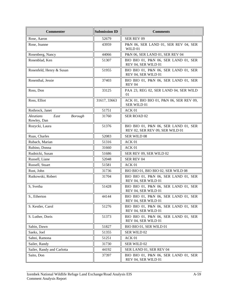| <b>Commenter</b>                                          | <b>Submission ID</b> | <b>Comments</b>                                                         |
|-----------------------------------------------------------|----------------------|-------------------------------------------------------------------------|
| Rose, Aaron                                               | 52679                | SER REV 09                                                              |
| Rose, Joanne                                              | 43959                | P&N 06, SER LAND 01, SER REV 04, SER<br>WILD 01                         |
| Rosenberg, Nancy                                          | 44066                | P&N 06, SER LAND 01, SER REV 04                                         |
| Rosenblad, Ken                                            | 51307                | BIO BIO 01, P&N 06, SER LAND 01, SER<br>REV 04, SER WILD 01             |
| Rosenfeld, Henry & Susan                                  | 51955                | BIO BIO 01, P&N 06, SER LAND 01, SER<br>REV 04, SER WILD 01             |
| Rosenthal, Jessie                                         | 37403                | BIO BIO 01, P&N 06, SER LAND 01, SER<br><b>REV 04</b>                   |
| Ross, Don                                                 | 33125                | PAA 23, REG 02, SER LAND 04, SER WILD<br>01                             |
| Ross, Elliot                                              | 31617, 33663         | ACK 01, BIO BIO 01, P&N 06, SER REV 09,<br>SER WILD 01                  |
| Rothrock, Janet                                           | 51751                | ACK 01                                                                  |
| <b>Aleutians</b><br>East<br><b>Borough</b><br>Rowley, Dan | 31760                | SER ROAD 02                                                             |
| Rozycki, Laura                                            | 51376                | BIO BIO 01, P&N 06, SER LAND 01, SER<br>REV 02, SER REV 09, SER WILD 01 |
| Ruas, Charles                                             | 52083                | <b>SER WILD 08</b>                                                      |
| Rubach, Marian                                            | 51316                | ACK 01                                                                  |
| Rubino, Donna                                             | 31660                | ACK <sub>01</sub>                                                       |
| Rudnicki, Susan                                           | 51686                | SER REV 09, SER WILD 02                                                 |
| Russell, Liane                                            | 52048                | SER REV 04                                                              |
| Russell, Stuart                                           | 51581                | ACK 01                                                                  |
| Rust, John                                                | 31736                | BIO BIO 01, BIO BIO 02, SER WILD 08                                     |
| Rutkowski, Robert                                         | 31704                | BIO BIO 01, P&N 06, SER LAND 01, SER<br>REV 04, SER WILD 01             |
| S, Svetha                                                 | 51428                | BIO BIO 01, P&N 06, SER LAND 01, SER<br>REV 04, SER WILD 01             |
| S., Etherton                                              | 44144                | BIO BIO 01, P&N 06, SER LAND 01, SER<br>REV 04, SER WILD 01             |
| S. Kestler, Carol                                         | 51276                | BIO BIO 01, P&N 06, SER LAND 01, SER<br>REV 04, SER WILD 01             |
| S. Luther, Doris                                          | 51373                | BIO BIO 01, P&N 06, SER LAND 01, SER<br>REV 04, SER WILD 01             |
| Sabin, Dawn                                               | 51827                | BIO BIO 01, SER WILD 01                                                 |
| Saeks, Joel                                               | 51355                | SER WILD 02                                                             |
| Sahni, Ramona                                             | 51251                | ACK 01                                                                  |
| Sailer, Randy                                             | 31730                | <b>SER WILD 02</b>                                                      |
| Sailer, Randy and Carlotta                                | 44192                | SER LAND 01, SER REV 04                                                 |
| Saito, Don                                                | 37397                | BIO BIO 01, P&N 06, SER LAND 01, SER<br>REV 04, SER WILD 01             |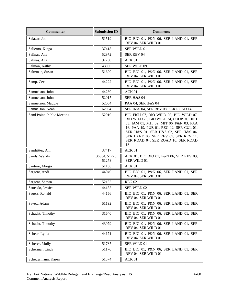| <b>Commenter</b>           | <b>Submission ID</b>   | <b>Comments</b>                                                                                                                                                                                                                                                                                    |
|----------------------------|------------------------|----------------------------------------------------------------------------------------------------------------------------------------------------------------------------------------------------------------------------------------------------------------------------------------------------|
| Salazar, Joe               | 51519                  | BIO BIO 01, P&N 06, SER LAND 01, SER<br>REV 04, SER WILD 01                                                                                                                                                                                                                                        |
| Salierno, Kinga            | 37418                  | SER WILD 01                                                                                                                                                                                                                                                                                        |
| Salinas, Ana               | 52972                  | SER REV 04                                                                                                                                                                                                                                                                                         |
| Salinas, Ana               | 97230                  | ACK 01                                                                                                                                                                                                                                                                                             |
| Salmon, Kathy              | 43980                  | <b>SER WILD 09</b>                                                                                                                                                                                                                                                                                 |
| Saltzman, Susan            | 51690                  | BIO BIO 01, P&N 06, SER LAND 01, SER<br>REV 04, SER WILD 01                                                                                                                                                                                                                                        |
| Samp, Cece                 | 44222                  | BIO BIO 01, P&N 06, SER LAND 01, SER<br>REV 04, SER WILD 01                                                                                                                                                                                                                                        |
| Samuelson, John            | 44230                  | ACK 01                                                                                                                                                                                                                                                                                             |
| Samuelson, John            | 52017                  | SER H&S 04                                                                                                                                                                                                                                                                                         |
| Samuelson, Maggie          | 52004                  | PAA 04, SER H&S 04                                                                                                                                                                                                                                                                                 |
| Samuelson, Noah            | 62894                  | SER H&S 04, SER REV 08, SER ROAD 14                                                                                                                                                                                                                                                                |
| Sand Point, Public Meeting | 52010                  | BIO FISH 07, BIO WILD 03, BIO WILD 07,<br>BIO WILD 20, BIO WILD 24, COOP 01, HIST<br>03, IAM 01, MIT 02, MIT 06, P&N 03, PAA<br>16, PAA 19, PUB 01, REG 12, SER CUL 01,<br>SER H&S 01, SER H&S 02, SER H&S 04,<br>SER LAND 06, SER REV 07, SER REV 11,<br>SER ROAD 04, SER ROAD 10, SER ROAD<br>13 |
| Sandritter, Ann            | 37417                  | ACK 01                                                                                                                                                                                                                                                                                             |
| Sands, Wendy               | 36954, 51275,<br>51278 | ACK 01, BIO BIO 01, P&N 06, SER REV 09,<br>SER WILD 01                                                                                                                                                                                                                                             |
| Santoro, Margo             | 51138                  | ACK 01                                                                                                                                                                                                                                                                                             |
| Sargent, Andi              | 44049                  | BIO BIO 01, P&N 06, SER LAND 01, SER<br>REV 04, SER WILD 01                                                                                                                                                                                                                                        |
| Sargent, Shawn             | 52135                  | <b>REG 02</b>                                                                                                                                                                                                                                                                                      |
| Saucedo, Jessica           | 44185                  | SER WILD 02                                                                                                                                                                                                                                                                                        |
| Sauers, Ronald             | 44156                  | BIO BIO 01, P&N 06, SER LAND 01, SER<br>REV 04, SER WILD 01                                                                                                                                                                                                                                        |
| Savett, Adam               | 51192                  | BIO BIO 01, P&N 06, SER LAND 01, SER<br>REV 04, SER WILD 01                                                                                                                                                                                                                                        |
| Schacht, Timothy           | 31640                  | BIO BIO 01, P&N 06, SER LAND 01, SER<br>REV 04, SER WILD 01                                                                                                                                                                                                                                        |
| Schacht, Timothy           | 43979                  | BIO BIO 01, P&N 06, SER LAND 01, SER<br>REV 04, SER WILD 01                                                                                                                                                                                                                                        |
| Scheer, Lydia              | 44171                  | BIO BIO 01, P&N 06, SER LAND 01, SER<br>REV 04, SER WILD 01                                                                                                                                                                                                                                        |
| Scherer, Molly             | 51787                  | SER WILD 01                                                                                                                                                                                                                                                                                        |
| Schermer, Linda            | 51176                  | BIO BIO 01, P&N 06, SER LAND 01, SER<br>REV 04, SER WILD 01                                                                                                                                                                                                                                        |
| Scheuermann, Karen         | 51374                  | ACK 01                                                                                                                                                                                                                                                                                             |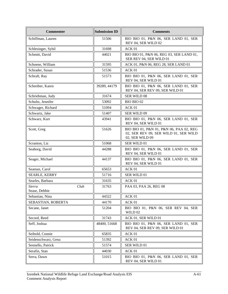| <b>Commenter</b>                | <b>Submission ID</b> | <b>Comments</b>                                                                                     |
|---------------------------------|----------------------|-----------------------------------------------------------------------------------------------------|
| Schiffman, Lauren               | 51506                | BIO BIO 01, P&N 06, SER LAND 01, SER<br>REV 04, SER WILD 02                                         |
| Schlesinger, Sybil              | 31698                | ACK 01                                                                                              |
| Schmitt, David                  | 44021                | BIO BIO 01, P&N 06, REG 03, SER LAND 01,<br>SER REV 04, SER WILD 01                                 |
| Schoene, William                | 31595                | ACK 01, P&N 06, REG 28, SER LAND 01                                                                 |
| Schrader, Susan                 | 51536                | ACK 01                                                                                              |
| Schraft, Ray                    | 51573                | BIO BIO 01, P&N 06, SER LAND 01, SER<br>REV 04, SER WILD 01                                         |
| Schreiber, Karen                | 39289, 44179         | BIO BIO 01, P&N 06, SER LAND 01, SER<br>REV 04, SER REV 09, SER WILD 01                             |
| Schriebman, Judy                | 31674                | <b>SER WILD 08</b>                                                                                  |
| Schultz, Jennifer               | 53092                | BIO BIO 02                                                                                          |
| Schwager, Richard               | 51094                | ACK 01                                                                                              |
| Schwartz, Jake                  | 51407                | SER WILD 09                                                                                         |
| Schwarz, Kurt                   | 43941                | BIO BIO 01, P&N 06, SER LAND 01, SER<br>REV 04, SER WILD 01                                         |
| Scott, Greg                     | 51626                | BIO BIO 01, P&N 01, P&N 06, PAA 02, REG<br>02, SER REV 09, SER WILD 01, SER WILD<br>02, SER WILD 09 |
| Scranton, Liz                   | 51068                | SER WILD 01                                                                                         |
| Seaborg, David                  | 44288                | BIO BIO 01, P&N 06, SER LAND 01, SER<br>REV 04, SER WILD 01                                         |
| Seager, Michael                 | 44137                | BIO BIO 01, P&N 06, SER LAND 01, SER<br>REV 04, SER WILD 01                                         |
| Seaman, Carol                   | 65653                | ACK 01                                                                                              |
| SEARLE, KERRY                   | 51716                | SER WILD 01                                                                                         |
| Searles, Barbara                | 31635                | ACK 01                                                                                              |
| Club<br>Sierra<br>Sease, Debbie | 31763                | PAA 03, PAA 26, REG 08                                                                              |
| Sebastian, Nina                 | 44322                | ACK 01                                                                                              |
| SEBASTIAN, ROBERTA              | 44170                | ACK 01                                                                                              |
| Secane, Janet                   | 51204                | BIO BIO 01, P&N 06, SER REV 04, SER<br>WILD 02                                                      |
| Secord, Reed                    | 31743                | ACK 01, SER WILD 01                                                                                 |
| Seff, Joshua                    | 48400, 51668         | BIO BIO 01, P&N 06, SER LAND 01, SER<br>REV 04, SER REV 09, SER WILD 01                             |
| Seibold, Connie                 | 65835                | ACK 01                                                                                              |
| Seidenschwarz, Gena             | 51392                | ACK 01                                                                                              |
| Sennello, Patrick               | 51574                | SER WILD 01                                                                                         |
| Serafin, Stan                   | 44030                | ACK 01                                                                                              |
| Serra, Dawn                     | 51015                | BIO BIO 01, P&N 06, SER LAND 01, SER<br>REV 04, SER WILD 01                                         |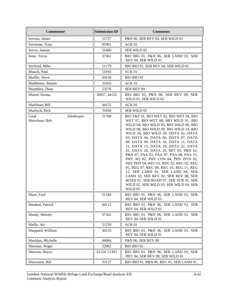| <b>Commenter</b>                      | <b>Submission ID</b> | <b>Comments</b>                                                                                                                                                                                                                                                                                                                                                                                                                                                                                                                                                                                                                                                                                                            |
|---------------------------------------|----------------------|----------------------------------------------------------------------------------------------------------------------------------------------------------------------------------------------------------------------------------------------------------------------------------------------------------------------------------------------------------------------------------------------------------------------------------------------------------------------------------------------------------------------------------------------------------------------------------------------------------------------------------------------------------------------------------------------------------------------------|
| Servais, James                        | 51757                | P&N 06, SER REV 04, SER WILD 01                                                                                                                                                                                                                                                                                                                                                                                                                                                                                                                                                                                                                                                                                            |
| Serviente, Tony                       | 95991                | ACK 01                                                                                                                                                                                                                                                                                                                                                                                                                                                                                                                                                                                                                                                                                                                     |
| Servis, Jeanne                        | 51400                | SER WILD 02                                                                                                                                                                                                                                                                                                                                                                                                                                                                                                                                                                                                                                                                                                                |
| Setar, Tricia                         | 37361                | BIO BIO 01, P&N 06, SER LAND 01, SER<br>REV 04, SER WILD 01                                                                                                                                                                                                                                                                                                                                                                                                                                                                                                                                                                                                                                                                |
| Seyfried, Mike                        | 51179                | BIO BIO 01, SER REV 04, SER WILD 01                                                                                                                                                                                                                                                                                                                                                                                                                                                                                                                                                                                                                                                                                        |
| Shaack, Paul                          | 51910                | ACK 01                                                                                                                                                                                                                                                                                                                                                                                                                                                                                                                                                                                                                                                                                                                     |
| Shaffer, Steve                        | 44158                | <b>BIO BIO 01</b>                                                                                                                                                                                                                                                                                                                                                                                                                                                                                                                                                                                                                                                                                                          |
| Shallbetter, Bennie                   | 31655                | ACK 01                                                                                                                                                                                                                                                                                                                                                                                                                                                                                                                                                                                                                                                                                                                     |
| Shamblen, Dean                        | 53276                | SER REV 09                                                                                                                                                                                                                                                                                                                                                                                                                                                                                                                                                                                                                                                                                                                 |
| Sharee, Donna                         | 36057, 44122         | BIO BIO 01, P&N 06, SER REV 09, SER<br>WILD 01, SER WILD 02                                                                                                                                                                                                                                                                                                                                                                                                                                                                                                                                                                                                                                                                |
| Sharfman, Bill                        | 44152                | ACK 01                                                                                                                                                                                                                                                                                                                                                                                                                                                                                                                                                                                                                                                                                                                     |
| Sharloch, Rick                        | 31650                | SER WILD 01                                                                                                                                                                                                                                                                                                                                                                                                                                                                                                                                                                                                                                                                                                                |
| Cook<br>Inletkeeper<br>Shavelson, Bob | 51760                | BIO T&E 01, BIO WET 02, BIO WET 04, BIO<br>WET 07, BIO WET 08, BIO WILD 01, BIO<br>WILD 04, BIO WILD 05, BIO WILD 06, BIO<br>WILD 08, BIO WILD 09, BIO WILD 24, BIO<br>WILD 26, BIO WILD 29, DATA 02, DATA<br>03, DATA 04, DATA 06, DATA 07, DATA<br>08, DATA 09, DATA 10, DATA 11, DATA<br>12, DATA 13, DATA 19, DATA 22, DATA<br>25, DATA 28, DATA 29, MIT 03, P&N 01,<br>P&N 07, PAA 02, PAA 07, PAA 08, PAA 21,<br>PHY AQ 02, PHY CON 04, PHY HYD 02,<br>PHY PHY 04, REG 01, REG 02, REG 03, REG<br>05, REG 07, REG 08, REG 10, REG 11, REG<br>12, SER LAND 01, SER LAND 04, SER<br>LAND 10, SER REV 02, SER REV 08, SER<br>ROAD 01, SER ROAD 07, SER SUB 01, SER<br>WILD 02, SER WILD 03, SER WILD 04, SER<br>WILD 05 |
| Shaw, Fred                            | 51184                | BIO BIO 01, P&N 06, SER LAND 01, SER<br>REV 04, SER WILD 01                                                                                                                                                                                                                                                                                                                                                                                                                                                                                                                                                                                                                                                                |
| Sheahan, Patrick                      | 44111                | BIO BIO 01, P&N 06, SER LAND 01, SER<br>REV 04, SER WILD 01                                                                                                                                                                                                                                                                                                                                                                                                                                                                                                                                                                                                                                                                |
| Shealy, Melody                        | 37362                | BIO BIO 01, P&N 06, SER LAND 01, SER<br>REV 04, SER WILD 01                                                                                                                                                                                                                                                                                                                                                                                                                                                                                                                                                                                                                                                                |
| Shelly, Art                           | 51239                | ACK 01                                                                                                                                                                                                                                                                                                                                                                                                                                                                                                                                                                                                                                                                                                                     |
| Sheppard, William                     | 44133                | BIO BIO 01, P&N 06, SER LAND 01, SER<br>REV 04, SER WILD 01                                                                                                                                                                                                                                                                                                                                                                                                                                                                                                                                                                                                                                                                |
| Sheridan, Michelle                    | 44064                | P&N 06, SER REV 09                                                                                                                                                                                                                                                                                                                                                                                                                                                                                                                                                                                                                                                                                                         |
| Sherman, Roger                        | 52862                | BIO BIO 02                                                                                                                                                                                                                                                                                                                                                                                                                                                                                                                                                                                                                                                                                                                 |
| Sherwin, Boyce                        | 41154, 51393         | BIO BIO 01, P&N 06, SER LAND 01, SER<br>REV 04, SER REV 09, SER WILD 01                                                                                                                                                                                                                                                                                                                                                                                                                                                                                                                                                                                                                                                    |
| Sherwonit, Bill                       | 33127                | BIO BIO 01, P&N 06, REG 01, SER LAND 01,                                                                                                                                                                                                                                                                                                                                                                                                                                                                                                                                                                                                                                                                                   |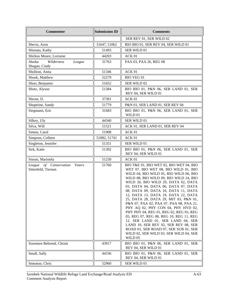| <b>Commenter</b>                                        | <b>Submission ID</b> | <b>Comments</b>                                                                                                                                                                                                                                                                                                                                                                                                                                                                                                                                                                                                                                                                                                            |
|---------------------------------------------------------|----------------------|----------------------------------------------------------------------------------------------------------------------------------------------------------------------------------------------------------------------------------------------------------------------------------------------------------------------------------------------------------------------------------------------------------------------------------------------------------------------------------------------------------------------------------------------------------------------------------------------------------------------------------------------------------------------------------------------------------------------------|
|                                                         |                      | SER REV 01, SER WILD 02                                                                                                                                                                                                                                                                                                                                                                                                                                                                                                                                                                                                                                                                                                    |
| Shevis, Aron                                            | 31647, 51062         | BIO BIO 01, SER REV 04, SER WILD 01                                                                                                                                                                                                                                                                                                                                                                                                                                                                                                                                                                                                                                                                                        |
| Shimata, Kathy                                          | 51493                | SER WILD 01                                                                                                                                                                                                                                                                                                                                                                                                                                                                                                                                                                                                                                                                                                                |
| Shirkus Moore, Lorraine                                 | 44203                | ACK 01                                                                                                                                                                                                                                                                                                                                                                                                                                                                                                                                                                                                                                                                                                                     |
| Wilderness<br>Alaska<br>League<br>Shogan, Cindy         | 31763                | PAA 03, PAA 26, REG 08                                                                                                                                                                                                                                                                                                                                                                                                                                                                                                                                                                                                                                                                                                     |
| Sholiton, Anita                                         | 51346                | ACK 01                                                                                                                                                                                                                                                                                                                                                                                                                                                                                                                                                                                                                                                                                                                     |
| Shook, Matthew                                          | 52279                | <b>BIO VEG 01</b>                                                                                                                                                                                                                                                                                                                                                                                                                                                                                                                                                                                                                                                                                                          |
| Short, Benjamin                                         | 51652                | SER WILD 02                                                                                                                                                                                                                                                                                                                                                                                                                                                                                                                                                                                                                                                                                                                |
| Shotz, Alyson                                           | 51384                | BIO BIO 01, P&N 06, SER LAND 01, SER<br>REV 04, SER WILD 01                                                                                                                                                                                                                                                                                                                                                                                                                                                                                                                                                                                                                                                                |
| Shrout, D.                                              | 37391                | ACK 01                                                                                                                                                                                                                                                                                                                                                                                                                                                                                                                                                                                                                                                                                                                     |
| Shuptrine, Sandy                                        | 51779                | P&N 01, SER LAND 01, SER REV 04                                                                                                                                                                                                                                                                                                                                                                                                                                                                                                                                                                                                                                                                                            |
| Siegmann, Eric                                          | 31683                | BIO BIO 01, P&N 06, SER LAND 01, SER<br>WILD 01                                                                                                                                                                                                                                                                                                                                                                                                                                                                                                                                                                                                                                                                            |
| Silkey, Uly                                             | 44340                | SER WILD 01                                                                                                                                                                                                                                                                                                                                                                                                                                                                                                                                                                                                                                                                                                                |
| Silva, Will                                             | 51521                | ACK 01, SER LAND 01, SER REV 04                                                                                                                                                                                                                                                                                                                                                                                                                                                                                                                                                                                                                                                                                            |
| Simon, Carol                                            | 51908                | ACK 01                                                                                                                                                                                                                                                                                                                                                                                                                                                                                                                                                                                                                                                                                                                     |
| Simpson, Colleen                                        | 51082, 51741         | ACK 01                                                                                                                                                                                                                                                                                                                                                                                                                                                                                                                                                                                                                                                                                                                     |
| Singleton, Jennifer                                     | 51351                | SER WILD 01                                                                                                                                                                                                                                                                                                                                                                                                                                                                                                                                                                                                                                                                                                                |
| Sirk, Katie                                             | 51302                | BIO BIO 01, P&N 06, SER LAND 01, SER<br>REV 04, SER WILD 01                                                                                                                                                                                                                                                                                                                                                                                                                                                                                                                                                                                                                                                                |
| Sisson, Maristela                                       | 51230                | ACK 01                                                                                                                                                                                                                                                                                                                                                                                                                                                                                                                                                                                                                                                                                                                     |
| League of Conservation<br>Voters<br>Sittenfeld, Tiernan | 51760                | BIO T&E 01, BIO WET 02, BIO WET 04, BIO<br>WET 07, BIO WET 08, BIO WILD 01, BIO<br>WILD 04, BIO WILD 05, BIO WILD 06, BIO<br>WILD 08, BIO WILD 09, BIO WILD 24, BIO<br>WILD 26, BIO WILD 29, DATA 02, DATA<br>03, DATA 04, DATA 06, DATA 07, DATA<br>08, DATA 09, DATA 10, DATA 11, DATA<br>12, DATA 13, DATA 19, DATA 22, DATA<br>25, DATA 28, DATA 29, MIT 03, P&N 01,<br>P&N 07, PAA 02, PAA 07, PAA 08, PAA 21,<br>PHY AQ 02, PHY CON 04, PHY HYD 02,<br>PHY PHY 04, REG 01, REG 02, REG 03, REG<br>05, REG 07, REG 08, REG 10, REG 11, REG<br>12, SER LAND 01, SER LAND 04, SER<br>LAND 10, SER REV 02, SER REV 08, SER<br>ROAD 01, SER ROAD 07, SER SUB 01, SER<br>WILD 02, SER WILD 03, SER WILD 04, SER<br>WILD 05 |
| Sizemore Behrend, Christi                               | 43917                | BIO BIO 01, P&N 06, SER LAND 01, SER<br>REV 04, SER WILD 01                                                                                                                                                                                                                                                                                                                                                                                                                                                                                                                                                                                                                                                                |
| Small, Sally                                            | 44336                | BIO BIO 01, P&N 06, SER LAND 01, SER<br>REV 04, SER WILD 01                                                                                                                                                                                                                                                                                                                                                                                                                                                                                                                                                                                                                                                                |
| Smeaton, Chris                                          | 52960                | SER WILD 01                                                                                                                                                                                                                                                                                                                                                                                                                                                                                                                                                                                                                                                                                                                |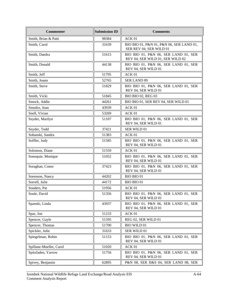| <b>Commenter</b>        | <b>Submission ID</b> | <b>Comments</b>                                                          |
|-------------------------|----------------------|--------------------------------------------------------------------------|
| Smith, Brian & Patti    | 98384                | ACK 01                                                                   |
| Smith, Carol            | 31639                | BIO BIO 01, P&N 01, P&N 06, SER LAND 01,<br>SER REV 04, SER WILD 01      |
| Smith, Daedra           | 51615                | BIO BIO 01, P&N 06, SER LAND 01, SER<br>REV 04, SER WILD 01, SER WILD 02 |
| Smith, Donald           | 44138                | BIO BIO 01, P&N 06, SER LAND 01, SER<br>REV 04, SER WILD 01              |
| Smith, Jeff             | 51795                | ACK 01                                                                   |
| Smith, Joann            | 52765                | <b>SER LAND 09</b>                                                       |
| Smith, Steve            | 51829                | BIO BIO 01, P&N 06, SER LAND 01, SER<br>REV 04, SER WILD 01              |
| Smith, Vicki            | 51845                | <b>BIO BIO 02, REG 03</b>                                                |
| Smock, Addie            | 44261                | BIO BIO 01, SER REV 04, SER WILD 01                                      |
| Smutko, Joan            | 43939                | ACK 01                                                                   |
| Snell, Vivian           | 53269                | ACK 01                                                                   |
| Snyder, Marilyn         | 51107                | BIO BIO 01, P&N 06, SER LAND 01, SER<br>REV 04, SER WILD 01              |
| Snyder, Todd            | 37421                | SER WILD 01                                                              |
| Sobanski, Sandra        | 51383                | ACK <sub>01</sub>                                                        |
| Soffler, Judy           | 51585                | BIO BIO 01, P&N 06, SER LAND 01, SER<br>REV 04, SER WILD 01              |
| Solomon, Diane          | 51559                | ACK 01                                                                   |
| Sonoquie, Monique       | 51052                | BIO BIO 01, P&N 06, SER LAND 01, SER<br>REV 04, SER WILD 01              |
| Soraghan, Conor         | 37423                | BIO BIO 01, P&N 06, SER LAND 01, SER<br>REV 04, SER WILD 01              |
| Sorenson, Nancy         | 44202                | <b>BIO BIO 01</b>                                                        |
| Sorrell, Julie          | 44172                | <b>BIO BIO 01</b>                                                        |
| Souders, Pat            | 51956                | ACK 01                                                                   |
| Soule, David            | 51356                | BIO BIO 01, P&N 06, SER LAND 01, SER<br>REV 04, SER WILD 01              |
| Spanski, Linda          | 43937                | BIO BIO 01, P&N 06, SER LAND 01, SER<br>REV 04, SER WILD 01              |
| Spar, Jon               | 51233                | ACK 01                                                                   |
| Spencer, Gayle          | 51595                | REG 02, SER WILD 01                                                      |
| Spencer, Thomas         | 51700                | <b>BIO WILD 01</b>                                                       |
| Spickler, Julie         | 31633                | SER WILD 01                                                              |
| Spiegelman, Robin       | 51153                | BIO BIO 01, P&N 06, SER LAND 01, SER<br>REV 04, SER WILD 01              |
| Spillane-Mueller, Carol | 51020                | ACK 01                                                                   |
| Spitzfaden, Yarrow      | 51756                | BIO BIO 01, P&N 06, SER LAND 01, SER<br>REV 04, SER WILD 01              |
| Spivey, Benjamin        | 62895                | P&N 08, SER H&S 04, SER LAND 08, SER                                     |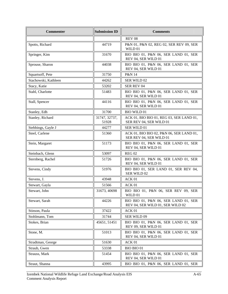| <b>Commenter</b>     | <b>Submission ID</b>   | <b>Comments</b>                                                          |
|----------------------|------------------------|--------------------------------------------------------------------------|
|                      |                        | <b>REV 08</b>                                                            |
| Spotts, Richard      | 44719                  | P&N 01, P&N 02, REG 02, SER REV 09, SER<br>WILD 01                       |
| Springer, Kim        | 31670                  | BIO BIO 01, P&N 06, SER LAND 01, SER<br>REV 04, SER WILD 01              |
| Sprouse, Sharon      | 44038                  | BIO BIO 01, P&N 06, SER LAND 01, SER<br>REV 04, SER WILD 01              |
| Squartsoff, Pete     | 31750                  | P&N 14                                                                   |
| Stachowski, Kathleen | 44262                  | SER WILD 02                                                              |
| Stacy, Katie         | 53202                  | SER REV 04                                                               |
| Stahl, Charlotte     | 51483                  | BIO BIO 01, P&N 06, SER LAND 01, SER<br>REV 04, SER WILD 01              |
| Stall, Spencer       | 44116                  | BIO BIO 01, P&N 06, SER LAND 01, SER<br>REV 04, SER WILD 01              |
| Stanley, Edh         | 31700                  | <b>BIO WILD 01</b>                                                       |
| Stanley, Richard     | 31747, 32737,<br>51928 | ACK 01, BIO BIO 01, REG 03, SER LAND 01,<br>SER REV 04, SER WILD 01      |
| Stebbings, Gayle J   | 44277                  | SER WILD 01                                                              |
| Steel, Carlene       | 51360                  | ACK 01, BIO BIO 02, P&N 06, SER LAND 01,<br>SER REV 04, SER WILD 01      |
| Stein, Margaret      | 51173                  | BIO BIO 01, P&N 06, SER LAND 01, SER<br>REV 04, SER WILD 01              |
| Steinbach, Glenn     | 53097                  | <b>REG 02</b>                                                            |
| Sternberg, Rachel    | 51726                  | BIO BIO 01, P&N 06, SER LAND 01, SER<br>REV 04, SER WILD 01              |
| Stevens, Cindy       | 51976                  | BIO BIO 01, SER LAND 01, SER REV 04,<br>SER WILD 02                      |
| Stevens, J.          | 43948                  | ACK 01                                                                   |
| Stewart, Gayla       | 51566                  | ACK 01                                                                   |
| Stewart, John        | 31673, 40698           | BIO BIO 01, P&N 06, SER REV 09, SER<br>WILD 01                           |
| Stewart, Sarah       | 44226                  | BIO BIO 01, P&N 06, SER LAND 01, SER<br>REV 04, SER WILD 01, SER WILD 02 |
| Stinson, Paula       | 37422                  | ACK 01                                                                   |
| Stohlmann, Tom       | 31744                  | SER WILD 09                                                              |
| Stokes, Brian        | 45651, 51451           | BIO BIO 01, P&N 06, SER LAND 01, SER<br>REV 09, SER WILD 01              |
| Stone, M.            | 51013                  | BIO BIO 01, P&N 06, SER LAND 01, SER<br>REV 04, SER WILD 01              |
| Stradtman, George    | 51630                  | ACK 01                                                                   |
| Straub, Gwen         | 53338                  | BIO BIO 01                                                               |
| Strauss, Mark        | 51454                  | BIO BIO 01, P&N 06, SER LAND 01, SER<br>REV 04, SER WILD 01              |
| Straut, Shanna       | 43995                  | BIO BIO 01, P&N 06, SER LAND 01, SER                                     |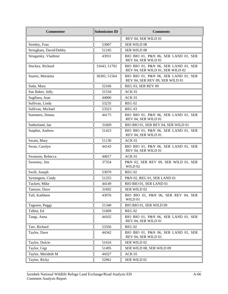| <b>Commenter</b>       | <b>Submission ID</b> | <b>Comments</b>                                                          |
|------------------------|----------------------|--------------------------------------------------------------------------|
|                        |                      | REV 04, SER WILD 01                                                      |
| Stredny, Fran          | 53007                | SER WILD 08                                                              |
| Stringham, David/Debby | 51245                | SER WILD 08                                                              |
| Strugatsky, Vladimir   | 43931                | BIO BIO 01, P&N 06, SER LAND 01, SER<br>REV 04, SER WILD 01              |
| Stuckey, Richard       | 31643, 51702         | BIO BIO 01, P&N 06, SER LAND 01, SER<br>REV 04, SER WILD 01, SER WILD 02 |
| Suarez, Moraima        | 36302, 51564         | BIO BIO 01, P&N 06, SER LAND 01, SER<br>REV 04, SER REV 09, SER WILD 01  |
| Suda, Mary             | 52166                | <b>REG 03, SER REV 09</b>                                                |
| Sue Baker, Jolly       | 51534                | ACK <sub>01</sub>                                                        |
| Sugihara, Joan         | 44006                | ACK 01                                                                   |
| Sullivan, Linda        | 53235                | <b>REG 02</b>                                                            |
| Sullivan, Michael      | 53323                | <b>REG 03</b>                                                            |
| Summers, Donna         | 44175                | BIO BIO 01, P&N 06, SER LAND 01, SER<br>REV 04, SER WILD 01              |
| Sutherland, Ian        | 31669                | BIO BIO 01, SER REV 04, SER WILD 01                                      |
| Sutphin, Andrew        | 51423                | BIO BIO 01, P&N 06, SER LAND 01, SER<br>REV 04, SER WILD 01              |
| Swain, Mary            | 51130                | ACK 01                                                                   |
| Swan, Carolyn          | 44143                | BIO BIO 01, P&N 06, SER LAND 01, SER<br>REV 04, SER WILD 01              |
| Swanson, Rebecca       | 44017                | ACK <sub>01</sub>                                                        |
| Sweeney, Jim           | 37354                | P&N 02, SER REV 09, SER WILD 01, SER<br>WILD 02                          |
| Swift, Joseph          | 53070                | <b>REG 02</b>                                                            |
| Symington, Cindy       | 51255                | P&N 02, REG 01, SER LAND 01                                              |
| Tackett, Mike          | 44149                | BIO BIO 01, SER LAND 01                                                  |
| Taenzer, Dave          | 31692                | SER WILD 02                                                              |
| Taft, Kathleen         | 43976                | BIO BIO 01, P&N 06, SER REV 04, SER<br>WILD 01                           |
| Tagesen, Peggy         | 51340                | BIO BIO 01, SER WILD 09                                                  |
| Talbot, Ed             | 51609                | <b>REG 02</b>                                                            |
| Tangi, Anna            | 44102                | BIO BIO 01, P&N 06, SER LAND 01, SER<br>REV 04, SER WILD 01              |
| Tarr, Richard          | 53356                | <b>REG 02</b>                                                            |
| Taylor, Dave           | 44342                | BIO BIO 01, P&N 06, SER LAND 01, SER<br>REV 04, SER WILD 01              |
| Taylor, Dulcie         | 51616                | SER WILD 02                                                              |
| Taylor, Gigi           | 51495                | SER WILD 08, SER WILD 09                                                 |
| Taylor, Merideth M     | 44327                | ACK 01                                                                   |
| Taylor, Ricky          | 52961                | SER WILD 01                                                              |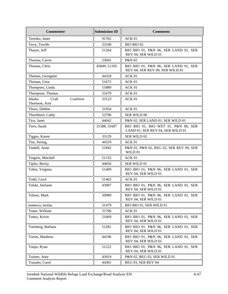| <b>Commenter</b>                             | <b>Submission ID</b> | <b>Comments</b>                                                         |
|----------------------------------------------|----------------------|-------------------------------------------------------------------------|
| Teresko, Janet                               | 91762                | ACK 01                                                                  |
| Terry, Terelle                               | 53168                | BIO BIO 02                                                              |
| Thayer, Jeff                                 | 51264                | BIO BIO 01, P&N 06, SER LAND 01, SER<br>REV 04, SER WILD 01             |
| Thomas, Carrie                               | 53041                | <b>P&amp;N 02</b>                                                       |
| Thomas, Chris                                | 45849, 51105         | BIO BIO 01, P&N 06, SER LAND 01, SER<br>REV 04, SER REV 09, SER WILD 01 |
| Thomas, Georgette                            | 44318                | ACK 01                                                                  |
| Thomas, Gina                                 | 51672                | ACK 01                                                                  |
| Thompsen, Linda                              | 51889                | ACK 01                                                                  |
| Thompson, Thomas                             | 31679                | ACK 01                                                                  |
| Alaska<br>Crab<br>Coalition<br>Thomson, Arni | 33123                | ACK 01                                                                  |
| Thorn, Debbie                                | 51954                | ACK 01                                                                  |
| Thornburn, Cathy                             | 52706                | <b>SER WILD 08</b>                                                      |
| Tice, Janet                                  | 44042                | P&N 02, SER LAND 01, SER WILD 01                                        |
| Tiers, Sarah                                 | 31588, 31687         | BIO BIO 01, BIO WET 01, P&N 06, SER<br>LAND 01, SER REV 04, SER WILD 01 |
| Tigges, Karen                                | 33129                | SER WILD 02                                                             |
| Tim, Strong,                                 | 44319                | ACK 01                                                                  |
| Tindell, Anne                                | 51842                | P&N 01, P&N 02, REG 02, SER REV 09, SER<br>WILD 01                      |
| Tingiris, Mitchell                           | 51155                | ACK 01                                                                  |
| Tipler, Becky                                | 44056                | SER WILD 01                                                             |
| Tobin, Virginia                              | 51409                | BIO BIO 01, P&N 06, SER LAND 01, SER<br>REV 04, SER WILD 01             |
| Todd, Carol                                  | 51463                | ACK 01                                                                  |
| Tolski, Stefanie                             | 43907                | BIO BIO 01, P&N 06, SER LAND 01, SER<br>REV 04, SER WILD 01             |
| Tolson, Mark                                 | 50989                | BIO BIO 01, P&N 06, SER LAND 01, SER<br>REV 04, SER WILD 01             |
| tomescu, teofan                              | 51479                | BIO BIO 01, SER WILD 01                                                 |
| Toner, William                               | 31706                | ACK 01                                                                  |
| Toney, Kevin                                 | 51669                | BIO BIO 01, P&N 06, SER LAND 01, SER<br>REV 04, SER WILD 01             |
| Tonsberg, Barbara                            | 51281                | BIO BIO 01, P&N 06, SER LAND 01, SER<br>REV 04, SER WILD 01             |
| Torres, Matthew                              | 44196                | BIO BIO 01, P&N 06, SER LAND 01, SER<br>REV 04, SER WILD 01             |
| Toups, Ryan                                  | 51222                | BIO BIO 01, P&N 06, SER LAND 01, SER<br>REV 04, SER WILD 01             |
| Trainer, Amy                                 | 43919                | P&N 02, REG 03, SER WILD 01                                             |
| Trasatto, Carol                              | 44301                | REG 03, SER REV 04                                                      |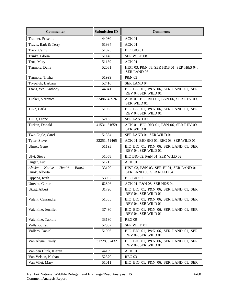| <b>Submission ID</b><br><b>Commenter</b><br><b>Comments</b>        |              |                                                                      |  |
|--------------------------------------------------------------------|--------------|----------------------------------------------------------------------|--|
| Trauner, Priscilla                                                 | 44080        | ACK 01                                                               |  |
| Travis, Barb & Terry                                               | 51984        | ACK 01                                                               |  |
| Trick, Cathy                                                       | 51025        | BIO BIO 01                                                           |  |
| Trinka, Gloria                                                     | 51146        | <b>SER WILD 08</b>                                                   |  |
| True, Mary                                                         | 51139        | ACK 01                                                               |  |
| Trumble, Della                                                     | 52031        | HIST 03, P&N 08, SER H&S 01, SER H&S 04,<br><b>SER LAND 06</b>       |  |
| Trumble, Trisha                                                    | 51999        | P&N 03                                                               |  |
| Trypaluk, Barbara                                                  | 52416        | <b>SER LAND 04</b>                                                   |  |
| Tsang Yee, Anthony                                                 | 44041        | BIO BIO 01, P&N 06, SER LAND 01, SER<br>REV 04, SER WILD 01          |  |
| Tucker, Veronica                                                   | 33486, 43926 | ACK 01, BIO BIO 01, P&N 06, SER REV 09,<br><b>SER WILD 01</b>        |  |
| Tuke, Carla                                                        | 51065        | BIO BIO 01, P&N 06, SER LAND 01, SER<br>REV 04, SER WILD 01          |  |
| Tullis, Diane                                                      | 52165        | <b>SER LAND 09</b>                                                   |  |
| Turken, Donald                                                     | 41531, 51659 | ACK 01, BIO BIO 01, P&N 06, SER REV 09,<br>SER WILD 01               |  |
| Two-Eagle, Carel                                                   | 51334        | SER LAND 01, SER WILD 01                                             |  |
| Tyler, Steve                                                       | 32251, 51465 | ACK 01, BIO BIO 01, REG 03, SER WILD 01                              |  |
| Ulmer, Gene                                                        | 51193        | BIO BIO 01, P&N 06, SER LAND 01, SER<br>REV 04, SER WILD 01          |  |
| Ulvi, Steve                                                        | 51058        | BIO BIO 02, P&N 01, SER WILD 02                                      |  |
| Ungar, Luci                                                        | 51713        | ACK 01                                                               |  |
| Alaska<br><b>Native</b><br>Health<br><b>Board</b><br>Unok, Alberta | 33120        | HIST 03, P&N 03, SER EJ 01, SER LAND 01,<br>SER LAND 06, SER ROAD 04 |  |
| Uppena, Ruth                                                       | 53082        | BIO BIO 02                                                           |  |
| Uttecht, Carter                                                    | 62896        | ACK 01, P&N 08, SER H&S 04                                           |  |
| Utzig, Albert                                                      | 31720        | BIO BIO 01, P&N 06, SER LAND 01, SER<br>REV 04, SER WILD 01          |  |
| Valent, Cassandra                                                  | 51385        | BIO BIO 01, P&N 06, SER LAND 01, SER<br>REV 04, SER WILD 01          |  |
| Valentine, Jennifer                                                | 37430        | BIO BIO 01, P&N 06, SER LAND 01, SER<br>REV 04, SER WILD 01          |  |
| Valentine, Tabitha                                                 | 33130        | <b>REG 09</b>                                                        |  |
| Vallario, Cat                                                      | 52962        | SER WILD 01                                                          |  |
| Vallero, Daniel                                                    | 51096        | BIO BIO 01, P&N 06, SER LAND 01, SER<br>REV 04, SER WILD 01          |  |
| Van Alyne, Emily                                                   | 31728, 37432 | BIO BIO 01, P&N 06, SER LAND 01, SER<br>REV 04, SER WILD 01          |  |
| Van den Blink, Kieren                                              | 44139        | ACK 01                                                               |  |
| Van Velson, Nathan                                                 | 52370        | <b>REG 03</b>                                                        |  |
| Van Vliet, Mary                                                    | 51011        | BIO BIO 01, P&N 06, SER LAND 01, SER                                 |  |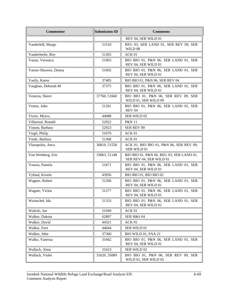| <b>Commenter</b>      | <b>Submission ID</b> | <b>Comments</b>                                                     |  |
|-----------------------|----------------------|---------------------------------------------------------------------|--|
|                       |                      | REV 04, SER WILD 01                                                 |  |
| Vanderhill, Margo     | 51510                | REG 03, SER LAND 01, SER REV 09, SER<br>WILD $08$                   |  |
| Vanderleelie, Roy     | 51265                | ACK 01                                                              |  |
| Vanzo, Veronica       | 51963                | BIO BIO 01, P&N 06, SER LAND 01, SER<br>REV 04, SER WILD 01         |  |
| Varner-Sheaves, Donna | 51692                | BIO BIO 01, P&N 06, SER LAND 01, SER<br>REV 04, SER WILD 01         |  |
| Vasily, Karen         | 37405                | BIO BIO 01, P&N 06, SER REV 04                                      |  |
| Vaughan, Deborah M    | 37375                | BIO BIO 01, P&N 06, SER LAND 01, SER<br>REV 04, SER WILD 01         |  |
| Venezia, Sherri       | 37760, 51660         | BIO BIO 01, P&N 06, SER REV 09, SER<br>WILD 01, SER WILD 09         |  |
| Ventre, John          | 51201                | BIO BIO 01, P&N 06, SER LAND 01, SER<br><b>REV 04</b>               |  |
| Victor, Myers,        | 44088                | SER WILD 02                                                         |  |
| Villarreal, Ronald    | 52922                | <b>P&amp;N 11</b>                                                   |  |
| Vinson, Barbara       | 52923                | SER REV 09                                                          |  |
| Virgil, Philip        | 51670                | ACK <sub>01</sub>                                                   |  |
| Vitale, Barbara       | 51368                | ACK 01                                                              |  |
| Vlasopolos, Anca      | 36819, 51558         | ACK 01, BIO BIO 01, P&N 06, SER REV 09,<br>SER WILD 01              |  |
| Von Wettberg, Eric    | 33063, 51148         | BIO BIO 01, P&N 06, REG 03, SER LAND 01,<br>SER REV 04, SER WILD 01 |  |
| Vouros, Pamela        | 51671                | BIO BIO 01, P&N 06, SER LAND 01, SER<br>REV 04, SER WILD 01         |  |
| Vyhnal, Kristin       | 43956                | BIO BIO 01, BIO BIO 02                                              |  |
| Wagner, Robert        | 51266                | BIO BIO 01, P&N 06, SER LAND 01, SER<br>REV 04, SER WILD 01         |  |
| Wagner, Vickie        | 51277                | BIO BIO 01, P&N 06, SER LAND 01, SER<br>REV 04, SER WILD 01         |  |
| Wainschel, Ida        | 51333                | BIO BIO 01, P&N 06, SER LAND 01, SER<br>REV 04, SER WILD 01         |  |
| Walicki, Joe          | 51049                | ACK 01                                                              |  |
| Walker, Dakota        | 62897                | SER H&S 04                                                          |  |
| Walker, David         | 44321                | ACK 01                                                              |  |
| Walker, Fern          | 44044                | SER WILD 01                                                         |  |
| Walker, John          | 37360                | BIO WILD 01, PAA 21                                                 |  |
| Walko, Vanessa        | 31662                | BIO BIO 01, P&N 06, SER LAND 01, SER<br>REV 04, SER WILD 01         |  |
| Wallach, Aleta        | 31623                | SER WILD 02                                                         |  |
| Wallach, Violet       | 31620, 35089         | BIO BIO 01, P&N 06, SER REV 09, SER<br>WILD 01, SER WILD 02         |  |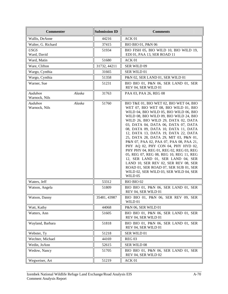| <b>Commenter</b>                   | <b>Submission ID</b>   | <b>Comments</b>                                                                                                                                                                                                                                                                                                                                                                                                                                                                                                                                                                                                                                                                                                            |  |
|------------------------------------|------------------------|----------------------------------------------------------------------------------------------------------------------------------------------------------------------------------------------------------------------------------------------------------------------------------------------------------------------------------------------------------------------------------------------------------------------------------------------------------------------------------------------------------------------------------------------------------------------------------------------------------------------------------------------------------------------------------------------------------------------------|--|
| Wallis, DeAnne                     | 44216                  | ACK 01                                                                                                                                                                                                                                                                                                                                                                                                                                                                                                                                                                                                                                                                                                                     |  |
| Walter, G. Richard                 | 37415                  | BIO BIO 01, P&N 06                                                                                                                                                                                                                                                                                                                                                                                                                                                                                                                                                                                                                                                                                                         |  |
| <i>USGS</i><br>Ward, David         | 51934                  | BIO FISH 05, BIO WILD 10, BIO WILD 19,<br>EDI 01, PAA 13, SER ROAD 11                                                                                                                                                                                                                                                                                                                                                                                                                                                                                                                                                                                                                                                      |  |
| Ward, Matin                        | 51680                  | ACK 01                                                                                                                                                                                                                                                                                                                                                                                                                                                                                                                                                                                                                                                                                                                     |  |
| Ware, Clifton                      | 31732, 44211           | SER WILD 09                                                                                                                                                                                                                                                                                                                                                                                                                                                                                                                                                                                                                                                                                                                |  |
| Wargo, Cynthia                     | 31665                  | SER WILD 01                                                                                                                                                                                                                                                                                                                                                                                                                                                                                                                                                                                                                                                                                                                |  |
| Wargo, Cynthia                     | 51358                  | P&N 02, SER LAND 01, SER WILD 01                                                                                                                                                                                                                                                                                                                                                                                                                                                                                                                                                                                                                                                                                           |  |
| Warner, Sue                        | 51231                  | BIO BIO 01, P&N 06, SER LAND 01, SER<br>REV 04, SER WILD 01                                                                                                                                                                                                                                                                                                                                                                                                                                                                                                                                                                                                                                                                |  |
| Audubon<br>Alaska<br>Warnock, Nils | 31763                  | PAA 03, PAA 26, REG 08                                                                                                                                                                                                                                                                                                                                                                                                                                                                                                                                                                                                                                                                                                     |  |
| Alaska<br>Audubon<br>Warnock, Nils | 51760                  | BIO T&E 01, BIO WET 02, BIO WET 04, BIO<br>WET 07, BIO WET 08, BIO WILD 01, BIO<br>WILD 04, BIO WILD 05, BIO WILD 06, BIO<br>WILD 08, BIO WILD 09, BIO WILD 24, BIO<br>WILD 26, BIO WILD 29, DATA 02, DATA<br>03, DATA 04, DATA 06, DATA 07, DATA<br>08, DATA 09, DATA 10, DATA 11, DATA<br>12, DATA 13, DATA 19, DATA 22, DATA<br>25, DATA 28, DATA 29, MIT 03, P&N 01,<br>P&N 07, PAA 02, PAA 07, PAA 08, PAA 21,<br>PHY AQ 02, PHY CON 04, PHY HYD 02,<br>PHY PHY 04, REG 01, REG 02, REG 03, REG<br>05, REG 07, REG 08, REG 10, REG 11, REG<br>12, SER LAND 01, SER LAND 04, SER<br>LAND 10, SER REV 02, SER REV 08, SER<br>ROAD 01, SER ROAD 07, SER SUB 01, SER<br>WILD 02, SER WILD 03, SER WILD 04, SER<br>WILD 05 |  |
| Waters, Jeff                       | 53312                  | BIO BIO 02                                                                                                                                                                                                                                                                                                                                                                                                                                                                                                                                                                                                                                                                                                                 |  |
| Watson, Angela                     | 51809                  | BIO BIO 01, P&N 06, SER LAND 01, SER<br>REV 04, SER WILD 01                                                                                                                                                                                                                                                                                                                                                                                                                                                                                                                                                                                                                                                                |  |
| Watson, Danny                      | 35481, 43987           | BIO BIO 01, P&N 06, SER REV 09, SER<br>WILD 01                                                                                                                                                                                                                                                                                                                                                                                                                                                                                                                                                                                                                                                                             |  |
| Watt, Kathy                        | 44068                  | P&N 06, SER WILD 01                                                                                                                                                                                                                                                                                                                                                                                                                                                                                                                                                                                                                                                                                                        |  |
| Watters, Ann                       | 51605                  | BIO BIO 01, P&N 06, SER LAND 01, SER<br>REV 04, SER WILD 01                                                                                                                                                                                                                                                                                                                                                                                                                                                                                                                                                                                                                                                                |  |
| Wayland, Barbara                   | 51818                  | BIO BIO 01, P&N 06, SER LAND 01, SER<br>REV 04, SER WILD 01                                                                                                                                                                                                                                                                                                                                                                                                                                                                                                                                                                                                                                                                |  |
| Webster, Ty                        | 51218                  | SER WILD 01                                                                                                                                                                                                                                                                                                                                                                                                                                                                                                                                                                                                                                                                                                                |  |
| Wechter, Michael                   | <b>REG 03</b><br>44169 |                                                                                                                                                                                                                                                                                                                                                                                                                                                                                                                                                                                                                                                                                                                            |  |
| Wedin, JoAnn                       | 52615                  | SER WILD 08                                                                                                                                                                                                                                                                                                                                                                                                                                                                                                                                                                                                                                                                                                                |  |
| Wedow, Nancy                       | 51705                  | BIO BIO 01, P&N 06, SER LAND 01, SER<br>REV 04, SER WILD 02                                                                                                                                                                                                                                                                                                                                                                                                                                                                                                                                                                                                                                                                |  |
| Wegweiser, Art                     | 51219                  | ACK 01                                                                                                                                                                                                                                                                                                                                                                                                                                                                                                                                                                                                                                                                                                                     |  |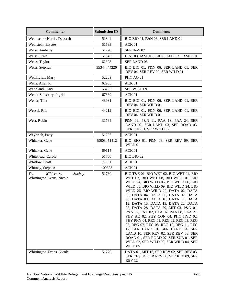| <b>Commenter</b>                                                 | <b>Submission ID</b> | <b>Comments</b>                                                                                                                                                                                                                                                                                                                                                                                                                                                                                                                                                                                                                                                                                                            |
|------------------------------------------------------------------|----------------------|----------------------------------------------------------------------------------------------------------------------------------------------------------------------------------------------------------------------------------------------------------------------------------------------------------------------------------------------------------------------------------------------------------------------------------------------------------------------------------------------------------------------------------------------------------------------------------------------------------------------------------------------------------------------------------------------------------------------------|
| Weinischke Harris, Deborah                                       | 51344                | BIO BIO 01, P&N 06, SER LAND 01                                                                                                                                                                                                                                                                                                                                                                                                                                                                                                                                                                                                                                                                                            |
| Weinstein, Elyette                                               | 51583                | ACK 01                                                                                                                                                                                                                                                                                                                                                                                                                                                                                                                                                                                                                                                                                                                     |
| Weiss, Amberly                                                   | 51778                | <b>SER H&amp;S 07</b>                                                                                                                                                                                                                                                                                                                                                                                                                                                                                                                                                                                                                                                                                                      |
| Weiss, Ernie                                                     | 51046                | HIST 03, IAM 01, SER ROAD 05, SER SER 01                                                                                                                                                                                                                                                                                                                                                                                                                                                                                                                                                                                                                                                                                   |
| Weiss, Taylor                                                    | 62898                | <b>SER LAND 08</b>                                                                                                                                                                                                                                                                                                                                                                                                                                                                                                                                                                                                                                                                                                         |
| Weitz, Stephen                                                   | 35344, 44320         | BIO BIO 01, P&N 06, SER LAND 01, SER<br>REV 04, SER REV 09, SER WILD 01                                                                                                                                                                                                                                                                                                                                                                                                                                                                                                                                                                                                                                                    |
| Wellington, Mary                                                 | 52209                | PHY AQ 01                                                                                                                                                                                                                                                                                                                                                                                                                                                                                                                                                                                                                                                                                                                  |
| Wells, Allen R.                                                  | 62905                | ACK 01                                                                                                                                                                                                                                                                                                                                                                                                                                                                                                                                                                                                                                                                                                                     |
| Wendland, Gary                                                   | 53263                | SER WILD 09                                                                                                                                                                                                                                                                                                                                                                                                                                                                                                                                                                                                                                                                                                                |
| Wendt-Salisbury, Ingrid                                          | 67369                | ACK 01                                                                                                                                                                                                                                                                                                                                                                                                                                                                                                                                                                                                                                                                                                                     |
| Wener, Tina                                                      | 43981                | BIO BIO 01, P&N 06, SER LAND 01, SER<br>REV 04, SER WILD 01                                                                                                                                                                                                                                                                                                                                                                                                                                                                                                                                                                                                                                                                |
| Wessel, Rita                                                     | 44212                | BIO BIO 01, P&N 06, SER LAND 01, SER<br>REV 04, SER WILD 01                                                                                                                                                                                                                                                                                                                                                                                                                                                                                                                                                                                                                                                                |
| West, Robin                                                      | 31764                | P&N 09, P&N 11, PAA 18, PAA 24, SER<br>LAND 02, SER LAND 03, SER ROAD 03,<br>SER SUB 01, SER WILD 02                                                                                                                                                                                                                                                                                                                                                                                                                                                                                                                                                                                                                       |
| Weyhrich, Patty                                                  | 51206                | ACK 01                                                                                                                                                                                                                                                                                                                                                                                                                                                                                                                                                                                                                                                                                                                     |
| Whitaker, Gene                                                   | 49003, 51412         | BIO BIO 01, P&N 06, SER REV 09, SER<br>WILD 01                                                                                                                                                                                                                                                                                                                                                                                                                                                                                                                                                                                                                                                                             |
| Whitaker, Gene                                                   | 69115                | ACK 01                                                                                                                                                                                                                                                                                                                                                                                                                                                                                                                                                                                                                                                                                                                     |
| Whitehead, Carole                                                | 51750                | BIO BIO 02                                                                                                                                                                                                                                                                                                                                                                                                                                                                                                                                                                                                                                                                                                                 |
| Whitlow, Scott                                                   | 77301                | ACK 01                                                                                                                                                                                                                                                                                                                                                                                                                                                                                                                                                                                                                                                                                                                     |
| Whitney, Stephen                                                 | 100683               | ACK 01                                                                                                                                                                                                                                                                                                                                                                                                                                                                                                                                                                                                                                                                                                                     |
| Wilderness<br>Society<br><i>The</i><br>Whittington Evans, Nicole | 51760                | BIO T&E 01, BIO WET 02, BIO WET 04, BIO<br>WET 07, BIO WET 08, BIO WILD 01, BIO<br>WILD 04, BIO WILD 05, BIO WILD 06, BIO<br>WILD 08, BIO WILD 09, BIO WILD 24, BIO<br>WILD 26, BIO WILD 29, DATA 02, DATA<br>03, DATA 04, DATA 06, DATA 07, DATA<br>08, DATA 09, DATA 10, DATA 11, DATA<br>12, DATA 13, DATA 19, DATA 22, DATA<br>25, DATA 28, DATA 29, MIT 03, P&N 01,<br>P&N 07, PAA 02, PAA 07, PAA 08, PAA 21,<br>PHY AQ 02, PHY CON 04, PHY HYD 02,<br>PHY PHY 04, REG 01, REG 02, REG 03, REG<br>05, REG 07, REG 08, REG 10, REG 11, REG<br>12, SER LAND 01, SER LAND 04, SER<br>LAND 10, SER REV 02, SER REV 08, SER<br>ROAD 01, SER ROAD 07, SER SUB 01, SER<br>WILD 02, SER WILD 03, SER WILD 04, SER<br>WILD 05 |
| Whittington-Evans, Nicole                                        | 51770                | DATA 01, MIT 16, SER REV 02, SER REV 03,<br>SER REV 04, SER REV 08, SER REV 09, SER<br><b>REV 12</b>                                                                                                                                                                                                                                                                                                                                                                                                                                                                                                                                                                                                                       |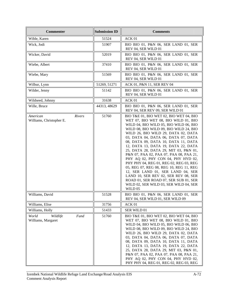| <b>Commenter</b>                                | <b>Submission ID</b> | <b>Comments</b>                                                                                                                                                                                                                                                                                                                                                                                                                                                                                                                                                                                                                                                                                                            |  |
|-------------------------------------------------|----------------------|----------------------------------------------------------------------------------------------------------------------------------------------------------------------------------------------------------------------------------------------------------------------------------------------------------------------------------------------------------------------------------------------------------------------------------------------------------------------------------------------------------------------------------------------------------------------------------------------------------------------------------------------------------------------------------------------------------------------------|--|
| Wible, Karen                                    | 51524                | ACK 01                                                                                                                                                                                                                                                                                                                                                                                                                                                                                                                                                                                                                                                                                                                     |  |
| Wick, Jodi                                      | 51907                | BIO BIO 01, P&N 06, SER LAND 01, SER<br>REV 04, SER WILD 01                                                                                                                                                                                                                                                                                                                                                                                                                                                                                                                                                                                                                                                                |  |
| Wicker, David                                   | 52019                | BIO BIO 01, P&N 06, SER LAND 01, SER<br>REV 04, SER WILD 01                                                                                                                                                                                                                                                                                                                                                                                                                                                                                                                                                                                                                                                                |  |
| Wiebe, Albert                                   | 37410                | BIO BIO 01, P&N 06, SER LAND 01, SER<br>REV 04, SER WILD 01                                                                                                                                                                                                                                                                                                                                                                                                                                                                                                                                                                                                                                                                |  |
| Wiebe, Mary                                     | 51569                | BIO BIO 01, P&N 06, SER LAND 01, SER<br>REV 04, SER WILD 01                                                                                                                                                                                                                                                                                                                                                                                                                                                                                                                                                                                                                                                                |  |
| Wilbur, Lynn                                    | 51269, 51271         | ACK 01, P&N 11, SER REV 04                                                                                                                                                                                                                                                                                                                                                                                                                                                                                                                                                                                                                                                                                                 |  |
| Wilder, Jenny                                   | 51142                | BIO BIO 01, P&N 06, SER LAND 01, SER<br>REV 04, SER WILD 01                                                                                                                                                                                                                                                                                                                                                                                                                                                                                                                                                                                                                                                                |  |
| Wildseed, Johnny                                | 31638                | ACK <sub>01</sub>                                                                                                                                                                                                                                                                                                                                                                                                                                                                                                                                                                                                                                                                                                          |  |
| Wille, Bruce                                    | 44313, 48629         | BIO BIO 01, P&N 06, SER LAND 01, SER<br>REV 04, SER REV 09, SER WILD 01                                                                                                                                                                                                                                                                                                                                                                                                                                                                                                                                                                                                                                                    |  |
| Rivers<br>American<br>Williams, Christopher E.  | 51760                | BIO T&E 01, BIO WET 02, BIO WET 04, BIO<br>WET 07, BIO WET 08, BIO WILD 01, BIO<br>WILD 04, BIO WILD 05, BIO WILD 06, BIO<br>WILD 08, BIO WILD 09, BIO WILD 24, BIO<br>WILD 26, BIO WILD 29, DATA 02, DATA<br>03, DATA 04, DATA 06, DATA 07, DATA<br>08, DATA 09, DATA 10, DATA 11, DATA<br>12, DATA 13, DATA 19, DATA 22, DATA<br>25, DATA 28, DATA 29, MIT 03, P&N 01,<br>P&N 07, PAA 02, PAA 07, PAA 08, PAA 21,<br>PHY AQ 02, PHY CON 04, PHY HYD 02,<br>PHY PHY 04, REG 01, REG 02, REG 03, REG<br>05, REG 07, REG 08, REG 10, REG 11, REG<br>12, SER LAND 01, SER LAND 04, SER<br>LAND 10, SER REV 02, SER REV 08, SER<br>ROAD 01, SER ROAD 07, SER SUB 01, SER<br>WILD 02, SER WILD 03, SER WILD 04, SER<br>WILD 05 |  |
| Williams, David                                 | 51528                | BIO BIO 01, P&N 06, SER LAND 01, SER<br>REV 04, SER WILD 01, SER WILD 09                                                                                                                                                                                                                                                                                                                                                                                                                                                                                                                                                                                                                                                   |  |
| Williams, Elise                                 | 31756                | ACK 01                                                                                                                                                                                                                                                                                                                                                                                                                                                                                                                                                                                                                                                                                                                     |  |
| Williams, Holly                                 | 51433                | SER WILD 01                                                                                                                                                                                                                                                                                                                                                                                                                                                                                                                                                                                                                                                                                                                |  |
| World<br>Wildlife<br>Fund<br>Williams, Margaret | 51760                | BIO T&E 01, BIO WET 02, BIO WET 04, BIO<br>WET 07, BIO WET 08, BIO WILD 01, BIO<br>WILD 04, BIO WILD 05, BIO WILD 06, BIO<br>WILD 08, BIO WILD 09, BIO WILD 24, BIO<br>WILD 26, BIO WILD 29, DATA 02, DATA<br>03, DATA 04, DATA 06, DATA 07, DATA<br>08, DATA 09, DATA 10, DATA 11, DATA<br>12, DATA 13, DATA 19, DATA 22, DATA<br>25, DATA 28, DATA 29, MIT 03, P&N 01,<br>P&N 07, PAA 02, PAA 07, PAA 08, PAA 21,<br>PHY AQ 02, PHY CON 04, PHY HYD 02,<br>PHY PHY 04, REG 01, REG 02, REG 03, REG                                                                                                                                                                                                                       |  |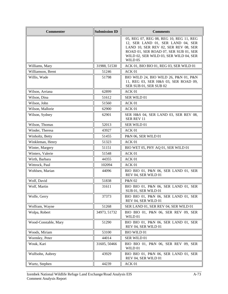| <b>Commenter</b>     | <b>Submission ID</b> | <b>Comments</b>                                                                                                                                                                                                    |
|----------------------|----------------------|--------------------------------------------------------------------------------------------------------------------------------------------------------------------------------------------------------------------|
|                      |                      | 05, REG 07, REG 08, REG 10, REG 11, REG<br>12, SER LAND 01, SER LAND 04, SER<br>LAND 10, SER REV 02, SER REV 08, SER<br>ROAD 01, SER ROAD 07, SER SUB 01, SER<br>WILD 02, SER WILD 03, SER WILD 04, SER<br>WILD 05 |
| Williams, Mary       | 31988, 51530         | ACK 01, BIO BIO 01, REG 03, SER WILD 01                                                                                                                                                                            |
| Williamson, Brent    | 51246                | ACK 01                                                                                                                                                                                                             |
| Willis, Wade         | 51798                | BIO WILD 24, BIO WILD 26, P&N 01, P&N<br>11, REG 03, SER H&S 03, SER ROAD 09,<br>SER SUB 01, SER SUB 02                                                                                                            |
| Wilson, Arriana      | 62899                | ACK 01                                                                                                                                                                                                             |
| Wilson, Dina         | 51612                | SER WILD 01                                                                                                                                                                                                        |
| Wilson, John         | 51560                | ACK <sub>01</sub>                                                                                                                                                                                                  |
| Wilson, Mallorie     | 62900                | ACK <sub>01</sub>                                                                                                                                                                                                  |
| Wilson, Sydney       | 62901                | SER H&S 04, SER LAND 03, SER REV 08,<br><b>SER REV 11</b>                                                                                                                                                          |
| Wilson, Thomas       | 52013                | SER WILD 01                                                                                                                                                                                                        |
| Winder, Theresa      | 43927                | ACK <sub>01</sub>                                                                                                                                                                                                  |
| Winholtz, Betty      | 51455                | P&N 06, SER WILD 01                                                                                                                                                                                                |
| Winkleman, Henry     | 51323                | ACK 01                                                                                                                                                                                                             |
| Winter, Margery      | 51151                | BIO WET 05, PHY AQ 01, SER WILD 01                                                                                                                                                                                 |
| Winters, Valerie     | 51548                | ACK 01                                                                                                                                                                                                             |
| Wirth, Barbara       | 44355                | ACK 01                                                                                                                                                                                                             |
| Wittrock, Paul       | 102094               | ACK 01                                                                                                                                                                                                             |
| Wohlsen, Marian      | 44096                | BIO BIO 01, P&N 06, SER LAND 01, SER<br>REV 04, SER WILD 01                                                                                                                                                        |
| Wolf, David          | 51838                | P&N 02                                                                                                                                                                                                             |
| Wolf, Martin         | 31611                | BIO BIO 01, P&N 06, SER LAND 01, SER<br>SUB 01, SER WILD 01                                                                                                                                                        |
| Wolfe, Gerry         | 37373                | BIO BIO 01, P&N 06, SER LAND 01, SER<br>REV 04, SER WILD 01                                                                                                                                                        |
| Wolfram, Wayne       | 51268                | SER LAND 01, SER REV 04, SER WILD 01                                                                                                                                                                               |
| Wolpa, Robert        | 34973, 51732         | BIO BIO 01, P&N 06, SER REV 09, SER<br>WILD 01                                                                                                                                                                     |
| Wood-Constable, Mary | 51290                | BIO BIO 01, P&N 06, SER LAND 01, SER<br>REV 04, SER WILD 01                                                                                                                                                        |
| Woods, Miriam        | 53100                | <b>BIO WILD 01</b>                                                                                                                                                                                                 |
| Wormley, Peter       | 44014                | SER WILD 01                                                                                                                                                                                                        |
| Wouk, Kari           | 31605, 50466         | BIO BIO 01, P&N 06, SER REV 09, SER<br>WILD 01                                                                                                                                                                     |
| Wulfsohn, Aubrey     | 43929                | BIO BIO 01, P&N 06, SER LAND 01, SER<br>REV 04, SER WILD 01                                                                                                                                                        |
| Wurtz, Stephen       | 44239                | ACK 01                                                                                                                                                                                                             |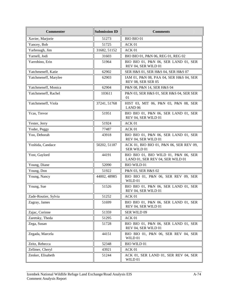| <b>Commenter</b>     | <b>Submission ID</b> | <b>Comments</b>                                                          |  |
|----------------------|----------------------|--------------------------------------------------------------------------|--|
| Xavier, Marjorie     | 51273                | <b>BIO BIO 01</b>                                                        |  |
| Yancey, Bob          | 51725                | ACK 01                                                                   |  |
| Yarbrough, Jim       | 31682, 51152         | ACK 01                                                                   |  |
| Yarnell, Jodi        | 31603                | BIO BIO 01, P&N 06, REG 01, REG 02                                       |  |
| Yarrobino, Erin      | 51964                | BIO BIO 01, P&N 06, SER LAND 01, SER<br>REV 04, SER WILD 01              |  |
| Yatchmeneff, Katie   | 62902                | SER H&S 01, SER H&S 04, SER H&S 07                                       |  |
| Yatchmeneff, Marylee | 62903                | IAM 01, P&N 08, PAA 04, SER H&S 04, SER<br>REV 08, SER SER 05            |  |
| Yatchmeneff, Monica  | 62904                | P&N 08, P&N 14, SER H&S 04                                               |  |
| Yatchmeneff, Rachel  | 103611               | P&N 03, SER H&S 01, SER H&S 04, SER SER<br>01                            |  |
| Yatchmeneff, Viola   | 37241, 51768         | HIST 03, MIT 06, P&N 03, P&N 08, SER<br>LAND <sub>06</sub>               |  |
| Ycas, Trevor         | 51951                | BIO BIO 01, P&N 06, SER LAND 01, SER<br>REV 04, SER WILD 01              |  |
| Yester, Jerry        | 51924                | ACK 01                                                                   |  |
| Yoder, Peggy         | 77487                | ACK 01                                                                   |  |
| Yoo, Deborah         | 43918                | BIO BIO 01, P&N 06, SER LAND 01, SER<br>REV 04, SER WILD 01              |  |
| Yoshida, Candace     | 50202, 51187         | ACK 01, BIO BIO 01, P&N 06, SER REV 09,<br>SER WILD 01                   |  |
| Yost, Gaylord        | 44191                | BIO BIO 01, BIO WILD 01, P&N 06, SER<br>LAND 01, SER REV 04, SER WILD 01 |  |
| Young, Diane         | 52090                | <b>BIO WILD 01</b>                                                       |  |
| Young, Don           | 51922                | P&N 03, SER H&S 02                                                       |  |
| Young, Nancy         | 44002, 48985         | BIO BIO 01, P&N 06, SER REV 09, SER<br>WILD 01                           |  |
| Young, Sue           | 51526                | BIO BIO 01, P&N 06, SER LAND 01, SER<br>REV 04, SER WILD 01              |  |
| Zade-Routier, Sylvia | 51252                | ACK 01                                                                   |  |
| Zagray, James        | 51699                | BIO BIO 01, P&N 06, SER LAND 01, SER<br>REV 04, SER WILD 01              |  |
| Zajac, Corinne       | 51359                | SER WILD 09                                                              |  |
| Zaretsky, Theda      | 51295                | ACK 01                                                                   |  |
| Zega, Susan          | 51728                | BIO BIO 01, P&N 06, SER LAND 01, SER<br>REV 04, SER WILD 01              |  |
| Zegada, Marcela      | 44151                | BIO BIO 01, P&N 06, SER REV 04, SER<br>WILD 01                           |  |
| Zeitz, Rebecca       | 52348                | <b>BIO WILD 01</b>                                                       |  |
| Zellmer, Cheryl      | 43921                | ACK 01                                                                   |  |
| Zenker, Elisabeth    | 51244                | ACK 01, SER LAND 01, SER REV 04, SER<br>WILD 01                          |  |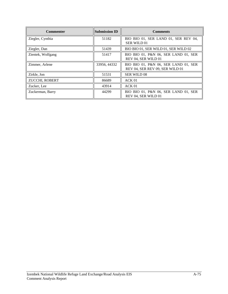| <b>Commenter</b>  | <b>Submission ID</b> | <b>Comments</b>                                                         |  |
|-------------------|----------------------|-------------------------------------------------------------------------|--|
| Ziegler, Cynthia  | 51182                | BIO BIO 01, SER LAND 01, SER REV 04,<br><b>SER WILD 01</b>              |  |
| Ziegler, Dan      | 51439                | BIO BIO 01, SER WILD 01, SER WILD 02                                    |  |
| Zientek, Wolfgang | 51417                | BIO BIO 01, P&N 06, SER LAND 01, SER<br>REV 04, SER WILD 01             |  |
| Zimmer, Arlene    | 33956, 44332         | BIO BIO 01, P&N 06, SER LAND 01, SER<br>REV 04, SER REV 09, SER WILD 01 |  |
| Zirkle, Jon       | 51531                | <b>SER WILD 08</b>                                                      |  |
| ZUCCHI, ROBERT    | 86689                | ACK <sub>01</sub>                                                       |  |
| Zucker, Lee       | 43914                | ACK <sub>01</sub>                                                       |  |
| Zuckerman, Barry  | 44299                | BIO BIO 01, P&N 06, SER LAND 01, SER<br>REV 04, SER WILD 01             |  |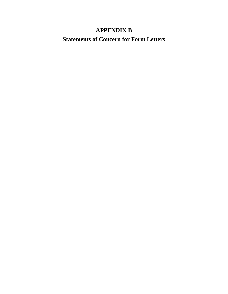## **APPENDIX B**

**Statements of Concern for Form Letters**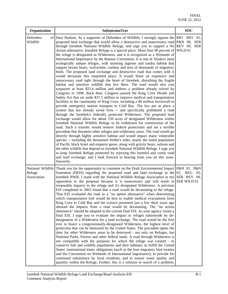| Organization          | <b>SubmissionText</b>                                                                                                                                                                                                                                                                                                                                                                                                                                                                                                                                                                                                                                                                                                                                                                                                                                                                                                                                                                                                                                                                                                                                                                                                                                                                                                                                                                                                                                                                                                                                                                                                                                                                                                                                                                                                                                                                                                                                                                                                                                                                                                                                                                                                                                                                                                                                                                                            | <b>SOC</b>        |
|-----------------------|------------------------------------------------------------------------------------------------------------------------------------------------------------------------------------------------------------------------------------------------------------------------------------------------------------------------------------------------------------------------------------------------------------------------------------------------------------------------------------------------------------------------------------------------------------------------------------------------------------------------------------------------------------------------------------------------------------------------------------------------------------------------------------------------------------------------------------------------------------------------------------------------------------------------------------------------------------------------------------------------------------------------------------------------------------------------------------------------------------------------------------------------------------------------------------------------------------------------------------------------------------------------------------------------------------------------------------------------------------------------------------------------------------------------------------------------------------------------------------------------------------------------------------------------------------------------------------------------------------------------------------------------------------------------------------------------------------------------------------------------------------------------------------------------------------------------------------------------------------------------------------------------------------------------------------------------------------------------------------------------------------------------------------------------------------------------------------------------------------------------------------------------------------------------------------------------------------------------------------------------------------------------------------------------------------------------------------------------------------------------------------------------------------------|-------------------|
| Defenders<br>Wildlife | of Dear Haskett, As a supporter of Defenders of Wildlife, I strongly oppose the BIO<br>proposed land exchange that would allow a destructive and unnecessary road P&N 06, SER<br>through Izembek National Wildlife Refuge, and urge you to support a No REV 09, SER<br>Action alternative. Izembek Refuge is a special place. More than 90 percent of WILD 01<br>the refuge is designated as Wilderness, and it is recognized as a Wetlands of<br>International Importance by the Ramsar Convention. It is one of Alaska's most<br>ecologically unique refuges, with stunning lagoons and tundra habitat that<br>support brown bears, wolverines, caribou and tens of thousands of migratory<br>birds. The proposed land exchange and destructive road that comes with it<br>would devastate this unspoiled place. It would blaze an expensive and<br>unnecessary road right through the heart of Izembek, disturbing the fragile<br>habitat and sensitive wildlife that live there. The road would also cost<br>taxpayers at least \$23.4 million and address a problem already solved by<br>Congress in 1998. Back then, Congress passed the King Cove Health and<br>Safety Act that set aside \$37.5 million to improve medical and transportation<br>facilities in the community of King Cove, including a \$9 million hovercraft to<br>provide emergency marine transport to Cold Bay. The law put in place a<br>system that has already saved lives -- and specifically prohibited a road<br>through the Izembek's federally protected Wilderness. The proposed land<br>exchange would allow for about 150 acres of designated Wilderness within<br>Izembek National Wildlife Refuge to be withdrawn for construction of the<br>road. Such a transfer would remove federal protections and set a terrible<br>precedent that threatens other refuges and wilderness areas. The road would go<br>directly through highly sensitive habitat and would impact many vulnerable<br>species -- including the threatened Steller's eider, nearly the entire population<br>of Pacific black brant and emperor geese, along with grizzly bears, salmon and<br>the other wildlife that depend on Izembek National Wildlife Refuge. I urge you<br>to keep Izembek Refuge protected by rejecting this harmful and costly road<br>and land exchange, and I look forward to hearing from you on this issue.<br>Sincerely, | <b>BIO</b><br>01, |
| Refuge<br>Association | National Wildlife Thank you for the opportunity to comment on the Draft Environmental Impact $P&N$ 01, $P&N$<br>Statement (DEIS) regarding the proposed road and land exchange in the $[02, \text{REG}]$<br>Izembek NWR. I stand with the National Wildlife Refuge Association in my SER REV 09,<br>opposition to the proposal because it is unnecessary and will result in SER WILD 01<br>irreparable impacts to the refuge and it's designated Wilderness. A previous<br>EIS completed in 2003 found that a road would be devastating to the refuge.<br>That EIS evaluated the road as a "no option alternative" when determining<br>which transportation tool would be best to enable medical evacuations from<br>King Cove to Cold Bay and the science presented just a few short years ago<br>showed the impacts from a road would be devastating. The "no action<br>alternative" should be adopted in the current final EIS. As your agency issues a<br>final EIS, I urge you to evaluate the impact to refuges nationwide by de-<br>designation of a Wilderness for a land exchange. The road would be the first<br>ever to bisect a congressionally-designated Wilderness, the highest level of<br>protection that can be bestowed by the United States. The precedent opens the<br>door for other Wilderness areas to be destroyed - not only on Refuges, but<br>National Parks, Forests and other federal lands. A road through Wilderness is<br>not compatible with the purposes for which the refuge was created - to<br>conserve fish and wildlife populations and their habitats; to fulfill the United<br>States' international treaty obligations (such as the four migratory bird treaties<br>and the Convention on Wetlands of International Importance); to provide for<br>continued subsistence by local residents; and to ensure water quality and<br>quantity within the Refuge. Further, this is a solution in search of a problem.                                                                                                                                                                                                                                                                                                                                                                                                                                                       | 02,               |